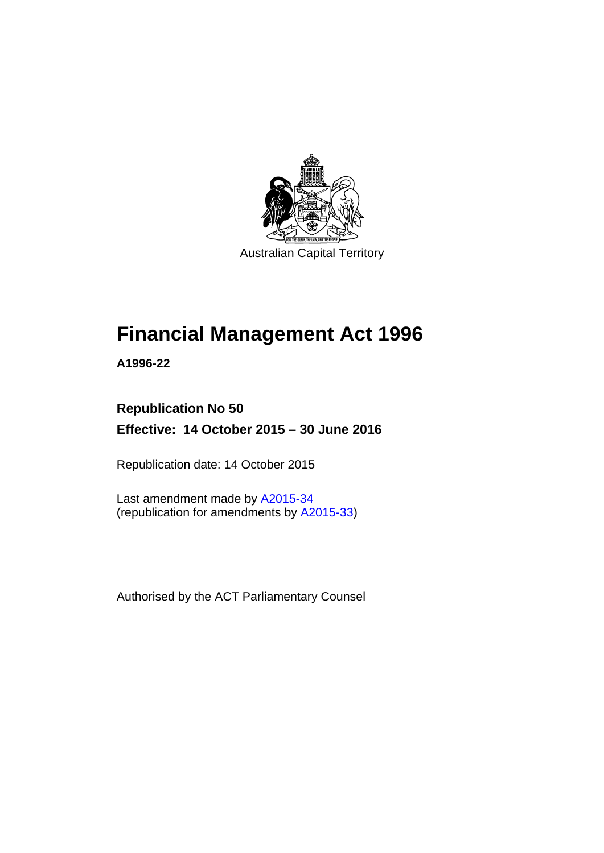

Australian Capital Territory

# **Financial Management Act 1996**

**A1996-22** 

# **Republication No 50 Effective: 14 October 2015 – 30 June 2016**

Republication date: 14 October 2015

Last amendment made by [A2015-34](http://www.legislation.act.gov.au/a/2015-34/default.asp) (republication for amendments by [A2015-33](http://www.legislation.act.gov.au/a/2015-33/default.asp))

Authorised by the ACT Parliamentary Counsel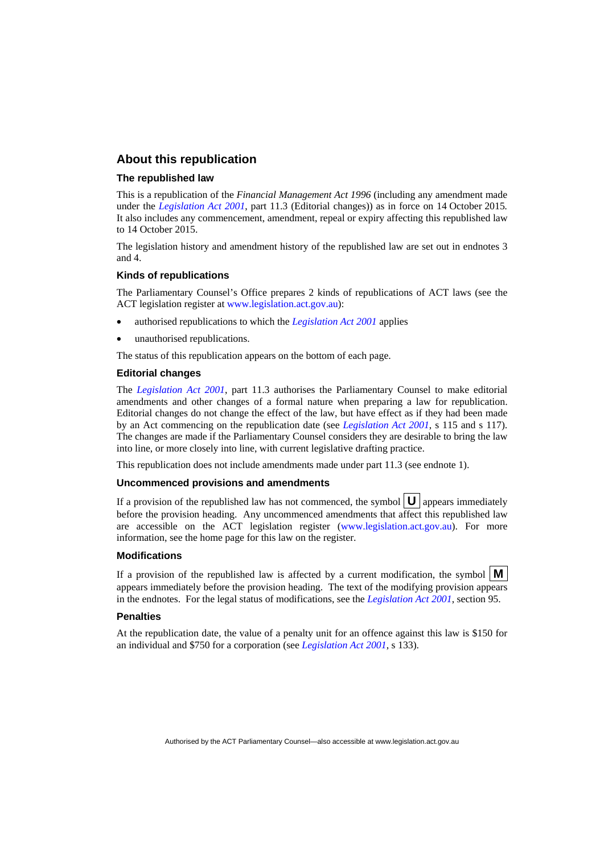### **About this republication**

### **The republished law**

This is a republication of the *Financial Management Act 1996* (including any amendment made under the *[Legislation Act 2001](http://www.legislation.act.gov.au/a/2001-14)*, part 11.3 (Editorial changes)) as in force on 14 October 2015*.*  It also includes any commencement, amendment, repeal or expiry affecting this republished law to 14 October 2015.

The legislation history and amendment history of the republished law are set out in endnotes 3 and 4.

### **Kinds of republications**

The Parliamentary Counsel's Office prepares 2 kinds of republications of ACT laws (see the ACT legislation register at [www.legislation.act.gov.au](http://www.legislation.act.gov.au/)):

- authorised republications to which the *[Legislation Act 2001](http://www.legislation.act.gov.au/a/2001-14)* applies
- unauthorised republications.

The status of this republication appears on the bottom of each page.

### **Editorial changes**

The *[Legislation Act 2001](http://www.legislation.act.gov.au/a/2001-14)*, part 11.3 authorises the Parliamentary Counsel to make editorial amendments and other changes of a formal nature when preparing a law for republication. Editorial changes do not change the effect of the law, but have effect as if they had been made by an Act commencing on the republication date (see *[Legislation Act 2001](http://www.legislation.act.gov.au/a/2001-14)*, s 115 and s 117). The changes are made if the Parliamentary Counsel considers they are desirable to bring the law into line, or more closely into line, with current legislative drafting practice.

This republication does not include amendments made under part 11.3 (see endnote 1).

### **Uncommenced provisions and amendments**

If a provision of the republished law has not commenced, the symbol  $\mathbf{U}$  appears immediately before the provision heading. Any uncommenced amendments that affect this republished law are accessible on the ACT legislation register [\(www.legislation.act.gov.au\)](http://www.legislation.act.gov.au/). For more information, see the home page for this law on the register.

### **Modifications**

If a provision of the republished law is affected by a current modification, the symbol  $\mathbf{M}$ appears immediately before the provision heading. The text of the modifying provision appears in the endnotes. For the legal status of modifications, see the *[Legislation Act 2001](http://www.legislation.act.gov.au/a/2001-14)*, section 95.

### **Penalties**

At the republication date, the value of a penalty unit for an offence against this law is \$150 for an individual and \$750 for a corporation (see *[Legislation Act 2001](http://www.legislation.act.gov.au/a/2001-14)*, s 133).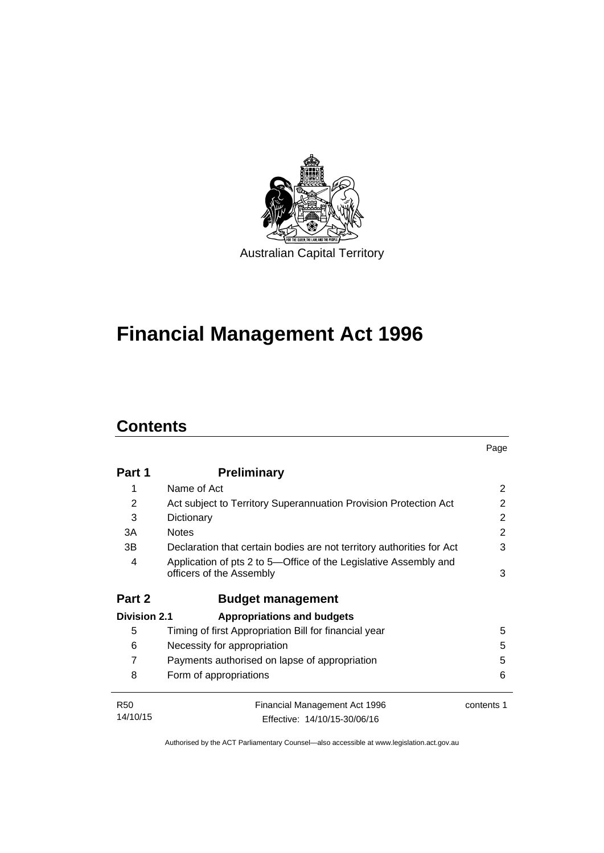

# **Financial Management Act 1996**

# **Contents**

|                     |                                                                                              | Page       |
|---------------------|----------------------------------------------------------------------------------------------|------------|
| Part 1              | <b>Preliminary</b>                                                                           |            |
| 1                   | Name of Act                                                                                  | 2          |
| 2                   | Act subject to Territory Superannuation Provision Protection Act                             | 2          |
| 3                   | Dictionary                                                                                   | 2          |
| 3A                  | <b>Notes</b>                                                                                 | 2          |
| 3B                  | Declaration that certain bodies are not territory authorities for Act                        | 3          |
| 4                   | Application of pts 2 to 5—Office of the Legislative Assembly and<br>officers of the Assembly | 3          |
| Part 2              | <b>Budget management</b>                                                                     |            |
| <b>Division 2.1</b> | <b>Appropriations and budgets</b>                                                            |            |
| 5                   | Timing of first Appropriation Bill for financial year                                        | 5          |
| 6                   | Necessity for appropriation                                                                  | 5          |
| 7                   | Payments authorised on lapse of appropriation                                                | 5          |
| 8                   | Form of appropriations                                                                       | 6          |
| <b>R50</b>          | <b>Financial Management Act 1996</b>                                                         | contents 1 |
| 14/10/15            | Effective: 14/10/15-30/06/16                                                                 |            |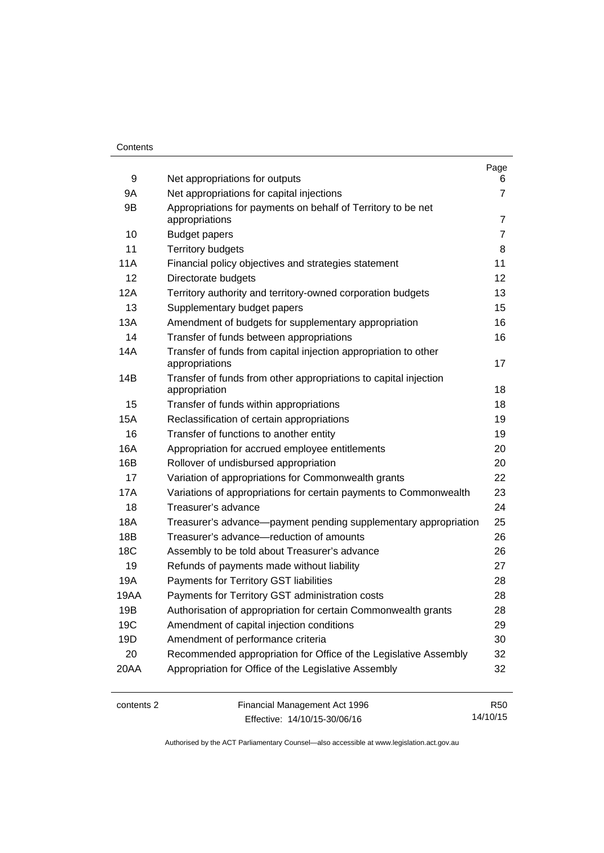### **Contents**

| 9          | Net appropriations for outputs                                                    | Page<br>6      |
|------------|-----------------------------------------------------------------------------------|----------------|
| 9A         | Net appropriations for capital injections                                         | $\overline{7}$ |
| 9B         | Appropriations for payments on behalf of Territory to be net<br>appropriations    | 7              |
| 10         | <b>Budget papers</b>                                                              | $\overline{7}$ |
| 11         | <b>Territory budgets</b>                                                          | 8              |
| 11A        | Financial policy objectives and strategies statement                              | 11             |
| 12         | Directorate budgets                                                               | 12             |
| 12A        | Territory authority and territory-owned corporation budgets                       | 13             |
| 13         | Supplementary budget papers                                                       | 15             |
| 13A        | Amendment of budgets for supplementary appropriation                              | 16             |
| 14         | Transfer of funds between appropriations                                          | 16             |
| 14A        | Transfer of funds from capital injection appropriation to other<br>appropriations | 17             |
| 14B        | Transfer of funds from other appropriations to capital injection<br>appropriation | 18             |
| 15         | Transfer of funds within appropriations                                           | 18             |
| 15A        | Reclassification of certain appropriations                                        | 19             |
| 16         | Transfer of functions to another entity                                           | 19             |
| 16A        | Appropriation for accrued employee entitlements                                   | 20             |
| 16B        | Rollover of undisbursed appropriation                                             | 20             |
| 17         | Variation of appropriations for Commonwealth grants                               | 22             |
| 17A        | Variations of appropriations for certain payments to Commonwealth                 | 23             |
| 18         | Treasurer's advance                                                               | 24             |
| 18A        | Treasurer's advance-payment pending supplementary appropriation                   | 25             |
| 18B        | Treasurer's advance-reduction of amounts                                          | 26             |
| 18C        | Assembly to be told about Treasurer's advance                                     | 26             |
| 19         | Refunds of payments made without liability                                        | 27             |
| 19A        | Payments for Territory GST liabilities                                            | 28             |
| 19AA       | Payments for Territory GST administration costs                                   | 28             |
| 19B        | Authorisation of appropriation for certain Commonwealth grants                    | 28             |
| 19C        | Amendment of capital injection conditions                                         | 29             |
| 19D        | Amendment of performance criteria                                                 | 30             |
| 20         | Recommended appropriation for Office of the Legislative Assembly                  | 32             |
| 20AA       | Appropriation for Office of the Legislative Assembly                              | 32             |
| contents 2 | Financial Management Act 1996                                                     | <b>R50</b>     |

Effective: 14/10/15-30/06/16

Authorised by the ACT Parliamentary Counsel—also accessible at www.legislation.act.gov.au

14/10/15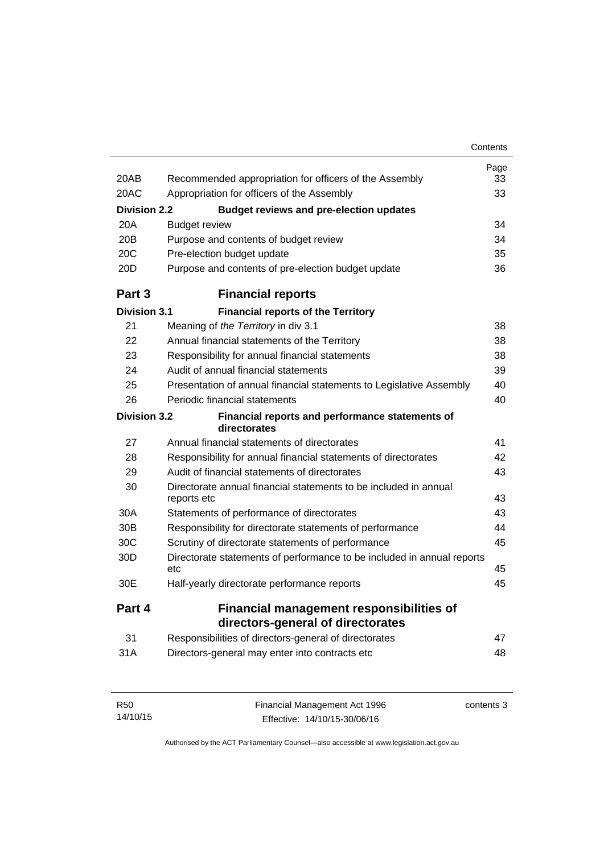|                     |                                                                                 | Contents |
|---------------------|---------------------------------------------------------------------------------|----------|
|                     |                                                                                 | Page     |
| 20AB                | Recommended appropriation for officers of the Assembly                          | 33       |
| 20AC                | Appropriation for officers of the Assembly                                      | 33       |
| <b>Division 2.2</b> | <b>Budget reviews and pre-election updates</b>                                  |          |
| 20A                 | <b>Budget review</b>                                                            | 34       |
| 20B                 | Purpose and contents of budget review                                           | 34       |
| 20 <sub>C</sub>     | Pre-election budget update                                                      | 35       |
| 20D                 | Purpose and contents of pre-election budget update                              | 36       |
| Part 3              | <b>Financial reports</b>                                                        |          |
| <b>Division 3.1</b> | <b>Financial reports of the Territory</b>                                       |          |
| 21                  | Meaning of the Territory in div 3.1                                             | 38       |
| 22                  | Annual financial statements of the Territory                                    | 38       |
| 23                  | Responsibility for annual financial statements                                  | 38       |
| 24                  | Audit of annual financial statements                                            | 39       |
| 25                  | Presentation of annual financial statements to Legislative Assembly             | 40       |
| 26                  | Periodic financial statements                                                   | 40       |
| <b>Division 3.2</b> | Financial reports and performance statements of<br>directorates                 |          |
| 27                  | Annual financial statements of directorates                                     | 41       |
| 28                  | Responsibility for annual financial statements of directorates                  | 42       |
| 29                  | Audit of financial statements of directorates                                   | 43       |
| 30                  | Directorate annual financial statements to be included in annual<br>reports etc | 43       |
| 30A                 | Statements of performance of directorates                                       | 43       |
| 30B                 | Responsibility for directorate statements of performance                        | 44       |
| 30C                 | Scrutiny of directorate statements of performance                               | 45       |
| 30 <sub>D</sub>     | Directorate statements of performance to be included in annual reports          |          |
|                     | etc                                                                             | 45       |
| 30E                 | Half-yearly directorate performance reports                                     | 45       |
| Part 4              | <b>Financial management responsibilities of</b>                                 |          |
|                     | directors-general of directorates                                               |          |
| 31                  | Responsibilities of directors-general of directorates                           | 47       |
| 31A                 | Directors-general may enter into contracts etc                                  | 48       |

| R <sub>50</sub> | Financial Management Act 1996 | contents 3 |
|-----------------|-------------------------------|------------|
| 14/10/15        | Effective: 14/10/15-30/06/16  |            |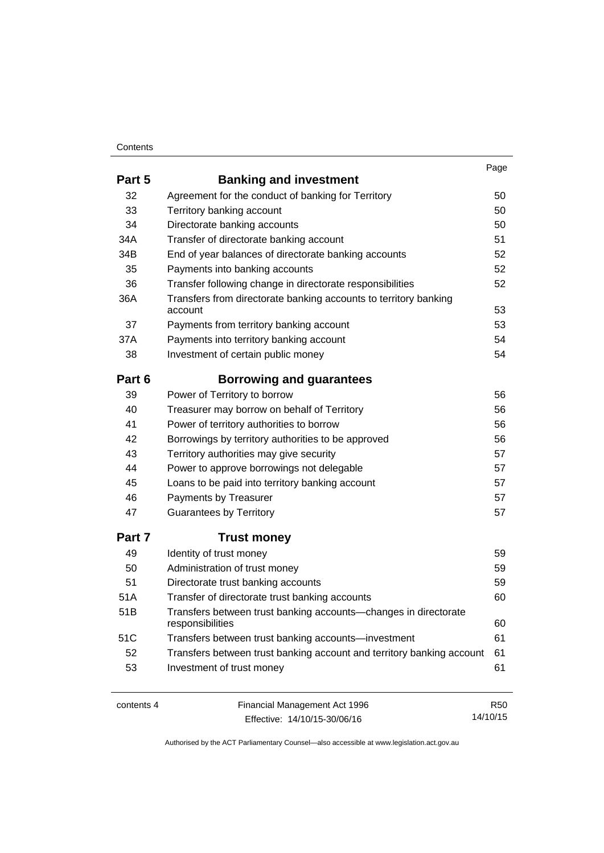### **Contents**

|        |                                                                                     | Page |
|--------|-------------------------------------------------------------------------------------|------|
| Part 5 | <b>Banking and investment</b>                                                       |      |
| 32     | Agreement for the conduct of banking for Territory                                  | 50   |
| 33     | Territory banking account                                                           | 50   |
| 34     | Directorate banking accounts                                                        | 50   |
| 34A    | Transfer of directorate banking account                                             | 51   |
| 34B    | End of year balances of directorate banking accounts                                | 52   |
| 35     | Payments into banking accounts                                                      | 52   |
| 36     | Transfer following change in directorate responsibilities                           | 52   |
| 36A    | Transfers from directorate banking accounts to territory banking<br>account         | 53   |
| 37     | Payments from territory banking account                                             | 53   |
| 37A    | Payments into territory banking account                                             | 54   |
| 38     | Investment of certain public money                                                  | 54   |
| Part 6 | <b>Borrowing and guarantees</b>                                                     |      |
| 39     | Power of Territory to borrow                                                        | 56   |
| 40     | Treasurer may borrow on behalf of Territory                                         | 56   |
| 41     | Power of territory authorities to borrow                                            | 56   |
| 42     | Borrowings by territory authorities to be approved                                  | 56   |
| 43     | Territory authorities may give security                                             | 57   |
| 44     | Power to approve borrowings not delegable                                           | 57   |
| 45     | Loans to be paid into territory banking account                                     | 57   |
| 46     | Payments by Treasurer                                                               | 57   |
| 47     | <b>Guarantees by Territory</b>                                                      | 57   |
| Part 7 | <b>Trust money</b>                                                                  |      |
| 49     | Identity of trust money                                                             | 59   |
| 50     | Administration of trust money                                                       | 59   |
| 51     | Directorate trust banking accounts                                                  | 59   |
| 51A    | Transfer of directorate trust banking accounts                                      | 60   |
| 51B    | Transfers between trust banking accounts-changes in directorate<br>responsibilities | 60   |
| 51C    | Transfers between trust banking accounts-investment                                 | 61   |
| 52     | Transfers between trust banking account and territory banking account               | 61   |
| 53     | Investment of trust money                                                           | 61   |
|        |                                                                                     |      |

contents 4 Financial Management Act 1996 Effective: 14/10/15-30/06/16

R50 14/10/15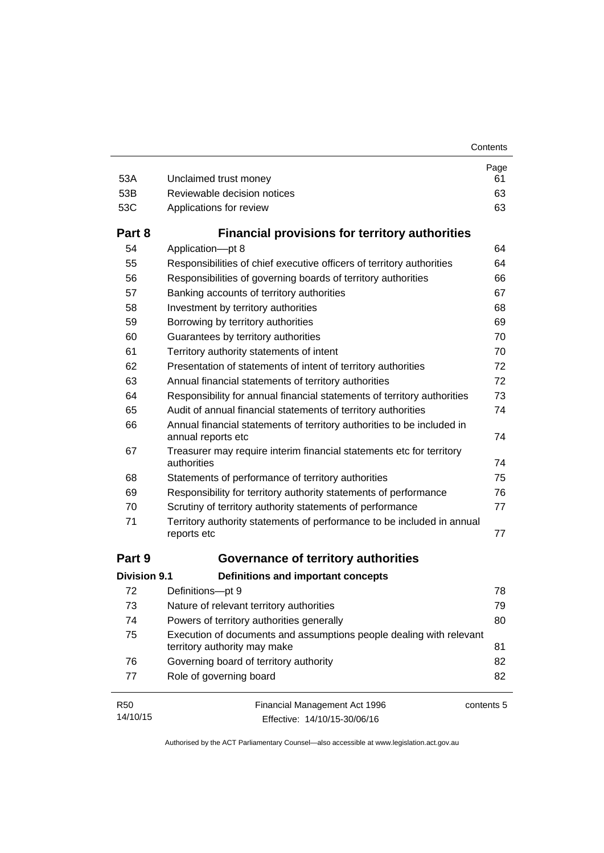| 53A                 | Unclaimed trust money                                                                               | Page<br>61 |
|---------------------|-----------------------------------------------------------------------------------------------------|------------|
| 53B                 | Reviewable decision notices                                                                         | 63         |
| 53C                 | Applications for review                                                                             | 63         |
| Part 8              | <b>Financial provisions for territory authorities</b>                                               |            |
| 54                  | Application-pt 8                                                                                    | 64         |
| 55                  | Responsibilities of chief executive officers of territory authorities                               | 64         |
| 56                  | Responsibilities of governing boards of territory authorities                                       | 66         |
| 57                  | Banking accounts of territory authorities                                                           | 67         |
| 58                  | Investment by territory authorities                                                                 | 68         |
| 59                  | Borrowing by territory authorities                                                                  | 69         |
| 60                  | Guarantees by territory authorities                                                                 | 70         |
| 61                  | Territory authority statements of intent                                                            | 70         |
| 62                  | Presentation of statements of intent of territory authorities                                       | 72         |
| 63                  | Annual financial statements of territory authorities                                                | 72         |
| 64                  | Responsibility for annual financial statements of territory authorities                             | 73         |
| 65                  | Audit of annual financial statements of territory authorities                                       | 74         |
| 66                  | Annual financial statements of territory authorities to be included in<br>annual reports etc        | 74         |
| 67                  | Treasurer may require interim financial statements etc for territory<br>authorities                 | 74         |
| 68                  | Statements of performance of territory authorities                                                  | 75         |
| 69                  | Responsibility for territory authority statements of performance                                    | 76         |
| 70                  | Scrutiny of territory authority statements of performance                                           | 77         |
| 71                  | Territory authority statements of performance to be included in annual<br>reports etc               | 77         |
| Part 9              | Governance of territory authorities                                                                 |            |
| <b>Division 9.1</b> | <b>Definitions and important concepts</b>                                                           |            |
| 72                  | Definitions-pt 9                                                                                    | 78         |
| 73                  | Nature of relevant territory authorities                                                            | 79         |
| 74                  | Powers of territory authorities generally                                                           | 80         |
| 75                  | Execution of documents and assumptions people dealing with relevant<br>territory authority may make | 81         |
| 76                  | Governing board of territory authority                                                              | 82         |
| 77                  | Role of governing board                                                                             | 82         |
| <b>R50</b>          | Financial Management Act 1996                                                                       | contents 5 |

14/10/15 Effective: 14/10/15-30/06/16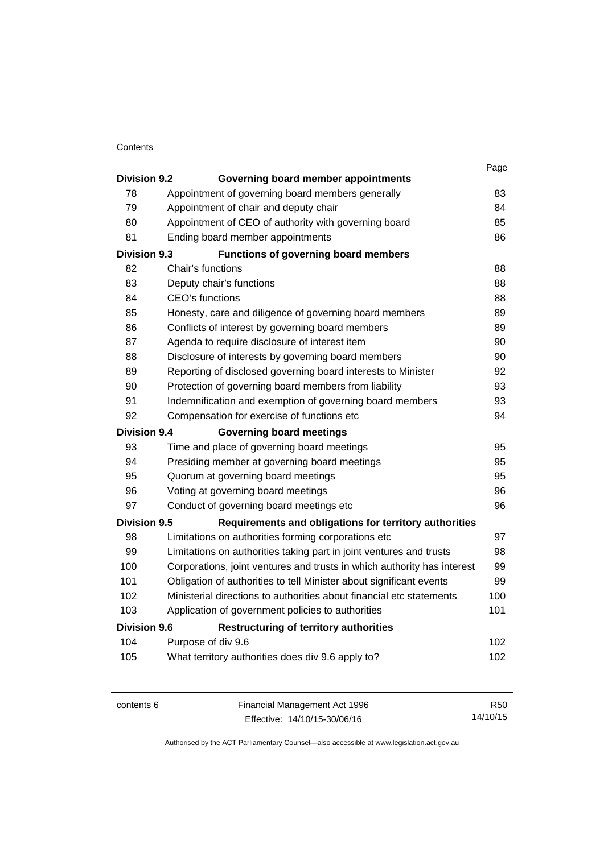### **Contents**

|                     |                                                                         | Page |
|---------------------|-------------------------------------------------------------------------|------|
| <b>Division 9.2</b> | Governing board member appointments                                     |      |
| 78                  | Appointment of governing board members generally                        | 83   |
| 79                  | Appointment of chair and deputy chair                                   | 84   |
| 80                  | Appointment of CEO of authority with governing board                    | 85   |
| 81                  | Ending board member appointments                                        | 86   |
| <b>Division 9.3</b> | <b>Functions of governing board members</b>                             |      |
| 82                  | Chair's functions                                                       | 88   |
| 83                  | Deputy chair's functions                                                | 88   |
| 84                  | CEO's functions                                                         | 88   |
| 85                  | Honesty, care and diligence of governing board members                  | 89   |
| 86                  | Conflicts of interest by governing board members                        | 89   |
| 87                  | Agenda to require disclosure of interest item                           | 90   |
| 88                  | Disclosure of interests by governing board members                      | 90   |
| 89                  | Reporting of disclosed governing board interests to Minister            | 92   |
| 90                  | Protection of governing board members from liability                    | 93   |
| 91                  | Indemnification and exemption of governing board members                | 93   |
| 92                  | Compensation for exercise of functions etc                              | 94   |
| <b>Division 9.4</b> | <b>Governing board meetings</b>                                         |      |
| 93                  | Time and place of governing board meetings                              | 95   |
| 94                  | Presiding member at governing board meetings                            | 95   |
| 95                  | Quorum at governing board meetings                                      | 95   |
| 96                  | Voting at governing board meetings                                      | 96   |
| 97                  | Conduct of governing board meetings etc                                 | 96   |
| <b>Division 9.5</b> | Requirements and obligations for territory authorities                  |      |
| 98                  | Limitations on authorities forming corporations etc                     | 97   |
| 99                  | Limitations on authorities taking part in joint ventures and trusts     | 98   |
| 100                 | Corporations, joint ventures and trusts in which authority has interest | 99   |
| 101                 | Obligation of authorities to tell Minister about significant events     | 99   |
| 102                 | Ministerial directions to authorities about financial etc statements    | 100  |
| 103                 | Application of government policies to authorities                       | 101  |
| <b>Division 9.6</b> | <b>Restructuring of territory authorities</b>                           |      |
| 104                 | Purpose of div 9.6                                                      | 102  |
| 105                 | What territory authorities does div 9.6 apply to?                       | 102  |
|                     |                                                                         |      |

contents 6 Financial Management Act 1996 Effective: 14/10/15-30/06/16

R50 14/10/15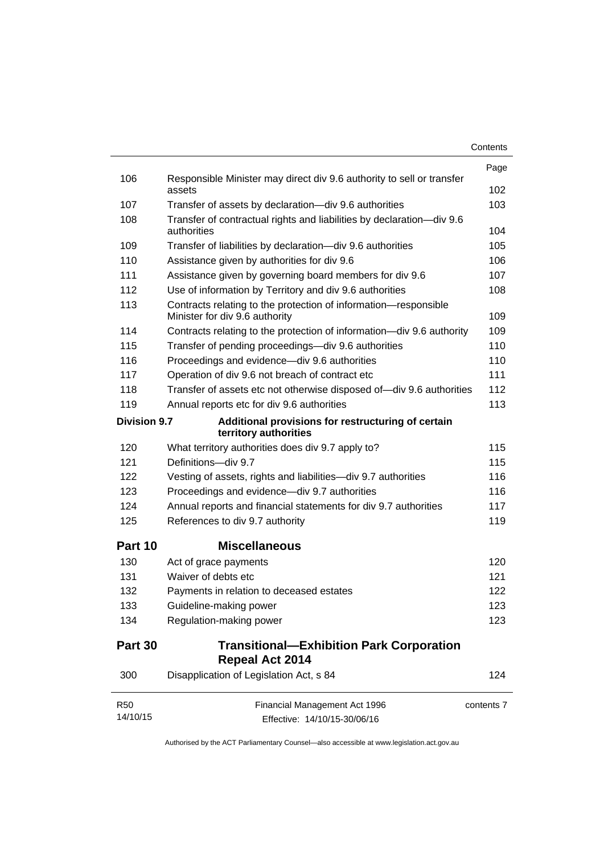| Contents |
|----------|
|----------|

|                        |                                                                                                   | Page       |
|------------------------|---------------------------------------------------------------------------------------------------|------------|
| 106                    | Responsible Minister may direct div 9.6 authority to sell or transfer<br>assets                   | 102        |
| 107                    | Transfer of assets by declaration-div 9.6 authorities                                             | 103        |
| 108                    | Transfer of contractual rights and liabilities by declaration-div 9.6<br>authorities              | 104        |
| 109                    | Transfer of liabilities by declaration-div 9.6 authorities                                        | 105        |
| 110                    | Assistance given by authorities for div 9.6                                                       | 106        |
| 111                    | Assistance given by governing board members for div 9.6                                           | 107        |
| 112                    | Use of information by Territory and div 9.6 authorities                                           | 108        |
| 113                    | Contracts relating to the protection of information-responsible<br>Minister for div 9.6 authority | 109        |
| 114                    | Contracts relating to the protection of information-div 9.6 authority                             | 109        |
| 115                    | Transfer of pending proceedings-div 9.6 authorities                                               | 110        |
| 116                    | Proceedings and evidence-div 9.6 authorities                                                      | 110        |
| 117                    | Operation of div 9.6 not breach of contract etc                                                   | 111        |
| 118                    | Transfer of assets etc not otherwise disposed of-div 9.6 authorities                              | 112        |
| 119                    | Annual reports etc for div 9.6 authorities                                                        | 113        |
| <b>Division 9.7</b>    | Additional provisions for restructuring of certain<br>territory authorities                       |            |
| 120                    | What territory authorities does div 9.7 apply to?                                                 | 115        |
| 121                    | Definitions-div 9.7                                                                               | 115        |
| 122                    | Vesting of assets, rights and liabilities-div 9.7 authorities                                     | 116        |
| 123                    | Proceedings and evidence-div 9.7 authorities                                                      | 116        |
| 124                    | Annual reports and financial statements for div 9.7 authorities                                   | 117        |
| 125                    | References to div 9.7 authority                                                                   | 119        |
| Part 10                | <b>Miscellaneous</b>                                                                              |            |
| 130                    | Act of grace payments                                                                             | 120        |
| 131                    | Waiver of debts etc                                                                               | 121        |
| 132                    | Payments in relation to deceased estates                                                          | 122        |
| 133                    | Guideline-making power                                                                            | 123        |
| 134                    | Regulation-making power                                                                           | 123        |
| Part 30                | <b>Transitional-Exhibition Park Corporation</b><br><b>Repeal Act 2014</b>                         |            |
| 300                    | Disapplication of Legislation Act, s 84                                                           | 124        |
| <b>R50</b><br>14/10/15 | Financial Management Act 1996<br>Effective: 14/10/15-30/06/16                                     | contents 7 |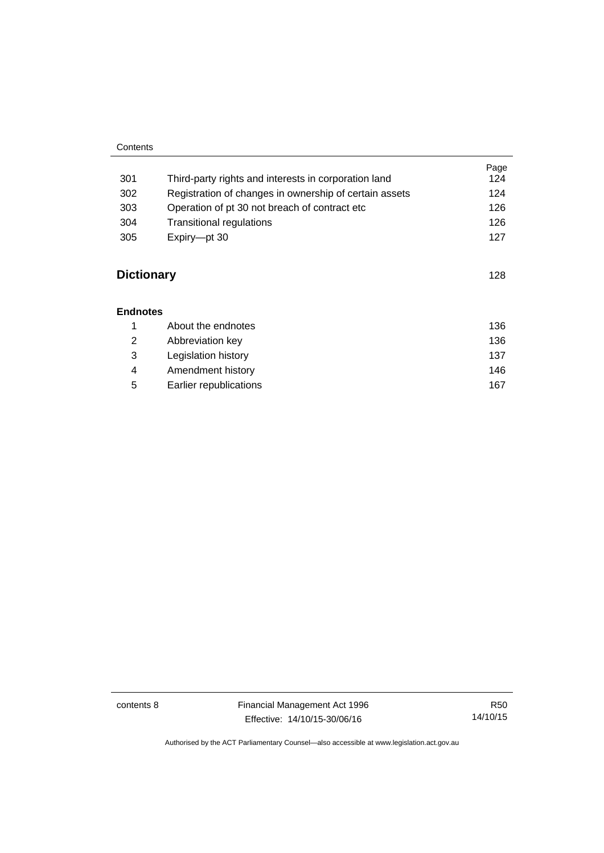### **Contents**

| 301               | Third-party rights and interests in corporation land   | Page<br>124 |
|-------------------|--------------------------------------------------------|-------------|
| 302               | Registration of changes in ownership of certain assets | 124         |
| 303               | Operation of pt 30 not breach of contract etc.         | 126         |
| 304               | Transitional regulations                               | 126         |
| 305               | Expiry-pt 30                                           | 127         |
| <b>Dictionary</b> |                                                        | 128         |

### **[Endnotes](#page-145-0)**

|   | About the endnotes     | 136 |
|---|------------------------|-----|
| 2 | Abbreviation key       | 136 |
| 3 | Legislation history    | 137 |
| 4 | Amendment history      | 146 |
| 5 | Earlier republications | 167 |

contents 8 Financial Management Act 1996 Effective: 14/10/15-30/06/16

R50 14/10/15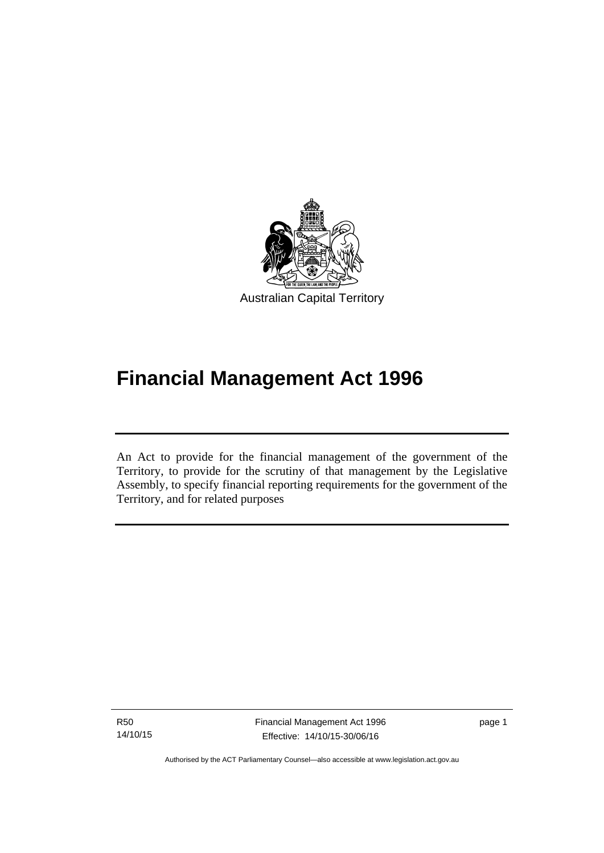

# **Financial Management Act 1996**

An Act to provide for the financial management of the government of the Territory, to provide for the scrutiny of that management by the Legislative Assembly, to specify financial reporting requirements for the government of the Territory, and for related purposes

R50 14/10/15

l

page 1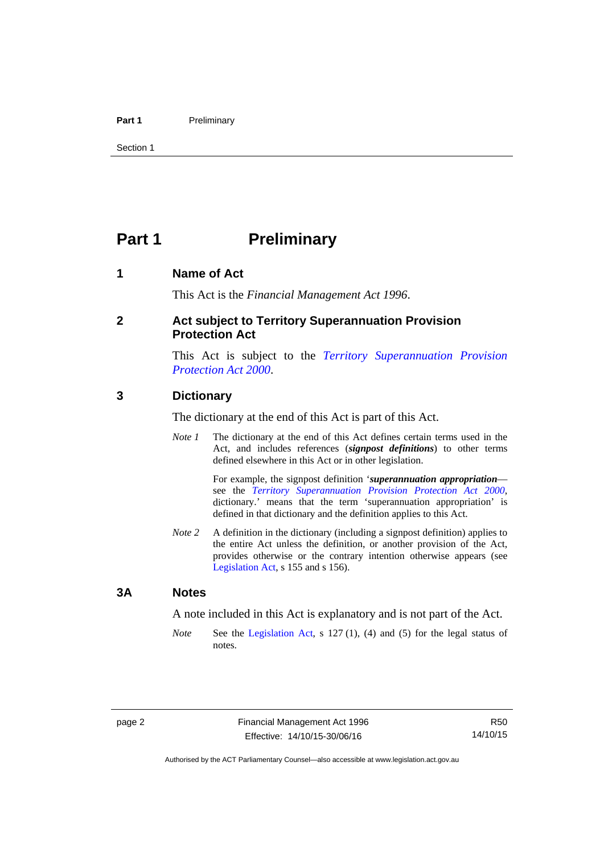### Part 1 **Preliminary**

Section 1

# <span id="page-11-0"></span>**Part 1** Preliminary

### <span id="page-11-1"></span>**1 Name of Act**

This Act is the *Financial Management Act 1996*.

### <span id="page-11-2"></span>**2 Act subject to Territory Superannuation Provision Protection Act**

This Act is subject to the *[Territory Superannuation Provision](http://www.legislation.act.gov.au/a/2000-21)  [Protection Act 2000](http://www.legislation.act.gov.au/a/2000-21)*.

### <span id="page-11-3"></span>**3 Dictionary**

The dictionary at the end of this Act is part of this Act.

*Note 1* The dictionary at the end of this Act defines certain terms used in the Act, and includes references (*signpost definitions*) to other terms defined elsewhere in this Act or in other legislation.

> For example, the signpost definition '*superannuation appropriation* see the *[Territory Superannuation Provision Protection Act 2000](http://www.legislation.act.gov.au/a/2000-21)*, dictionary.' means that the term 'superannuation appropriation' is defined in that dictionary and the definition applies to this Act.

*Note 2* A definition in the dictionary (including a signpost definition) applies to the entire Act unless the definition, or another provision of the Act, provides otherwise or the contrary intention otherwise appears (see [Legislation Act,](http://www.legislation.act.gov.au/a/2001-14) s 155 and s 156).

### <span id="page-11-4"></span>**3A Notes**

A note included in this Act is explanatory and is not part of the Act.

*Note* See the [Legislation Act,](http://www.legislation.act.gov.au/a/2001-14) s 127 (1), (4) and (5) for the legal status of notes.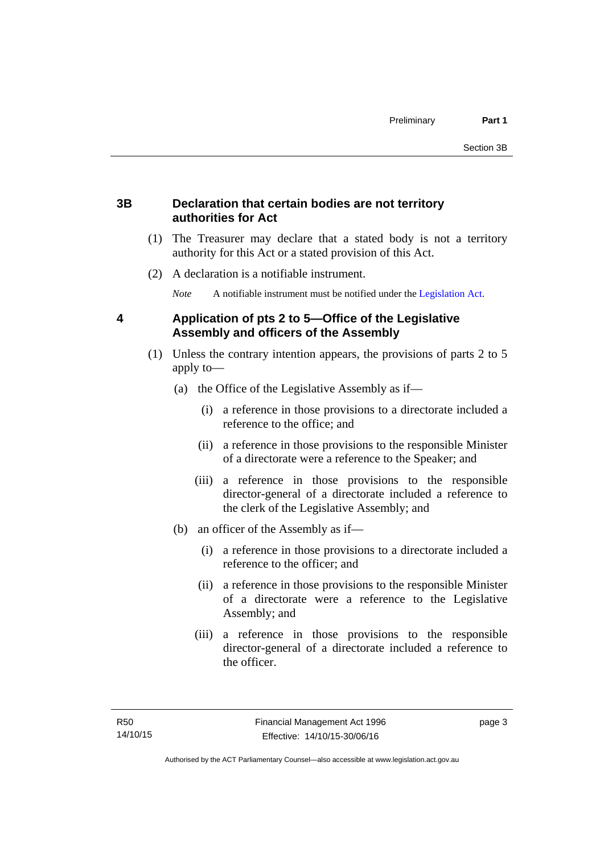### <span id="page-12-0"></span>**3B Declaration that certain bodies are not territory authorities for Act**

- (1) The Treasurer may declare that a stated body is not a territory authority for this Act or a stated provision of this Act.
- (2) A declaration is a notifiable instrument.

*Note* A notifiable instrument must be notified under the [Legislation Act](http://www.legislation.act.gov.au/a/2001-14).

# <span id="page-12-1"></span>**4 Application of pts 2 to 5—Office of the Legislative Assembly and officers of the Assembly**

- (1) Unless the contrary intention appears, the provisions of parts 2 to 5 apply to—
	- (a) the Office of the Legislative Assembly as if—
		- (i) a reference in those provisions to a directorate included a reference to the office; and
		- (ii) a reference in those provisions to the responsible Minister of a directorate were a reference to the Speaker; and
		- (iii) a reference in those provisions to the responsible director-general of a directorate included a reference to the clerk of the Legislative Assembly; and
	- (b) an officer of the Assembly as if—
		- (i) a reference in those provisions to a directorate included a reference to the officer; and
		- (ii) a reference in those provisions to the responsible Minister of a directorate were a reference to the Legislative Assembly; and
		- (iii) a reference in those provisions to the responsible director-general of a directorate included a reference to the officer.

page 3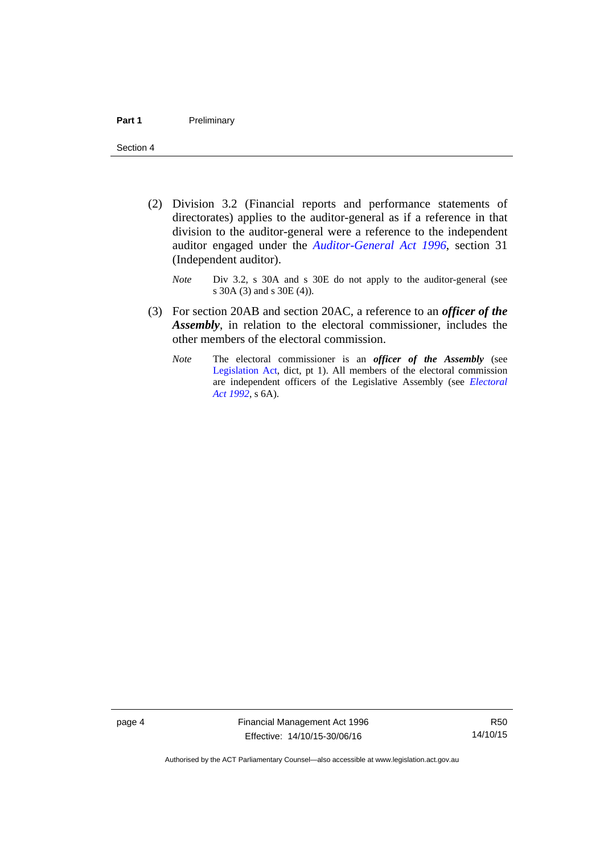- (2) Division 3.2 (Financial reports and performance statements of directorates) applies to the auditor-general as if a reference in that division to the auditor-general were a reference to the independent auditor engaged under the *[Auditor-General Act 1996](http://www.legislation.act.gov.au/a/1996-23)*, section 31 (Independent auditor).
	- *Note* Div 3.2, s 30A and s 30E do not apply to the auditor-general (see s 30A (3) and s 30E (4)).
- (3) For section 20AB and section 20AC, a reference to an *officer of the Assembly*, in relation to the electoral commissioner, includes the other members of the electoral commission.
	- *Note* The electoral commissioner is an *officer of the Assembly* (see [Legislation Act](http://www.legislation.act.gov.au/a/2001-14), dict, pt 1). All members of the electoral commission are independent officers of the Legislative Assembly (see *[Electoral](http://www.legislation.act.gov.au/a/1992-71)  [Act 1992](http://www.legislation.act.gov.au/a/1992-71)*, s 6A).

page 4 Financial Management Act 1996 Effective: 14/10/15-30/06/16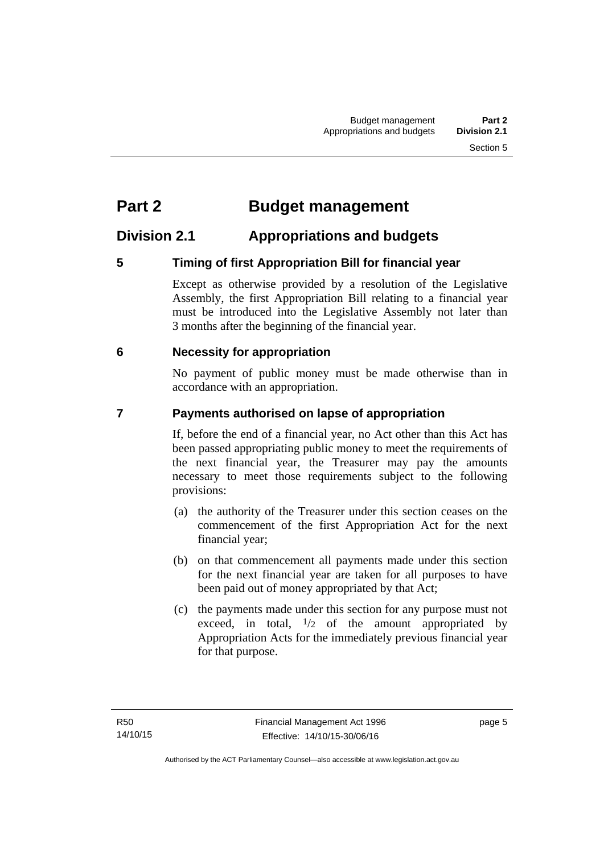# <span id="page-14-0"></span>**Part 2 Budget management**

# <span id="page-14-1"></span>**Division 2.1 Appropriations and budgets**

# <span id="page-14-2"></span>**5 Timing of first Appropriation Bill for financial year**

Except as otherwise provided by a resolution of the Legislative Assembly, the first Appropriation Bill relating to a financial year must be introduced into the Legislative Assembly not later than 3 months after the beginning of the financial year.

# <span id="page-14-3"></span> **6 Necessity for appropriation**

No payment of public money must be made otherwise than in accordance with an appropriation.

# <span id="page-14-4"></span>**7 Payments authorised on lapse of appropriation**

If, before the end of a financial year, no Act other than this Act has been passed appropriating public money to meet the requirements of the next financial year, the Treasurer may pay the amounts necessary to meet those requirements subject to the following provisions:

- (a) the authority of the Treasurer under this section ceases on the commencement of the first Appropriation Act for the next financial year;
- (b) on that commencement all payments made under this section for the next financial year are taken for all purposes to have been paid out of money appropriated by that Act;
- (c) the payments made under this section for any purpose must not exceed, in total,  $\frac{1}{2}$  of the amount appropriated by Appropriation Acts for the immediately previous financial year for that purpose.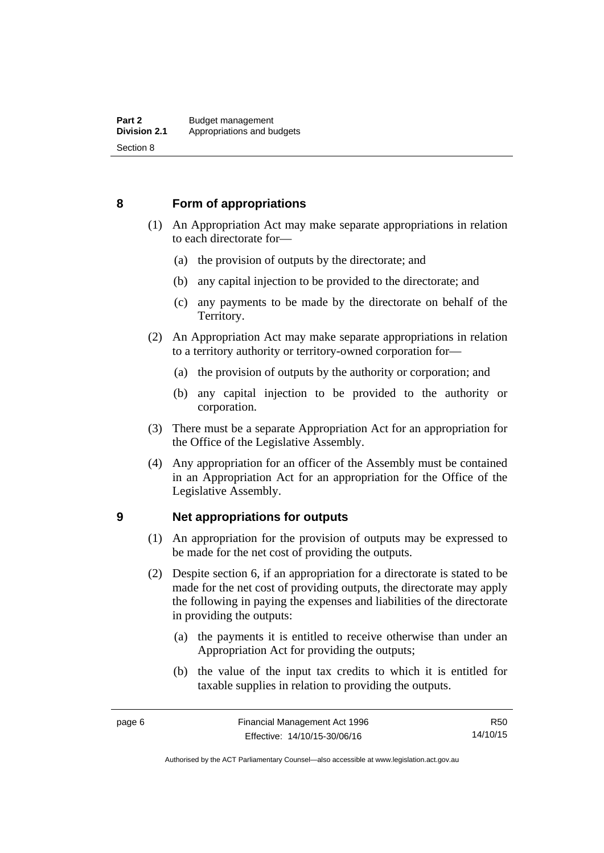### <span id="page-15-0"></span>**8 Form of appropriations**

- (1) An Appropriation Act may make separate appropriations in relation to each directorate for—
	- (a) the provision of outputs by the directorate; and
	- (b) any capital injection to be provided to the directorate; and
	- (c) any payments to be made by the directorate on behalf of the Territory.
- (2) An Appropriation Act may make separate appropriations in relation to a territory authority or territory-owned corporation for—
	- (a) the provision of outputs by the authority or corporation; and
	- (b) any capital injection to be provided to the authority or corporation.
- (3) There must be a separate Appropriation Act for an appropriation for the Office of the Legislative Assembly.
- (4) Any appropriation for an officer of the Assembly must be contained in an Appropriation Act for an appropriation for the Office of the Legislative Assembly.

### <span id="page-15-1"></span>**9 Net appropriations for outputs**

- (1) An appropriation for the provision of outputs may be expressed to be made for the net cost of providing the outputs.
- (2) Despite section 6, if an appropriation for a directorate is stated to be made for the net cost of providing outputs, the directorate may apply the following in paying the expenses and liabilities of the directorate in providing the outputs:
	- (a) the payments it is entitled to receive otherwise than under an Appropriation Act for providing the outputs;
	- (b) the value of the input tax credits to which it is entitled for taxable supplies in relation to providing the outputs.

R50 14/10/15

Authorised by the ACT Parliamentary Counsel—also accessible at www.legislation.act.gov.au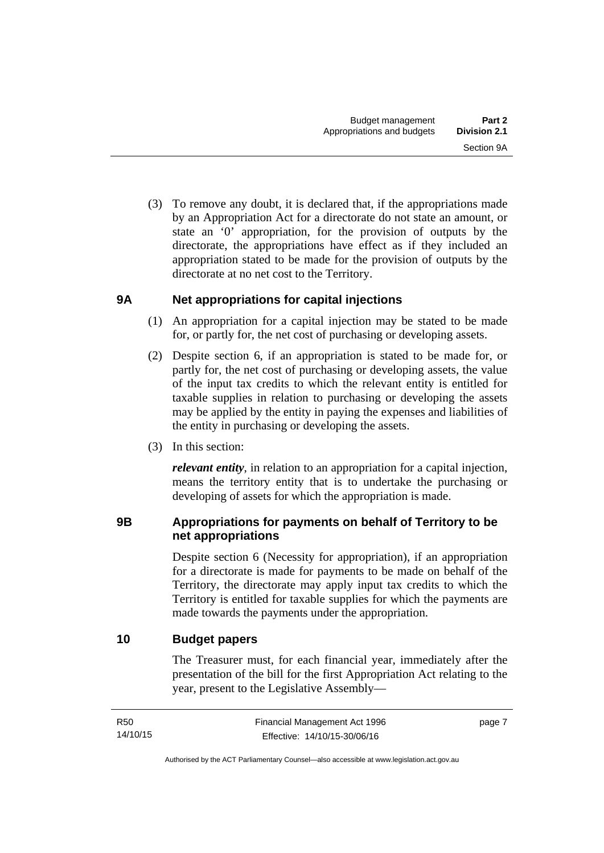(3) To remove any doubt, it is declared that, if the appropriations made by an Appropriation Act for a directorate do not state an amount, or state an '0' appropriation, for the provision of outputs by the directorate, the appropriations have effect as if they included an appropriation stated to be made for the provision of outputs by the directorate at no net cost to the Territory.

# <span id="page-16-0"></span>**9A Net appropriations for capital injections**

- (1) An appropriation for a capital injection may be stated to be made for, or partly for, the net cost of purchasing or developing assets.
- (2) Despite section 6, if an appropriation is stated to be made for, or partly for, the net cost of purchasing or developing assets, the value of the input tax credits to which the relevant entity is entitled for taxable supplies in relation to purchasing or developing the assets may be applied by the entity in paying the expenses and liabilities of the entity in purchasing or developing the assets.
- (3) In this section:

*relevant entity*, in relation to an appropriation for a capital injection, means the territory entity that is to undertake the purchasing or developing of assets for which the appropriation is made.

# <span id="page-16-1"></span>**9B Appropriations for payments on behalf of Territory to be net appropriations**

Despite section 6 (Necessity for appropriation), if an appropriation for a directorate is made for payments to be made on behalf of the Territory, the directorate may apply input tax credits to which the Territory is entitled for taxable supplies for which the payments are made towards the payments under the appropriation.

# <span id="page-16-2"></span>**10 Budget papers**

The Treasurer must, for each financial year, immediately after the presentation of the bill for the first Appropriation Act relating to the year, present to the Legislative Assembly—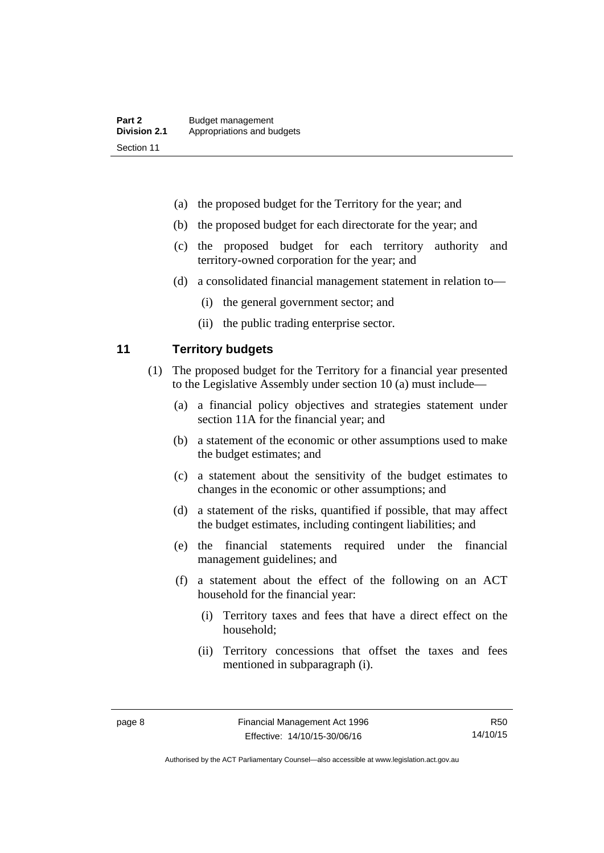- (a) the proposed budget for the Territory for the year; and
- (b) the proposed budget for each directorate for the year; and
- (c) the proposed budget for each territory authority and territory-owned corporation for the year; and
- (d) a consolidated financial management statement in relation to—
	- (i) the general government sector; and
	- (ii) the public trading enterprise sector.

### <span id="page-17-0"></span>**11 Territory budgets**

- (1) The proposed budget for the Territory for a financial year presented to the Legislative Assembly under section 10 (a) must include—
	- (a) a financial policy objectives and strategies statement under section 11A for the financial year; and
	- (b) a statement of the economic or other assumptions used to make the budget estimates; and
	- (c) a statement about the sensitivity of the budget estimates to changes in the economic or other assumptions; and
	- (d) a statement of the risks, quantified if possible, that may affect the budget estimates, including contingent liabilities; and
	- (e) the financial statements required under the financial management guidelines; and
	- (f) a statement about the effect of the following on an ACT household for the financial year:
		- (i) Territory taxes and fees that have a direct effect on the household;
		- (ii) Territory concessions that offset the taxes and fees mentioned in subparagraph (i).

Authorised by the ACT Parliamentary Counsel—also accessible at www.legislation.act.gov.au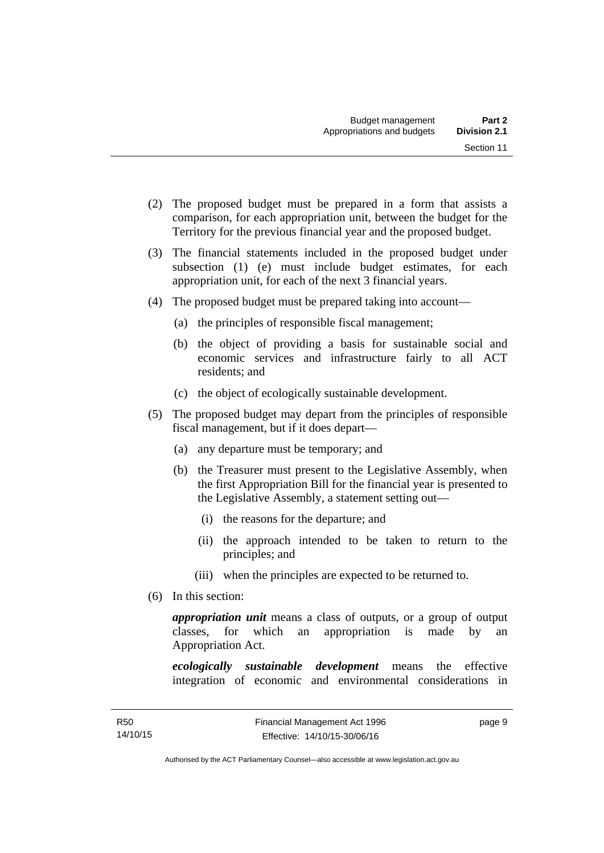- (2) The proposed budget must be prepared in a form that assists a comparison, for each appropriation unit, between the budget for the Territory for the previous financial year and the proposed budget.
- (3) The financial statements included in the proposed budget under subsection (1) (e) must include budget estimates, for each appropriation unit, for each of the next 3 financial years.
- (4) The proposed budget must be prepared taking into account—
	- (a) the principles of responsible fiscal management;
	- (b) the object of providing a basis for sustainable social and economic services and infrastructure fairly to all ACT residents; and
	- (c) the object of ecologically sustainable development.
- (5) The proposed budget may depart from the principles of responsible fiscal management, but if it does depart—
	- (a) any departure must be temporary; and
	- (b) the Treasurer must present to the Legislative Assembly, when the first Appropriation Bill for the financial year is presented to the Legislative Assembly, a statement setting out—
		- (i) the reasons for the departure; and
		- (ii) the approach intended to be taken to return to the principles; and
		- (iii) when the principles are expected to be returned to.
- (6) In this section:

*appropriation unit* means a class of outputs, or a group of output classes, for which an appropriation is made by an Appropriation Act.

*ecologically sustainable development* means the effective integration of economic and environmental considerations in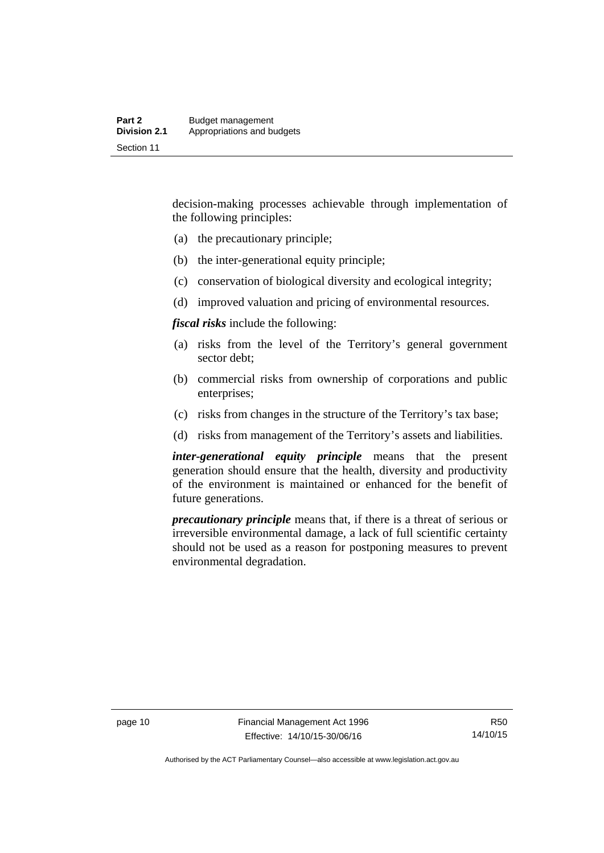decision-making processes achievable through implementation of the following principles:

- (a) the precautionary principle;
- (b) the inter-generational equity principle;
- (c) conservation of biological diversity and ecological integrity;
- (d) improved valuation and pricing of environmental resources.

*fiscal risks* include the following:

- (a) risks from the level of the Territory's general government sector debt;
- (b) commercial risks from ownership of corporations and public enterprises;
- (c) risks from changes in the structure of the Territory's tax base;
- (d) risks from management of the Territory's assets and liabilities.

*inter-generational equity principle* means that the present generation should ensure that the health, diversity and productivity of the environment is maintained or enhanced for the benefit of future generations.

*precautionary principle* means that, if there is a threat of serious or irreversible environmental damage, a lack of full scientific certainty should not be used as a reason for postponing measures to prevent environmental degradation.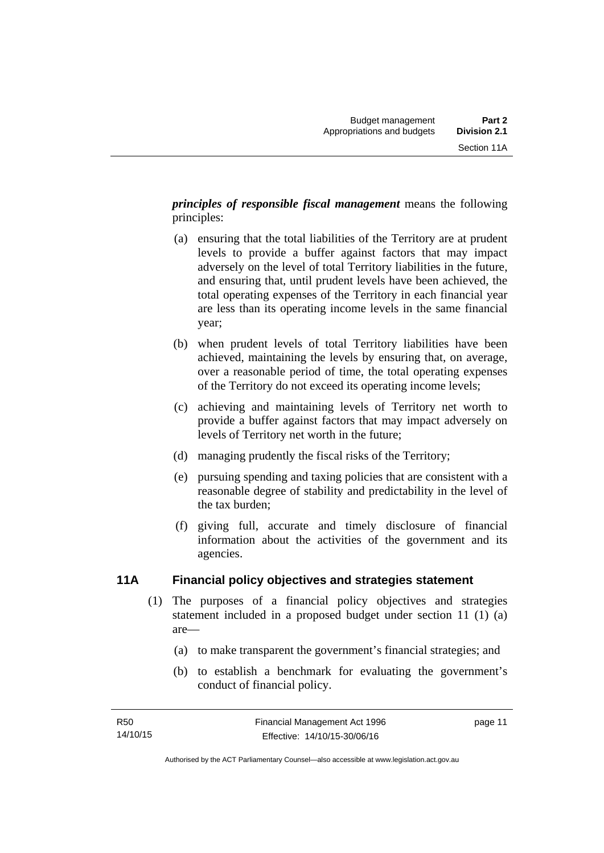*principles of responsible fiscal management* means the following principles:

- (a) ensuring that the total liabilities of the Territory are at prudent levels to provide a buffer against factors that may impact adversely on the level of total Territory liabilities in the future, and ensuring that, until prudent levels have been achieved, the total operating expenses of the Territory in each financial year are less than its operating income levels in the same financial year;
- (b) when prudent levels of total Territory liabilities have been achieved, maintaining the levels by ensuring that, on average, over a reasonable period of time, the total operating expenses of the Territory do not exceed its operating income levels;
- (c) achieving and maintaining levels of Territory net worth to provide a buffer against factors that may impact adversely on levels of Territory net worth in the future;
- (d) managing prudently the fiscal risks of the Territory;
- (e) pursuing spending and taxing policies that are consistent with a reasonable degree of stability and predictability in the level of the tax burden;
- (f) giving full, accurate and timely disclosure of financial information about the activities of the government and its agencies.

# <span id="page-20-0"></span>**11A Financial policy objectives and strategies statement**

- (1) The purposes of a financial policy objectives and strategies statement included in a proposed budget under section 11 (1) (a) are—
	- (a) to make transparent the government's financial strategies; and
	- (b) to establish a benchmark for evaluating the government's conduct of financial policy.

page 11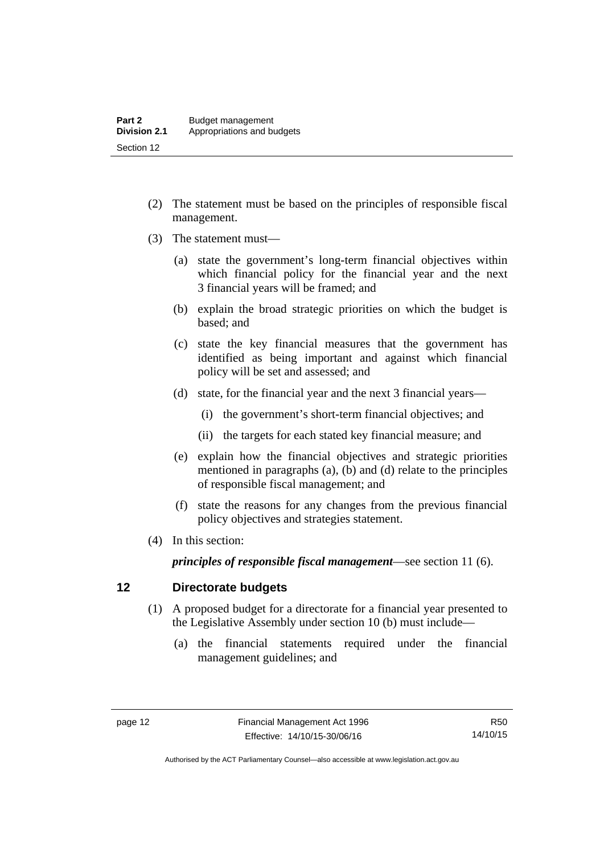- (2) The statement must be based on the principles of responsible fiscal management.
- (3) The statement must—
	- (a) state the government's long-term financial objectives within which financial policy for the financial year and the next 3 financial years will be framed; and
	- (b) explain the broad strategic priorities on which the budget is based; and
	- (c) state the key financial measures that the government has identified as being important and against which financial policy will be set and assessed; and
	- (d) state, for the financial year and the next 3 financial years—
		- (i) the government's short-term financial objectives; and
		- (ii) the targets for each stated key financial measure; and
	- (e) explain how the financial objectives and strategic priorities mentioned in paragraphs (a), (b) and (d) relate to the principles of responsible fiscal management; and
	- (f) state the reasons for any changes from the previous financial policy objectives and strategies statement.
- (4) In this section:

*principles of responsible fiscal management*—see section 11 (6).

### <span id="page-21-0"></span>**12 Directorate budgets**

- (1) A proposed budget for a directorate for a financial year presented to the Legislative Assembly under section 10 (b) must include—
	- (a) the financial statements required under the financial management guidelines; and

R50 14/10/15

Authorised by the ACT Parliamentary Counsel—also accessible at www.legislation.act.gov.au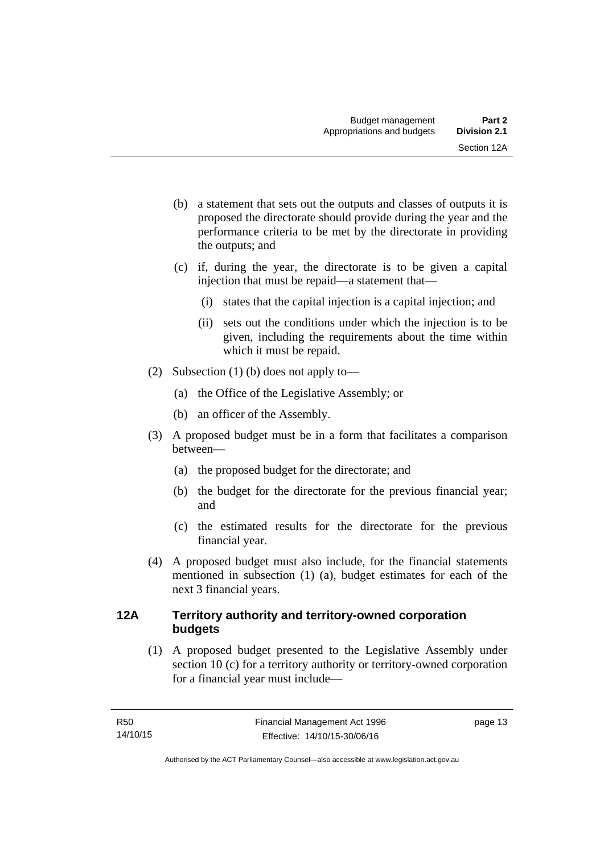- (b) a statement that sets out the outputs and classes of outputs it is proposed the directorate should provide during the year and the performance criteria to be met by the directorate in providing the outputs; and
- (c) if, during the year, the directorate is to be given a capital injection that must be repaid—a statement that—
	- (i) states that the capital injection is a capital injection; and
	- (ii) sets out the conditions under which the injection is to be given, including the requirements about the time within which it must be repaid.
- (2) Subsection (1) (b) does not apply to—
	- (a) the Office of the Legislative Assembly; or
	- (b) an officer of the Assembly.
- (3) A proposed budget must be in a form that facilitates a comparison between—
	- (a) the proposed budget for the directorate; and
	- (b) the budget for the directorate for the previous financial year; and
	- (c) the estimated results for the directorate for the previous financial year.
- (4) A proposed budget must also include, for the financial statements mentioned in subsection (1) (a), budget estimates for each of the next 3 financial years.

# <span id="page-22-0"></span>**12A Territory authority and territory-owned corporation budgets**

(1) A proposed budget presented to the Legislative Assembly under section 10 (c) for a territory authority or territory-owned corporation for a financial year must include—

page 13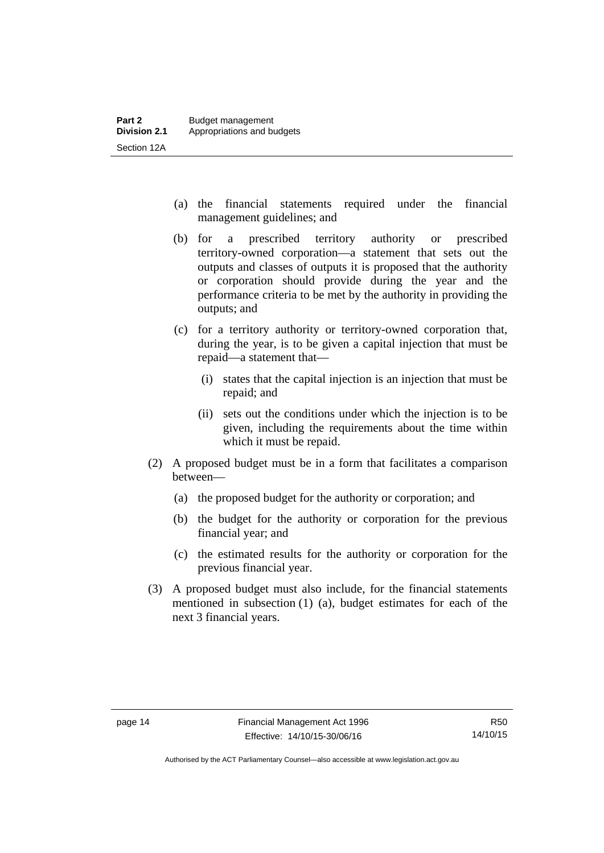- (a) the financial statements required under the financial management guidelines; and
- (b) for a prescribed territory authority or prescribed territory-owned corporation—a statement that sets out the outputs and classes of outputs it is proposed that the authority or corporation should provide during the year and the performance criteria to be met by the authority in providing the outputs; and
- (c) for a territory authority or territory-owned corporation that, during the year, is to be given a capital injection that must be repaid—a statement that—
	- (i) states that the capital injection is an injection that must be repaid; and
	- (ii) sets out the conditions under which the injection is to be given, including the requirements about the time within which it must be repaid.
- (2) A proposed budget must be in a form that facilitates a comparison between—
	- (a) the proposed budget for the authority or corporation; and
	- (b) the budget for the authority or corporation for the previous financial year; and
	- (c) the estimated results for the authority or corporation for the previous financial year.
- (3) A proposed budget must also include, for the financial statements mentioned in subsection (1) (a), budget estimates for each of the next 3 financial years.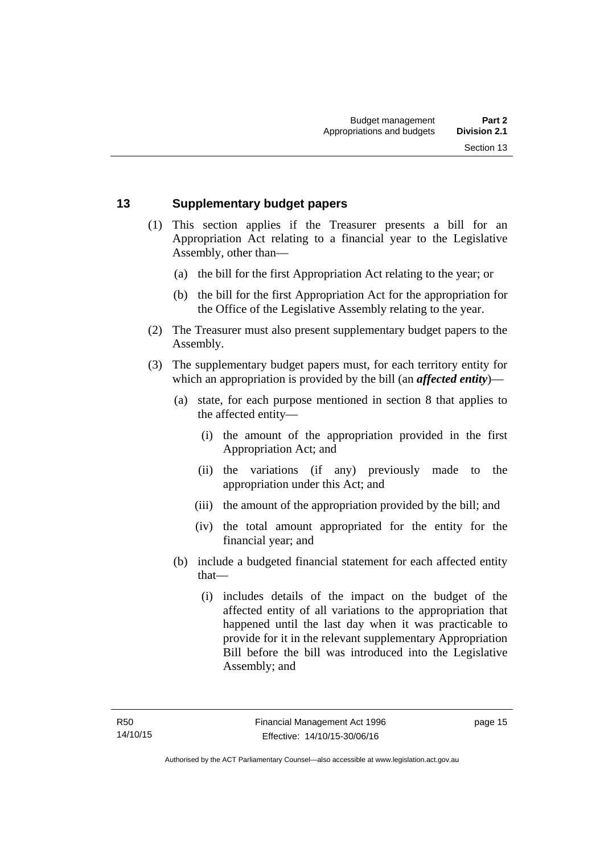### <span id="page-24-0"></span>**13 Supplementary budget papers**

- (1) This section applies if the Treasurer presents a bill for an Appropriation Act relating to a financial year to the Legislative Assembly, other than—
	- (a) the bill for the first Appropriation Act relating to the year; or
	- (b) the bill for the first Appropriation Act for the appropriation for the Office of the Legislative Assembly relating to the year.
- (2) The Treasurer must also present supplementary budget papers to the Assembly.
- (3) The supplementary budget papers must, for each territory entity for which an appropriation is provided by the bill (an *affected entity*)—
	- (a) state, for each purpose mentioned in section 8 that applies to the affected entity—
		- (i) the amount of the appropriation provided in the first Appropriation Act; and
		- (ii) the variations (if any) previously made to the appropriation under this Act; and
		- (iii) the amount of the appropriation provided by the bill; and
		- (iv) the total amount appropriated for the entity for the financial year; and
	- (b) include a budgeted financial statement for each affected entity that—
		- (i) includes details of the impact on the budget of the affected entity of all variations to the appropriation that happened until the last day when it was practicable to provide for it in the relevant supplementary Appropriation Bill before the bill was introduced into the Legislative Assembly; and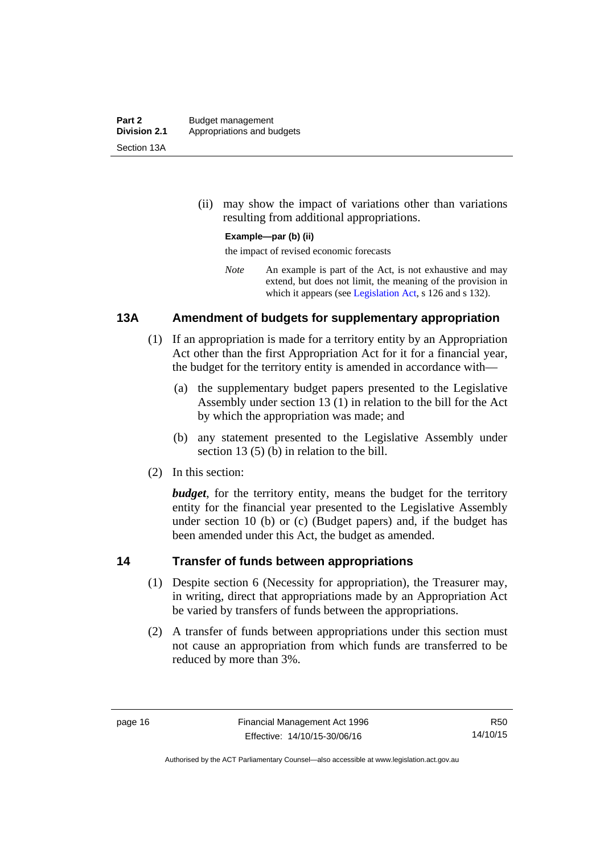(ii) may show the impact of variations other than variations resulting from additional appropriations.

### **Example—par (b) (ii)**

the impact of revised economic forecasts

*Note* An example is part of the Act, is not exhaustive and may extend, but does not limit, the meaning of the provision in which it appears (see [Legislation Act,](http://www.legislation.act.gov.au/a/2001-14) s 126 and s 132).

### <span id="page-25-0"></span>**13A Amendment of budgets for supplementary appropriation**

- (1) If an appropriation is made for a territory entity by an Appropriation Act other than the first Appropriation Act for it for a financial year, the budget for the territory entity is amended in accordance with—
	- (a) the supplementary budget papers presented to the Legislative Assembly under section 13 (1) in relation to the bill for the Act by which the appropriation was made; and
	- (b) any statement presented to the Legislative Assembly under section 13 (5) (b) in relation to the bill.
- (2) In this section:

*budget*, for the territory entity, means the budget for the territory entity for the financial year presented to the Legislative Assembly under section 10 (b) or (c) (Budget papers) and, if the budget has been amended under this Act, the budget as amended.

### <span id="page-25-1"></span>**14 Transfer of funds between appropriations**

- (1) Despite section 6 (Necessity for appropriation), the Treasurer may, in writing, direct that appropriations made by an Appropriation Act be varied by transfers of funds between the appropriations.
- (2) A transfer of funds between appropriations under this section must not cause an appropriation from which funds are transferred to be reduced by more than 3%.

R50 14/10/15

Authorised by the ACT Parliamentary Counsel—also accessible at www.legislation.act.gov.au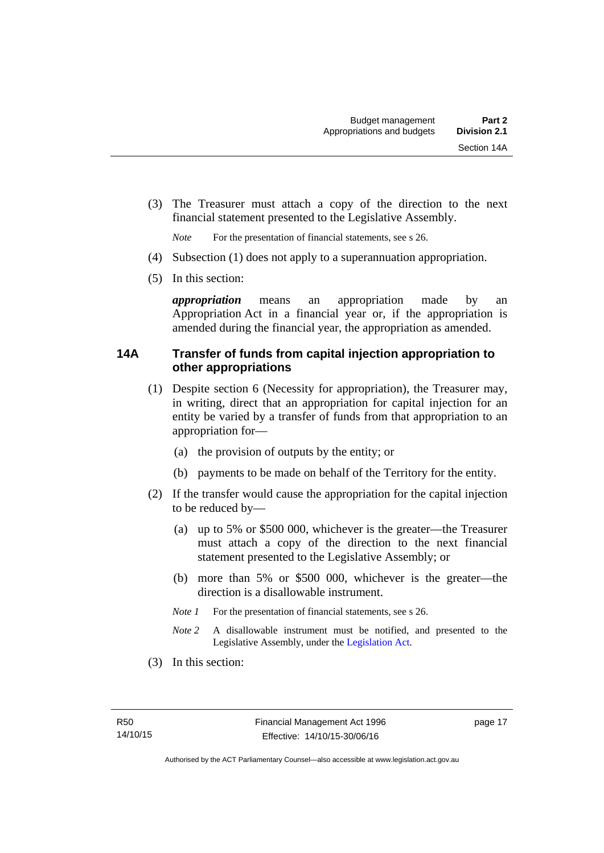(3) The Treasurer must attach a copy of the direction to the next financial statement presented to the Legislative Assembly.

*Note* For the presentation of financial statements, see s 26.

- (4) Subsection (1) does not apply to a superannuation appropriation.
- (5) In this section:

*appropriation* means an appropriation made by an Appropriation Act in a financial year or, if the appropriation is amended during the financial year, the appropriation as amended.

### <span id="page-26-0"></span>**14A Transfer of funds from capital injection appropriation to other appropriations**

- (1) Despite section 6 (Necessity for appropriation), the Treasurer may, in writing, direct that an appropriation for capital injection for an entity be varied by a transfer of funds from that appropriation to an appropriation for—
	- (a) the provision of outputs by the entity; or
	- (b) payments to be made on behalf of the Territory for the entity.
- (2) If the transfer would cause the appropriation for the capital injection to be reduced by—
	- (a) up to 5% or \$500 000, whichever is the greater—the Treasurer must attach a copy of the direction to the next financial statement presented to the Legislative Assembly; or
	- (b) more than 5% or \$500 000, whichever is the greater—the direction is a disallowable instrument.
	- *Note 1* For the presentation of financial statements, see s 26.
	- *Note 2* A disallowable instrument must be notified, and presented to the Legislative Assembly, under the [Legislation Act.](http://www.legislation.act.gov.au/a/2001-14)
- (3) In this section: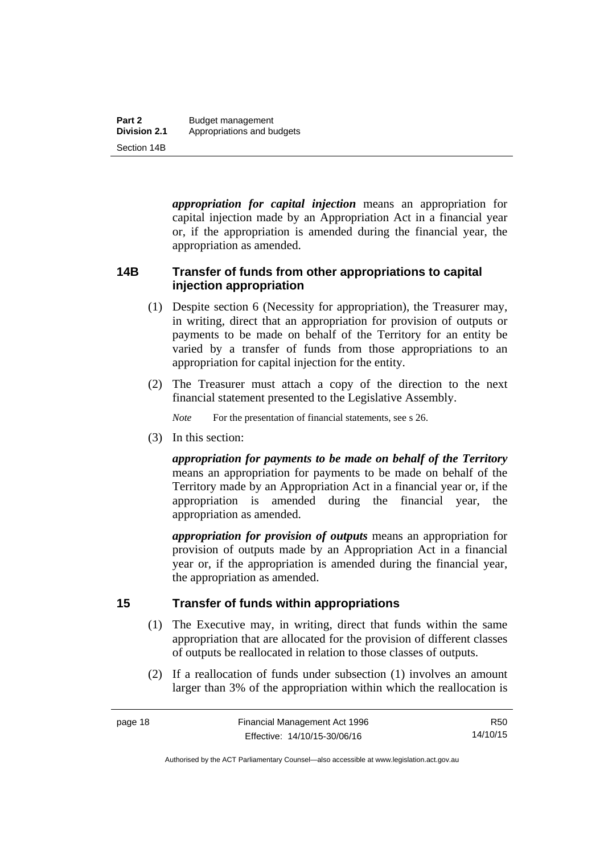*appropriation for capital injection* means an appropriation for capital injection made by an Appropriation Act in a financial year or, if the appropriation is amended during the financial year, the appropriation as amended.

# <span id="page-27-0"></span>**14B Transfer of funds from other appropriations to capital injection appropriation**

- (1) Despite section 6 (Necessity for appropriation), the Treasurer may, in writing, direct that an appropriation for provision of outputs or payments to be made on behalf of the Territory for an entity be varied by a transfer of funds from those appropriations to an appropriation for capital injection for the entity.
- (2) The Treasurer must attach a copy of the direction to the next financial statement presented to the Legislative Assembly.

*Note* For the presentation of financial statements, see s 26.

(3) In this section:

*appropriation for payments to be made on behalf of the Territory* means an appropriation for payments to be made on behalf of the Territory made by an Appropriation Act in a financial year or, if the appropriation is amended during the financial year, the appropriation as amended.

*appropriation for provision of outputs* means an appropriation for provision of outputs made by an Appropriation Act in a financial year or, if the appropriation is amended during the financial year, the appropriation as amended.

# <span id="page-27-1"></span>**15 Transfer of funds within appropriations**

- (1) The Executive may, in writing, direct that funds within the same appropriation that are allocated for the provision of different classes of outputs be reallocated in relation to those classes of outputs.
- (2) If a reallocation of funds under subsection (1) involves an amount larger than 3% of the appropriation within which the reallocation is

Authorised by the ACT Parliamentary Counsel—also accessible at www.legislation.act.gov.au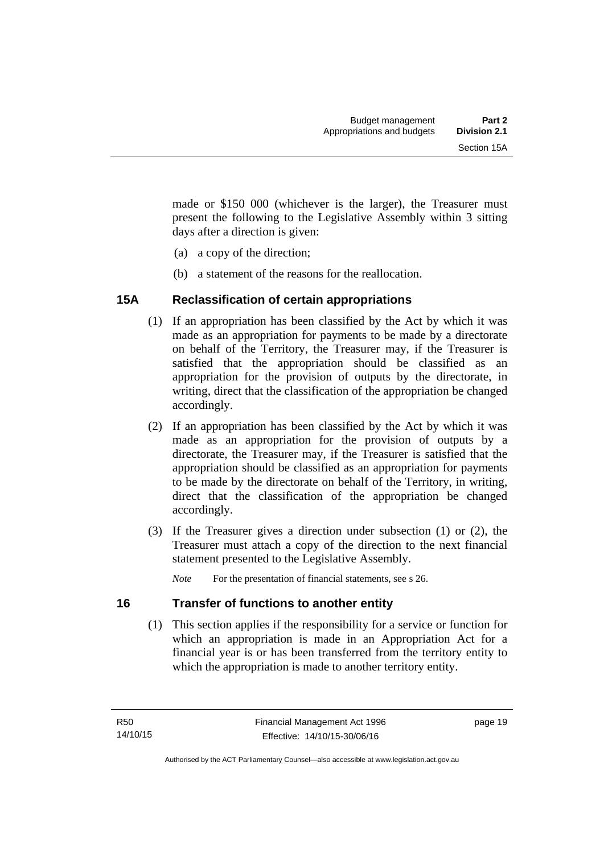made or \$150 000 (whichever is the larger), the Treasurer must present the following to the Legislative Assembly within 3 sitting days after a direction is given:

- (a) a copy of the direction;
- (b) a statement of the reasons for the reallocation.

# <span id="page-28-0"></span>**15A Reclassification of certain appropriations**

- (1) If an appropriation has been classified by the Act by which it was made as an appropriation for payments to be made by a directorate on behalf of the Territory, the Treasurer may, if the Treasurer is satisfied that the appropriation should be classified as an appropriation for the provision of outputs by the directorate, in writing, direct that the classification of the appropriation be changed accordingly.
- (2) If an appropriation has been classified by the Act by which it was made as an appropriation for the provision of outputs by a directorate, the Treasurer may, if the Treasurer is satisfied that the appropriation should be classified as an appropriation for payments to be made by the directorate on behalf of the Territory, in writing, direct that the classification of the appropriation be changed accordingly.
- (3) If the Treasurer gives a direction under subsection (1) or (2), the Treasurer must attach a copy of the direction to the next financial statement presented to the Legislative Assembly.

*Note* For the presentation of financial statements, see s 26.

# <span id="page-28-1"></span>**16 Transfer of functions to another entity**

 (1) This section applies if the responsibility for a service or function for which an appropriation is made in an Appropriation Act for a financial year is or has been transferred from the territory entity to which the appropriation is made to another territory entity.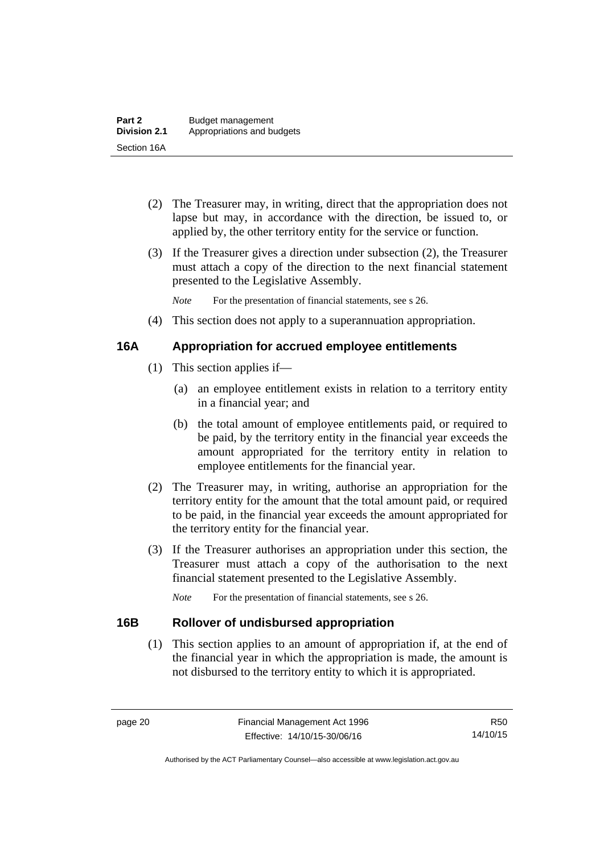- (2) The Treasurer may, in writing, direct that the appropriation does not lapse but may, in accordance with the direction, be issued to, or applied by, the other territory entity for the service or function.
- (3) If the Treasurer gives a direction under subsection (2), the Treasurer must attach a copy of the direction to the next financial statement presented to the Legislative Assembly.

*Note* For the presentation of financial statements, see s 26.

(4) This section does not apply to a superannuation appropriation.

# <span id="page-29-0"></span>**16A Appropriation for accrued employee entitlements**

- (1) This section applies if—
	- (a) an employee entitlement exists in relation to a territory entity in a financial year; and
	- (b) the total amount of employee entitlements paid, or required to be paid, by the territory entity in the financial year exceeds the amount appropriated for the territory entity in relation to employee entitlements for the financial year.
- (2) The Treasurer may, in writing, authorise an appropriation for the territory entity for the amount that the total amount paid, or required to be paid, in the financial year exceeds the amount appropriated for the territory entity for the financial year.
- (3) If the Treasurer authorises an appropriation under this section, the Treasurer must attach a copy of the authorisation to the next financial statement presented to the Legislative Assembly.

*Note* For the presentation of financial statements, see s 26.

# <span id="page-29-1"></span>**16B Rollover of undisbursed appropriation**

 (1) This section applies to an amount of appropriation if, at the end of the financial year in which the appropriation is made, the amount is not disbursed to the territory entity to which it is appropriated.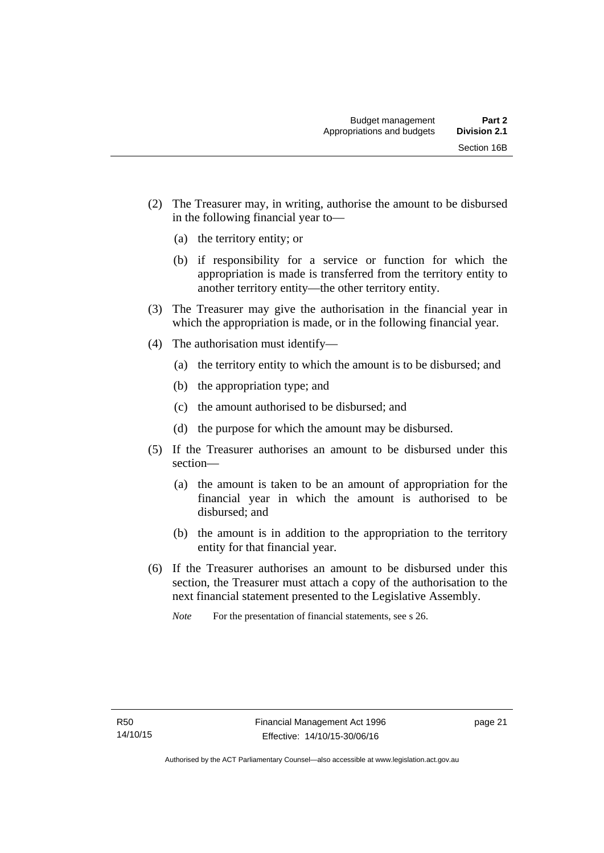- (2) The Treasurer may, in writing, authorise the amount to be disbursed in the following financial year to—
	- (a) the territory entity; or
	- (b) if responsibility for a service or function for which the appropriation is made is transferred from the territory entity to another territory entity—the other territory entity.
- (3) The Treasurer may give the authorisation in the financial year in which the appropriation is made, or in the following financial year.
- (4) The authorisation must identify—
	- (a) the territory entity to which the amount is to be disbursed; and
	- (b) the appropriation type; and
	- (c) the amount authorised to be disbursed; and
	- (d) the purpose for which the amount may be disbursed.
- (5) If the Treasurer authorises an amount to be disbursed under this section—
	- (a) the amount is taken to be an amount of appropriation for the financial year in which the amount is authorised to be disbursed; and
	- (b) the amount is in addition to the appropriation to the territory entity for that financial year.
- (6) If the Treasurer authorises an amount to be disbursed under this section, the Treasurer must attach a copy of the authorisation to the next financial statement presented to the Legislative Assembly.

*Note* For the presentation of financial statements, see s 26.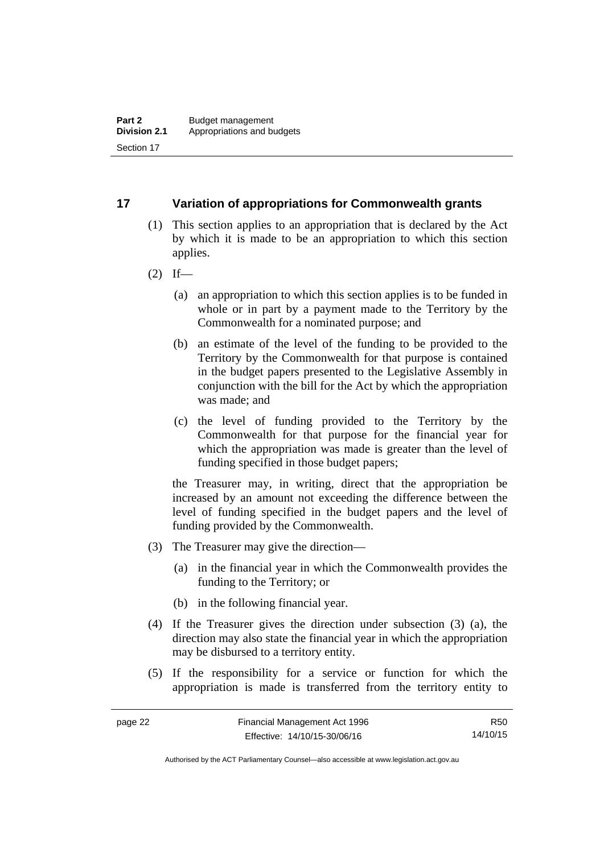### <span id="page-31-0"></span>**17 Variation of appropriations for Commonwealth grants**

- (1) This section applies to an appropriation that is declared by the Act by which it is made to be an appropriation to which this section applies.
- $(2)$  If—
	- (a) an appropriation to which this section applies is to be funded in whole or in part by a payment made to the Territory by the Commonwealth for a nominated purpose; and
	- (b) an estimate of the level of the funding to be provided to the Territory by the Commonwealth for that purpose is contained in the budget papers presented to the Legislative Assembly in conjunction with the bill for the Act by which the appropriation was made; and
	- (c) the level of funding provided to the Territory by the Commonwealth for that purpose for the financial year for which the appropriation was made is greater than the level of funding specified in those budget papers;

the Treasurer may, in writing, direct that the appropriation be increased by an amount not exceeding the difference between the level of funding specified in the budget papers and the level of funding provided by the Commonwealth.

- (3) The Treasurer may give the direction—
	- (a) in the financial year in which the Commonwealth provides the funding to the Territory; or
	- (b) in the following financial year.
- (4) If the Treasurer gives the direction under subsection (3) (a), the direction may also state the financial year in which the appropriation may be disbursed to a territory entity.
- (5) If the responsibility for a service or function for which the appropriation is made is transferred from the territory entity to

R50 14/10/15

Authorised by the ACT Parliamentary Counsel—also accessible at www.legislation.act.gov.au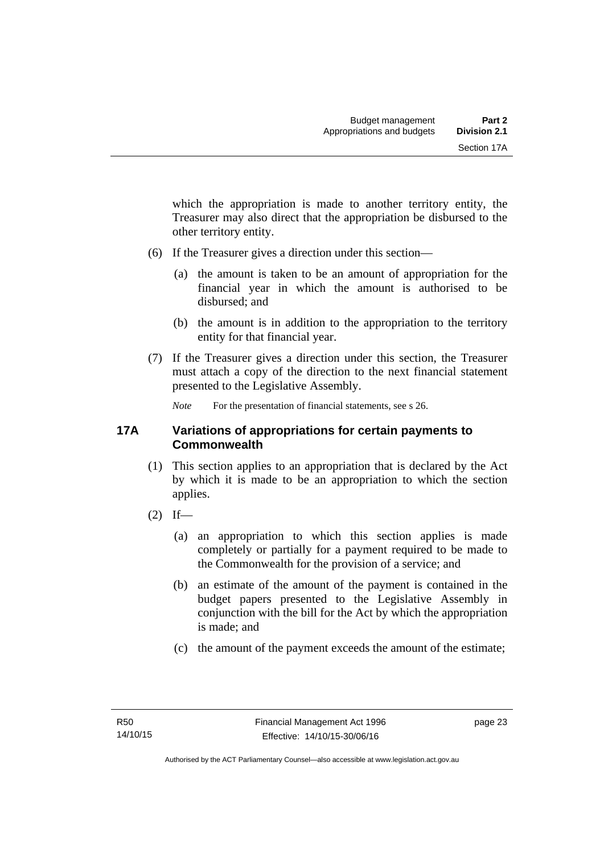which the appropriation is made to another territory entity, the Treasurer may also direct that the appropriation be disbursed to the other territory entity.

- (6) If the Treasurer gives a direction under this section—
	- (a) the amount is taken to be an amount of appropriation for the financial year in which the amount is authorised to be disbursed; and
	- (b) the amount is in addition to the appropriation to the territory entity for that financial year.
- (7) If the Treasurer gives a direction under this section, the Treasurer must attach a copy of the direction to the next financial statement presented to the Legislative Assembly.

*Note* For the presentation of financial statements, see s 26.

### <span id="page-32-0"></span>**17A Variations of appropriations for certain payments to Commonwealth**

- (1) This section applies to an appropriation that is declared by the Act by which it is made to be an appropriation to which the section applies.
- $(2)$  If—
	- (a) an appropriation to which this section applies is made completely or partially for a payment required to be made to the Commonwealth for the provision of a service; and
	- (b) an estimate of the amount of the payment is contained in the budget papers presented to the Legislative Assembly in conjunction with the bill for the Act by which the appropriation is made; and
	- (c) the amount of the payment exceeds the amount of the estimate;

page 23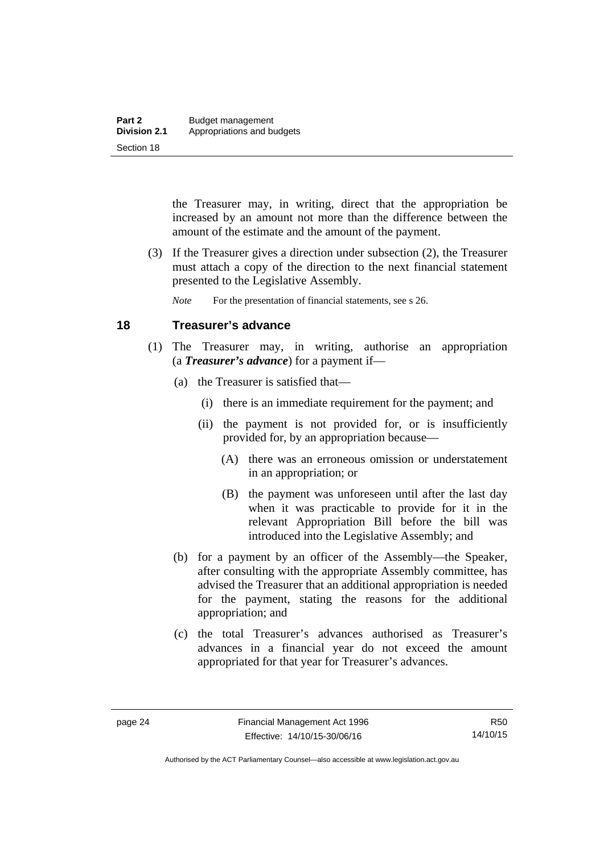the Treasurer may, in writing, direct that the appropriation be increased by an amount not more than the difference between the amount of the estimate and the amount of the payment.

 (3) If the Treasurer gives a direction under subsection (2), the Treasurer must attach a copy of the direction to the next financial statement presented to the Legislative Assembly.

*Note* For the presentation of financial statements, see s 26.

# <span id="page-33-0"></span>**18 Treasurer's advance**

- (1) The Treasurer may, in writing, authorise an appropriation (a *Treasurer's advance*) for a payment if—
	- (a) the Treasurer is satisfied that—
		- (i) there is an immediate requirement for the payment; and
		- (ii) the payment is not provided for, or is insufficiently provided for, by an appropriation because—
			- (A) there was an erroneous omission or understatement in an appropriation; or
			- (B) the payment was unforeseen until after the last day when it was practicable to provide for it in the relevant Appropriation Bill before the bill was introduced into the Legislative Assembly; and
	- (b) for a payment by an officer of the Assembly—the Speaker, after consulting with the appropriate Assembly committee, has advised the Treasurer that an additional appropriation is needed for the payment, stating the reasons for the additional appropriation; and
	- (c) the total Treasurer's advances authorised as Treasurer's advances in a financial year do not exceed the amount appropriated for that year for Treasurer's advances.

R50 14/10/15

Authorised by the ACT Parliamentary Counsel—also accessible at www.legislation.act.gov.au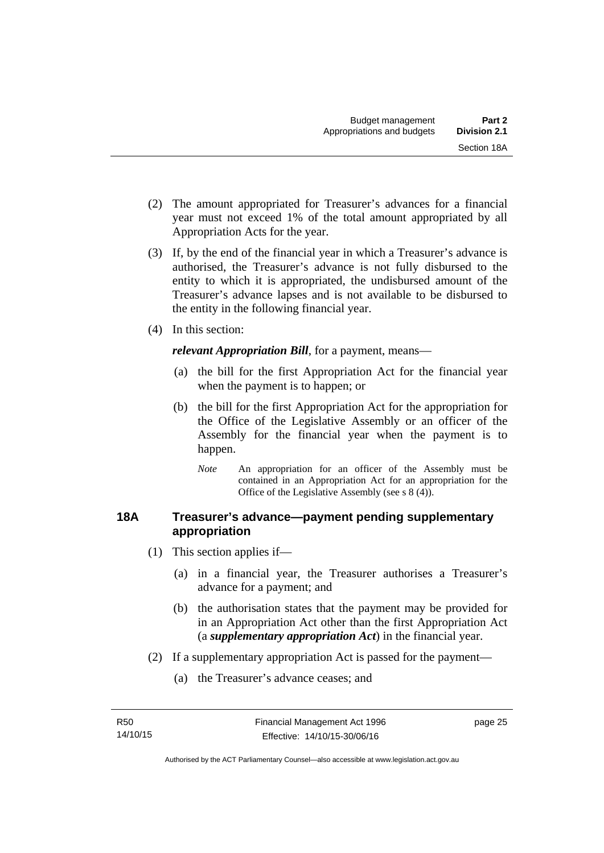- (2) The amount appropriated for Treasurer's advances for a financial year must not exceed 1% of the total amount appropriated by all Appropriation Acts for the year.
- (3) If, by the end of the financial year in which a Treasurer's advance is authorised, the Treasurer's advance is not fully disbursed to the entity to which it is appropriated, the undisbursed amount of the Treasurer's advance lapses and is not available to be disbursed to the entity in the following financial year.
- (4) In this section:

*relevant Appropriation Bill*, for a payment, means—

- (a) the bill for the first Appropriation Act for the financial year when the payment is to happen; or
- (b) the bill for the first Appropriation Act for the appropriation for the Office of the Legislative Assembly or an officer of the Assembly for the financial year when the payment is to happen.
	- *Note* An appropriation for an officer of the Assembly must be contained in an Appropriation Act for an appropriation for the Office of the Legislative Assembly (see s 8 (4)).

# <span id="page-34-0"></span>**18A Treasurer's advance—payment pending supplementary appropriation**

- (1) This section applies if—
	- (a) in a financial year, the Treasurer authorises a Treasurer's advance for a payment; and
	- (b) the authorisation states that the payment may be provided for in an Appropriation Act other than the first Appropriation Act (a *supplementary appropriation Act*) in the financial year.
- (2) If a supplementary appropriation Act is passed for the payment—
	- (a) the Treasurer's advance ceases; and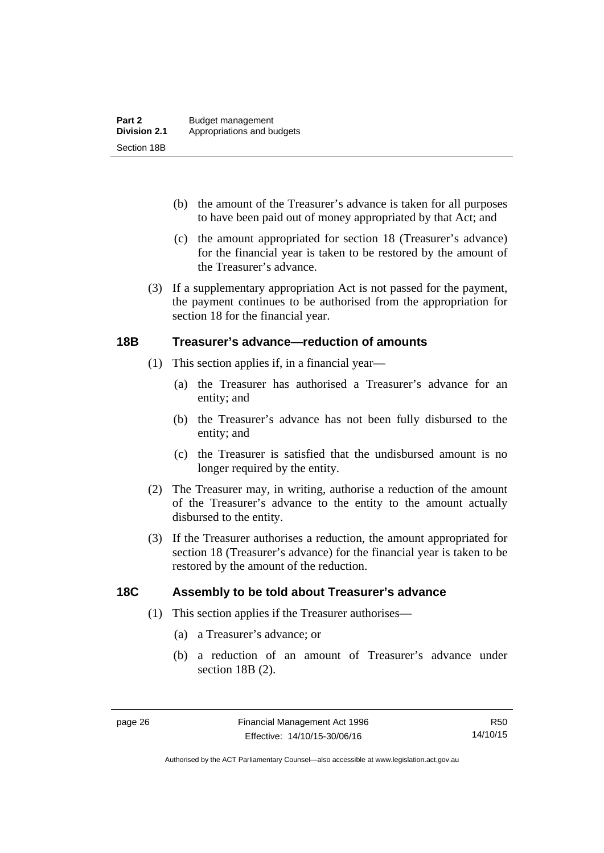- (b) the amount of the Treasurer's advance is taken for all purposes to have been paid out of money appropriated by that Act; and
- (c) the amount appropriated for section 18 (Treasurer's advance) for the financial year is taken to be restored by the amount of the Treasurer's advance.
- (3) If a supplementary appropriation Act is not passed for the payment, the payment continues to be authorised from the appropriation for section 18 for the financial year.

### <span id="page-35-0"></span>**18B Treasurer's advance—reduction of amounts**

- (1) This section applies if, in a financial year—
	- (a) the Treasurer has authorised a Treasurer's advance for an entity; and
	- (b) the Treasurer's advance has not been fully disbursed to the entity; and
	- (c) the Treasurer is satisfied that the undisbursed amount is no longer required by the entity.
- (2) The Treasurer may, in writing, authorise a reduction of the amount of the Treasurer's advance to the entity to the amount actually disbursed to the entity.
- (3) If the Treasurer authorises a reduction, the amount appropriated for section 18 (Treasurer's advance) for the financial year is taken to be restored by the amount of the reduction.

# <span id="page-35-1"></span>**18C Assembly to be told about Treasurer's advance**

- (1) This section applies if the Treasurer authorises—
	- (a) a Treasurer's advance; or
	- (b) a reduction of an amount of Treasurer's advance under section 18B (2).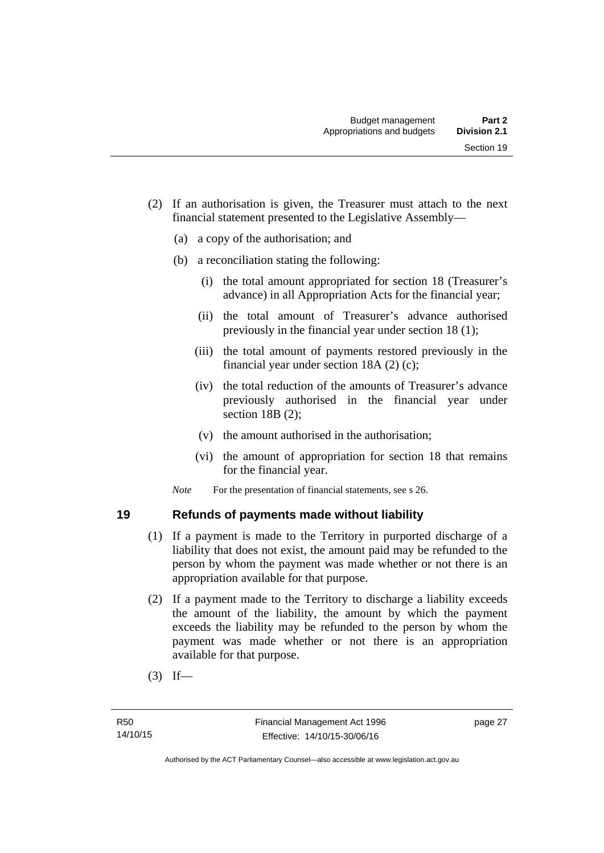- (2) If an authorisation is given, the Treasurer must attach to the next financial statement presented to the Legislative Assembly—
	- (a) a copy of the authorisation; and
	- (b) a reconciliation stating the following:
		- (i) the total amount appropriated for section 18 (Treasurer's advance) in all Appropriation Acts for the financial year;
		- (ii) the total amount of Treasurer's advance authorised previously in the financial year under section 18 (1);
		- (iii) the total amount of payments restored previously in the financial year under section 18A (2) (c);
		- (iv) the total reduction of the amounts of Treasurer's advance previously authorised in the financial year under section 18B (2);
		- (v) the amount authorised in the authorisation;
		- (vi) the amount of appropriation for section 18 that remains for the financial year.

*Note* For the presentation of financial statements, see s 26.

# **19 Refunds of payments made without liability**

- (1) If a payment is made to the Territory in purported discharge of a liability that does not exist, the amount paid may be refunded to the person by whom the payment was made whether or not there is an appropriation available for that purpose.
- (2) If a payment made to the Territory to discharge a liability exceeds the amount of the liability, the amount by which the payment exceeds the liability may be refunded to the person by whom the payment was made whether or not there is an appropriation available for that purpose.
- $(3)$  If—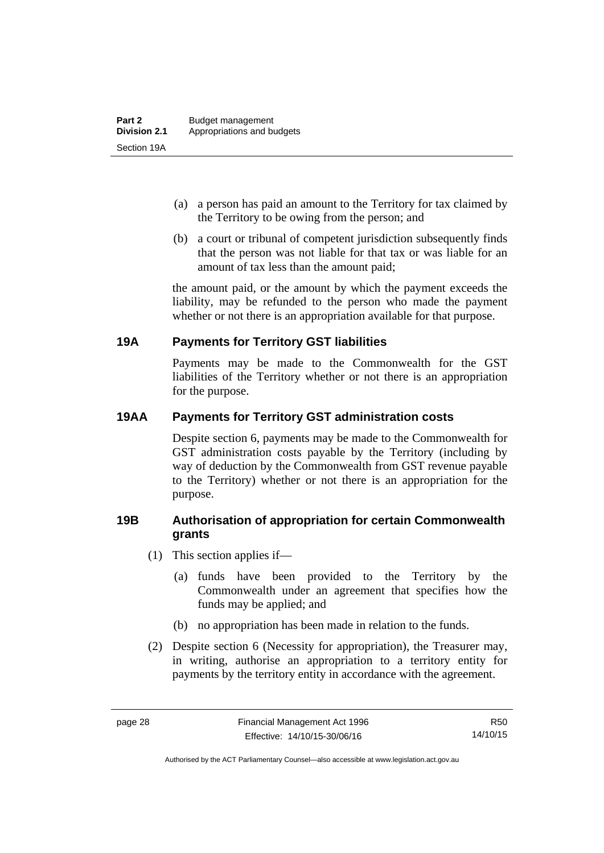- (a) a person has paid an amount to the Territory for tax claimed by the Territory to be owing from the person; and
- (b) a court or tribunal of competent jurisdiction subsequently finds that the person was not liable for that tax or was liable for an amount of tax less than the amount paid;

the amount paid, or the amount by which the payment exceeds the liability, may be refunded to the person who made the payment whether or not there is an appropriation available for that purpose.

# **19A Payments for Territory GST liabilities**

Payments may be made to the Commonwealth for the GST liabilities of the Territory whether or not there is an appropriation for the purpose.

# **19AA Payments for Territory GST administration costs**

Despite section 6, payments may be made to the Commonwealth for GST administration costs payable by the Territory (including by way of deduction by the Commonwealth from GST revenue payable to the Territory) whether or not there is an appropriation for the purpose.

# **19B Authorisation of appropriation for certain Commonwealth grants**

- (1) This section applies if—
	- (a) funds have been provided to the Territory by the Commonwealth under an agreement that specifies how the funds may be applied; and
	- (b) no appropriation has been made in relation to the funds.
- (2) Despite section 6 (Necessity for appropriation), the Treasurer may, in writing, authorise an appropriation to a territory entity for payments by the territory entity in accordance with the agreement.

R50 14/10/15

Authorised by the ACT Parliamentary Counsel—also accessible at www.legislation.act.gov.au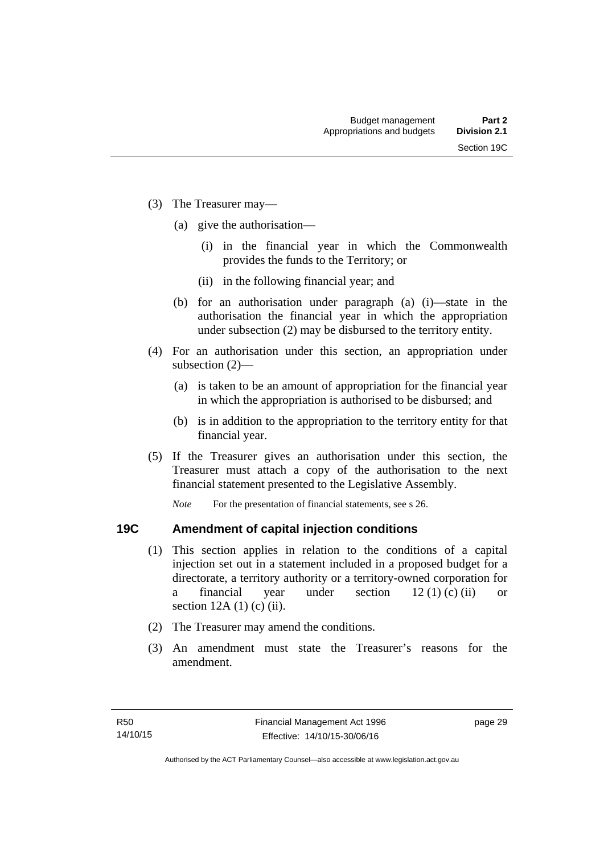- (3) The Treasurer may—
	- (a) give the authorisation—
		- (i) in the financial year in which the Commonwealth provides the funds to the Territory; or
		- (ii) in the following financial year; and
	- (b) for an authorisation under paragraph (a) (i)—state in the authorisation the financial year in which the appropriation under subsection (2) may be disbursed to the territory entity.
- (4) For an authorisation under this section, an appropriation under subsection (2)—
	- (a) is taken to be an amount of appropriation for the financial year in which the appropriation is authorised to be disbursed; and
	- (b) is in addition to the appropriation to the territory entity for that financial year.
- (5) If the Treasurer gives an authorisation under this section, the Treasurer must attach a copy of the authorisation to the next financial statement presented to the Legislative Assembly.

*Note* For the presentation of financial statements, see s 26.

### **19C Amendment of capital injection conditions**

- (1) This section applies in relation to the conditions of a capital injection set out in a statement included in a proposed budget for a directorate, a territory authority or a territory-owned corporation for a financial year under section  $12 (1) (c) (ii)$  or section  $12A(1)$  (c) (ii).
- (2) The Treasurer may amend the conditions.
- (3) An amendment must state the Treasurer's reasons for the amendment.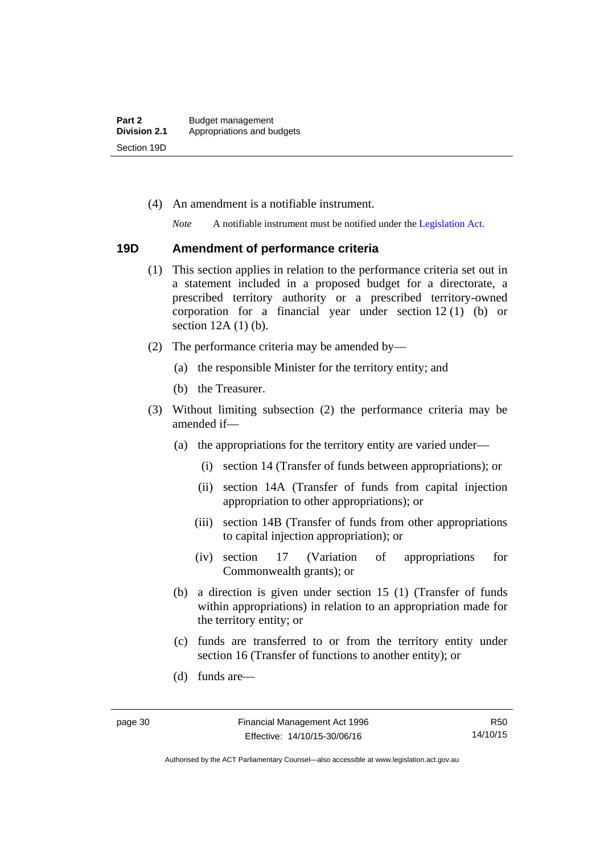(4) An amendment is a notifiable instrument.

*Note* A notifiable instrument must be notified under the [Legislation Act](http://www.legislation.act.gov.au/a/2001-14).

#### **19D Amendment of performance criteria**

- (1) This section applies in relation to the performance criteria set out in a statement included in a proposed budget for a directorate, a prescribed territory authority or a prescribed territory-owned corporation for a financial year under section 12 (1) (b) or section 12A (1) (b).
- (2) The performance criteria may be amended by—
	- (a) the responsible Minister for the territory entity; and
	- (b) the Treasurer.
- (3) Without limiting subsection (2) the performance criteria may be amended if—
	- (a) the appropriations for the territory entity are varied under—
		- (i) section 14 (Transfer of funds between appropriations); or
		- (ii) section 14A (Transfer of funds from capital injection appropriation to other appropriations); or
		- (iii) section 14B (Transfer of funds from other appropriations to capital injection appropriation); or
		- (iv) section 17 (Variation of appropriations for Commonwealth grants); or
	- (b) a direction is given under section 15 (1) (Transfer of funds within appropriations) in relation to an appropriation made for the territory entity; or
	- (c) funds are transferred to or from the territory entity under section 16 (Transfer of functions to another entity); or
	- (d) funds are—

R50 14/10/15

Authorised by the ACT Parliamentary Counsel—also accessible at www.legislation.act.gov.au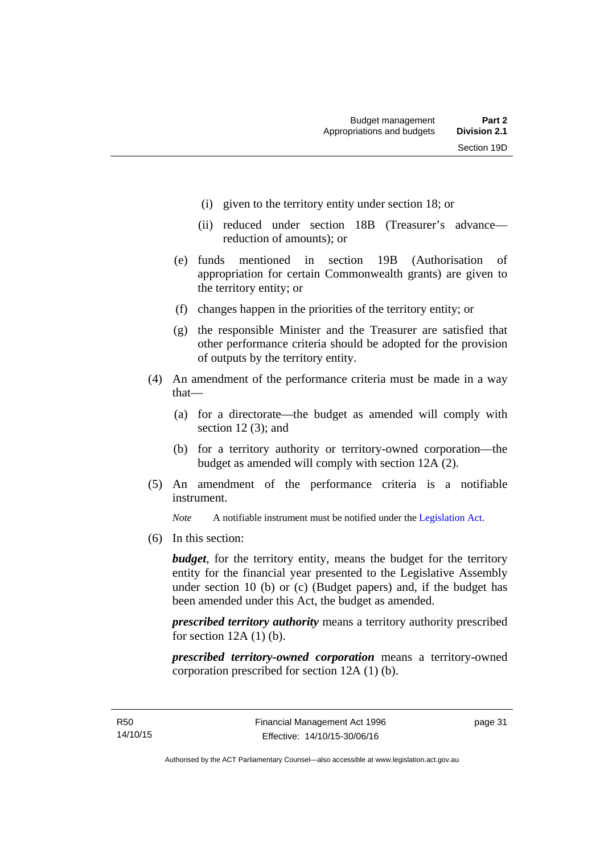- (i) given to the territory entity under section 18; or
- (ii) reduced under section 18B (Treasurer's advance reduction of amounts); or
- (e) funds mentioned in section 19B (Authorisation of appropriation for certain Commonwealth grants) are given to the territory entity; or
- (f) changes happen in the priorities of the territory entity; or
- (g) the responsible Minister and the Treasurer are satisfied that other performance criteria should be adopted for the provision of outputs by the territory entity.
- (4) An amendment of the performance criteria must be made in a way that—
	- (a) for a directorate—the budget as amended will comply with section 12 (3); and
	- (b) for a territory authority or territory-owned corporation—the budget as amended will comply with section 12A (2).
- (5) An amendment of the performance criteria is a notifiable instrument.

*Note* A notifiable instrument must be notified under the [Legislation Act](http://www.legislation.act.gov.au/a/2001-14).

(6) In this section:

*budget*, for the territory entity, means the budget for the territory entity for the financial year presented to the Legislative Assembly under section 10 (b) or (c) (Budget papers) and, if the budget has been amended under this Act, the budget as amended.

*prescribed territory authority* means a territory authority prescribed for section  $12A(1)$  (b).

*prescribed territory-owned corporation* means a territory-owned corporation prescribed for section 12A (1) (b).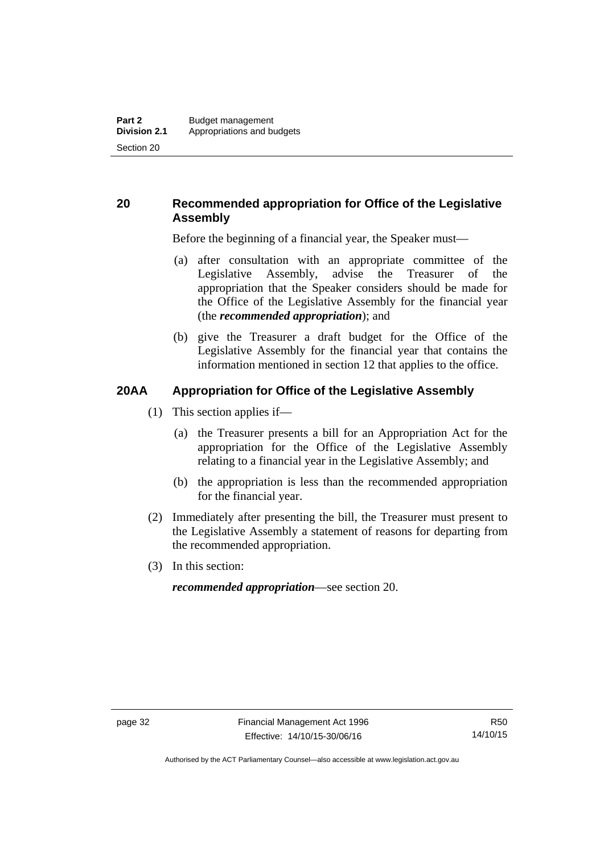# **20 Recommended appropriation for Office of the Legislative Assembly**

Before the beginning of a financial year, the Speaker must—

- (a) after consultation with an appropriate committee of the Legislative Assembly, advise the Treasurer of the appropriation that the Speaker considers should be made for the Office of the Legislative Assembly for the financial year (the *recommended appropriation*); and
- (b) give the Treasurer a draft budget for the Office of the Legislative Assembly for the financial year that contains the information mentioned in section 12 that applies to the office.

# **20AA Appropriation for Office of the Legislative Assembly**

- (1) This section applies if—
	- (a) the Treasurer presents a bill for an Appropriation Act for the appropriation for the Office of the Legislative Assembly relating to a financial year in the Legislative Assembly; and
	- (b) the appropriation is less than the recommended appropriation for the financial year.
- (2) Immediately after presenting the bill, the Treasurer must present to the Legislative Assembly a statement of reasons for departing from the recommended appropriation.
- (3) In this section:

*recommended appropriation*—see section 20.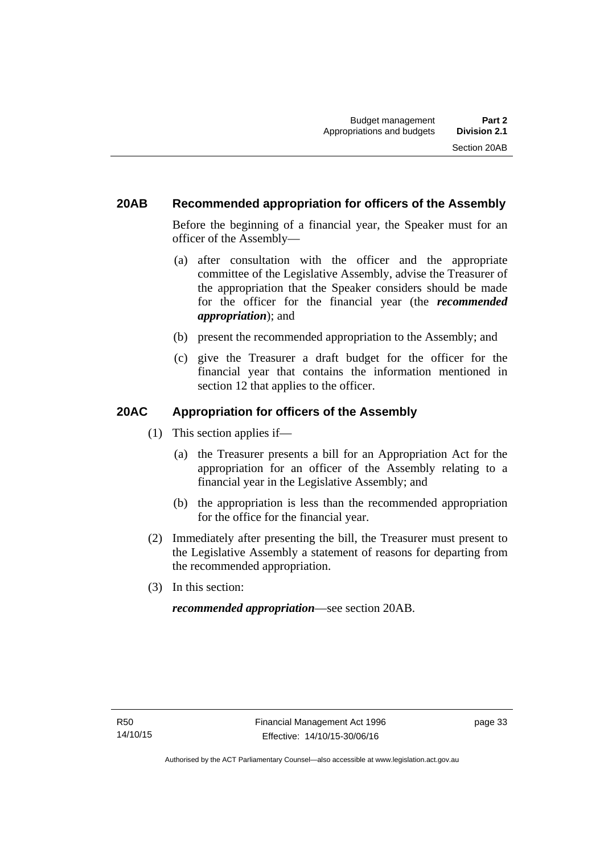# **20AB Recommended appropriation for officers of the Assembly**

Before the beginning of a financial year, the Speaker must for an officer of the Assembly—

- (a) after consultation with the officer and the appropriate committee of the Legislative Assembly, advise the Treasurer of the appropriation that the Speaker considers should be made for the officer for the financial year (the *recommended appropriation*); and
- (b) present the recommended appropriation to the Assembly; and
- (c) give the Treasurer a draft budget for the officer for the financial year that contains the information mentioned in section 12 that applies to the officer.

# **20AC Appropriation for officers of the Assembly**

- (1) This section applies if—
	- (a) the Treasurer presents a bill for an Appropriation Act for the appropriation for an officer of the Assembly relating to a financial year in the Legislative Assembly; and
	- (b) the appropriation is less than the recommended appropriation for the office for the financial year.
- (2) Immediately after presenting the bill, the Treasurer must present to the Legislative Assembly a statement of reasons for departing from the recommended appropriation.
- (3) In this section:

*recommended appropriation*—see section 20AB.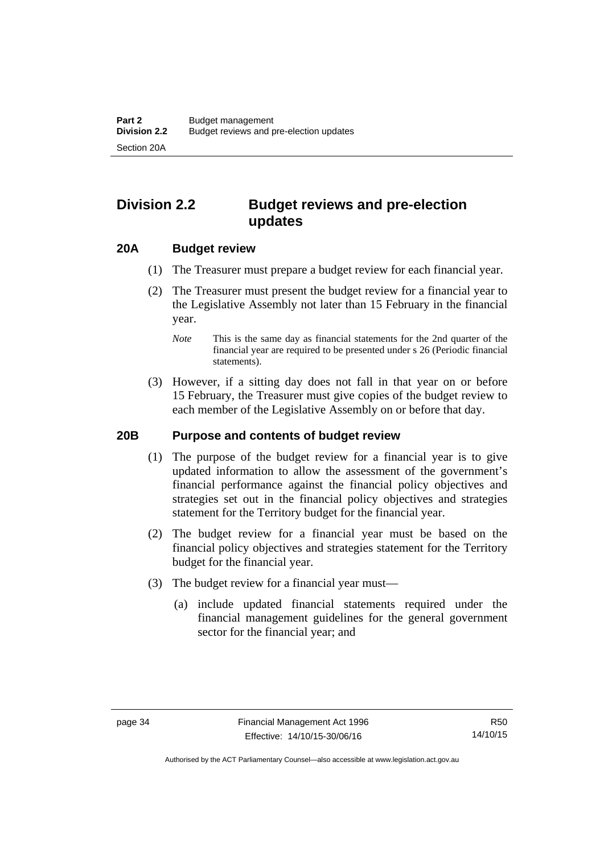# **Division 2.2 Budget reviews and pre-election updates**

### **20A Budget review**

- (1) The Treasurer must prepare a budget review for each financial year.
- (2) The Treasurer must present the budget review for a financial year to the Legislative Assembly not later than 15 February in the financial year.
	- *Note* This is the same day as financial statements for the 2nd quarter of the financial year are required to be presented under s 26 (Periodic financial statements).
- (3) However, if a sitting day does not fall in that year on or before 15 February, the Treasurer must give copies of the budget review to each member of the Legislative Assembly on or before that day.

#### **20B Purpose and contents of budget review**

- (1) The purpose of the budget review for a financial year is to give updated information to allow the assessment of the government's financial performance against the financial policy objectives and strategies set out in the financial policy objectives and strategies statement for the Territory budget for the financial year.
- (2) The budget review for a financial year must be based on the financial policy objectives and strategies statement for the Territory budget for the financial year.
- (3) The budget review for a financial year must—
	- (a) include updated financial statements required under the financial management guidelines for the general government sector for the financial year; and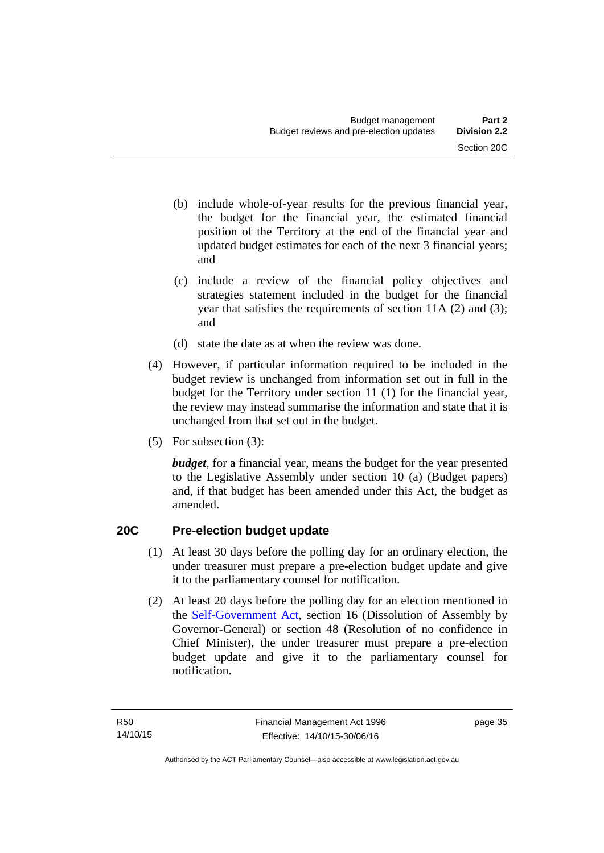- (b) include whole-of-year results for the previous financial year, the budget for the financial year, the estimated financial position of the Territory at the end of the financial year and updated budget estimates for each of the next 3 financial years; and
- (c) include a review of the financial policy objectives and strategies statement included in the budget for the financial year that satisfies the requirements of section 11A (2) and (3); and
- (d) state the date as at when the review was done.
- (4) However, if particular information required to be included in the budget review is unchanged from information set out in full in the budget for the Territory under section 11 (1) for the financial year, the review may instead summarise the information and state that it is unchanged from that set out in the budget.
- (5) For subsection (3):

*budget*, for a financial year, means the budget for the year presented to the Legislative Assembly under section 10 (a) (Budget papers) and, if that budget has been amended under this Act, the budget as amended.

# **20C Pre-election budget update**

- (1) At least 30 days before the polling day for an ordinary election, the under treasurer must prepare a pre-election budget update and give it to the parliamentary counsel for notification.
- (2) At least 20 days before the polling day for an election mentioned in the [Self-Government Act,](http://www.comlaw.gov.au/Series/C2004A03699) section 16 (Dissolution of Assembly by Governor-General) or section 48 (Resolution of no confidence in Chief Minister), the under treasurer must prepare a pre-election budget update and give it to the parliamentary counsel for notification.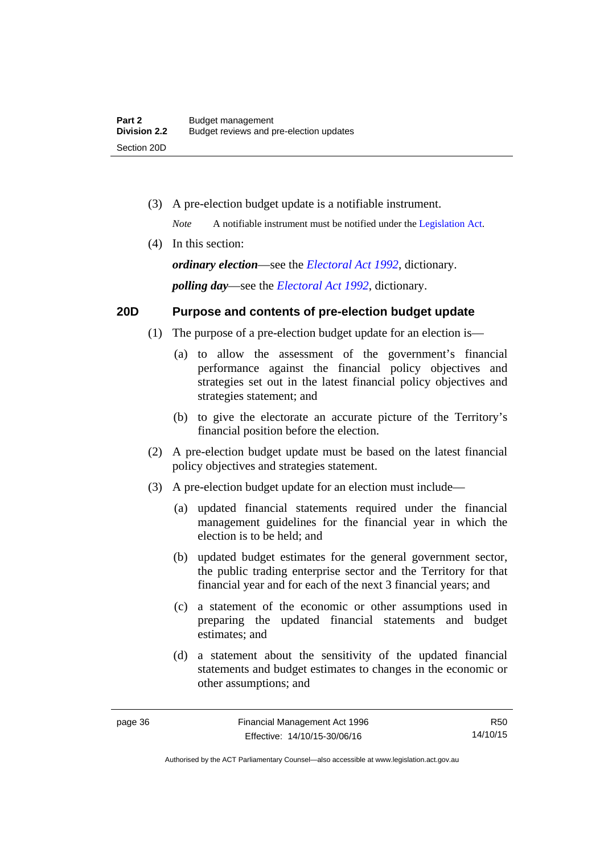(3) A pre-election budget update is a notifiable instrument.

*Note* A notifiable instrument must be notified under the [Legislation Act](http://www.legislation.act.gov.au/a/2001-14).

(4) In this section:

*ordinary election*—see the *[Electoral Act 1992](http://www.legislation.act.gov.au/a/1992-71)*, dictionary. *polling day*—see the *[Electoral Act 1992](http://www.legislation.act.gov.au/a/1992-71)*, dictionary.

# **20D Purpose and contents of pre-election budget update**

- (1) The purpose of a pre-election budget update for an election is—
	- (a) to allow the assessment of the government's financial performance against the financial policy objectives and strategies set out in the latest financial policy objectives and strategies statement; and
	- (b) to give the electorate an accurate picture of the Territory's financial position before the election.
- (2) A pre-election budget update must be based on the latest financial policy objectives and strategies statement.
- (3) A pre-election budget update for an election must include—
	- (a) updated financial statements required under the financial management guidelines for the financial year in which the election is to be held; and
	- (b) updated budget estimates for the general government sector, the public trading enterprise sector and the Territory for that financial year and for each of the next 3 financial years; and
	- (c) a statement of the economic or other assumptions used in preparing the updated financial statements and budget estimates; and
	- (d) a statement about the sensitivity of the updated financial statements and budget estimates to changes in the economic or other assumptions; and

R50 14/10/15

Authorised by the ACT Parliamentary Counsel—also accessible at www.legislation.act.gov.au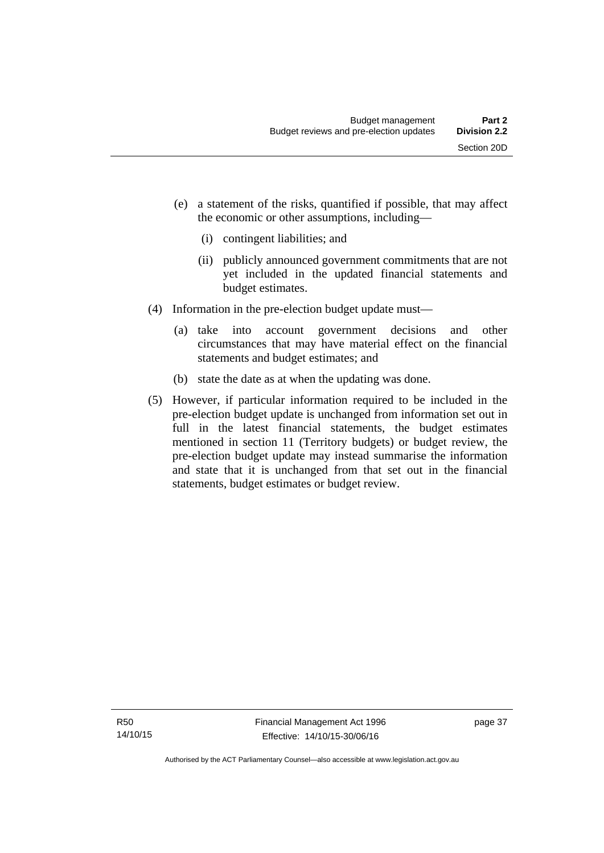- (e) a statement of the risks, quantified if possible, that may affect the economic or other assumptions, including—
	- (i) contingent liabilities; and
	- (ii) publicly announced government commitments that are not yet included in the updated financial statements and budget estimates.
- (4) Information in the pre-election budget update must—
	- (a) take into account government decisions and other circumstances that may have material effect on the financial statements and budget estimates; and
	- (b) state the date as at when the updating was done.
- (5) However, if particular information required to be included in the pre-election budget update is unchanged from information set out in full in the latest financial statements, the budget estimates mentioned in section 11 (Territory budgets) or budget review, the pre-election budget update may instead summarise the information and state that it is unchanged from that set out in the financial statements, budget estimates or budget review.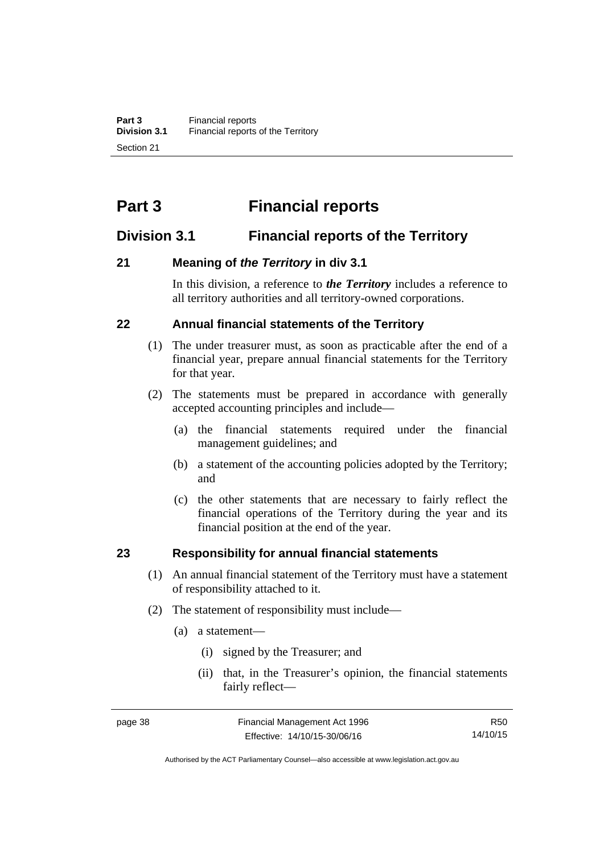# **Part 3 Financial reports**

# **Division 3.1 Financial reports of the Territory**

# **21 Meaning of** *the Territory* **in div 3.1**

In this division, a reference to *the Territory* includes a reference to all territory authorities and all territory-owned corporations.

# **22 Annual financial statements of the Territory**

- (1) The under treasurer must, as soon as practicable after the end of a financial year, prepare annual financial statements for the Territory for that year.
- (2) The statements must be prepared in accordance with generally accepted accounting principles and include—
	- (a) the financial statements required under the financial management guidelines; and
	- (b) a statement of the accounting policies adopted by the Territory; and
	- (c) the other statements that are necessary to fairly reflect the financial operations of the Territory during the year and its financial position at the end of the year.

### **23 Responsibility for annual financial statements**

- (1) An annual financial statement of the Territory must have a statement of responsibility attached to it.
- (2) The statement of responsibility must include—
	- (a) a statement—
		- (i) signed by the Treasurer; and
		- (ii) that, in the Treasurer's opinion, the financial statements fairly reflect—

R50 14/10/15

Authorised by the ACT Parliamentary Counsel—also accessible at www.legislation.act.gov.au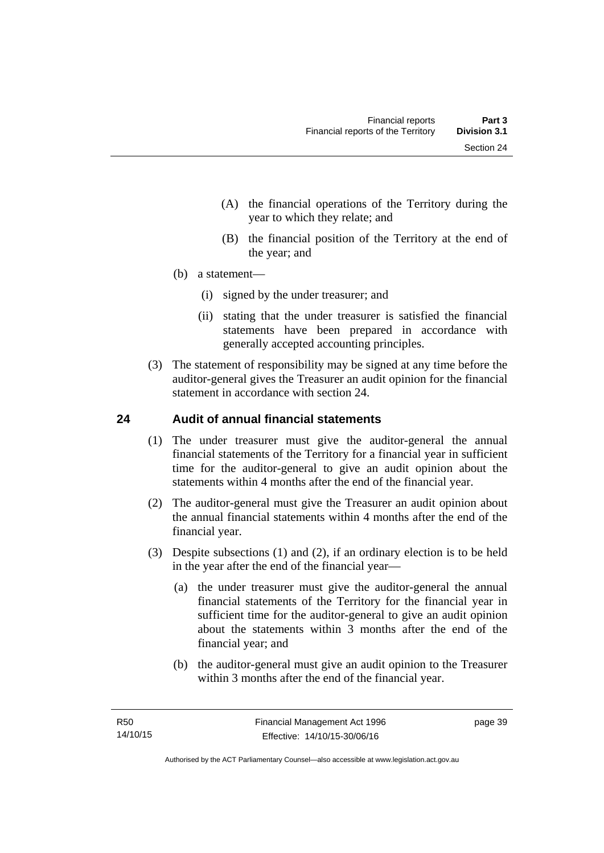- (A) the financial operations of the Territory during the year to which they relate; and
- (B) the financial position of the Territory at the end of the year; and
- (b) a statement—
	- (i) signed by the under treasurer; and
	- (ii) stating that the under treasurer is satisfied the financial statements have been prepared in accordance with generally accepted accounting principles.
- (3) The statement of responsibility may be signed at any time before the auditor-general gives the Treasurer an audit opinion for the financial statement in accordance with section 24.

# **24 Audit of annual financial statements**

- (1) The under treasurer must give the auditor-general the annual financial statements of the Territory for a financial year in sufficient time for the auditor-general to give an audit opinion about the statements within 4 months after the end of the financial year.
- (2) The auditor-general must give the Treasurer an audit opinion about the annual financial statements within 4 months after the end of the financial year.
- (3) Despite subsections (1) and (2), if an ordinary election is to be held in the year after the end of the financial year—
	- (a) the under treasurer must give the auditor-general the annual financial statements of the Territory for the financial year in sufficient time for the auditor-general to give an audit opinion about the statements within 3 months after the end of the financial year; and
	- (b) the auditor-general must give an audit opinion to the Treasurer within 3 months after the end of the financial year.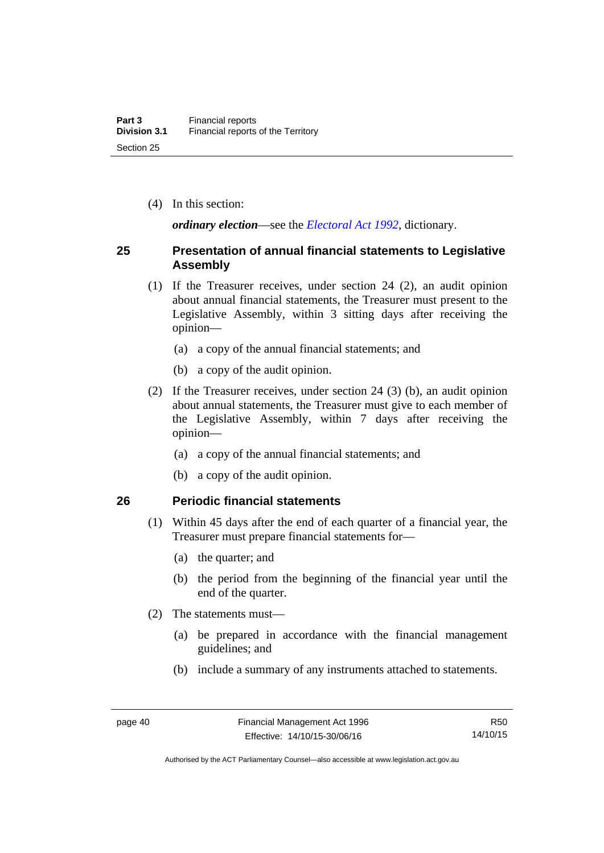(4) In this section:

*ordinary election*—see the *[Electoral Act 1992](http://www.legislation.act.gov.au/a/1992-71)*, dictionary.

### **25 Presentation of annual financial statements to Legislative Assembly**

- (1) If the Treasurer receives, under section 24 (2), an audit opinion about annual financial statements, the Treasurer must present to the Legislative Assembly, within 3 sitting days after receiving the opinion—
	- (a) a copy of the annual financial statements; and
	- (b) a copy of the audit opinion.
- (2) If the Treasurer receives, under section 24 (3) (b), an audit opinion about annual statements, the Treasurer must give to each member of the Legislative Assembly, within 7 days after receiving the opinion—
	- (a) a copy of the annual financial statements; and
	- (b) a copy of the audit opinion.

### **26 Periodic financial statements**

- (1) Within 45 days after the end of each quarter of a financial year, the Treasurer must prepare financial statements for—
	- (a) the quarter; and
	- (b) the period from the beginning of the financial year until the end of the quarter.
- (2) The statements must—
	- (a) be prepared in accordance with the financial management guidelines; and
	- (b) include a summary of any instruments attached to statements.

Authorised by the ACT Parliamentary Counsel—also accessible at www.legislation.act.gov.au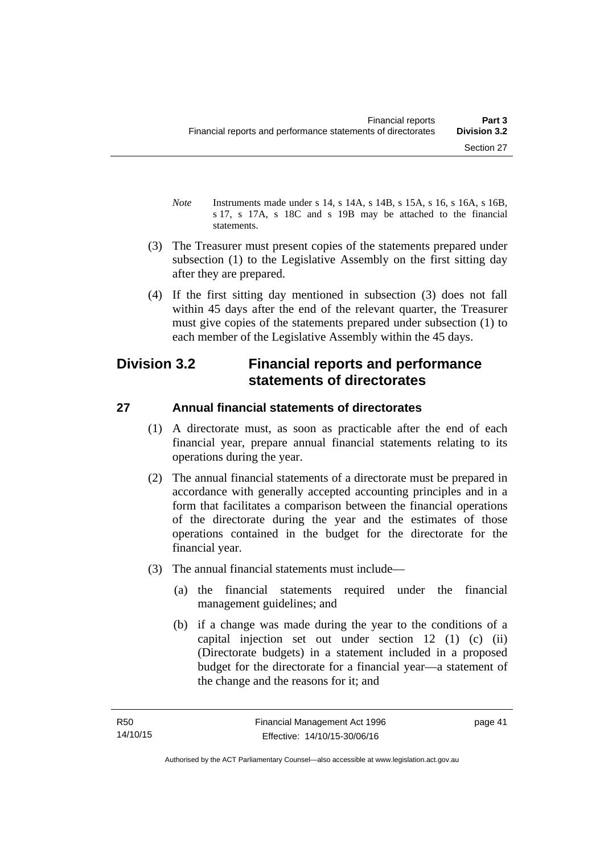- *Note* Instruments made under s 14, s 14A, s 14B, s 15A, s 16, s 16A, s 16B, s 17, s 17A, s 18C and s 19B may be attached to the financial statements.
- (3) The Treasurer must present copies of the statements prepared under subsection (1) to the Legislative Assembly on the first sitting day after they are prepared.
- (4) If the first sitting day mentioned in subsection (3) does not fall within 45 days after the end of the relevant quarter, the Treasurer must give copies of the statements prepared under subsection (1) to each member of the Legislative Assembly within the 45 days.

# **Division 3.2 Financial reports and performance statements of directorates**

# **27 Annual financial statements of directorates**

- (1) A directorate must, as soon as practicable after the end of each financial year, prepare annual financial statements relating to its operations during the year.
- (2) The annual financial statements of a directorate must be prepared in accordance with generally accepted accounting principles and in a form that facilitates a comparison between the financial operations of the directorate during the year and the estimates of those operations contained in the budget for the directorate for the financial year.
- (3) The annual financial statements must include—
	- (a) the financial statements required under the financial management guidelines; and
	- (b) if a change was made during the year to the conditions of a capital injection set out under section 12 (1) (c) (ii) (Directorate budgets) in a statement included in a proposed budget for the directorate for a financial year—a statement of the change and the reasons for it; and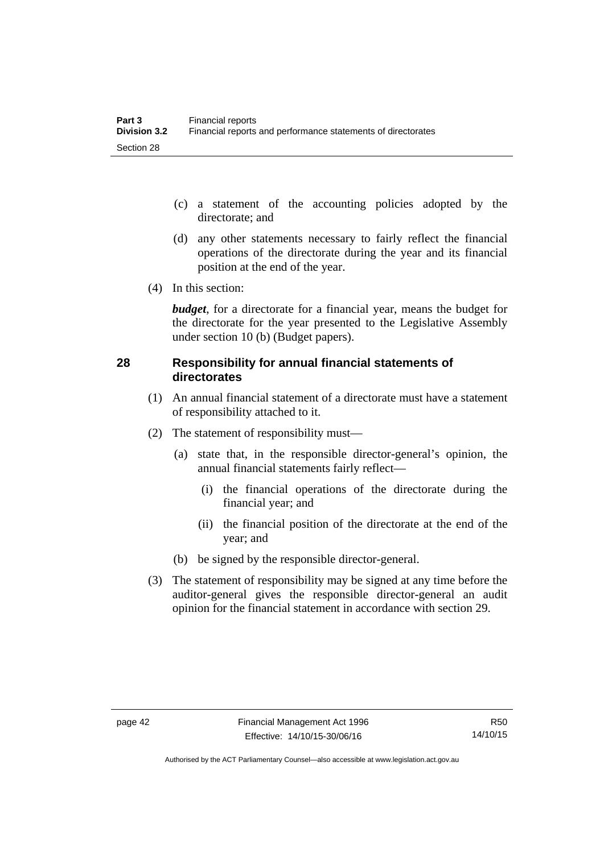- (c) a statement of the accounting policies adopted by the directorate; and
- (d) any other statements necessary to fairly reflect the financial operations of the directorate during the year and its financial position at the end of the year.
- (4) In this section:

*budget*, for a directorate for a financial year, means the budget for the directorate for the year presented to the Legislative Assembly under section 10 (b) (Budget papers).

# **28 Responsibility for annual financial statements of directorates**

- (1) An annual financial statement of a directorate must have a statement of responsibility attached to it.
- (2) The statement of responsibility must—
	- (a) state that, in the responsible director-general's opinion, the annual financial statements fairly reflect—
		- (i) the financial operations of the directorate during the financial year; and
		- (ii) the financial position of the directorate at the end of the year; and
	- (b) be signed by the responsible director-general.
- (3) The statement of responsibility may be signed at any time before the auditor-general gives the responsible director-general an audit opinion for the financial statement in accordance with section 29.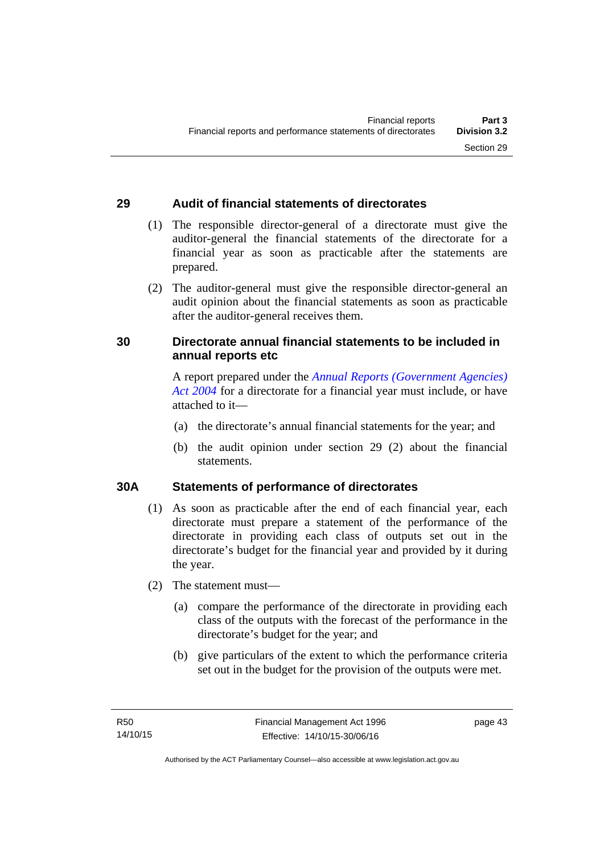# **29 Audit of financial statements of directorates**

- (1) The responsible director-general of a directorate must give the auditor-general the financial statements of the directorate for a financial year as soon as practicable after the statements are prepared.
- (2) The auditor-general must give the responsible director-general an audit opinion about the financial statements as soon as practicable after the auditor-general receives them.

# **30 Directorate annual financial statements to be included in annual reports etc**

A report prepared under the *[Annual Reports \(Government Agencies\)](http://www.legislation.act.gov.au/a/2004-8)  [Act 2004](http://www.legislation.act.gov.au/a/2004-8)* for a directorate for a financial year must include, or have attached to it—

- (a) the directorate's annual financial statements for the year; and
- (b) the audit opinion under section 29 (2) about the financial statements.

### **30A Statements of performance of directorates**

- (1) As soon as practicable after the end of each financial year, each directorate must prepare a statement of the performance of the directorate in providing each class of outputs set out in the directorate's budget for the financial year and provided by it during the year.
- (2) The statement must—
	- (a) compare the performance of the directorate in providing each class of the outputs with the forecast of the performance in the directorate's budget for the year; and
	- (b) give particulars of the extent to which the performance criteria set out in the budget for the provision of the outputs were met.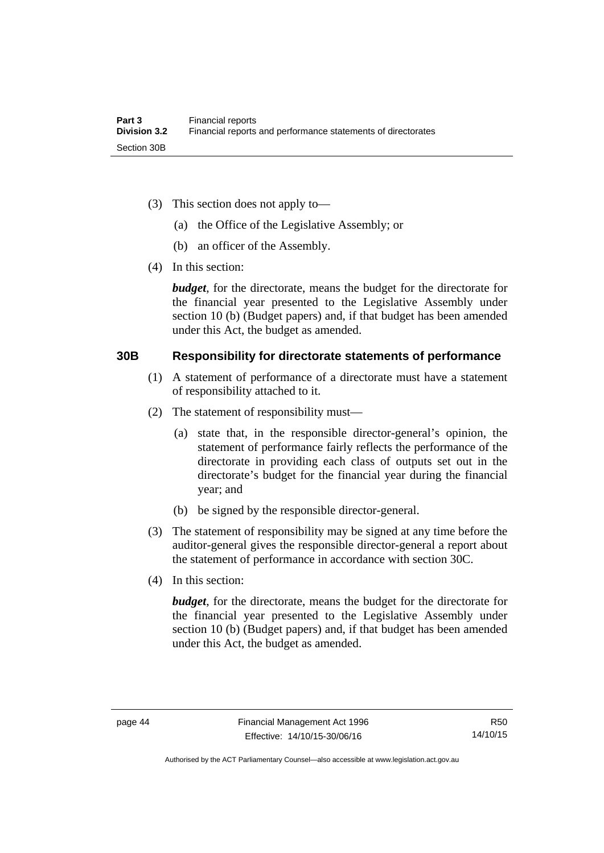- (3) This section does not apply to—
	- (a) the Office of the Legislative Assembly; or
	- (b) an officer of the Assembly.
- (4) In this section:

*budget*, for the directorate, means the budget for the directorate for the financial year presented to the Legislative Assembly under section 10 (b) (Budget papers) and, if that budget has been amended under this Act, the budget as amended.

#### **30B Responsibility for directorate statements of performance**

- (1) A statement of performance of a directorate must have a statement of responsibility attached to it.
- (2) The statement of responsibility must—
	- (a) state that, in the responsible director-general's opinion, the statement of performance fairly reflects the performance of the directorate in providing each class of outputs set out in the directorate's budget for the financial year during the financial year; and
	- (b) be signed by the responsible director-general.
- (3) The statement of responsibility may be signed at any time before the auditor-general gives the responsible director-general a report about the statement of performance in accordance with section 30C.
- (4) In this section:

*budget*, for the directorate, means the budget for the directorate for the financial year presented to the Legislative Assembly under section 10 (b) (Budget papers) and, if that budget has been amended under this Act, the budget as amended.

Authorised by the ACT Parliamentary Counsel—also accessible at www.legislation.act.gov.au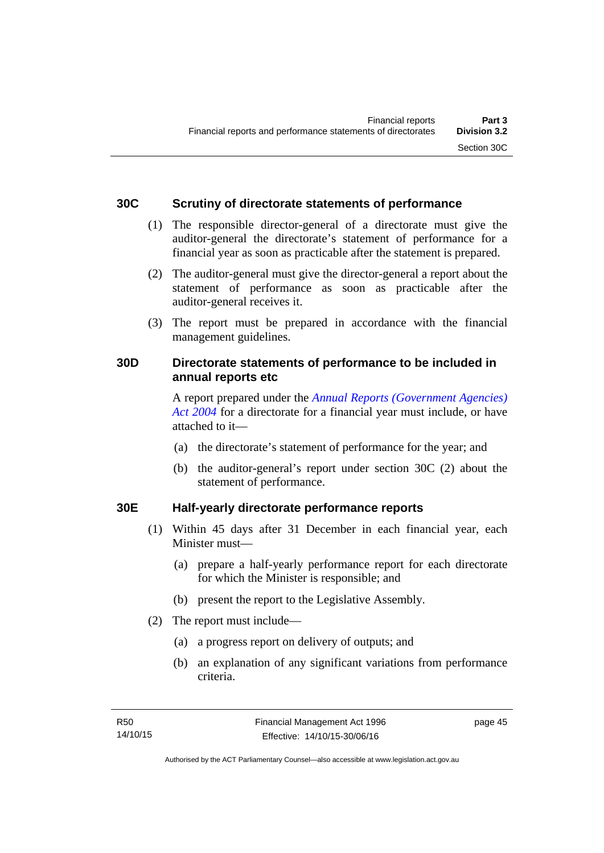### **30C Scrutiny of directorate statements of performance**

- (1) The responsible director-general of a directorate must give the auditor-general the directorate's statement of performance for a financial year as soon as practicable after the statement is prepared.
- (2) The auditor-general must give the director-general a report about the statement of performance as soon as practicable after the auditor-general receives it.
- (3) The report must be prepared in accordance with the financial management guidelines.

# **30D Directorate statements of performance to be included in annual reports etc**

A report prepared under the *[Annual Reports \(Government Agencies\)](http://www.legislation.act.gov.au/a/2004-8)  [Act 2004](http://www.legislation.act.gov.au/a/2004-8)* for a directorate for a financial year must include, or have attached to it—

- (a) the directorate's statement of performance for the year; and
- (b) the auditor-general's report under section 30C (2) about the statement of performance.

# **30E Half-yearly directorate performance reports**

- (1) Within 45 days after 31 December in each financial year, each Minister must—
	- (a) prepare a half-yearly performance report for each directorate for which the Minister is responsible; and
	- (b) present the report to the Legislative Assembly.
- (2) The report must include—
	- (a) a progress report on delivery of outputs; and
	- (b) an explanation of any significant variations from performance criteria.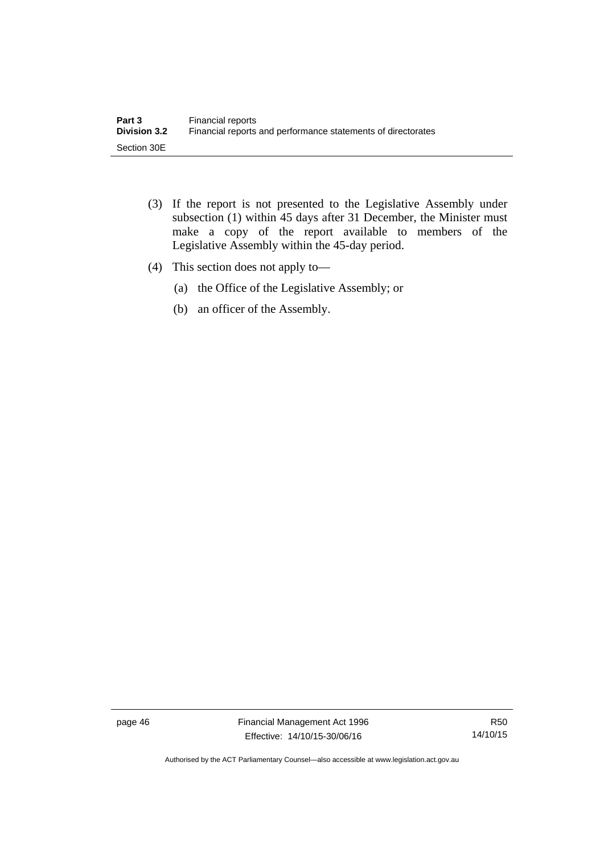- (3) If the report is not presented to the Legislative Assembly under subsection (1) within 45 days after 31 December, the Minister must make a copy of the report available to members of the Legislative Assembly within the 45-day period.
- (4) This section does not apply to—
	- (a) the Office of the Legislative Assembly; or
	- (b) an officer of the Assembly.

page 46 Financial Management Act 1996 Effective: 14/10/15-30/06/16

R50 14/10/15

Authorised by the ACT Parliamentary Counsel—also accessible at www.legislation.act.gov.au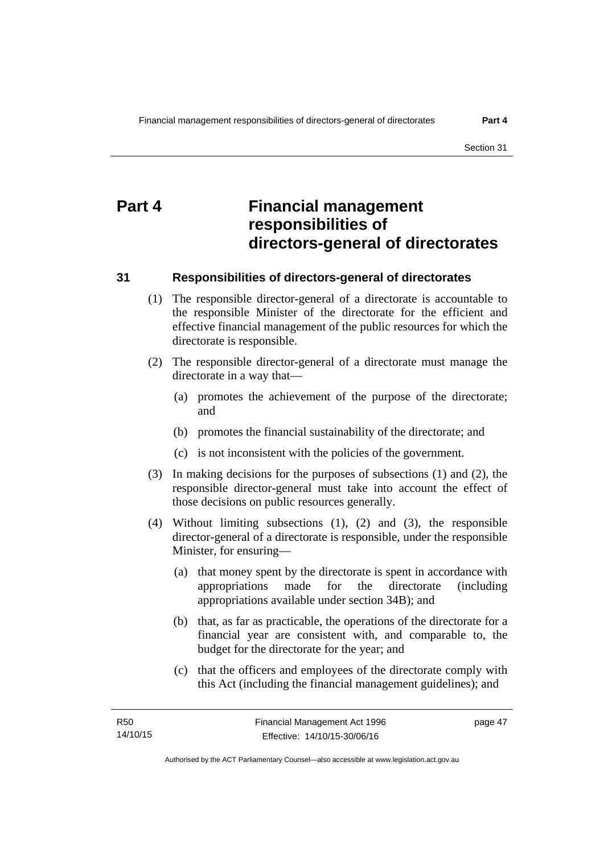# **Part 4 Financial management responsibilities of directors-general of directorates**

#### **31 Responsibilities of directors-general of directorates**

- (1) The responsible director-general of a directorate is accountable to the responsible Minister of the directorate for the efficient and effective financial management of the public resources for which the directorate is responsible.
- (2) The responsible director-general of a directorate must manage the directorate in a way that—
	- (a) promotes the achievement of the purpose of the directorate; and
	- (b) promotes the financial sustainability of the directorate; and
	- (c) is not inconsistent with the policies of the government.
- (3) In making decisions for the purposes of subsections (1) and (2), the responsible director-general must take into account the effect of those decisions on public resources generally.
- (4) Without limiting subsections (1), (2) and (3), the responsible director-general of a directorate is responsible, under the responsible Minister, for ensuring—
	- (a) that money spent by the directorate is spent in accordance with appropriations made for the directorate (including appropriations available under section 34B); and
	- (b) that, as far as practicable, the operations of the directorate for a financial year are consistent with, and comparable to, the budget for the directorate for the year; and
	- (c) that the officers and employees of the directorate comply with this Act (including the financial management guidelines); and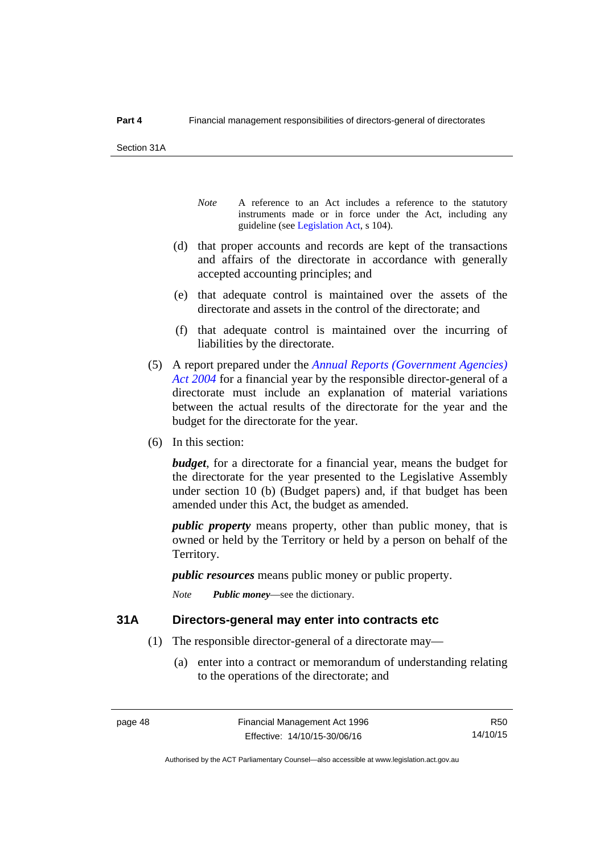Section 31A

- *Note* A reference to an Act includes a reference to the statutory instruments made or in force under the Act, including any guideline (see [Legislation Act](http://www.legislation.act.gov.au/a/2001-14), s 104).
- (d) that proper accounts and records are kept of the transactions and affairs of the directorate in accordance with generally accepted accounting principles; and
- (e) that adequate control is maintained over the assets of the directorate and assets in the control of the directorate; and
- (f) that adequate control is maintained over the incurring of liabilities by the directorate.
- (5) A report prepared under the *[Annual Reports \(Government Agencies\)](http://www.legislation.act.gov.au/a/2004-8)  [Act 2004](http://www.legislation.act.gov.au/a/2004-8)* for a financial year by the responsible director-general of a directorate must include an explanation of material variations between the actual results of the directorate for the year and the budget for the directorate for the year.
- (6) In this section:

*budget*, for a directorate for a financial year, means the budget for the directorate for the year presented to the Legislative Assembly under section 10 (b) (Budget papers) and, if that budget has been amended under this Act, the budget as amended.

*public property* means property, other than public money, that is owned or held by the Territory or held by a person on behalf of the Territory.

*public resources* means public money or public property.

*Note Public money*—see the dictionary.

#### **31A Directors-general may enter into contracts etc**

- (1) The responsible director-general of a directorate may—
	- (a) enter into a contract or memorandum of understanding relating to the operations of the directorate; and

R50 14/10/15

Authorised by the ACT Parliamentary Counsel—also accessible at www.legislation.act.gov.au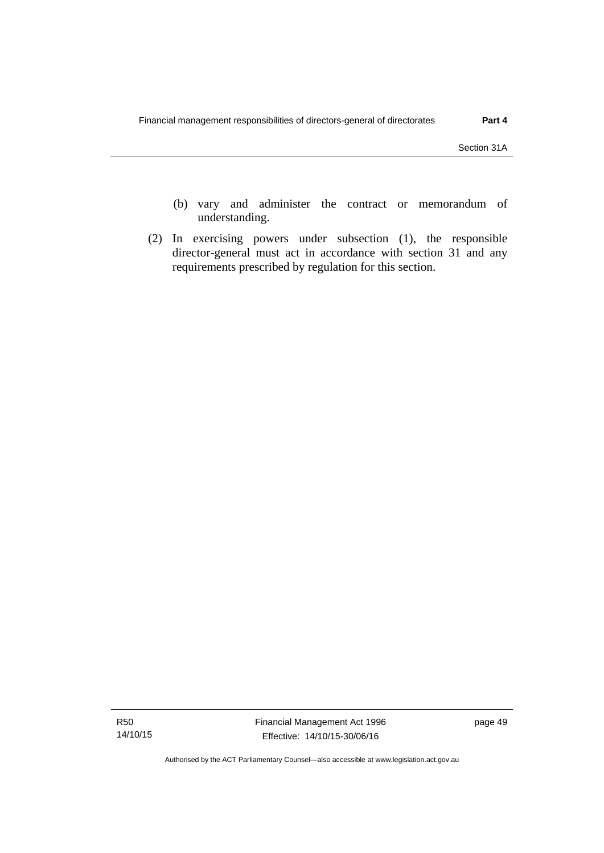- (b) vary and administer the contract or memorandum of understanding.
- (2) In exercising powers under subsection (1), the responsible director-general must act in accordance with section 31 and any requirements prescribed by regulation for this section.

Authorised by the ACT Parliamentary Counsel—also accessible at www.legislation.act.gov.au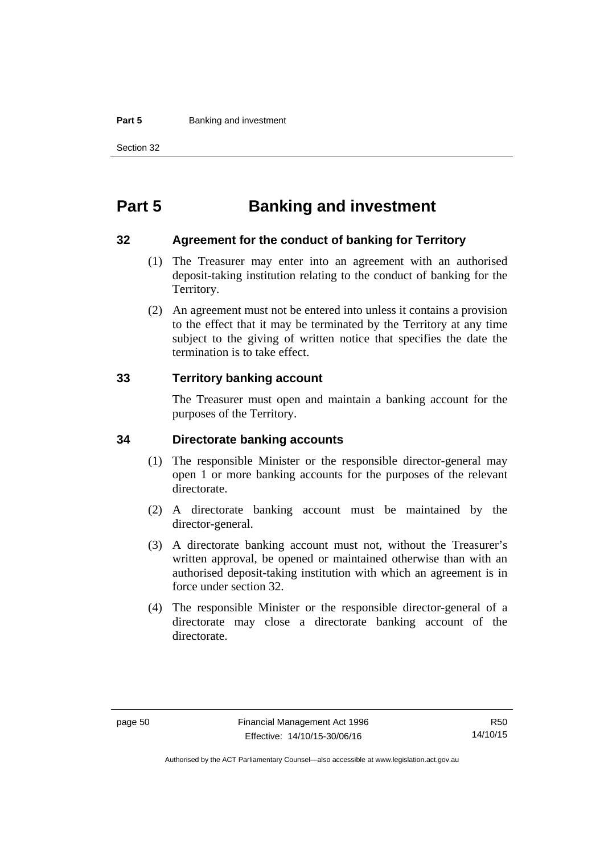#### **Part 5 Banking and investment**

Section 32

# **Part 5 Banking and investment**

#### **32 Agreement for the conduct of banking for Territory**

- (1) The Treasurer may enter into an agreement with an authorised deposit-taking institution relating to the conduct of banking for the Territory.
- (2) An agreement must not be entered into unless it contains a provision to the effect that it may be terminated by the Territory at any time subject to the giving of written notice that specifies the date the termination is to take effect.

### **33 Territory banking account**

The Treasurer must open and maintain a banking account for the purposes of the Territory.

#### **34 Directorate banking accounts**

- (1) The responsible Minister or the responsible director-general may open 1 or more banking accounts for the purposes of the relevant directorate.
- (2) A directorate banking account must be maintained by the director-general.
- (3) A directorate banking account must not, without the Treasurer's written approval, be opened or maintained otherwise than with an authorised deposit-taking institution with which an agreement is in force under section 32.
- (4) The responsible Minister or the responsible director-general of a directorate may close a directorate banking account of the directorate.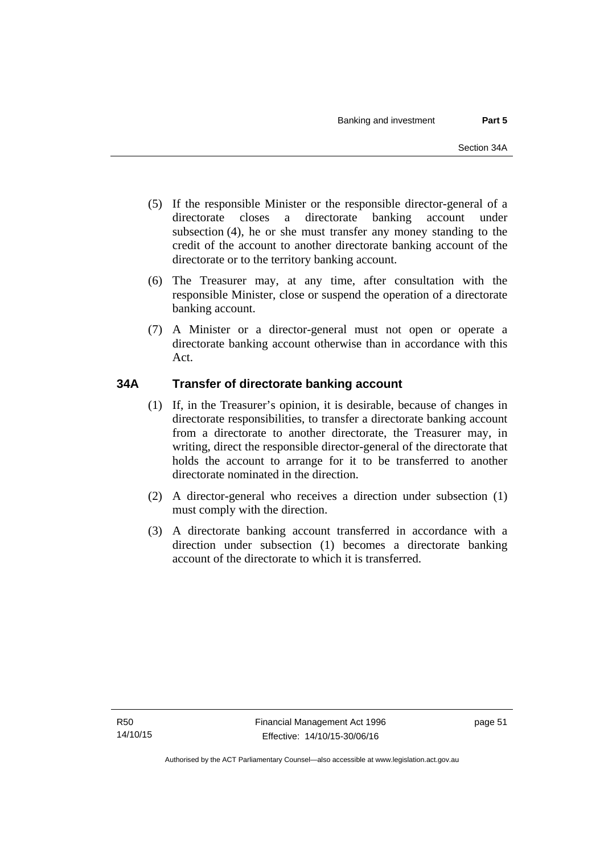- (5) If the responsible Minister or the responsible director-general of a directorate closes a directorate banking account under subsection (4), he or she must transfer any money standing to the credit of the account to another directorate banking account of the directorate or to the territory banking account.
- (6) The Treasurer may, at any time, after consultation with the responsible Minister, close or suspend the operation of a directorate banking account.
- (7) A Minister or a director-general must not open or operate a directorate banking account otherwise than in accordance with this Act.

# **34A Transfer of directorate banking account**

- (1) If, in the Treasurer's opinion, it is desirable, because of changes in directorate responsibilities, to transfer a directorate banking account from a directorate to another directorate, the Treasurer may, in writing, direct the responsible director-general of the directorate that holds the account to arrange for it to be transferred to another directorate nominated in the direction.
- (2) A director-general who receives a direction under subsection (1) must comply with the direction.
- (3) A directorate banking account transferred in accordance with a direction under subsection (1) becomes a directorate banking account of the directorate to which it is transferred.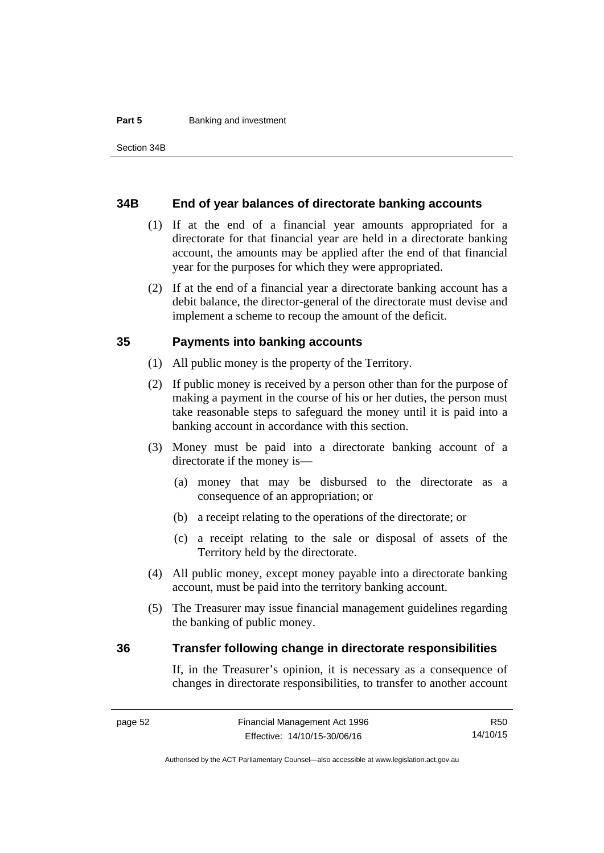#### **Part 5 Banking and investment**

#### **34B End of year balances of directorate banking accounts**

- (1) If at the end of a financial year amounts appropriated for a directorate for that financial year are held in a directorate banking account, the amounts may be applied after the end of that financial year for the purposes for which they were appropriated.
- (2) If at the end of a financial year a directorate banking account has a debit balance, the director-general of the directorate must devise and implement a scheme to recoup the amount of the deficit.

### **35 Payments into banking accounts**

- (1) All public money is the property of the Territory.
- (2) If public money is received by a person other than for the purpose of making a payment in the course of his or her duties, the person must take reasonable steps to safeguard the money until it is paid into a banking account in accordance with this section.
- (3) Money must be paid into a directorate banking account of a directorate if the money is—
	- (a) money that may be disbursed to the directorate as a consequence of an appropriation; or
	- (b) a receipt relating to the operations of the directorate; or
	- (c) a receipt relating to the sale or disposal of assets of the Territory held by the directorate.
- (4) All public money, except money payable into a directorate banking account, must be paid into the territory banking account.
- (5) The Treasurer may issue financial management guidelines regarding the banking of public money.

#### **36 Transfer following change in directorate responsibilities**

If, in the Treasurer's opinion, it is necessary as a consequence of changes in directorate responsibilities, to transfer to another account

R50 14/10/15

Authorised by the ACT Parliamentary Counsel—also accessible at www.legislation.act.gov.au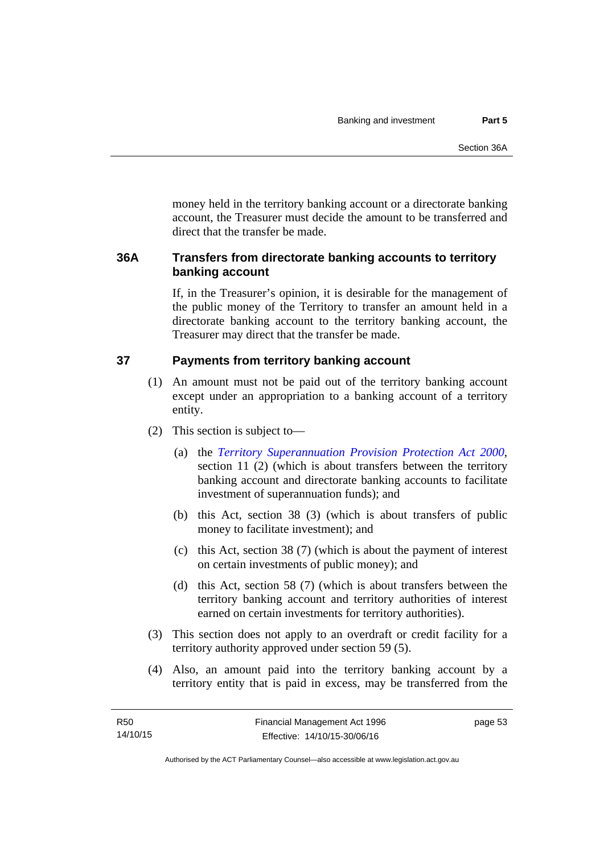money held in the territory banking account or a directorate banking account, the Treasurer must decide the amount to be transferred and direct that the transfer be made.

# **36A Transfers from directorate banking accounts to territory banking account**

If, in the Treasurer's opinion, it is desirable for the management of the public money of the Territory to transfer an amount held in a directorate banking account to the territory banking account, the Treasurer may direct that the transfer be made.

# **37 Payments from territory banking account**

- (1) An amount must not be paid out of the territory banking account except under an appropriation to a banking account of a territory entity.
- (2) This section is subject to—
	- (a) the *[Territory Superannuation Provision Protection Act 2000](http://www.legislation.act.gov.au/a/2000-21)*, section 11 (2) (which is about transfers between the territory banking account and directorate banking accounts to facilitate investment of superannuation funds); and
	- (b) this Act, section 38 (3) (which is about transfers of public money to facilitate investment); and
	- (c) this Act, section 38 (7) (which is about the payment of interest on certain investments of public money); and
	- (d) this Act, section 58 (7) (which is about transfers between the territory banking account and territory authorities of interest earned on certain investments for territory authorities).
- (3) This section does not apply to an overdraft or credit facility for a territory authority approved under section 59 (5).
- (4) Also, an amount paid into the territory banking account by a territory entity that is paid in excess, may be transferred from the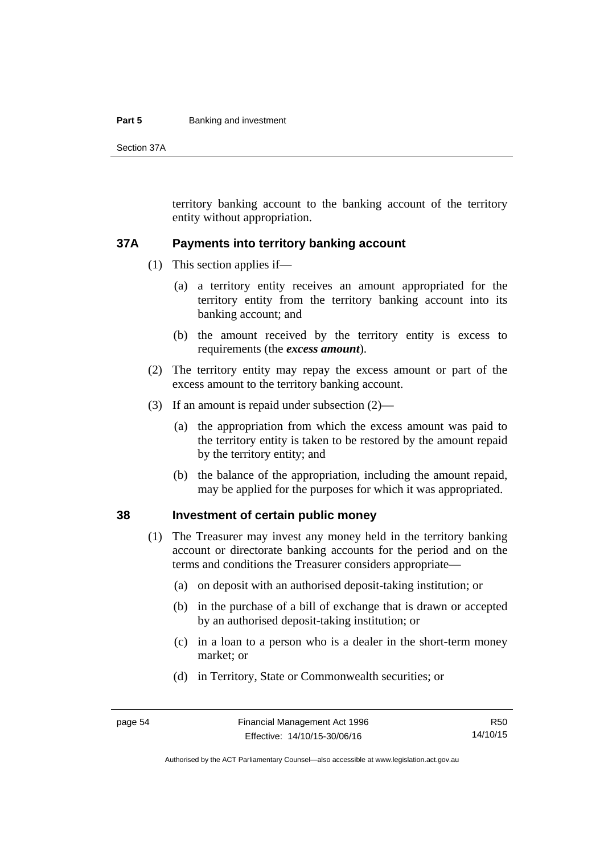#### **Part 5 Banking and investment**

Section 37A

territory banking account to the banking account of the territory entity without appropriation.

#### **37A Payments into territory banking account**

- (1) This section applies if—
	- (a) a territory entity receives an amount appropriated for the territory entity from the territory banking account into its banking account; and
	- (b) the amount received by the territory entity is excess to requirements (the *excess amount*).
- (2) The territory entity may repay the excess amount or part of the excess amount to the territory banking account.
- (3) If an amount is repaid under subsection (2)—
	- (a) the appropriation from which the excess amount was paid to the territory entity is taken to be restored by the amount repaid by the territory entity; and
	- (b) the balance of the appropriation, including the amount repaid, may be applied for the purposes for which it was appropriated.

### **38 Investment of certain public money**

- (1) The Treasurer may invest any money held in the territory banking account or directorate banking accounts for the period and on the terms and conditions the Treasurer considers appropriate—
	- (a) on deposit with an authorised deposit-taking institution; or
	- (b) in the purchase of a bill of exchange that is drawn or accepted by an authorised deposit-taking institution; or
	- (c) in a loan to a person who is a dealer in the short-term money market; or
	- (d) in Territory, State or Commonwealth securities; or

R50 14/10/15

Authorised by the ACT Parliamentary Counsel—also accessible at www.legislation.act.gov.au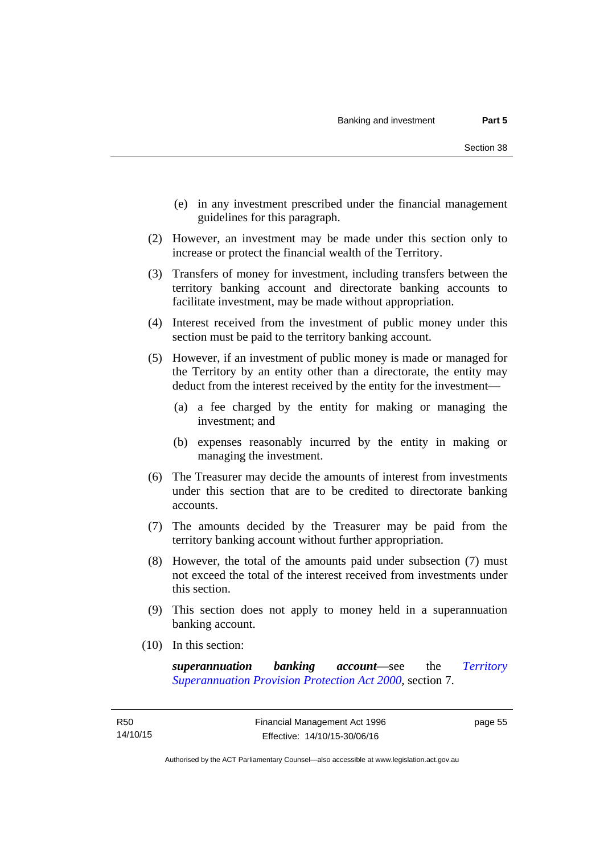- (e) in any investment prescribed under the financial management guidelines for this paragraph.
- (2) However, an investment may be made under this section only to increase or protect the financial wealth of the Territory.
- (3) Transfers of money for investment, including transfers between the territory banking account and directorate banking accounts to facilitate investment, may be made without appropriation.
- (4) Interest received from the investment of public money under this section must be paid to the territory banking account.
- (5) However, if an investment of public money is made or managed for the Territory by an entity other than a directorate, the entity may deduct from the interest received by the entity for the investment—
	- (a) a fee charged by the entity for making or managing the investment; and
	- (b) expenses reasonably incurred by the entity in making or managing the investment.
- (6) The Treasurer may decide the amounts of interest from investments under this section that are to be credited to directorate banking accounts.
- (7) The amounts decided by the Treasurer may be paid from the territory banking account without further appropriation.
- (8) However, the total of the amounts paid under subsection (7) must not exceed the total of the interest received from investments under this section.
- (9) This section does not apply to money held in a superannuation banking account.
- (10) In this section:

*superannuation banking account*—see the *[Territory](http://www.legislation.act.gov.au/a/2000-21)  [Superannuation Provision Protection Act 2000](http://www.legislation.act.gov.au/a/2000-21)*, section 7.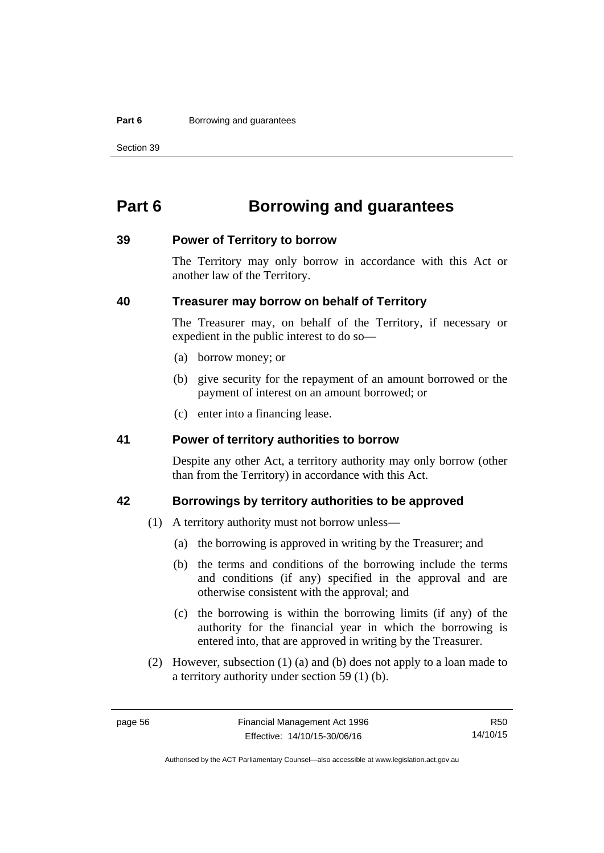#### **Part 6 Borrowing and guarantees**

Section 39

# **Part 6 Borrowing and guarantees**

#### **39 Power of Territory to borrow**

The Territory may only borrow in accordance with this Act or another law of the Territory.

### **40 Treasurer may borrow on behalf of Territory**

The Treasurer may, on behalf of the Territory, if necessary or expedient in the public interest to do so—

- (a) borrow money; or
- (b) give security for the repayment of an amount borrowed or the payment of interest on an amount borrowed; or
- (c) enter into a financing lease.

### **41 Power of territory authorities to borrow**

Despite any other Act, a territory authority may only borrow (other than from the Territory) in accordance with this Act.

### **42 Borrowings by territory authorities to be approved**

- (1) A territory authority must not borrow unless—
	- (a) the borrowing is approved in writing by the Treasurer; and
	- (b) the terms and conditions of the borrowing include the terms and conditions (if any) specified in the approval and are otherwise consistent with the approval; and
	- (c) the borrowing is within the borrowing limits (if any) of the authority for the financial year in which the borrowing is entered into, that are approved in writing by the Treasurer.
- (2) However, subsection (1) (a) and (b) does not apply to a loan made to a territory authority under section 59 (1) (b).

R50 14/10/15

Authorised by the ACT Parliamentary Counsel—also accessible at www.legislation.act.gov.au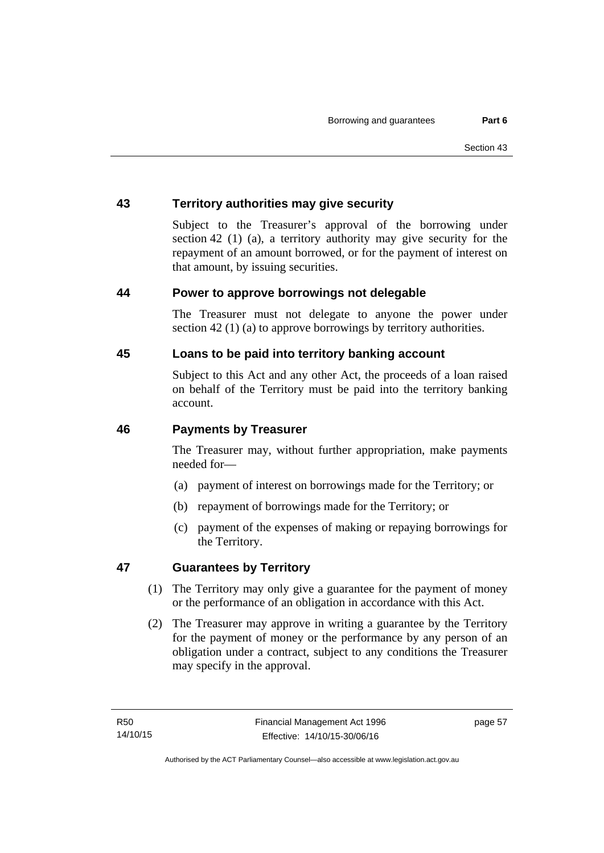# **43 Territory authorities may give security**

Subject to the Treasurer's approval of the borrowing under section 42 (1) (a), a territory authority may give security for the repayment of an amount borrowed, or for the payment of interest on that amount, by issuing securities.

# **44 Power to approve borrowings not delegable**

The Treasurer must not delegate to anyone the power under section 42 (1) (a) to approve borrowings by territory authorities.

# **45 Loans to be paid into territory banking account**

Subject to this Act and any other Act, the proceeds of a loan raised on behalf of the Territory must be paid into the territory banking account.

### **46 Payments by Treasurer**

The Treasurer may, without further appropriation, make payments needed for—

- (a) payment of interest on borrowings made for the Territory; or
- (b) repayment of borrowings made for the Territory; or
- (c) payment of the expenses of making or repaying borrowings for the Territory.

# **47 Guarantees by Territory**

- (1) The Territory may only give a guarantee for the payment of money or the performance of an obligation in accordance with this Act.
- (2) The Treasurer may approve in writing a guarantee by the Territory for the payment of money or the performance by any person of an obligation under a contract, subject to any conditions the Treasurer may specify in the approval.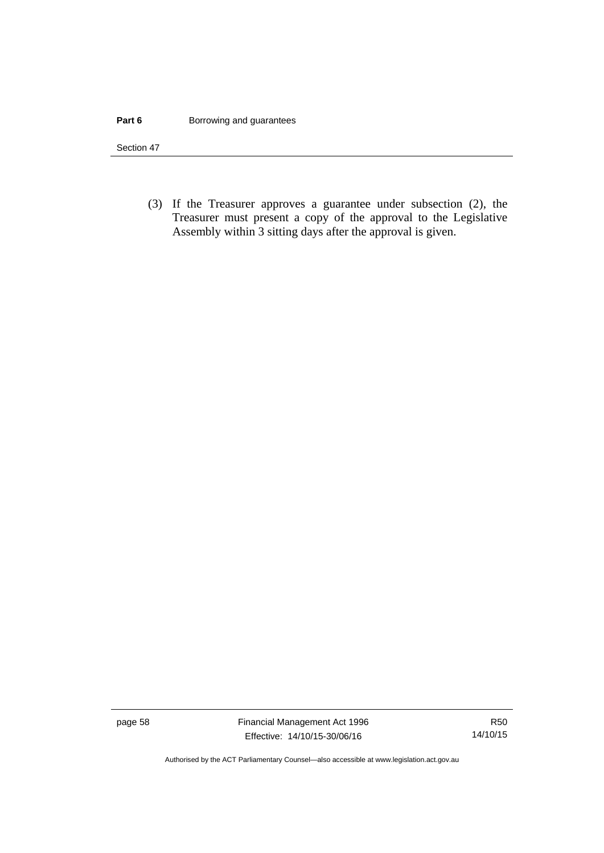#### **Part 6 Borrowing and guarantees**

Section 47

 (3) If the Treasurer approves a guarantee under subsection (2), the Treasurer must present a copy of the approval to the Legislative Assembly within 3 sitting days after the approval is given.

page 58 Financial Management Act 1996 Effective: 14/10/15-30/06/16

R50 14/10/15

Authorised by the ACT Parliamentary Counsel—also accessible at www.legislation.act.gov.au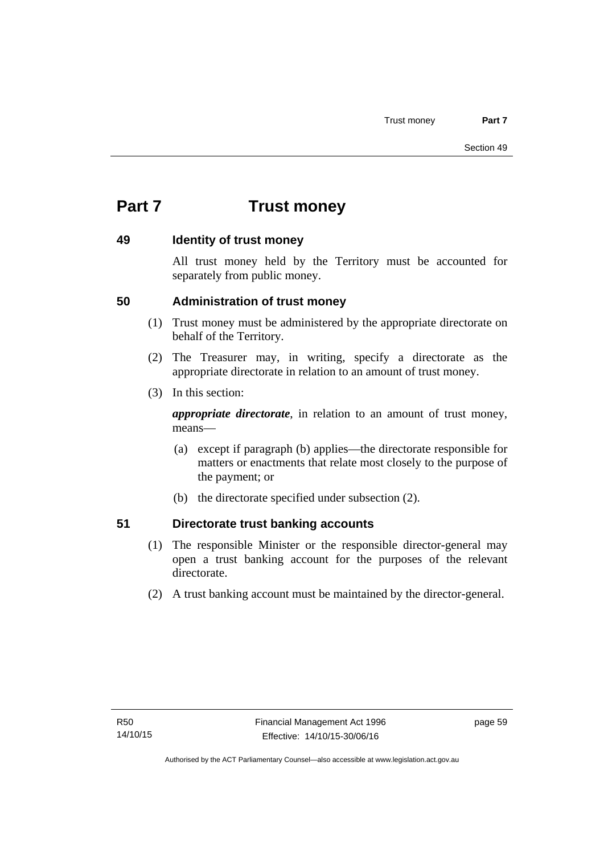# **Part 7 Trust money**

### **49 Identity of trust money**

All trust money held by the Territory must be accounted for separately from public money.

# **50 Administration of trust money**

- (1) Trust money must be administered by the appropriate directorate on behalf of the Territory.
- (2) The Treasurer may, in writing, specify a directorate as the appropriate directorate in relation to an amount of trust money.
- (3) In this section:

*appropriate directorate*, in relation to an amount of trust money, means—

- (a) except if paragraph (b) applies—the directorate responsible for matters or enactments that relate most closely to the purpose of the payment; or
- (b) the directorate specified under subsection (2).

# **51 Directorate trust banking accounts**

- (1) The responsible Minister or the responsible director-general may open a trust banking account for the purposes of the relevant directorate.
- (2) A trust banking account must be maintained by the director-general.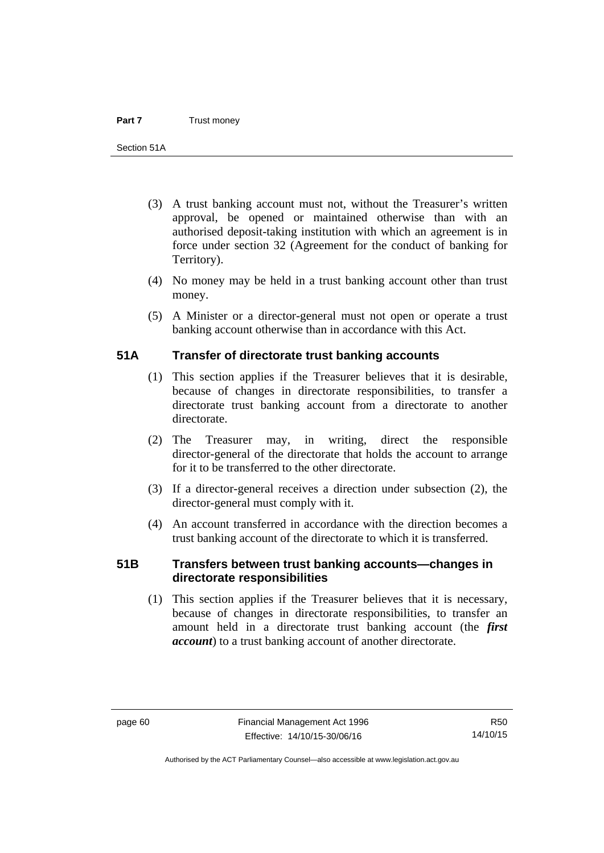- (3) A trust banking account must not, without the Treasurer's written approval, be opened or maintained otherwise than with an authorised deposit-taking institution with which an agreement is in force under section 32 (Agreement for the conduct of banking for Territory).
- (4) No money may be held in a trust banking account other than trust money.
- (5) A Minister or a director-general must not open or operate a trust banking account otherwise than in accordance with this Act.

### **51A Transfer of directorate trust banking accounts**

- (1) This section applies if the Treasurer believes that it is desirable, because of changes in directorate responsibilities, to transfer a directorate trust banking account from a directorate to another directorate.
- (2) The Treasurer may, in writing, direct the responsible director-general of the directorate that holds the account to arrange for it to be transferred to the other directorate.
- (3) If a director-general receives a direction under subsection (2), the director-general must comply with it.
- (4) An account transferred in accordance with the direction becomes a trust banking account of the directorate to which it is transferred.

# **51B Transfers between trust banking accounts—changes in directorate responsibilities**

 (1) This section applies if the Treasurer believes that it is necessary, because of changes in directorate responsibilities, to transfer an amount held in a directorate trust banking account (the *first account*) to a trust banking account of another directorate.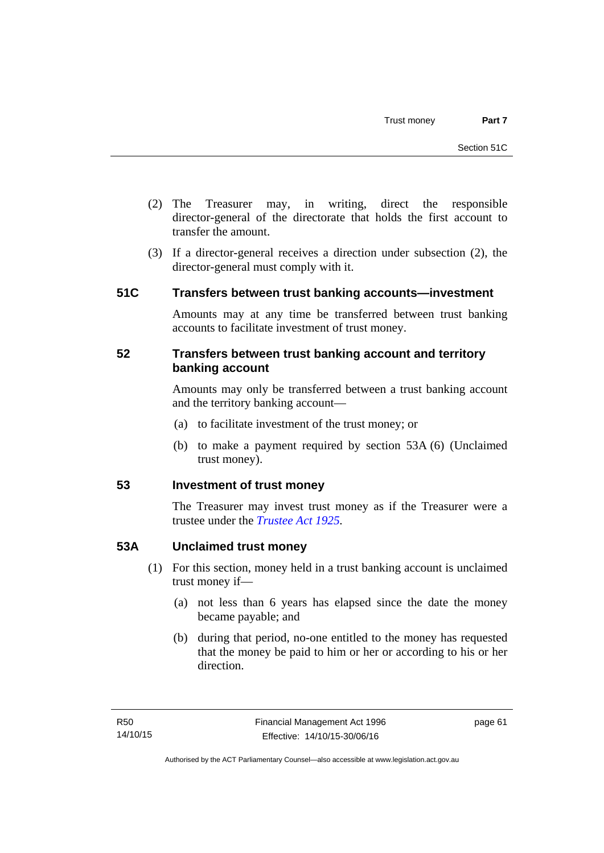- (2) The Treasurer may, in writing, direct the responsible director-general of the directorate that holds the first account to transfer the amount.
- (3) If a director-general receives a direction under subsection (2), the director-general must comply with it.

# **51C Transfers between trust banking accounts—investment**

Amounts may at any time be transferred between trust banking accounts to facilitate investment of trust money.

### **52 Transfers between trust banking account and territory banking account**

Amounts may only be transferred between a trust banking account and the territory banking account—

- (a) to facilitate investment of the trust money; or
- (b) to make a payment required by section 53A (6) (Unclaimed trust money).

# **53 Investment of trust money**

The Treasurer may invest trust money as if the Treasurer were a trustee under the *[Trustee Act 1925](http://www.legislation.act.gov.au/a/1925-14).*

# **53A Unclaimed trust money**

- (1) For this section, money held in a trust banking account is unclaimed trust money if—
	- (a) not less than 6 years has elapsed since the date the money became payable; and
	- (b) during that period, no-one entitled to the money has requested that the money be paid to him or her or according to his or her direction.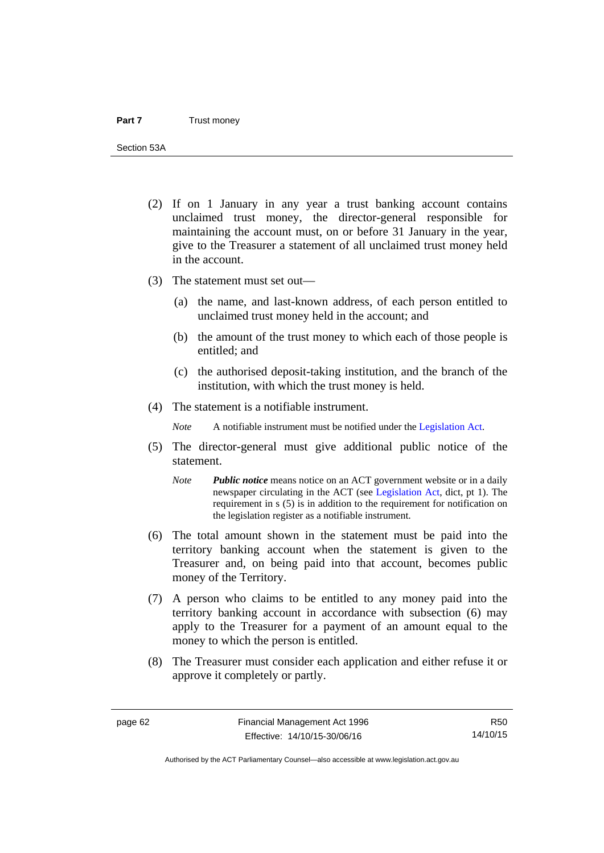Section 53A

- (2) If on 1 January in any year a trust banking account contains unclaimed trust money, the director-general responsible for maintaining the account must, on or before 31 January in the year, give to the Treasurer a statement of all unclaimed trust money held in the account.
- (3) The statement must set out—
	- (a) the name, and last-known address, of each person entitled to unclaimed trust money held in the account; and
	- (b) the amount of the trust money to which each of those people is entitled; and
	- (c) the authorised deposit-taking institution, and the branch of the institution, with which the trust money is held.
- (4) The statement is a notifiable instrument.

*Note* A notifiable instrument must be notified under the [Legislation Act](http://www.legislation.act.gov.au/a/2001-14).

- (5) The director-general must give additional public notice of the statement.
	- *Note Public notice* means notice on an ACT government website or in a daily newspaper circulating in the ACT (see [Legislation Act,](http://www.legislation.act.gov.au/a/2001-14) dict, pt 1). The requirement in s (5) is in addition to the requirement for notification on the legislation register as a notifiable instrument.
- (6) The total amount shown in the statement must be paid into the territory banking account when the statement is given to the Treasurer and, on being paid into that account, becomes public money of the Territory.
- (7) A person who claims to be entitled to any money paid into the territory banking account in accordance with subsection (6) may apply to the Treasurer for a payment of an amount equal to the money to which the person is entitled.
- (8) The Treasurer must consider each application and either refuse it or approve it completely or partly.

R50 14/10/15

Authorised by the ACT Parliamentary Counsel—also accessible at www.legislation.act.gov.au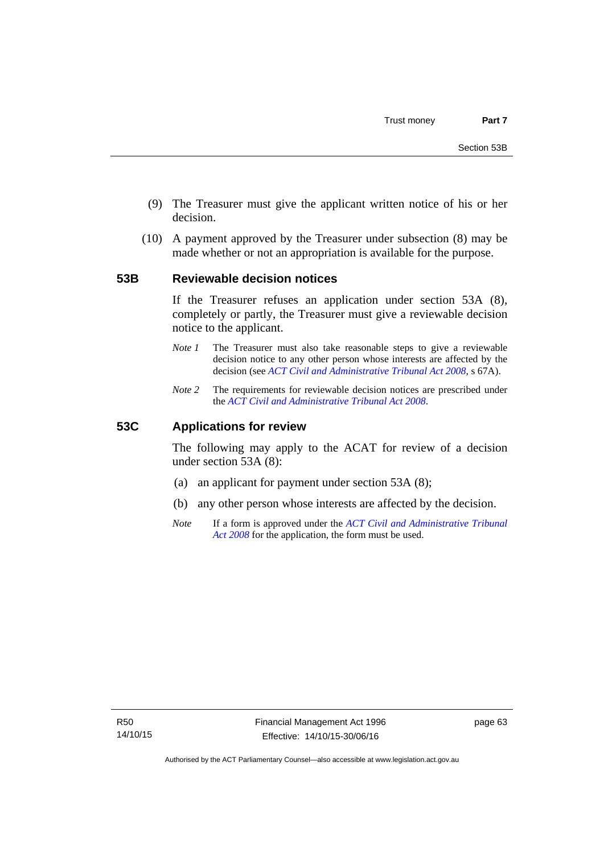- (9) The Treasurer must give the applicant written notice of his or her decision.
- (10) A payment approved by the Treasurer under subsection (8) may be made whether or not an appropriation is available for the purpose.

#### **53B Reviewable decision notices**

If the Treasurer refuses an application under section 53A (8), completely or partly, the Treasurer must give a reviewable decision notice to the applicant.

- *Note 1* The Treasurer must also take reasonable steps to give a reviewable decision notice to any other person whose interests are affected by the decision (see *[ACT Civil and Administrative Tribunal Act 2008](http://www.legislation.act.gov.au/a/2008-35)*, s 67A).
- *Note 2* The requirements for reviewable decision notices are prescribed under the *[ACT Civil and Administrative Tribunal Act 2008](http://www.legislation.act.gov.au/a/2008-35)*.

#### **53C Applications for review**

The following may apply to the ACAT for review of a decision under section 53A (8):

- (a) an applicant for payment under section 53A (8);
- (b) any other person whose interests are affected by the decision.
- *Note* If a form is approved under the *[ACT Civil and Administrative Tribunal](http://www.legislation.act.gov.au/a/2008-35)  [Act 2008](http://www.legislation.act.gov.au/a/2008-35)* for the application, the form must be used.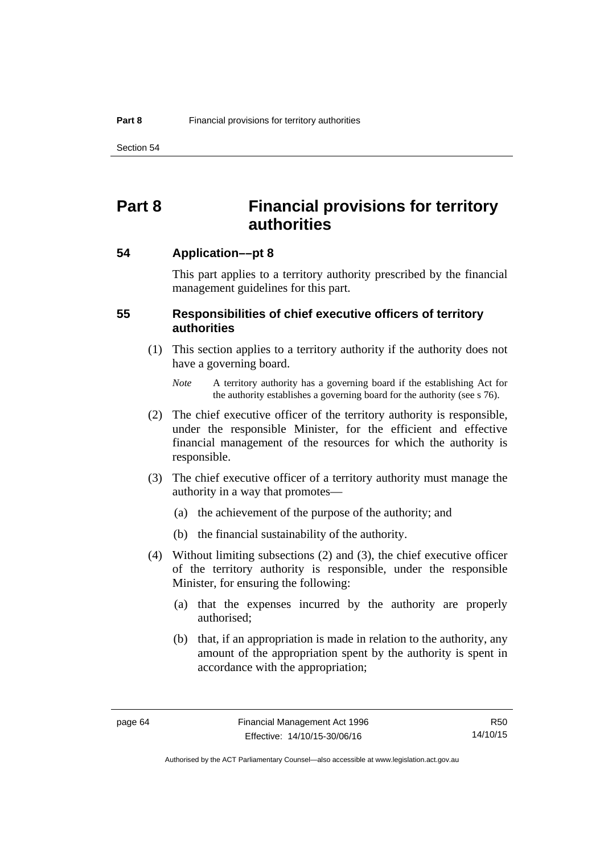Section 54

# **Part 8 Financial provisions for territory authorities**

**54 Application––pt 8** 

This part applies to a territory authority prescribed by the financial management guidelines for this part.

## **55 Responsibilities of chief executive officers of territory authorities**

- (1) This section applies to a territory authority if the authority does not have a governing board.
	- *Note* A territory authority has a governing board if the establishing Act for the authority establishes a governing board for the authority (see s 76).
- (2) The chief executive officer of the territory authority is responsible, under the responsible Minister, for the efficient and effective financial management of the resources for which the authority is responsible.
- (3) The chief executive officer of a territory authority must manage the authority in a way that promotes—
	- (a) the achievement of the purpose of the authority; and
	- (b) the financial sustainability of the authority.
- (4) Without limiting subsections (2) and (3), the chief executive officer of the territory authority is responsible, under the responsible Minister, for ensuring the following:
	- (a) that the expenses incurred by the authority are properly authorised;
	- (b) that, if an appropriation is made in relation to the authority, any amount of the appropriation spent by the authority is spent in accordance with the appropriation;

R50 14/10/15

Authorised by the ACT Parliamentary Counsel—also accessible at www.legislation.act.gov.au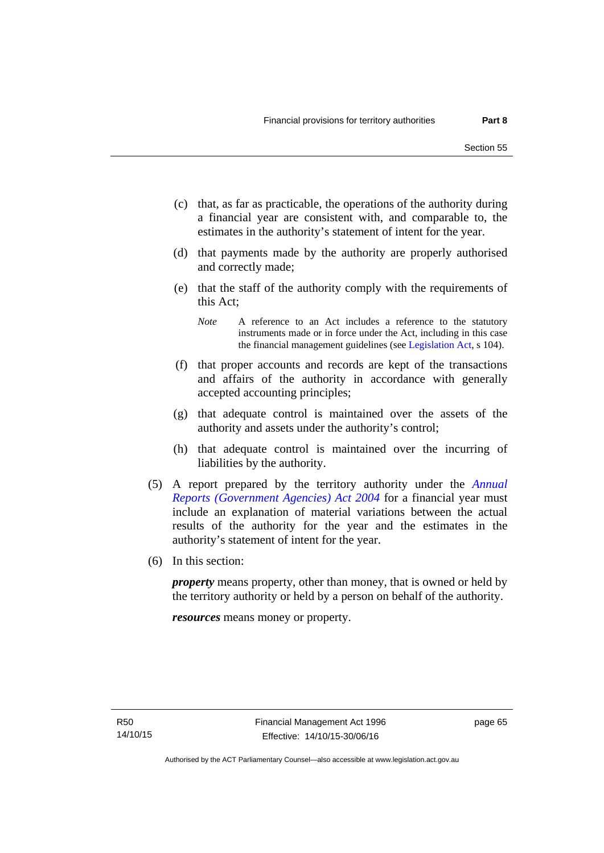- (c) that, as far as practicable, the operations of the authority during a financial year are consistent with, and comparable to, the estimates in the authority's statement of intent for the year.
- (d) that payments made by the authority are properly authorised and correctly made;
- (e) that the staff of the authority comply with the requirements of this Act;
	- *Note* A reference to an Act includes a reference to the statutory instruments made or in force under the Act, including in this case the financial management guidelines (see [Legislation Act,](http://www.legislation.act.gov.au/a/2001-14) s 104).
- (f) that proper accounts and records are kept of the transactions and affairs of the authority in accordance with generally accepted accounting principles;
- (g) that adequate control is maintained over the assets of the authority and assets under the authority's control;
- (h) that adequate control is maintained over the incurring of liabilities by the authority.
- (5) A report prepared by the territory authority under the *[Annual](http://www.legislation.act.gov.au/a/2004-8)  [Reports \(Government Agencies\) Act 2004](http://www.legislation.act.gov.au/a/2004-8)* for a financial year must include an explanation of material variations between the actual results of the authority for the year and the estimates in the authority's statement of intent for the year.
- (6) In this section:

*property* means property, other than money, that is owned or held by the territory authority or held by a person on behalf of the authority.

*resources* means money or property.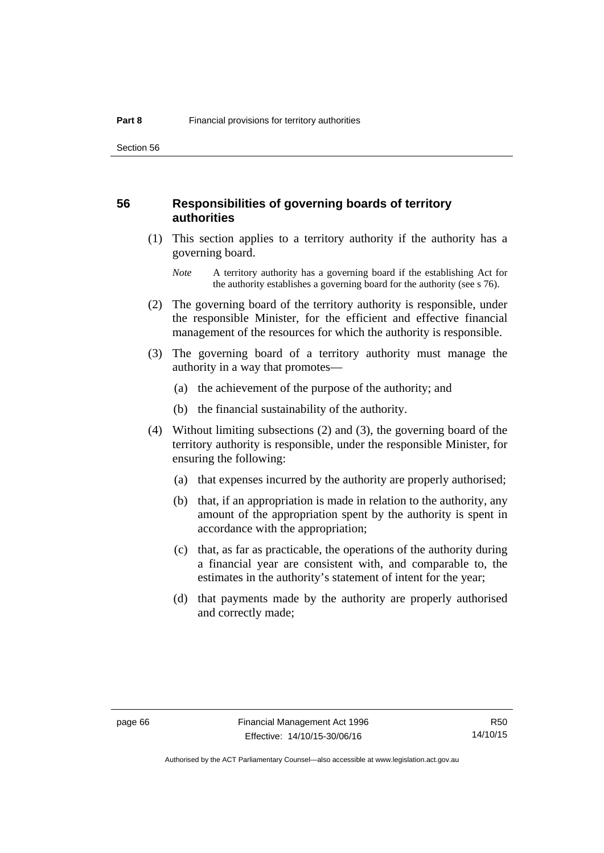#### **56 Responsibilities of governing boards of territory authorities**

 (1) This section applies to a territory authority if the authority has a governing board.

- (2) The governing board of the territory authority is responsible, under the responsible Minister, for the efficient and effective financial management of the resources for which the authority is responsible.
- (3) The governing board of a territory authority must manage the authority in a way that promotes—
	- (a) the achievement of the purpose of the authority; and
	- (b) the financial sustainability of the authority.
- (4) Without limiting subsections (2) and (3), the governing board of the territory authority is responsible, under the responsible Minister, for ensuring the following:
	- (a) that expenses incurred by the authority are properly authorised;
	- (b) that, if an appropriation is made in relation to the authority, any amount of the appropriation spent by the authority is spent in accordance with the appropriation;
	- (c) that, as far as practicable, the operations of the authority during a financial year are consistent with, and comparable to, the estimates in the authority's statement of intent for the year;
	- (d) that payments made by the authority are properly authorised and correctly made;

*Note* A territory authority has a governing board if the establishing Act for the authority establishes a governing board for the authority (see s 76).

R50 14/10/15

Authorised by the ACT Parliamentary Counsel—also accessible at www.legislation.act.gov.au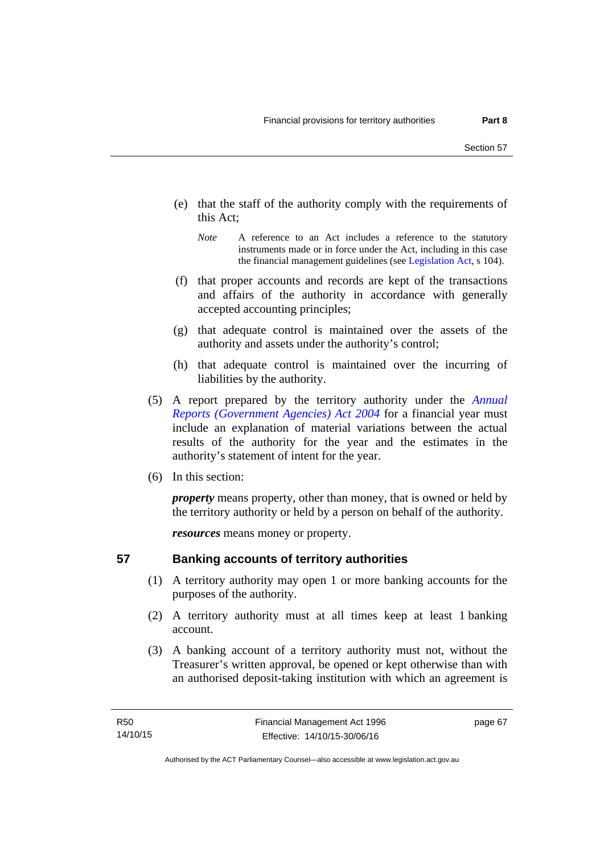- (e) that the staff of the authority comply with the requirements of this Act;
	- *Note* A reference to an Act includes a reference to the statutory instruments made or in force under the Act, including in this case the financial management guidelines (see [Legislation Act,](http://www.legislation.act.gov.au/a/2001-14) s 104).
- (f) that proper accounts and records are kept of the transactions and affairs of the authority in accordance with generally accepted accounting principles;
- (g) that adequate control is maintained over the assets of the authority and assets under the authority's control;
- (h) that adequate control is maintained over the incurring of liabilities by the authority.
- (5) A report prepared by the territory authority under the *[Annual](http://www.legislation.act.gov.au/a/2004-8)  [Reports \(Government Agencies\) Act 2004](http://www.legislation.act.gov.au/a/2004-8)* for a financial year must include an explanation of material variations between the actual results of the authority for the year and the estimates in the authority's statement of intent for the year.
- (6) In this section:

*property* means property, other than money, that is owned or held by the territory authority or held by a person on behalf of the authority.

*resources* means money or property.

# **57 Banking accounts of territory authorities**

- (1) A territory authority may open 1 or more banking accounts for the purposes of the authority.
- (2) A territory authority must at all times keep at least 1 banking account.
- (3) A banking account of a territory authority must not, without the Treasurer's written approval, be opened or kept otherwise than with an authorised deposit-taking institution with which an agreement is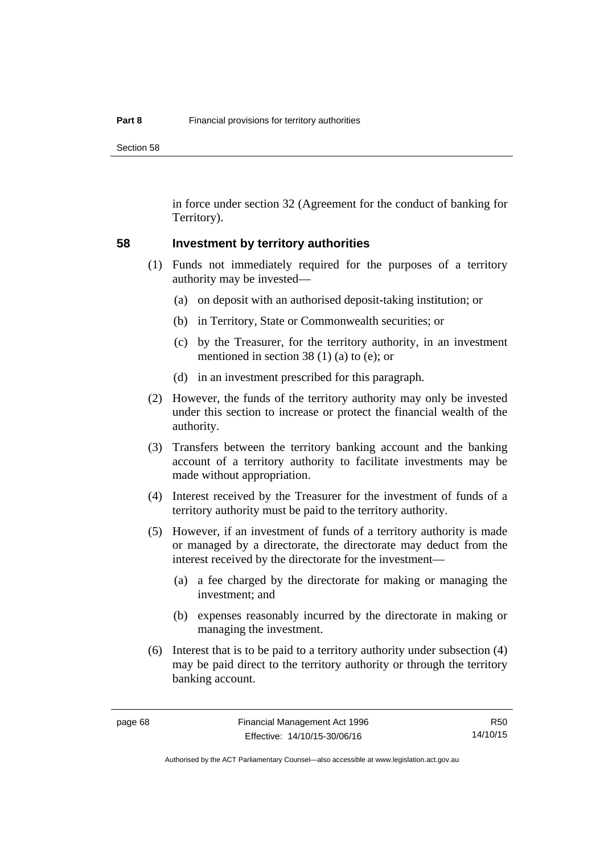Section 58

in force under section 32 (Agreement for the conduct of banking for Territory).

#### **58 Investment by territory authorities**

- (1) Funds not immediately required for the purposes of a territory authority may be invested—
	- (a) on deposit with an authorised deposit-taking institution; or
	- (b) in Territory, State or Commonwealth securities; or
	- (c) by the Treasurer, for the territory authority, in an investment mentioned in section 38 (1) (a) to (e); or
	- (d) in an investment prescribed for this paragraph.
- (2) However, the funds of the territory authority may only be invested under this section to increase or protect the financial wealth of the authority.
- (3) Transfers between the territory banking account and the banking account of a territory authority to facilitate investments may be made without appropriation.
- (4) Interest received by the Treasurer for the investment of funds of a territory authority must be paid to the territory authority.
- (5) However, if an investment of funds of a territory authority is made or managed by a directorate, the directorate may deduct from the interest received by the directorate for the investment—
	- (a) a fee charged by the directorate for making or managing the investment; and
	- (b) expenses reasonably incurred by the directorate in making or managing the investment.
- (6) Interest that is to be paid to a territory authority under subsection (4) may be paid direct to the territory authority or through the territory banking account.

R50 14/10/15

Authorised by the ACT Parliamentary Counsel—also accessible at www.legislation.act.gov.au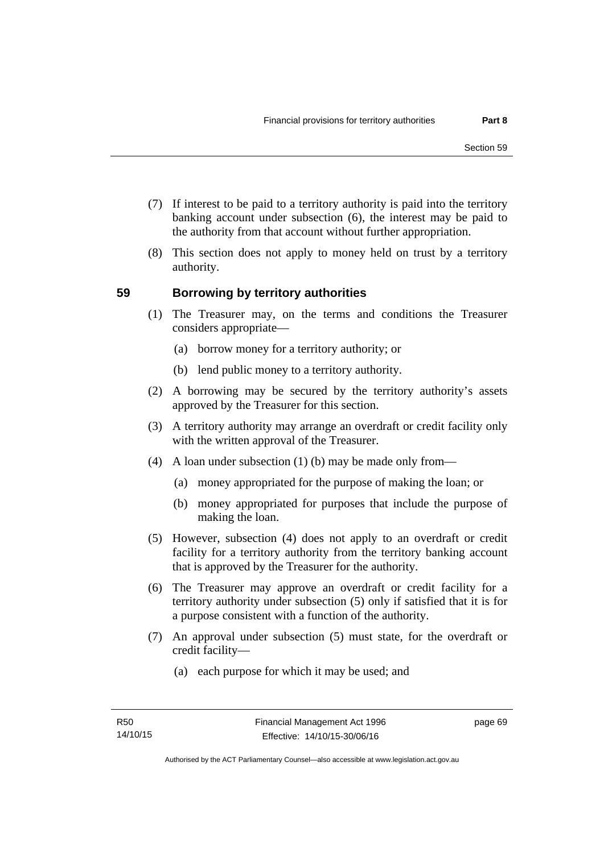- (7) If interest to be paid to a territory authority is paid into the territory banking account under subsection (6), the interest may be paid to the authority from that account without further appropriation.
- (8) This section does not apply to money held on trust by a territory authority.

## **59 Borrowing by territory authorities**

- (1) The Treasurer may, on the terms and conditions the Treasurer considers appropriate—
	- (a) borrow money for a territory authority; or
	- (b) lend public money to a territory authority.
- (2) A borrowing may be secured by the territory authority's assets approved by the Treasurer for this section.
- (3) A territory authority may arrange an overdraft or credit facility only with the written approval of the Treasurer.
- (4) A loan under subsection (1) (b) may be made only from—
	- (a) money appropriated for the purpose of making the loan; or
	- (b) money appropriated for purposes that include the purpose of making the loan.
- (5) However, subsection (4) does not apply to an overdraft or credit facility for a territory authority from the territory banking account that is approved by the Treasurer for the authority.
- (6) The Treasurer may approve an overdraft or credit facility for a territory authority under subsection (5) only if satisfied that it is for a purpose consistent with a function of the authority.
- (7) An approval under subsection (5) must state, for the overdraft or credit facility—
	- (a) each purpose for which it may be used; and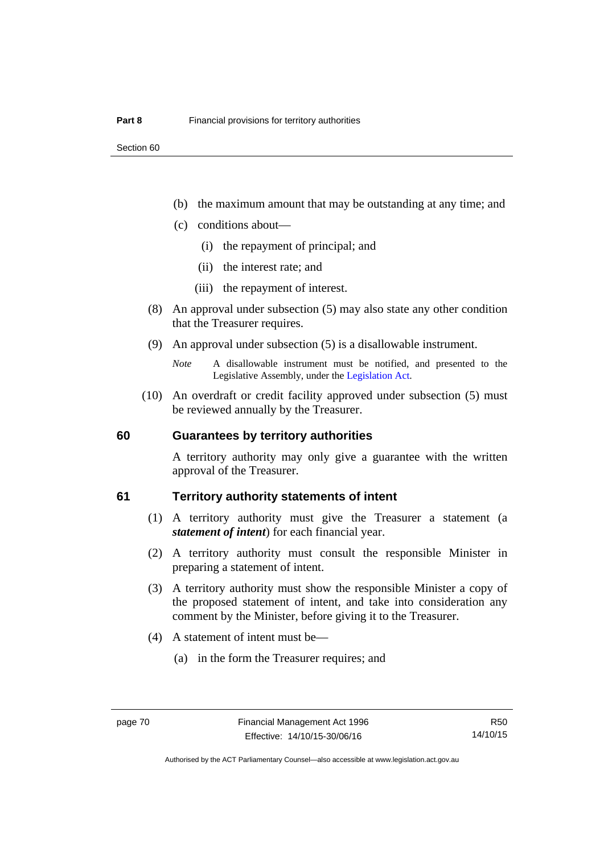- (b) the maximum amount that may be outstanding at any time; and
- (c) conditions about—
	- (i) the repayment of principal; and
	- (ii) the interest rate; and
	- (iii) the repayment of interest.
- (8) An approval under subsection (5) may also state any other condition that the Treasurer requires.
- (9) An approval under subsection (5) is a disallowable instrument.

 (10) An overdraft or credit facility approved under subsection (5) must be reviewed annually by the Treasurer.

#### **60 Guarantees by territory authorities**

A territory authority may only give a guarantee with the written approval of the Treasurer.

#### **61 Territory authority statements of intent**

- (1) A territory authority must give the Treasurer a statement (a *statement of intent*) for each financial year.
- (2) A territory authority must consult the responsible Minister in preparing a statement of intent.
- (3) A territory authority must show the responsible Minister a copy of the proposed statement of intent, and take into consideration any comment by the Minister, before giving it to the Treasurer.
- (4) A statement of intent must be—
	- (a) in the form the Treasurer requires; and

*Note* A disallowable instrument must be notified, and presented to the Legislative Assembly, under the [Legislation Act.](http://www.legislation.act.gov.au/a/2001-14)

Authorised by the ACT Parliamentary Counsel—also accessible at www.legislation.act.gov.au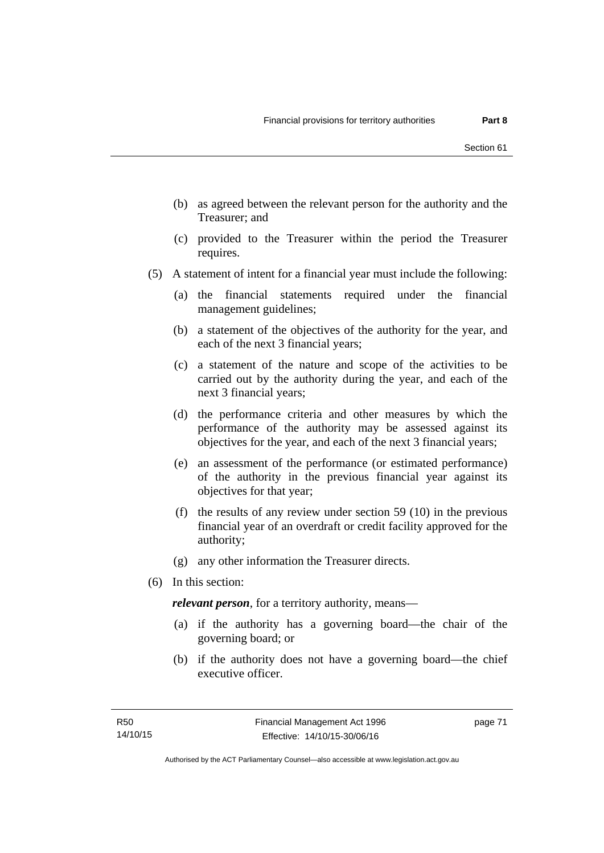- (b) as agreed between the relevant person for the authority and the Treasurer; and
- (c) provided to the Treasurer within the period the Treasurer requires.
- (5) A statement of intent for a financial year must include the following:
	- (a) the financial statements required under the financial management guidelines;
	- (b) a statement of the objectives of the authority for the year, and each of the next 3 financial years;
	- (c) a statement of the nature and scope of the activities to be carried out by the authority during the year, and each of the next 3 financial years;
	- (d) the performance criteria and other measures by which the performance of the authority may be assessed against its objectives for the year, and each of the next 3 financial years;
	- (e) an assessment of the performance (or estimated performance) of the authority in the previous financial year against its objectives for that year;
	- (f) the results of any review under section 59 (10) in the previous financial year of an overdraft or credit facility approved for the authority;
	- (g) any other information the Treasurer directs.
- (6) In this section:

*relevant person*, for a territory authority, means—

- (a) if the authority has a governing board—the chair of the governing board; or
- (b) if the authority does not have a governing board—the chief executive officer.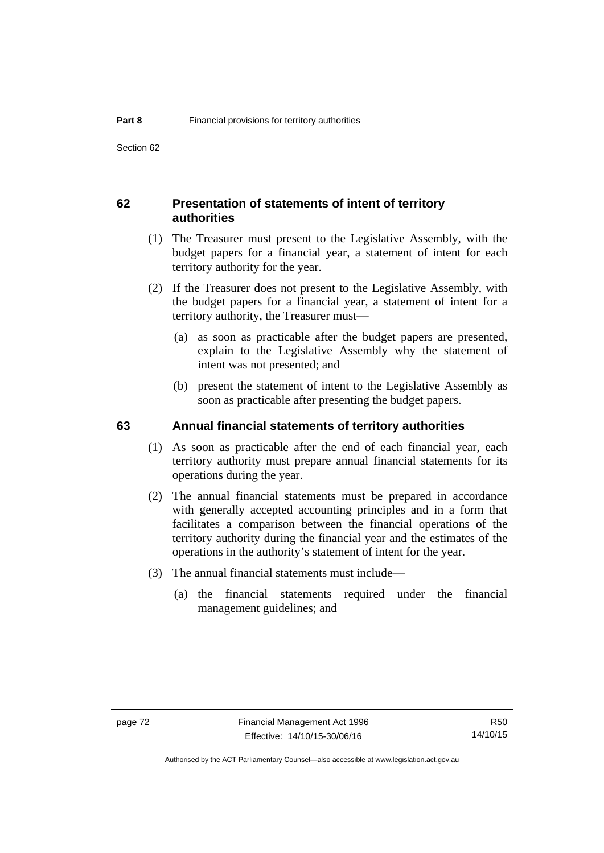## **62 Presentation of statements of intent of territory authorities**

- (1) The Treasurer must present to the Legislative Assembly, with the budget papers for a financial year, a statement of intent for each territory authority for the year.
- (2) If the Treasurer does not present to the Legislative Assembly, with the budget papers for a financial year, a statement of intent for a territory authority, the Treasurer must—
	- (a) as soon as practicable after the budget papers are presented, explain to the Legislative Assembly why the statement of intent was not presented; and
	- (b) present the statement of intent to the Legislative Assembly as soon as practicable after presenting the budget papers.

#### **63 Annual financial statements of territory authorities**

- (1) As soon as practicable after the end of each financial year, each territory authority must prepare annual financial statements for its operations during the year.
- (2) The annual financial statements must be prepared in accordance with generally accepted accounting principles and in a form that facilitates a comparison between the financial operations of the territory authority during the financial year and the estimates of the operations in the authority's statement of intent for the year.
- (3) The annual financial statements must include—
	- (a) the financial statements required under the financial management guidelines; and

Authorised by the ACT Parliamentary Counsel—also accessible at www.legislation.act.gov.au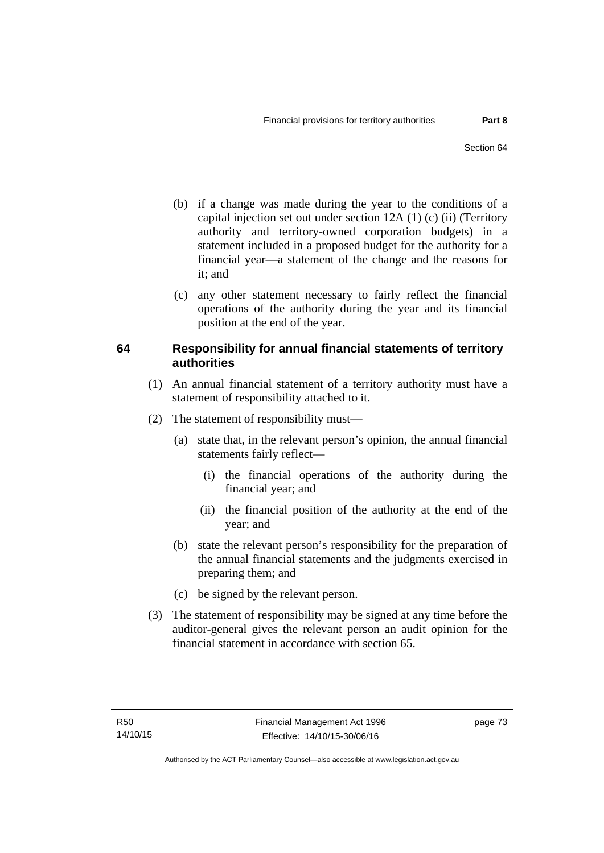- (b) if a change was made during the year to the conditions of a capital injection set out under section 12A (1) (c) (ii) (Territory authority and territory-owned corporation budgets) in a statement included in a proposed budget for the authority for a financial year—a statement of the change and the reasons for it: and
- (c) any other statement necessary to fairly reflect the financial operations of the authority during the year and its financial position at the end of the year.

# **64 Responsibility for annual financial statements of territory authorities**

- (1) An annual financial statement of a territory authority must have a statement of responsibility attached to it.
- (2) The statement of responsibility must—
	- (a) state that, in the relevant person's opinion, the annual financial statements fairly reflect—
		- (i) the financial operations of the authority during the financial year; and
		- (ii) the financial position of the authority at the end of the year; and
	- (b) state the relevant person's responsibility for the preparation of the annual financial statements and the judgments exercised in preparing them; and
	- (c) be signed by the relevant person.
- (3) The statement of responsibility may be signed at any time before the auditor-general gives the relevant person an audit opinion for the financial statement in accordance with section 65.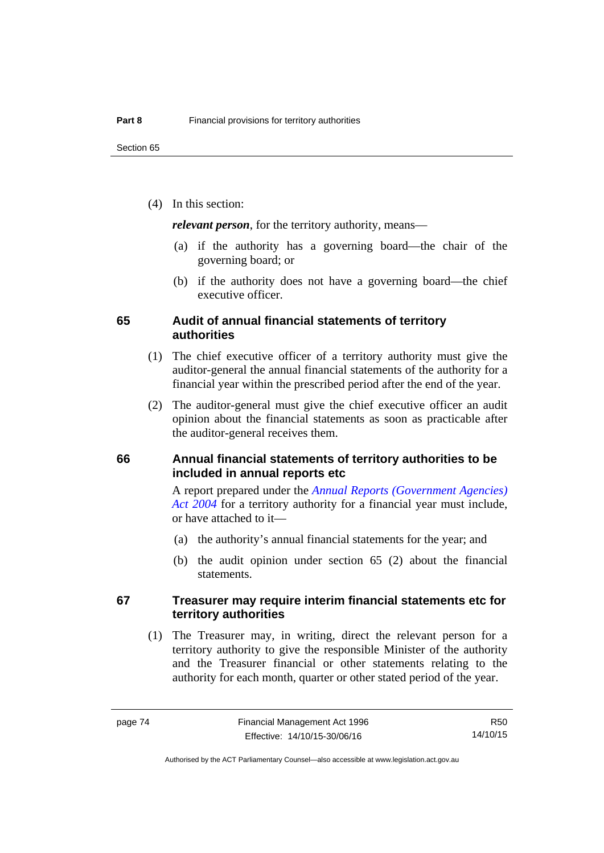(4) In this section:

*relevant person*, for the territory authority, means—

- (a) if the authority has a governing board—the chair of the governing board; or
- (b) if the authority does not have a governing board—the chief executive officer.

#### **65 Audit of annual financial statements of territory authorities**

- (1) The chief executive officer of a territory authority must give the auditor-general the annual financial statements of the authority for a financial year within the prescribed period after the end of the year.
- (2) The auditor-general must give the chief executive officer an audit opinion about the financial statements as soon as practicable after the auditor-general receives them.

### **66 Annual financial statements of territory authorities to be included in annual reports etc**

A report prepared under the *[Annual Reports \(Government Agencies\)](http://www.legislation.act.gov.au/a/2004-8)  [Act 2004](http://www.legislation.act.gov.au/a/2004-8)* for a territory authority for a financial year must include, or have attached to it—

- (a) the authority's annual financial statements for the year; and
- (b) the audit opinion under section 65 (2) about the financial statements.

#### **67 Treasurer may require interim financial statements etc for territory authorities**

 (1) The Treasurer may, in writing, direct the relevant person for a territory authority to give the responsible Minister of the authority and the Treasurer financial or other statements relating to the authority for each month, quarter or other stated period of the year.

Authorised by the ACT Parliamentary Counsel—also accessible at www.legislation.act.gov.au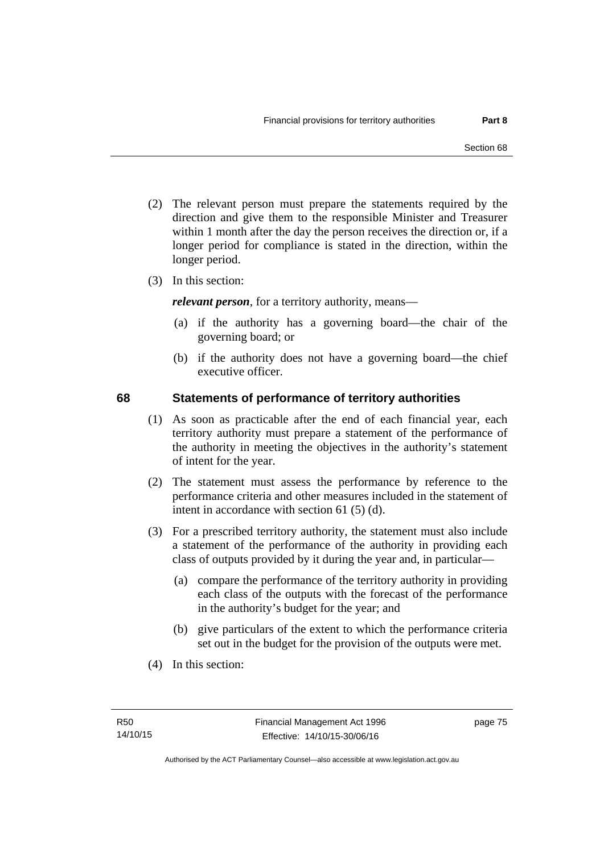- (2) The relevant person must prepare the statements required by the direction and give them to the responsible Minister and Treasurer within 1 month after the day the person receives the direction or, if a longer period for compliance is stated in the direction, within the longer period.
- (3) In this section:

*relevant person*, for a territory authority, means—

- (a) if the authority has a governing board—the chair of the governing board; or
- (b) if the authority does not have a governing board—the chief executive officer.

#### **68 Statements of performance of territory authorities**

- (1) As soon as practicable after the end of each financial year, each territory authority must prepare a statement of the performance of the authority in meeting the objectives in the authority's statement of intent for the year.
- (2) The statement must assess the performance by reference to the performance criteria and other measures included in the statement of intent in accordance with section 61 (5) (d).
- (3) For a prescribed territory authority, the statement must also include a statement of the performance of the authority in providing each class of outputs provided by it during the year and, in particular—
	- (a) compare the performance of the territory authority in providing each class of the outputs with the forecast of the performance in the authority's budget for the year; and
	- (b) give particulars of the extent to which the performance criteria set out in the budget for the provision of the outputs were met.
- (4) In this section: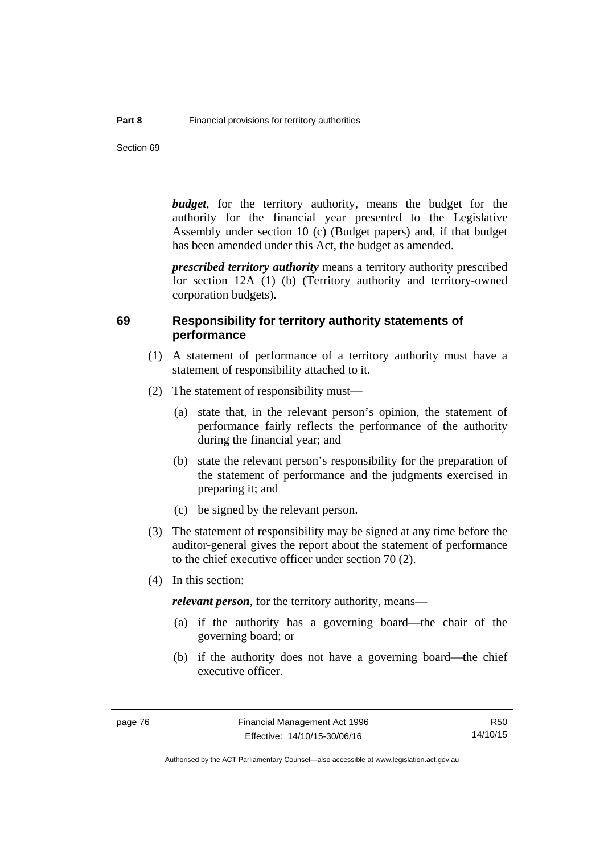Section 69

*budget*, for the territory authority, means the budget for the authority for the financial year presented to the Legislative Assembly under section 10 (c) (Budget papers) and, if that budget has been amended under this Act, the budget as amended.

*prescribed territory authority* means a territory authority prescribed for section 12A (1) (b) (Territory authority and territory-owned corporation budgets).

#### **69 Responsibility for territory authority statements of performance**

- (1) A statement of performance of a territory authority must have a statement of responsibility attached to it.
- (2) The statement of responsibility must—
	- (a) state that, in the relevant person's opinion, the statement of performance fairly reflects the performance of the authority during the financial year; and
	- (b) state the relevant person's responsibility for the preparation of the statement of performance and the judgments exercised in preparing it; and
	- (c) be signed by the relevant person.
- (3) The statement of responsibility may be signed at any time before the auditor-general gives the report about the statement of performance to the chief executive officer under section 70 (2).
- (4) In this section:

*relevant person*, for the territory authority, means—

- (a) if the authority has a governing board—the chair of the governing board; or
- (b) if the authority does not have a governing board—the chief executive officer.

R50 14/10/15

Authorised by the ACT Parliamentary Counsel—also accessible at www.legislation.act.gov.au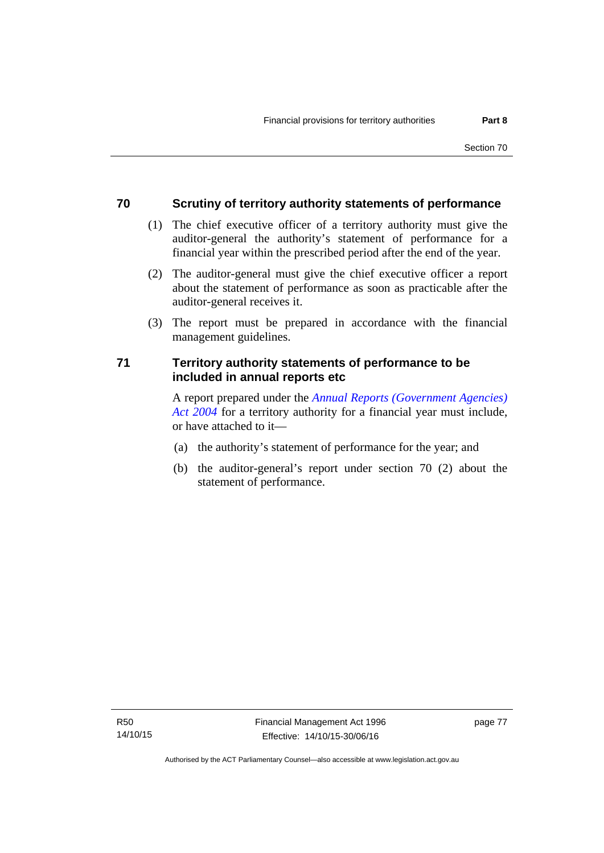# **70 Scrutiny of territory authority statements of performance**

- (1) The chief executive officer of a territory authority must give the auditor-general the authority's statement of performance for a financial year within the prescribed period after the end of the year.
- (2) The auditor-general must give the chief executive officer a report about the statement of performance as soon as practicable after the auditor-general receives it.
- (3) The report must be prepared in accordance with the financial management guidelines.

# **71 Territory authority statements of performance to be included in annual reports etc**

A report prepared under the *[Annual Reports \(Government Agencies\)](http://www.legislation.act.gov.au/a/2004-8)  [Act 2004](http://www.legislation.act.gov.au/a/2004-8)* for a territory authority for a financial year must include, or have attached to it—

- (a) the authority's statement of performance for the year; and
- (b) the auditor-general's report under section 70 (2) about the statement of performance.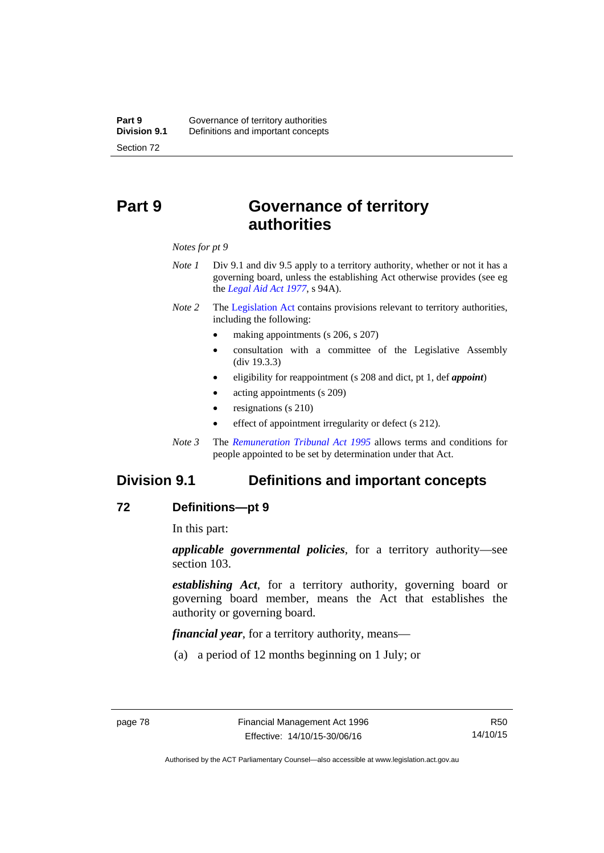# **Part 9 Governance of territory authorities**

*Notes for pt 9* 

- *Note 1* Div 9.1 and div 9.5 apply to a territory authority, whether or not it has a governing board, unless the establishing Act otherwise provides (see eg the *[Legal Aid Act 1977](http://www.legislation.act.gov.au/a/1977-31)*, s 94A).
- *Note 2* The [Legislation Act](http://www.legislation.act.gov.au/a/2001-14) contains provisions relevant to territory authorities, including the following:
	- making appointments (s 206, s 207)
	- consultation with a committee of the Legislative Assembly (div 19.3.3)
	- eligibility for reappointment (s 208 and dict, pt 1, def *appoint*)
	- acting appointments (s 209)
	- resignations (s 210)
	- effect of appointment irregularity or defect (s 212).
- *Note 3* The *[Remuneration Tribunal Act 1995](http://www.legislation.act.gov.au/a/1995-55)* allows terms and conditions for people appointed to be set by determination under that Act.

# **Division 9.1 Definitions and important concepts**

#### **72 Definitions—pt 9**

In this part:

*applicable governmental policies*, for a territory authority—see section 103.

*establishing Act*, for a territory authority, governing board or governing board member, means the Act that establishes the authority or governing board.

*financial year*, for a territory authority, means—

(a) a period of 12 months beginning on 1 July; or

Authorised by the ACT Parliamentary Counsel—also accessible at www.legislation.act.gov.au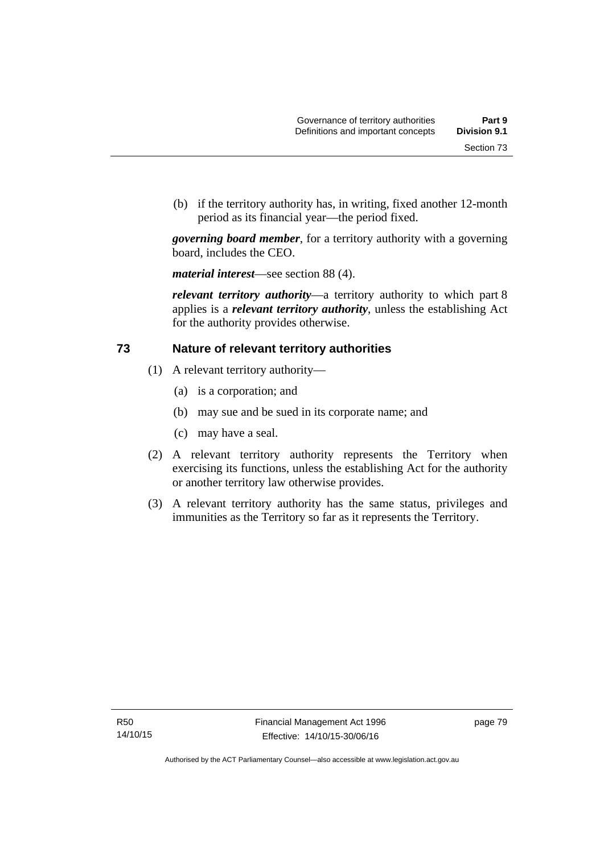Section 73

 (b) if the territory authority has, in writing, fixed another 12-month period as its financial year—the period fixed.

*governing board member*, for a territory authority with a governing board, includes the CEO.

*material interest*—see section 88 (4).

*relevant territory authority*—a territory authority to which part 8 applies is a *relevant territory authority*, unless the establishing Act for the authority provides otherwise.

# **73 Nature of relevant territory authorities**

- (1) A relevant territory authority—
	- (a) is a corporation; and
	- (b) may sue and be sued in its corporate name; and
	- (c) may have a seal.
- (2) A relevant territory authority represents the Territory when exercising its functions, unless the establishing Act for the authority or another territory law otherwise provides.
- (3) A relevant territory authority has the same status, privileges and immunities as the Territory so far as it represents the Territory.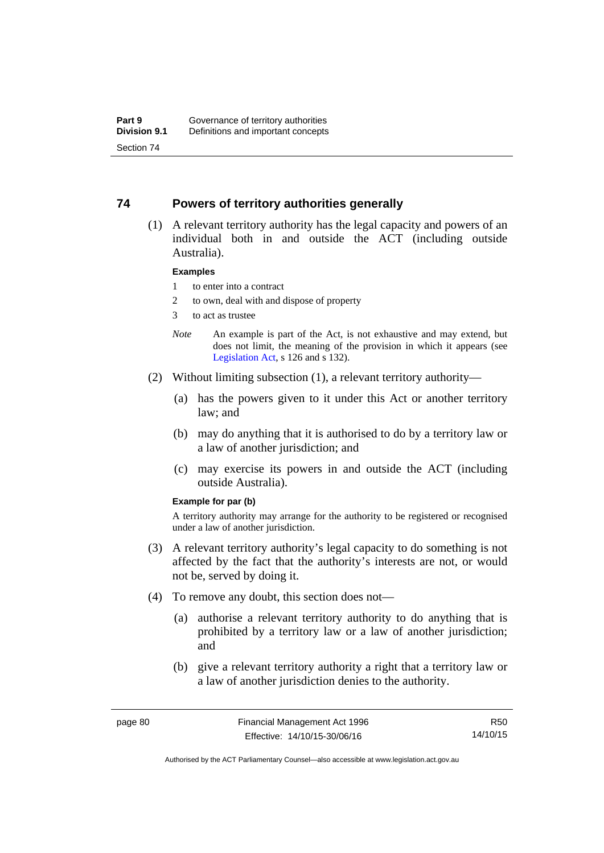### **74 Powers of territory authorities generally**

 (1) A relevant territory authority has the legal capacity and powers of an individual both in and outside the ACT (including outside Australia).

#### **Examples**

- 1 to enter into a contract
- 2 to own, deal with and dispose of property
- 3 to act as trustee
- *Note* An example is part of the Act, is not exhaustive and may extend, but does not limit, the meaning of the provision in which it appears (see [Legislation Act,](http://www.legislation.act.gov.au/a/2001-14) s 126 and s 132).
- (2) Without limiting subsection (1), a relevant territory authority—
	- (a) has the powers given to it under this Act or another territory law; and
	- (b) may do anything that it is authorised to do by a territory law or a law of another jurisdiction; and
	- (c) may exercise its powers in and outside the ACT (including outside Australia).

#### **Example for par (b)**

A territory authority may arrange for the authority to be registered or recognised under a law of another jurisdiction.

- (3) A relevant territory authority's legal capacity to do something is not affected by the fact that the authority's interests are not, or would not be, served by doing it.
- (4) To remove any doubt, this section does not—
	- (a) authorise a relevant territory authority to do anything that is prohibited by a territory law or a law of another jurisdiction; and
	- (b) give a relevant territory authority a right that a territory law or a law of another jurisdiction denies to the authority.

R50 14/10/15

Authorised by the ACT Parliamentary Counsel—also accessible at www.legislation.act.gov.au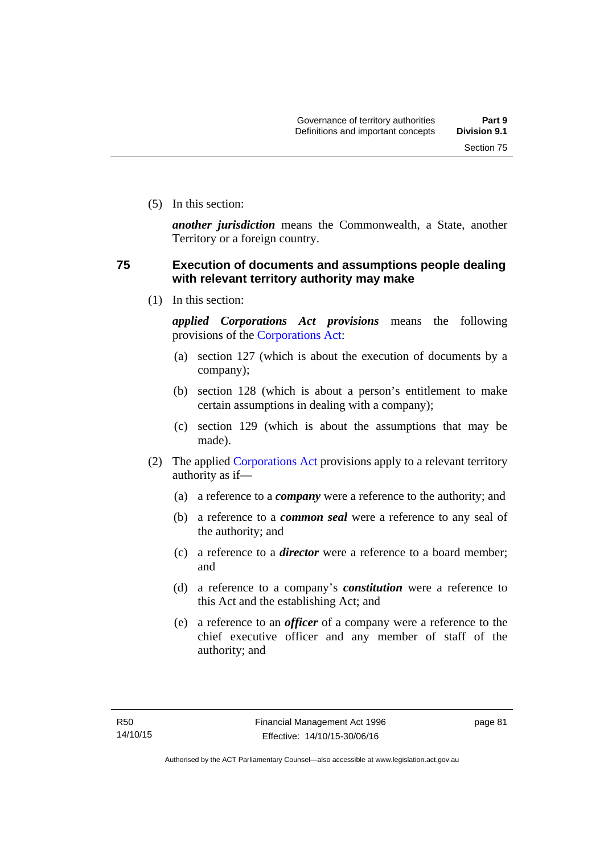(5) In this section:

*another jurisdiction* means the Commonwealth, a State, another Territory or a foreign country.

# **75 Execution of documents and assumptions people dealing with relevant territory authority may make**

(1) In this section:

*applied Corporations Act provisions* means the following provisions of the [Corporations Act:](http://www.comlaw.gov.au/Series/C2004A00818)

- (a) section 127 (which is about the execution of documents by a company);
- (b) section 128 (which is about a person's entitlement to make certain assumptions in dealing with a company);
- (c) section 129 (which is about the assumptions that may be made).
- (2) The applied [Corporations Act](http://www.comlaw.gov.au/Series/C2004A00818) provisions apply to a relevant territory authority as if—
	- (a) a reference to a *company* were a reference to the authority; and
	- (b) a reference to a *common seal* were a reference to any seal of the authority; and
	- (c) a reference to a *director* were a reference to a board member; and
	- (d) a reference to a company's *constitution* were a reference to this Act and the establishing Act; and
	- (e) a reference to an *officer* of a company were a reference to the chief executive officer and any member of staff of the authority; and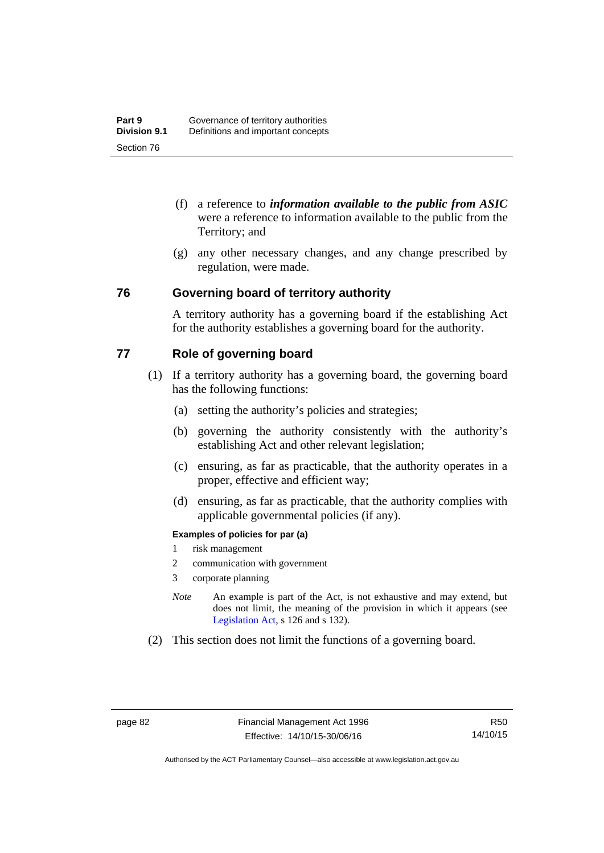- (f) a reference to *information available to the public from ASIC*  were a reference to information available to the public from the Territory; and
- (g) any other necessary changes, and any change prescribed by regulation, were made.

#### **76 Governing board of territory authority**

A territory authority has a governing board if the establishing Act for the authority establishes a governing board for the authority.

## **77 Role of governing board**

- (1) If a territory authority has a governing board, the governing board has the following functions:
	- (a) setting the authority's policies and strategies;
	- (b) governing the authority consistently with the authority's establishing Act and other relevant legislation;
	- (c) ensuring, as far as practicable, that the authority operates in a proper, effective and efficient way;
	- (d) ensuring, as far as practicable, that the authority complies with applicable governmental policies (if any).

#### **Examples of policies for par (a)**

- 1 risk management
- 2 communication with government
- 3 corporate planning
- *Note* An example is part of the Act, is not exhaustive and may extend, but does not limit, the meaning of the provision in which it appears (see [Legislation Act,](http://www.legislation.act.gov.au/a/2001-14) s 126 and s 132).
- (2) This section does not limit the functions of a governing board.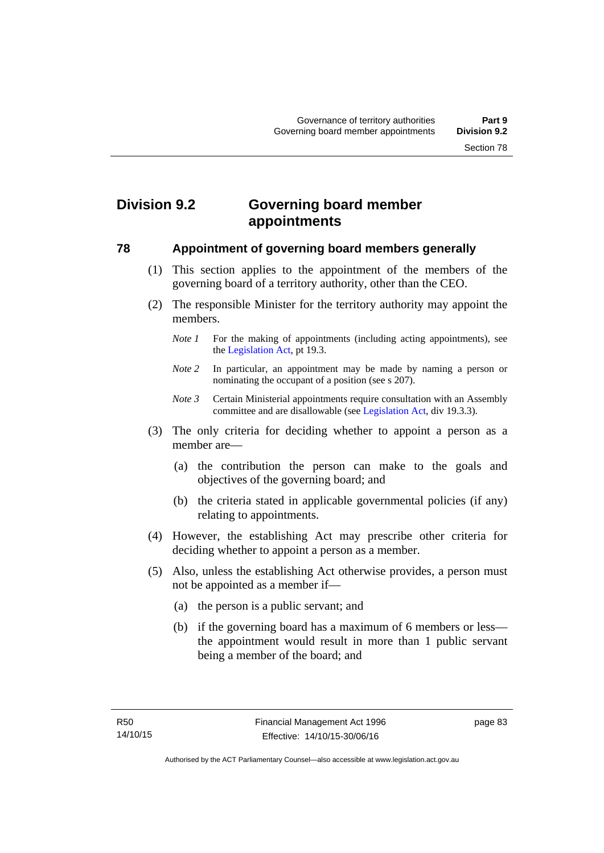# **Division 9.2 Governing board member appointments**

### **78 Appointment of governing board members generally**

- (1) This section applies to the appointment of the members of the governing board of a territory authority, other than the CEO.
- (2) The responsible Minister for the territory authority may appoint the members.
	- *Note 1* For the making of appointments (including acting appointments), see the [Legislation Act,](http://www.legislation.act.gov.au/a/2001-14) pt 19.3.
	- *Note 2* In particular, an appointment may be made by naming a person or nominating the occupant of a position (see s 207).
	- *Note 3* Certain Ministerial appointments require consultation with an Assembly committee and are disallowable (see [Legislation Act,](http://www.legislation.act.gov.au/a/2001-14) div 19.3.3).
- (3) The only criteria for deciding whether to appoint a person as a member are—
	- (a) the contribution the person can make to the goals and objectives of the governing board; and
	- (b) the criteria stated in applicable governmental policies (if any) relating to appointments.
- (4) However, the establishing Act may prescribe other criteria for deciding whether to appoint a person as a member.
- (5) Also, unless the establishing Act otherwise provides, a person must not be appointed as a member if—
	- (a) the person is a public servant; and
	- (b) if the governing board has a maximum of 6 members or less the appointment would result in more than 1 public servant being a member of the board; and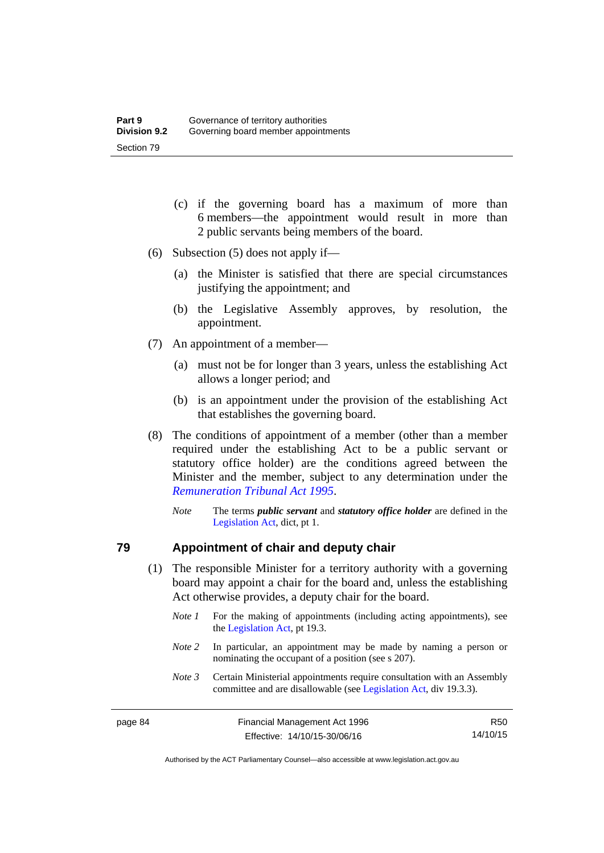- (c) if the governing board has a maximum of more than 6 members—the appointment would result in more than 2 public servants being members of the board.
- (6) Subsection (5) does not apply if—
	- (a) the Minister is satisfied that there are special circumstances justifying the appointment; and
	- (b) the Legislative Assembly approves, by resolution, the appointment.
- (7) An appointment of a member—
	- (a) must not be for longer than 3 years, unless the establishing Act allows a longer period; and
	- (b) is an appointment under the provision of the establishing Act that establishes the governing board.
- (8) The conditions of appointment of a member (other than a member required under the establishing Act to be a public servant or statutory office holder) are the conditions agreed between the Minister and the member, subject to any determination under the *[Remuneration Tribunal Act 1995](http://www.legislation.act.gov.au/a/1995-55)*.
	- *Note* The terms *public servant* and *statutory office holder* are defined in the [Legislation Act,](http://www.legislation.act.gov.au/a/2001-14) dict, pt 1.

#### **79 Appointment of chair and deputy chair**

- (1) The responsible Minister for a territory authority with a governing board may appoint a chair for the board and, unless the establishing Act otherwise provides, a deputy chair for the board.
	- *Note 1* For the making of appointments (including acting appointments), see the [Legislation Act,](http://www.legislation.act.gov.au/a/2001-14) pt 19.3.
	- *Note 2* In particular, an appointment may be made by naming a person or nominating the occupant of a position (see s 207).
	- *Note 3* Certain Ministerial appointments require consultation with an Assembly committee and are disallowable (see [Legislation Act,](http://www.legislation.act.gov.au/a/2001-14) div 19.3.3).

Authorised by the ACT Parliamentary Counsel—also accessible at www.legislation.act.gov.au

R50 14/10/15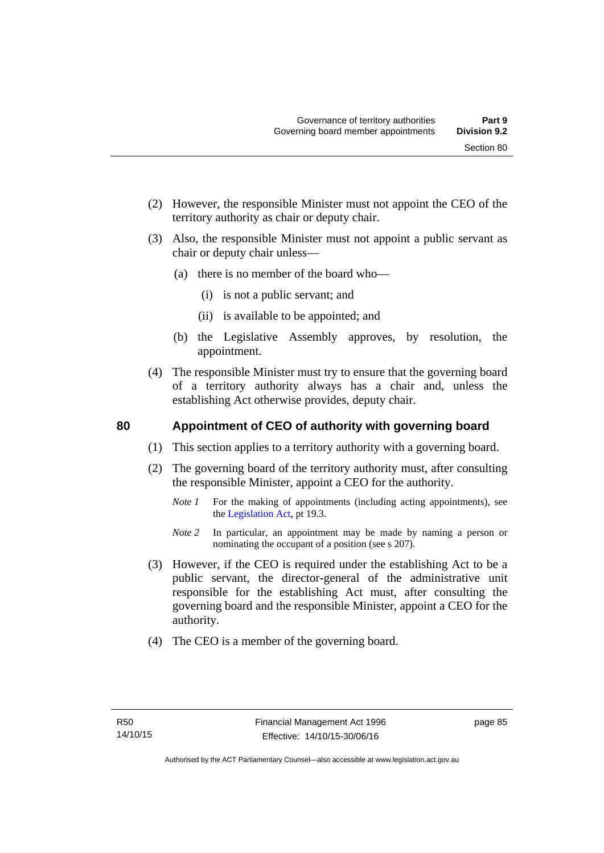- (2) However, the responsible Minister must not appoint the CEO of the territory authority as chair or deputy chair.
- (3) Also, the responsible Minister must not appoint a public servant as chair or deputy chair unless—
	- (a) there is no member of the board who—
		- (i) is not a public servant; and
		- (ii) is available to be appointed; and
	- (b) the Legislative Assembly approves, by resolution, the appointment.
- (4) The responsible Minister must try to ensure that the governing board of a territory authority always has a chair and, unless the establishing Act otherwise provides, deputy chair.

### **80 Appointment of CEO of authority with governing board**

- (1) This section applies to a territory authority with a governing board.
- (2) The governing board of the territory authority must, after consulting the responsible Minister, appoint a CEO for the authority.
	- *Note 1* For the making of appointments (including acting appointments), see the [Legislation Act,](http://www.legislation.act.gov.au/a/2001-14) pt 19.3.
	- *Note* 2 In particular, an appointment may be made by naming a person or nominating the occupant of a position (see s 207).
- (3) However, if the CEO is required under the establishing Act to be a public servant, the director-general of the administrative unit responsible for the establishing Act must, after consulting the governing board and the responsible Minister, appoint a CEO for the authority.
- (4) The CEO is a member of the governing board.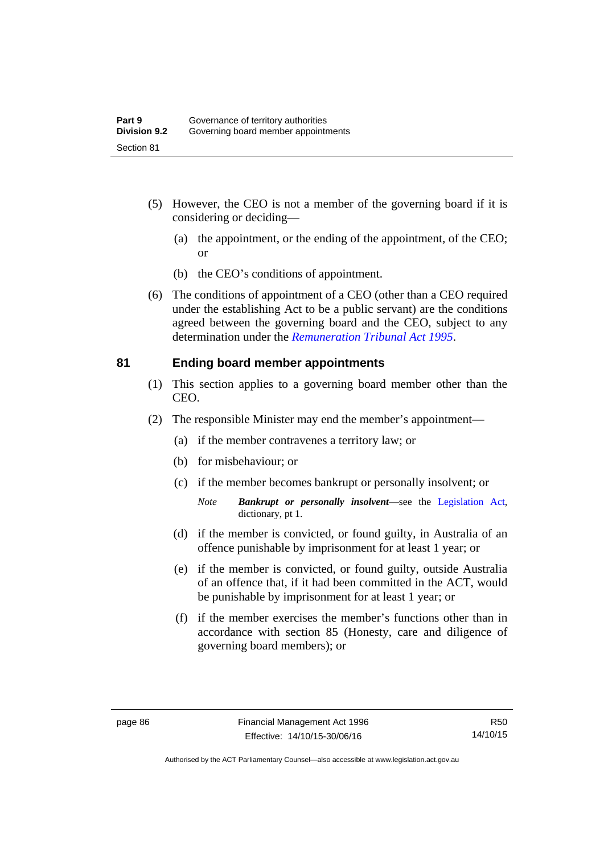- (5) However, the CEO is not a member of the governing board if it is considering or deciding—
	- (a) the appointment, or the ending of the appointment, of the CEO; or
	- (b) the CEO's conditions of appointment.
- (6) The conditions of appointment of a CEO (other than a CEO required under the establishing Act to be a public servant) are the conditions agreed between the governing board and the CEO, subject to any determination under the *[Remuneration Tribunal Act 1995](http://www.legislation.act.gov.au/a/1995-55)*.

#### **81 Ending board member appointments**

- (1) This section applies to a governing board member other than the CEO.
- (2) The responsible Minister may end the member's appointment—
	- (a) if the member contravenes a territory law; or
	- (b) for misbehaviour; or
	- (c) if the member becomes bankrupt or personally insolvent; or
		- *Note Bankrupt or personally insolvent*—see the [Legislation Act,](http://www.legislation.act.gov.au/a/2001-14) dictionary, pt 1.
	- (d) if the member is convicted, or found guilty, in Australia of an offence punishable by imprisonment for at least 1 year; or
	- (e) if the member is convicted, or found guilty, outside Australia of an offence that, if it had been committed in the ACT, would be punishable by imprisonment for at least 1 year; or
	- (f) if the member exercises the member's functions other than in accordance with section 85 (Honesty, care and diligence of governing board members); or

Authorised by the ACT Parliamentary Counsel—also accessible at www.legislation.act.gov.au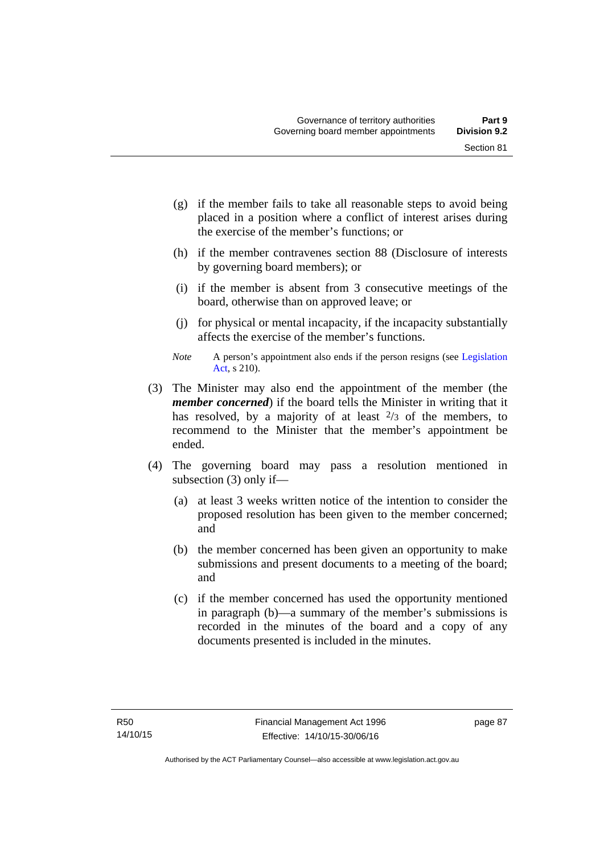- (g) if the member fails to take all reasonable steps to avoid being placed in a position where a conflict of interest arises during the exercise of the member's functions; or
- (h) if the member contravenes section 88 (Disclosure of interests by governing board members); or
- (i) if the member is absent from 3 consecutive meetings of the board, otherwise than on approved leave; or
- (j) for physical or mental incapacity, if the incapacity substantially affects the exercise of the member's functions.
- *Note* A person's appointment also ends if the person resigns (see Legislation [Act](http://www.legislation.act.gov.au/a/2001-14), s 210).
- (3) The Minister may also end the appointment of the member (the *member concerned*) if the board tells the Minister in writing that it has resolved, by a majority of at least  $\frac{2}{3}$  of the members, to recommend to the Minister that the member's appointment be ended.
- (4) The governing board may pass a resolution mentioned in subsection (3) only if—
	- (a) at least 3 weeks written notice of the intention to consider the proposed resolution has been given to the member concerned; and
	- (b) the member concerned has been given an opportunity to make submissions and present documents to a meeting of the board; and
	- (c) if the member concerned has used the opportunity mentioned in paragraph (b)—a summary of the member's submissions is recorded in the minutes of the board and a copy of any documents presented is included in the minutes.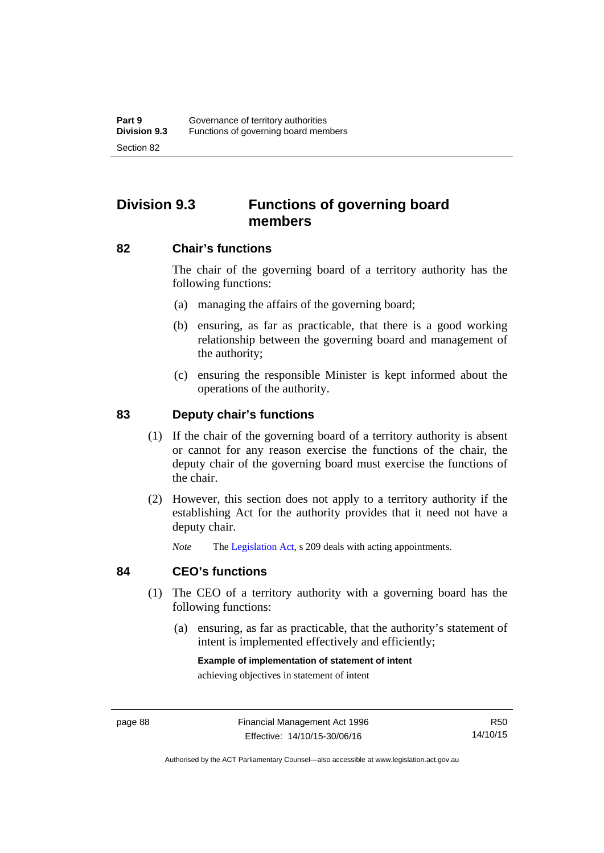# **Division 9.3 Functions of governing board members**

### **82 Chair's functions**

The chair of the governing board of a territory authority has the following functions:

- (a) managing the affairs of the governing board;
- (b) ensuring, as far as practicable, that there is a good working relationship between the governing board and management of the authority;
- (c) ensuring the responsible Minister is kept informed about the operations of the authority.

### **83 Deputy chair's functions**

- (1) If the chair of the governing board of a territory authority is absent or cannot for any reason exercise the functions of the chair, the deputy chair of the governing board must exercise the functions of the chair.
- (2) However, this section does not apply to a territory authority if the establishing Act for the authority provides that it need not have a deputy chair.

*Note* The [Legislation Act,](http://www.legislation.act.gov.au/a/2001-14) s 209 deals with acting appointments.

#### **84 CEO's functions**

- (1) The CEO of a territory authority with a governing board has the following functions:
	- (a) ensuring, as far as practicable, that the authority's statement of intent is implemented effectively and efficiently;

#### **Example of implementation of statement of intent**

achieving objectives in statement of intent

Authorised by the ACT Parliamentary Counsel—also accessible at www.legislation.act.gov.au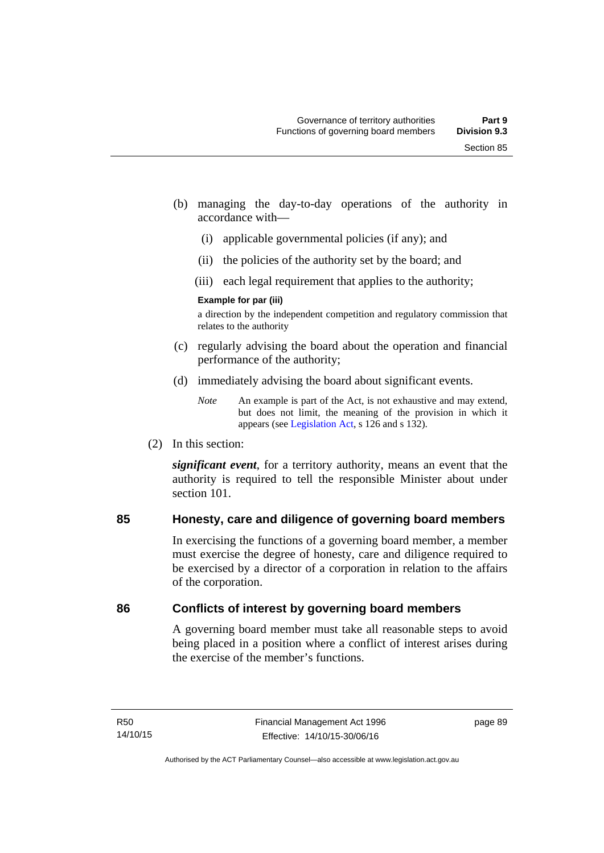- (b) managing the day-to-day operations of the authority in accordance with—
	- (i) applicable governmental policies (if any); and
	- (ii) the policies of the authority set by the board; and
	- (iii) each legal requirement that applies to the authority;

#### **Example for par (iii)**

a direction by the independent competition and regulatory commission that relates to the authority

- (c) regularly advising the board about the operation and financial performance of the authority;
- (d) immediately advising the board about significant events.

(2) In this section:

*significant event*, for a territory authority, means an event that the authority is required to tell the responsible Minister about under section 101

# **85 Honesty, care and diligence of governing board members**

In exercising the functions of a governing board member, a member must exercise the degree of honesty, care and diligence required to be exercised by a director of a corporation in relation to the affairs of the corporation.

# **86 Conflicts of interest by governing board members**

A governing board member must take all reasonable steps to avoid being placed in a position where a conflict of interest arises during the exercise of the member's functions.

*Note* An example is part of the Act, is not exhaustive and may extend, but does not limit, the meaning of the provision in which it appears (see [Legislation Act,](http://www.legislation.act.gov.au/a/2001-14) s 126 and s 132).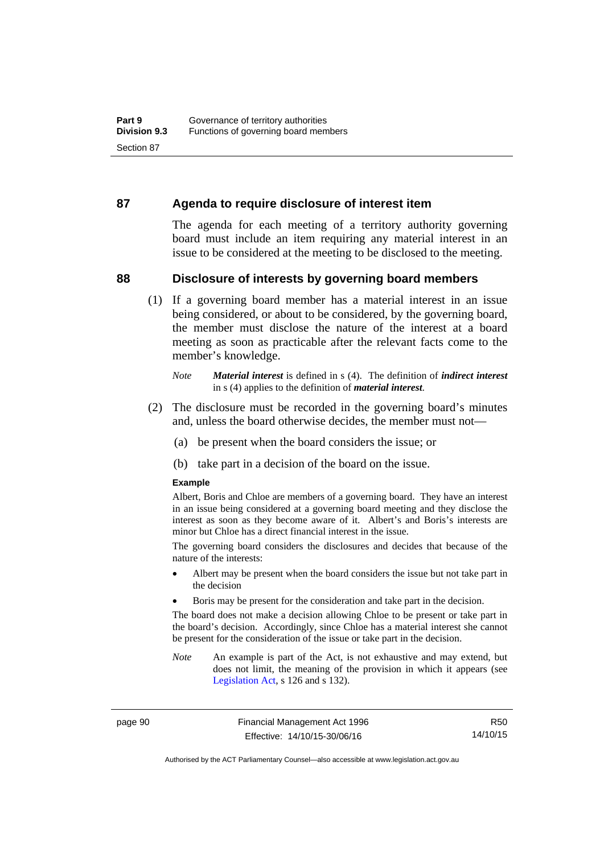#### **87 Agenda to require disclosure of interest item**

The agenda for each meeting of a territory authority governing board must include an item requiring any material interest in an issue to be considered at the meeting to be disclosed to the meeting.

#### **88 Disclosure of interests by governing board members**

(1) If a governing board member has a material interest in an issue being considered, or about to be considered, by the governing board, the member must disclose the nature of the interest at a board meeting as soon as practicable after the relevant facts come to the member's knowledge.

- (2) The disclosure must be recorded in the governing board's minutes and, unless the board otherwise decides, the member must not—
	- (a) be present when the board considers the issue; or
	- (b) take part in a decision of the board on the issue.

#### **Example**

Albert, Boris and Chloe are members of a governing board. They have an interest in an issue being considered at a governing board meeting and they disclose the interest as soon as they become aware of it. Albert's and Boris's interests are minor but Chloe has a direct financial interest in the issue.

The governing board considers the disclosures and decides that because of the nature of the interests:

- Albert may be present when the board considers the issue but not take part in the decision
- Boris may be present for the consideration and take part in the decision.

The board does not make a decision allowing Chloe to be present or take part in the board's decision. Accordingly, since Chloe has a material interest she cannot be present for the consideration of the issue or take part in the decision.

*Note* An example is part of the Act, is not exhaustive and may extend, but does not limit, the meaning of the provision in which it appears (see [Legislation Act,](http://www.legislation.act.gov.au/a/2001-14) s 126 and s 132).

page 90 Financial Management Act 1996 Effective: 14/10/15-30/06/16

R50 14/10/15

Authorised by the ACT Parliamentary Counsel—also accessible at www.legislation.act.gov.au

*Note Material interest* is defined in s (4). The definition of *indirect interest* in s (4) applies to the definition of *material interest*.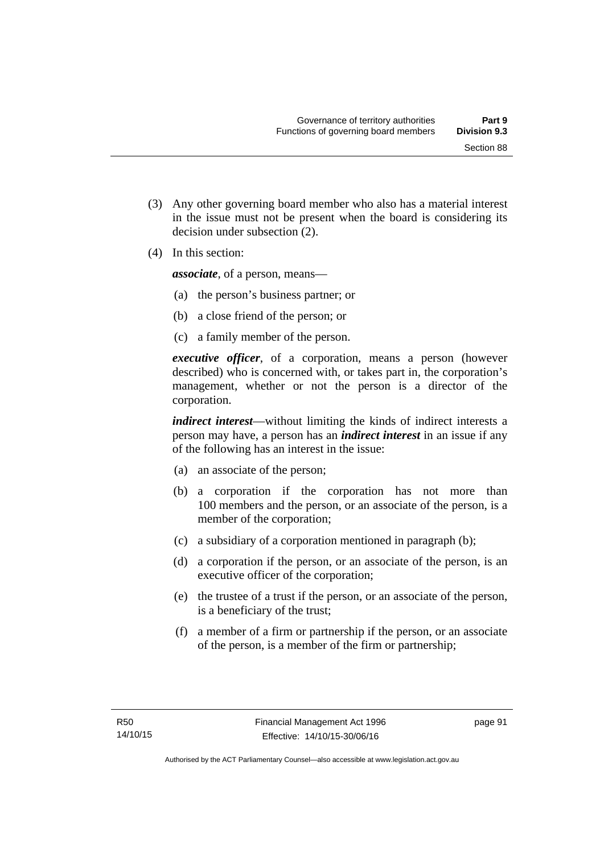(3) Any other governing board member who also has a material interest in the issue must not be present when the board is considering its

(4) In this section:

*associate*, of a person, means—

decision under subsection (2).

- (a) the person's business partner; or
- (b) a close friend of the person; or
- (c) a family member of the person.

*executive officer*, of a corporation, means a person (however described) who is concerned with, or takes part in, the corporation's management, whether or not the person is a director of the corporation.

*indirect interest*—without limiting the kinds of indirect interests a person may have, a person has an *indirect interest* in an issue if any of the following has an interest in the issue:

- (a) an associate of the person;
- (b) a corporation if the corporation has not more than 100 members and the person, or an associate of the person, is a member of the corporation;
- (c) a subsidiary of a corporation mentioned in paragraph (b);
- (d) a corporation if the person, or an associate of the person, is an executive officer of the corporation;
- (e) the trustee of a trust if the person, or an associate of the person, is a beneficiary of the trust;
- (f) a member of a firm or partnership if the person, or an associate of the person, is a member of the firm or partnership;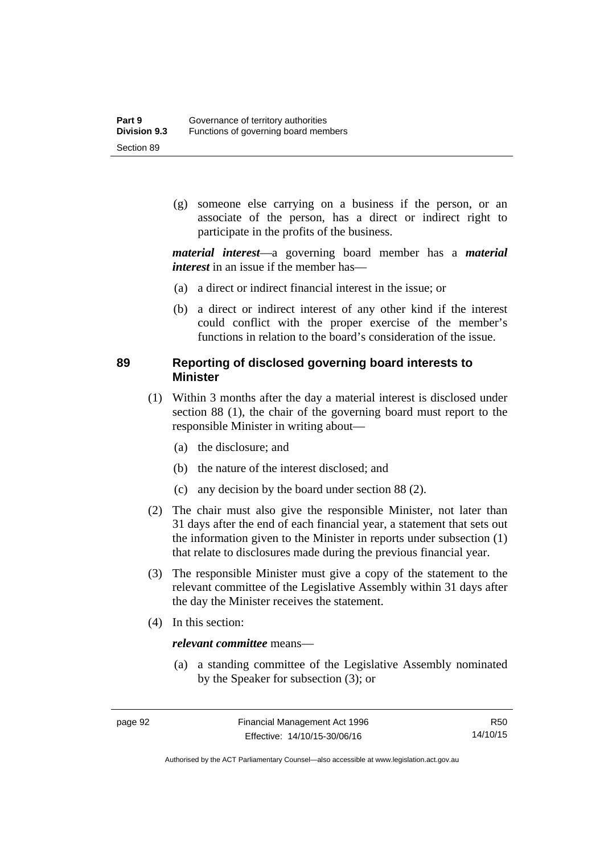(g) someone else carrying on a business if the person, or an associate of the person, has a direct or indirect right to participate in the profits of the business.

*material interest*—a governing board member has a *material interest* in an issue if the member has—

- (a) a direct or indirect financial interest in the issue; or
- (b) a direct or indirect interest of any other kind if the interest could conflict with the proper exercise of the member's functions in relation to the board's consideration of the issue.

# **89 Reporting of disclosed governing board interests to Minister**

- (1) Within 3 months after the day a material interest is disclosed under section 88 (1), the chair of the governing board must report to the responsible Minister in writing about—
	- (a) the disclosure; and
	- (b) the nature of the interest disclosed; and
	- (c) any decision by the board under section 88 (2).
- (2) The chair must also give the responsible Minister, not later than 31 days after the end of each financial year, a statement that sets out the information given to the Minister in reports under subsection (1) that relate to disclosures made during the previous financial year.
- (3) The responsible Minister must give a copy of the statement to the relevant committee of the Legislative Assembly within 31 days after the day the Minister receives the statement.
- (4) In this section:

#### *relevant committee* means—

 (a) a standing committee of the Legislative Assembly nominated by the Speaker for subsection (3); or

Authorised by the ACT Parliamentary Counsel—also accessible at www.legislation.act.gov.au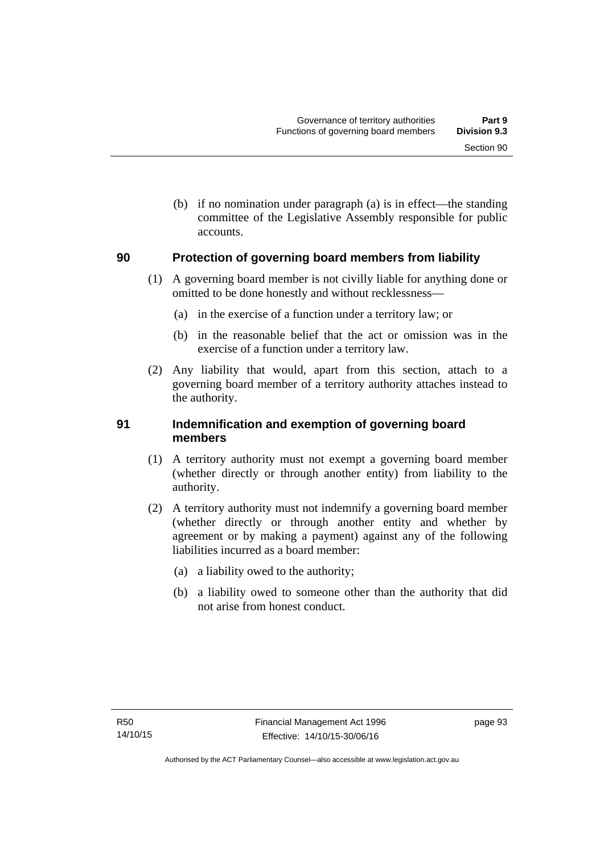(b) if no nomination under paragraph (a) is in effect—the standing committee of the Legislative Assembly responsible for public accounts.

## **90 Protection of governing board members from liability**

- (1) A governing board member is not civilly liable for anything done or omitted to be done honestly and without recklessness—
	- (a) in the exercise of a function under a territory law; or
	- (b) in the reasonable belief that the act or omission was in the exercise of a function under a territory law.
- (2) Any liability that would, apart from this section, attach to a governing board member of a territory authority attaches instead to the authority.

## **91 Indemnification and exemption of governing board members**

- (1) A territory authority must not exempt a governing board member (whether directly or through another entity) from liability to the authority.
- (2) A territory authority must not indemnify a governing board member (whether directly or through another entity and whether by agreement or by making a payment) against any of the following liabilities incurred as a board member:
	- (a) a liability owed to the authority;
	- (b) a liability owed to someone other than the authority that did not arise from honest conduct.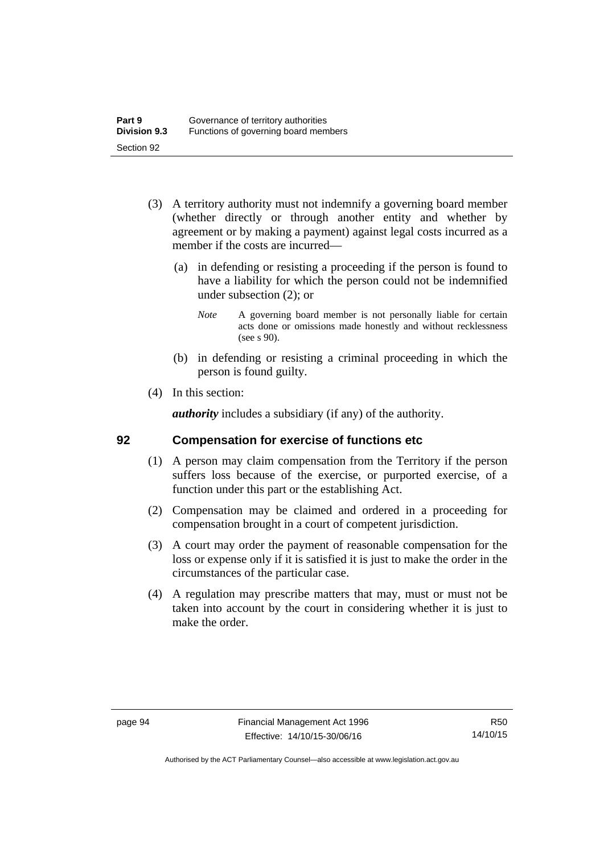- (3) A territory authority must not indemnify a governing board member (whether directly or through another entity and whether by agreement or by making a payment) against legal costs incurred as a member if the costs are incurred—
	- (a) in defending or resisting a proceeding if the person is found to have a liability for which the person could not be indemnified under subsection (2); or
		- *Note* A governing board member is not personally liable for certain acts done or omissions made honestly and without recklessness (see s 90).
	- (b) in defending or resisting a criminal proceeding in which the person is found guilty.
- (4) In this section:

*authority* includes a subsidiary (if any) of the authority.

#### **92 Compensation for exercise of functions etc**

- (1) A person may claim compensation from the Territory if the person suffers loss because of the exercise, or purported exercise, of a function under this part or the establishing Act.
- (2) Compensation may be claimed and ordered in a proceeding for compensation brought in a court of competent jurisdiction.
- (3) A court may order the payment of reasonable compensation for the loss or expense only if it is satisfied it is just to make the order in the circumstances of the particular case.
- (4) A regulation may prescribe matters that may, must or must not be taken into account by the court in considering whether it is just to make the order.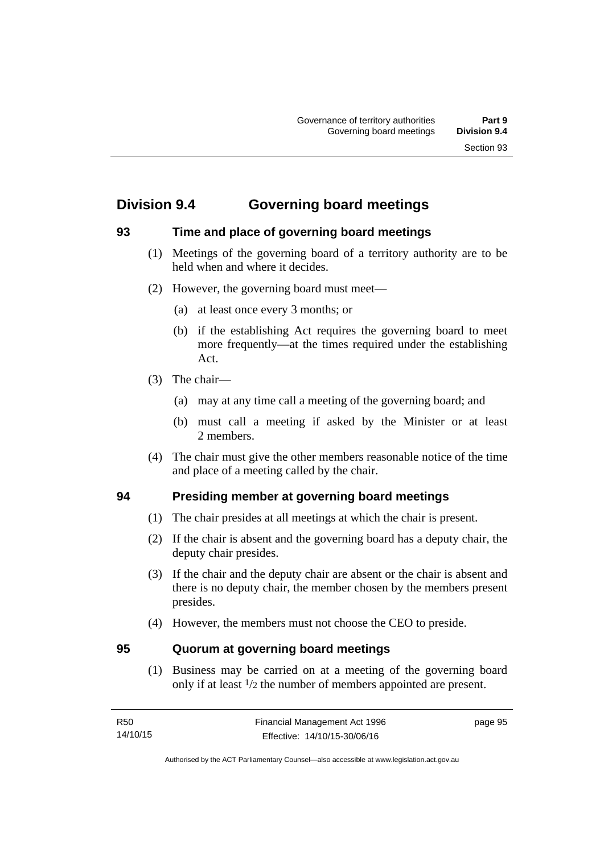# **Division 9.4 Governing board meetings**

# **93 Time and place of governing board meetings**

- (1) Meetings of the governing board of a territory authority are to be held when and where it decides.
- (2) However, the governing board must meet—
	- (a) at least once every 3 months; or
	- (b) if the establishing Act requires the governing board to meet more frequently—at the times required under the establishing Act.
- (3) The chair—
	- (a) may at any time call a meeting of the governing board; and
	- (b) must call a meeting if asked by the Minister or at least 2 members.
- (4) The chair must give the other members reasonable notice of the time and place of a meeting called by the chair.

# **94 Presiding member at governing board meetings**

- (1) The chair presides at all meetings at which the chair is present.
- (2) If the chair is absent and the governing board has a deputy chair, the deputy chair presides.
- (3) If the chair and the deputy chair are absent or the chair is absent and there is no deputy chair, the member chosen by the members present presides.
- (4) However, the members must not choose the CEO to preside.

# **95 Quorum at governing board meetings**

(1) Business may be carried on at a meeting of the governing board only if at least 1/2 the number of members appointed are present.

page 95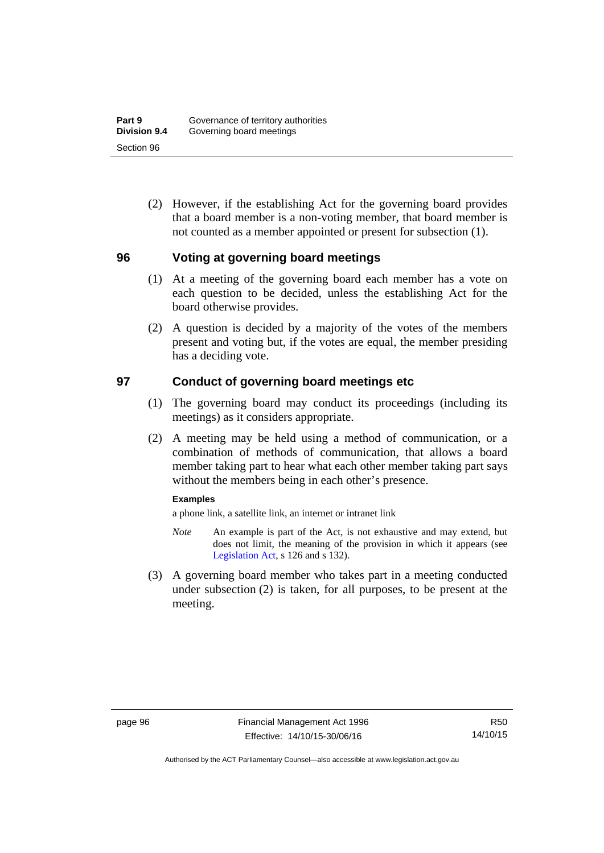(2) However, if the establishing Act for the governing board provides that a board member is a non-voting member, that board member is not counted as a member appointed or present for subsection (1).

#### **96 Voting at governing board meetings**

- (1) At a meeting of the governing board each member has a vote on each question to be decided, unless the establishing Act for the board otherwise provides.
- (2) A question is decided by a majority of the votes of the members present and voting but, if the votes are equal, the member presiding has a deciding vote.

#### **97 Conduct of governing board meetings etc**

- (1) The governing board may conduct its proceedings (including its meetings) as it considers appropriate.
- (2) A meeting may be held using a method of communication, or a combination of methods of communication, that allows a board member taking part to hear what each other member taking part says without the members being in each other's presence.

#### **Examples**

a phone link, a satellite link, an internet or intranet link

- *Note* An example is part of the Act, is not exhaustive and may extend, but does not limit, the meaning of the provision in which it appears (see [Legislation Act,](http://www.legislation.act.gov.au/a/2001-14) s 126 and s 132).
- (3) A governing board member who takes part in a meeting conducted under subsection (2) is taken, for all purposes, to be present at the meeting.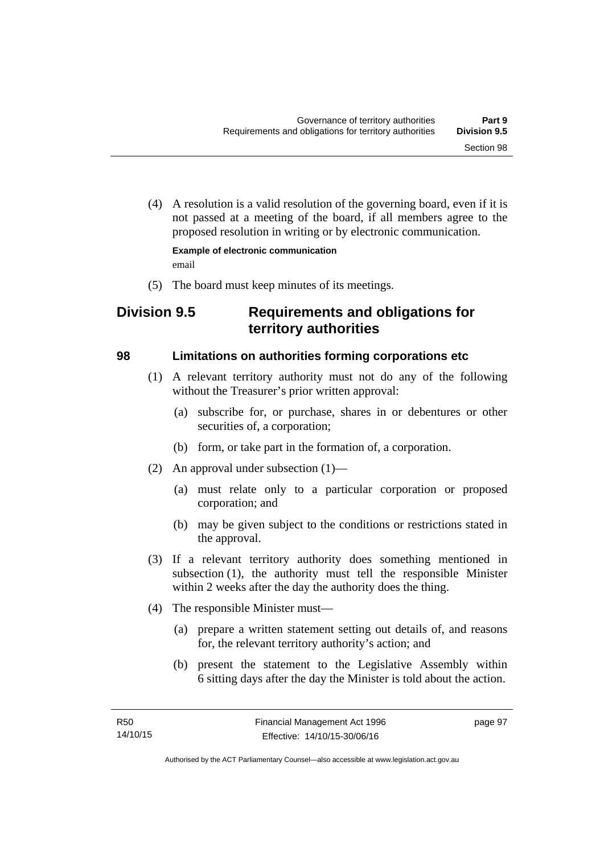(4) A resolution is a valid resolution of the governing board, even if it is not passed at a meeting of the board, if all members agree to the proposed resolution in writing or by electronic communication.

**Example of electronic communication**  email

(5) The board must keep minutes of its meetings.

# **Division 9.5 Requirements and obligations for territory authorities**

## **98 Limitations on authorities forming corporations etc**

- (1) A relevant territory authority must not do any of the following without the Treasurer's prior written approval:
	- (a) subscribe for, or purchase, shares in or debentures or other securities of, a corporation;
	- (b) form, or take part in the formation of, a corporation.
- (2) An approval under subsection (1)—
	- (a) must relate only to a particular corporation or proposed corporation; and
	- (b) may be given subject to the conditions or restrictions stated in the approval.
- (3) If a relevant territory authority does something mentioned in subsection (1), the authority must tell the responsible Minister within 2 weeks after the day the authority does the thing.
- (4) The responsible Minister must—
	- (a) prepare a written statement setting out details of, and reasons for, the relevant territory authority's action; and
	- (b) present the statement to the Legislative Assembly within 6 sitting days after the day the Minister is told about the action.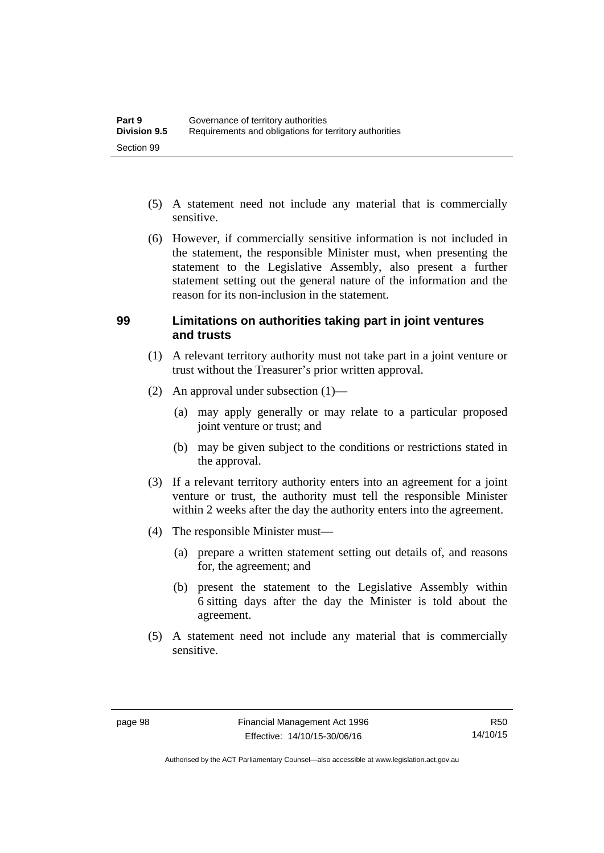- (5) A statement need not include any material that is commercially sensitive.
- (6) However, if commercially sensitive information is not included in the statement, the responsible Minister must, when presenting the statement to the Legislative Assembly, also present a further statement setting out the general nature of the information and the reason for its non-inclusion in the statement.

#### **99 Limitations on authorities taking part in joint ventures and trusts**

- (1) A relevant territory authority must not take part in a joint venture or trust without the Treasurer's prior written approval.
- (2) An approval under subsection (1)—
	- (a) may apply generally or may relate to a particular proposed joint venture or trust; and
	- (b) may be given subject to the conditions or restrictions stated in the approval.
- (3) If a relevant territory authority enters into an agreement for a joint venture or trust, the authority must tell the responsible Minister within 2 weeks after the day the authority enters into the agreement.
- (4) The responsible Minister must—
	- (a) prepare a written statement setting out details of, and reasons for, the agreement; and
	- (b) present the statement to the Legislative Assembly within 6 sitting days after the day the Minister is told about the agreement.
- (5) A statement need not include any material that is commercially sensitive.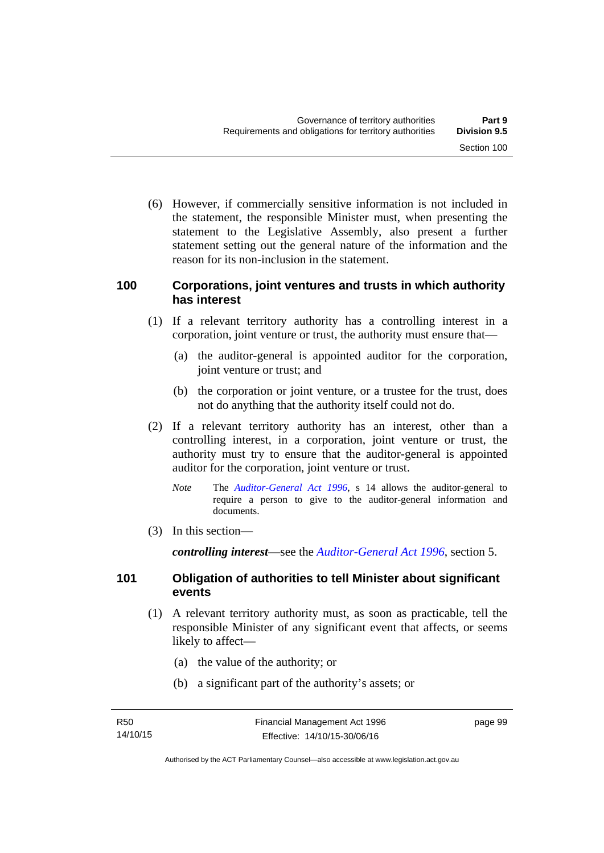(6) However, if commercially sensitive information is not included in the statement, the responsible Minister must, when presenting the statement to the Legislative Assembly, also present a further statement setting out the general nature of the information and the reason for its non-inclusion in the statement.

#### **100 Corporations, joint ventures and trusts in which authority has interest**

- (1) If a relevant territory authority has a controlling interest in a corporation, joint venture or trust, the authority must ensure that—
	- (a) the auditor-general is appointed auditor for the corporation, joint venture or trust; and
	- (b) the corporation or joint venture, or a trustee for the trust, does not do anything that the authority itself could not do.
- (2) If a relevant territory authority has an interest, other than a controlling interest, in a corporation, joint venture or trust, the authority must try to ensure that the auditor-general is appointed auditor for the corporation, joint venture or trust.
	- *Note* The *[Auditor-General Act 1996](http://www.legislation.act.gov.au/a/1996-23)*, s 14 allows the auditor-general to require a person to give to the auditor-general information and documents.
- (3) In this section—

*controlling interest*—see the *[Auditor-General Act 1996](http://www.legislation.act.gov.au/a/1996-23)*, section 5.

## **101 Obligation of authorities to tell Minister about significant events**

- (1) A relevant territory authority must, as soon as practicable, tell the responsible Minister of any significant event that affects, or seems likely to affect—
	- (a) the value of the authority; or
	- (b) a significant part of the authority's assets; or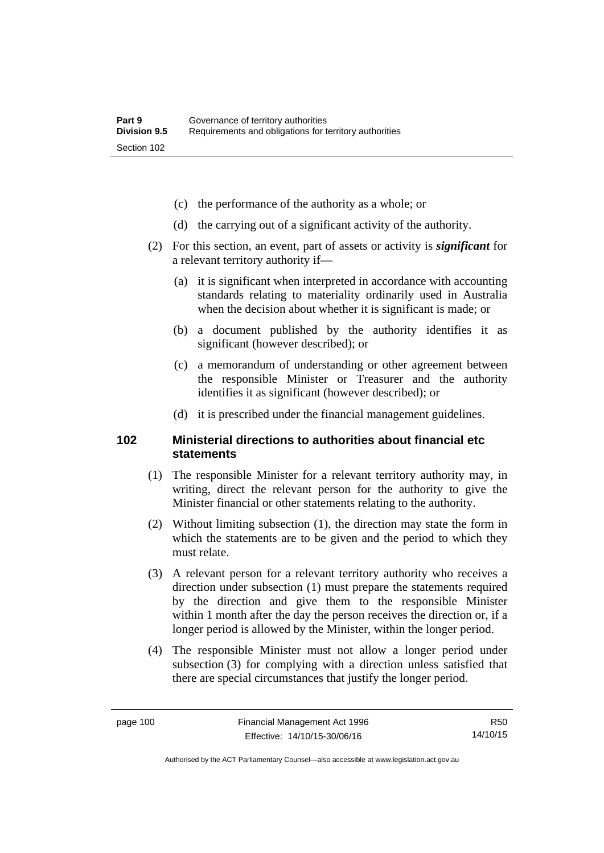- (c) the performance of the authority as a whole; or
- (d) the carrying out of a significant activity of the authority.
- (2) For this section, an event, part of assets or activity is *significant* for a relevant territory authority if—
	- (a) it is significant when interpreted in accordance with accounting standards relating to materiality ordinarily used in Australia when the decision about whether it is significant is made; or
	- (b) a document published by the authority identifies it as significant (however described); or
	- (c) a memorandum of understanding or other agreement between the responsible Minister or Treasurer and the authority identifies it as significant (however described); or
	- (d) it is prescribed under the financial management guidelines.

#### **102 Ministerial directions to authorities about financial etc statements**

- (1) The responsible Minister for a relevant territory authority may, in writing, direct the relevant person for the authority to give the Minister financial or other statements relating to the authority.
- (2) Without limiting subsection (1), the direction may state the form in which the statements are to be given and the period to which they must relate.
- (3) A relevant person for a relevant territory authority who receives a direction under subsection (1) must prepare the statements required by the direction and give them to the responsible Minister within 1 month after the day the person receives the direction or, if a longer period is allowed by the Minister, within the longer period.
- (4) The responsible Minister must not allow a longer period under subsection (3) for complying with a direction unless satisfied that there are special circumstances that justify the longer period.

R50 14/10/15

Authorised by the ACT Parliamentary Counsel—also accessible at www.legislation.act.gov.au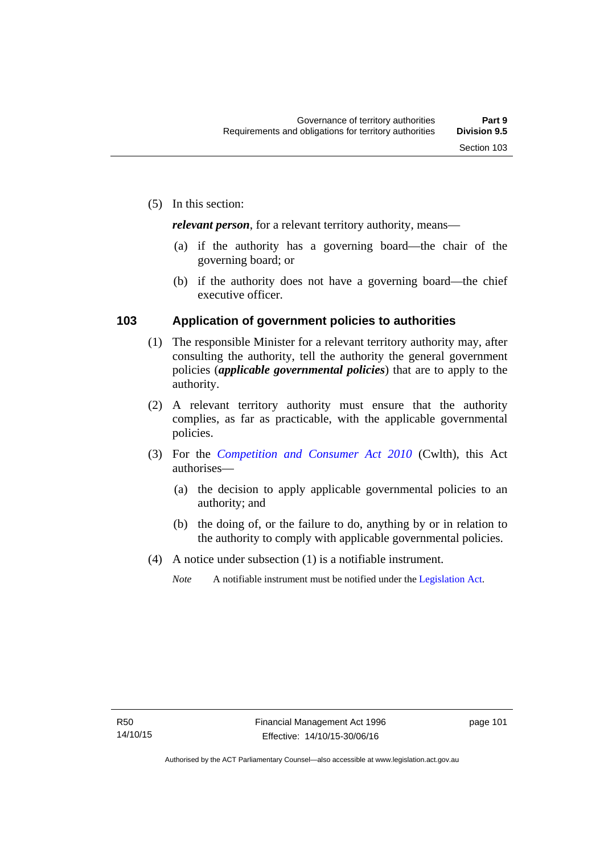*relevant person*, for a relevant territory authority, means—

- (a) if the authority has a governing board—the chair of the governing board; or
- (b) if the authority does not have a governing board—the chief executive officer.

#### **103 Application of government policies to authorities**

- (1) The responsible Minister for a relevant territory authority may, after consulting the authority, tell the authority the general government policies (*applicable governmental policies*) that are to apply to the authority.
- (2) A relevant territory authority must ensure that the authority complies, as far as practicable, with the applicable governmental policies.
- (3) For the *[Competition and Consumer Act 2010](http://www.comlaw.gov.au/Series/C2004A00109)* (Cwlth), this Act authorises—
	- (a) the decision to apply applicable governmental policies to an authority; and
	- (b) the doing of, or the failure to do, anything by or in relation to the authority to comply with applicable governmental policies.
- (4) A notice under subsection (1) is a notifiable instrument.
	- *Note* A notifiable instrument must be notified under the [Legislation Act](http://www.legislation.act.gov.au/a/2001-14).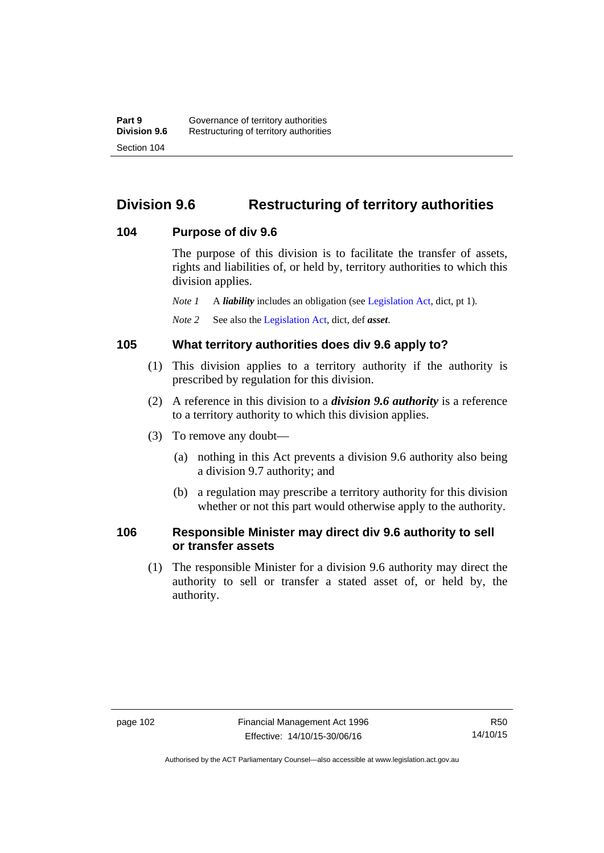# **Division 9.6 Restructuring of territory authorities**

#### **104 Purpose of div 9.6**

The purpose of this division is to facilitate the transfer of assets, rights and liabilities of, or held by, territory authorities to which this division applies.

*Note 1* A *liability* includes an obligation (see [Legislation Act,](http://www.legislation.act.gov.au/a/2001-14) dict, pt 1).

*Note 2* See also the [Legislation Act](http://www.legislation.act.gov.au/a/2001-14), dict, def *asset*.

#### **105 What territory authorities does div 9.6 apply to?**

- (1) This division applies to a territory authority if the authority is prescribed by regulation for this division.
- (2) A reference in this division to a *division 9.6 authority* is a reference to a territory authority to which this division applies.
- (3) To remove any doubt—
	- (a) nothing in this Act prevents a division 9.6 authority also being a division 9.7 authority; and
	- (b) a regulation may prescribe a territory authority for this division whether or not this part would otherwise apply to the authority.

#### **106 Responsible Minister may direct div 9.6 authority to sell or transfer assets**

 (1) The responsible Minister for a division 9.6 authority may direct the authority to sell or transfer a stated asset of, or held by, the authority.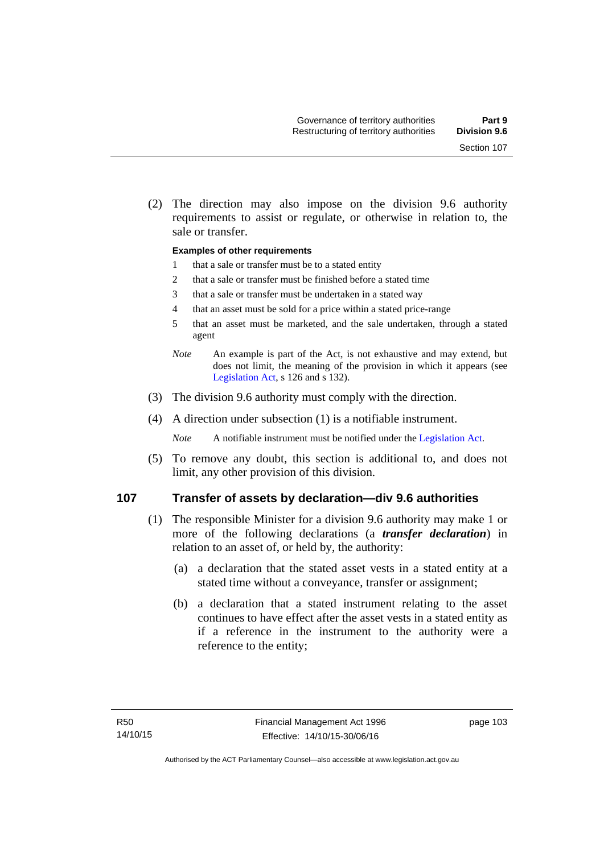(2) The direction may also impose on the division 9.6 authority requirements to assist or regulate, or otherwise in relation to, the sale or transfer.

#### **Examples of other requirements**

- 1 that a sale or transfer must be to a stated entity
- 2 that a sale or transfer must be finished before a stated time
- 3 that a sale or transfer must be undertaken in a stated way
- 4 that an asset must be sold for a price within a stated price-range
- 5 that an asset must be marketed, and the sale undertaken, through a stated agent
- *Note* An example is part of the Act, is not exhaustive and may extend, but does not limit, the meaning of the provision in which it appears (see [Legislation Act,](http://www.legislation.act.gov.au/a/2001-14) s 126 and s 132).
- (3) The division 9.6 authority must comply with the direction.
- (4) A direction under subsection (1) is a notifiable instrument.

*Note* A notifiable instrument must be notified under the [Legislation Act](http://www.legislation.act.gov.au/a/2001-14).

 (5) To remove any doubt, this section is additional to, and does not limit, any other provision of this division.

#### **107 Transfer of assets by declaration—div 9.6 authorities**

- (1) The responsible Minister for a division 9.6 authority may make 1 or more of the following declarations (a *transfer declaration*) in relation to an asset of, or held by, the authority:
	- (a) a declaration that the stated asset vests in a stated entity at a stated time without a conveyance, transfer or assignment;
	- (b) a declaration that a stated instrument relating to the asset continues to have effect after the asset vests in a stated entity as if a reference in the instrument to the authority were a reference to the entity;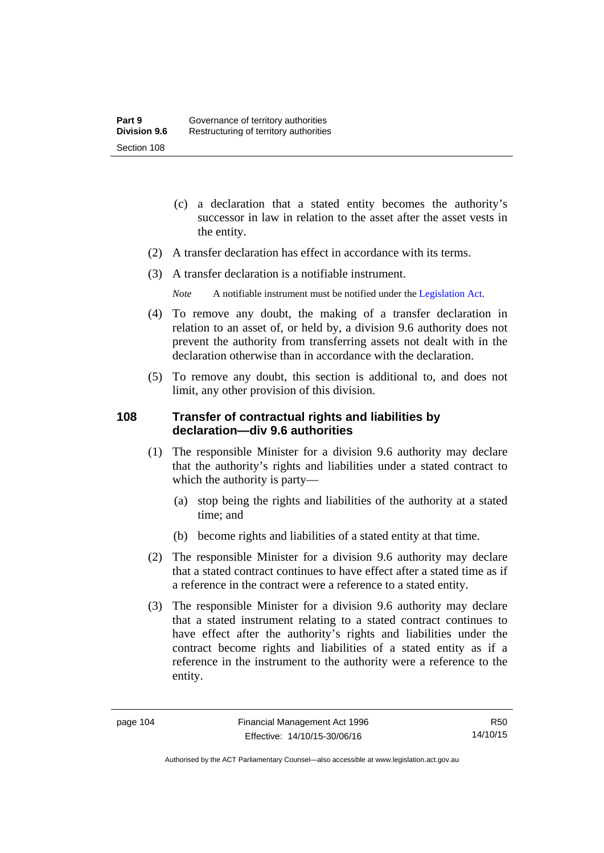- (c) a declaration that a stated entity becomes the authority's successor in law in relation to the asset after the asset vests in the entity.
- (2) A transfer declaration has effect in accordance with its terms.
- (3) A transfer declaration is a notifiable instrument.
	- *Note* A notifiable instrument must be notified under the [Legislation Act](http://www.legislation.act.gov.au/a/2001-14).
- (4) To remove any doubt, the making of a transfer declaration in relation to an asset of, or held by, a division 9.6 authority does not prevent the authority from transferring assets not dealt with in the declaration otherwise than in accordance with the declaration.
- (5) To remove any doubt, this section is additional to, and does not limit, any other provision of this division.

# **108 Transfer of contractual rights and liabilities by declaration—div 9.6 authorities**

- (1) The responsible Minister for a division 9.6 authority may declare that the authority's rights and liabilities under a stated contract to which the authority is party—
	- (a) stop being the rights and liabilities of the authority at a stated time; and
	- (b) become rights and liabilities of a stated entity at that time.
- (2) The responsible Minister for a division 9.6 authority may declare that a stated contract continues to have effect after a stated time as if a reference in the contract were a reference to a stated entity.
- (3) The responsible Minister for a division 9.6 authority may declare that a stated instrument relating to a stated contract continues to have effect after the authority's rights and liabilities under the contract become rights and liabilities of a stated entity as if a reference in the instrument to the authority were a reference to the entity.

R50 14/10/15

Authorised by the ACT Parliamentary Counsel—also accessible at www.legislation.act.gov.au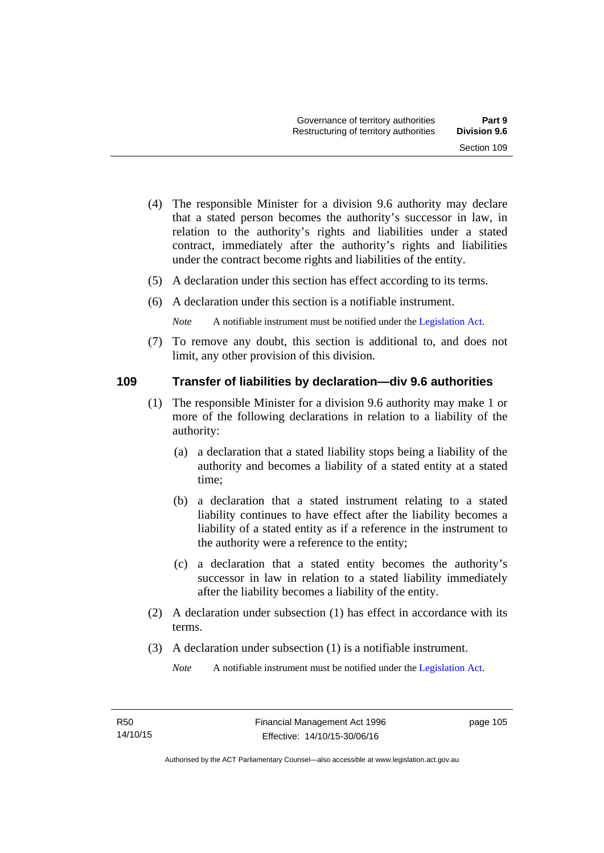- (4) The responsible Minister for a division 9.6 authority may declare that a stated person becomes the authority's successor in law, in relation to the authority's rights and liabilities under a stated contract, immediately after the authority's rights and liabilities under the contract become rights and liabilities of the entity.
- (5) A declaration under this section has effect according to its terms.
- (6) A declaration under this section is a notifiable instrument.

*Note* A notifiable instrument must be notified under the [Legislation Act](http://www.legislation.act.gov.au/a/2001-14).

 (7) To remove any doubt, this section is additional to, and does not limit, any other provision of this division.

#### **109 Transfer of liabilities by declaration—div 9.6 authorities**

- (1) The responsible Minister for a division 9.6 authority may make 1 or more of the following declarations in relation to a liability of the authority:
	- (a) a declaration that a stated liability stops being a liability of the authority and becomes a liability of a stated entity at a stated time;
	- (b) a declaration that a stated instrument relating to a stated liability continues to have effect after the liability becomes a liability of a stated entity as if a reference in the instrument to the authority were a reference to the entity;
	- (c) a declaration that a stated entity becomes the authority's successor in law in relation to a stated liability immediately after the liability becomes a liability of the entity.
- (2) A declaration under subsection (1) has effect in accordance with its terms.
- (3) A declaration under subsection (1) is a notifiable instrument.

*Note* A notifiable instrument must be notified under the [Legislation Act](http://www.legislation.act.gov.au/a/2001-14).

page 105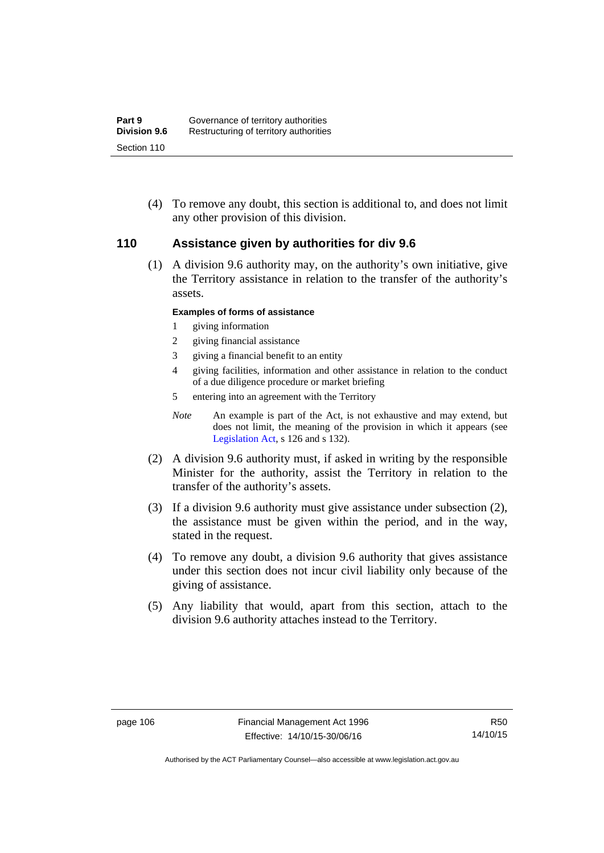(4) To remove any doubt, this section is additional to, and does not limit any other provision of this division.

#### **110 Assistance given by authorities for div 9.6**

(1) A division 9.6 authority may, on the authority's own initiative, give the Territory assistance in relation to the transfer of the authority's assets.

#### **Examples of forms of assistance**

- 1 giving information
- 2 giving financial assistance
- 3 giving a financial benefit to an entity
- 4 giving facilities, information and other assistance in relation to the conduct of a due diligence procedure or market briefing
- 5 entering into an agreement with the Territory
- *Note* An example is part of the Act, is not exhaustive and may extend, but does not limit, the meaning of the provision in which it appears (see [Legislation Act,](http://www.legislation.act.gov.au/a/2001-14) s 126 and s 132).
- (2) A division 9.6 authority must, if asked in writing by the responsible Minister for the authority, assist the Territory in relation to the transfer of the authority's assets.
- (3) If a division 9.6 authority must give assistance under subsection (2), the assistance must be given within the period, and in the way, stated in the request.
- (4) To remove any doubt, a division 9.6 authority that gives assistance under this section does not incur civil liability only because of the giving of assistance.
- (5) Any liability that would, apart from this section, attach to the division 9.6 authority attaches instead to the Territory.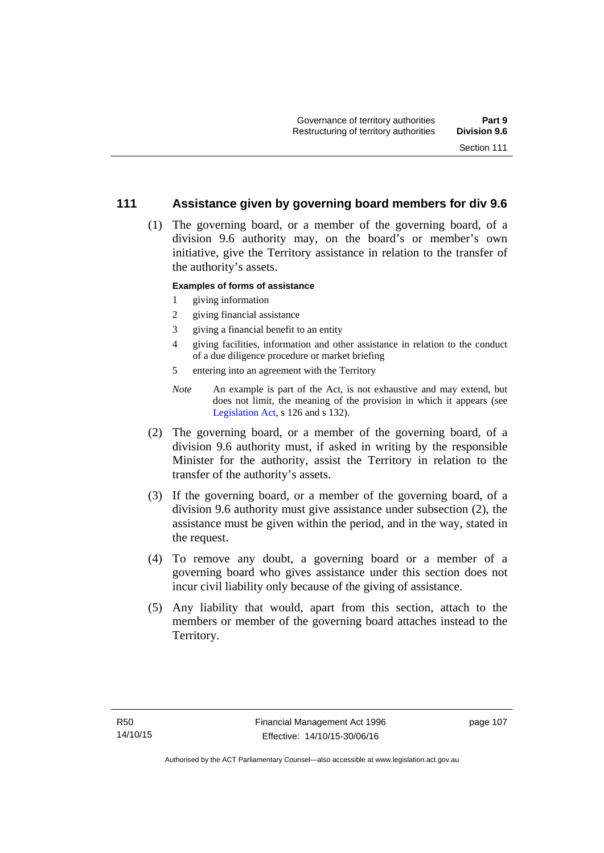#### **111 Assistance given by governing board members for div 9.6**

 (1) The governing board, or a member of the governing board, of a division 9.6 authority may, on the board's or member's own initiative, give the Territory assistance in relation to the transfer of the authority's assets.

#### **Examples of forms of assistance**

- 1 giving information
- 2 giving financial assistance
- 3 giving a financial benefit to an entity
- 4 giving facilities, information and other assistance in relation to the conduct of a due diligence procedure or market briefing
- 5 entering into an agreement with the Territory
- *Note* An example is part of the Act, is not exhaustive and may extend, but does not limit, the meaning of the provision in which it appears (see [Legislation Act,](http://www.legislation.act.gov.au/a/2001-14) s 126 and s 132).
- (2) The governing board, or a member of the governing board, of a division 9.6 authority must, if asked in writing by the responsible Minister for the authority, assist the Territory in relation to the transfer of the authority's assets.
- (3) If the governing board, or a member of the governing board, of a division 9.6 authority must give assistance under subsection (2), the assistance must be given within the period, and in the way, stated in the request.
- (4) To remove any doubt, a governing board or a member of a governing board who gives assistance under this section does not incur civil liability only because of the giving of assistance.
- (5) Any liability that would, apart from this section, attach to the members or member of the governing board attaches instead to the Territory.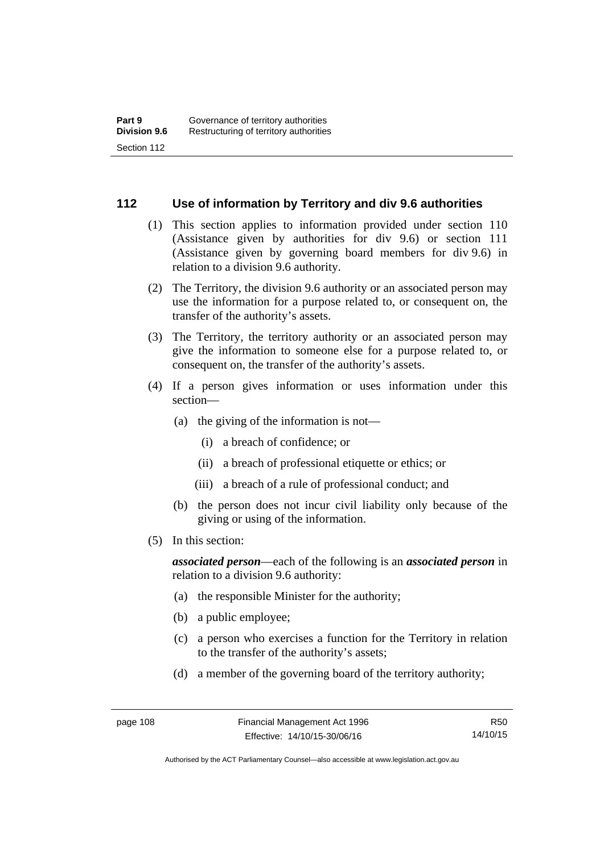#### **112 Use of information by Territory and div 9.6 authorities**

- (1) This section applies to information provided under section 110 (Assistance given by authorities for div 9.6) or section 111 (Assistance given by governing board members for div 9.6) in relation to a division 9.6 authority.
- (2) The Territory, the division 9.6 authority or an associated person may use the information for a purpose related to, or consequent on, the transfer of the authority's assets.
- (3) The Territory, the territory authority or an associated person may give the information to someone else for a purpose related to, or consequent on, the transfer of the authority's assets.
- (4) If a person gives information or uses information under this section—
	- (a) the giving of the information is not—
		- (i) a breach of confidence; or
		- (ii) a breach of professional etiquette or ethics; or
		- (iii) a breach of a rule of professional conduct; and
	- (b) the person does not incur civil liability only because of the giving or using of the information.
- (5) In this section:

*associated person*—each of the following is an *associated person* in relation to a division 9.6 authority:

- (a) the responsible Minister for the authority;
- (b) a public employee;
- (c) a person who exercises a function for the Territory in relation to the transfer of the authority's assets;
- (d) a member of the governing board of the territory authority;

R50 14/10/15

Authorised by the ACT Parliamentary Counsel—also accessible at www.legislation.act.gov.au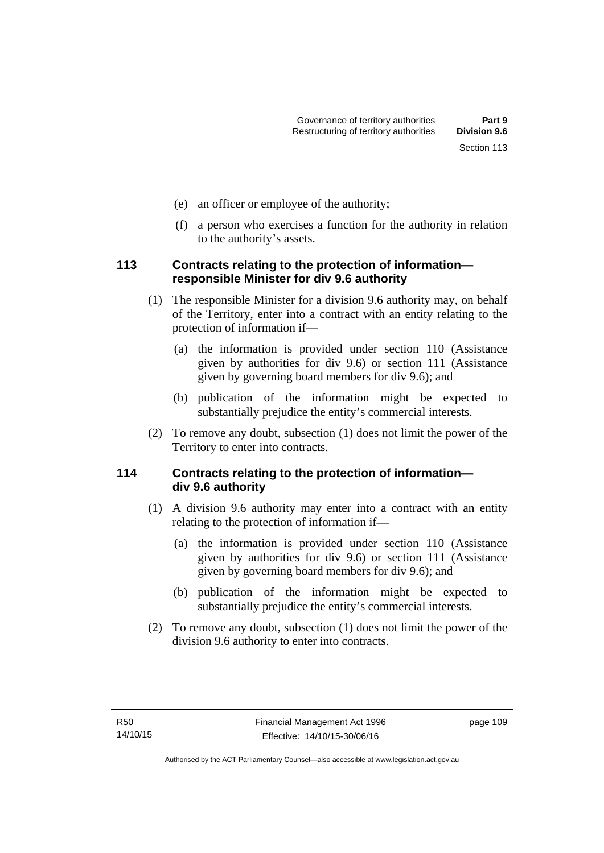- (e) an officer or employee of the authority;
- (f) a person who exercises a function for the authority in relation to the authority's assets.

## **113 Contracts relating to the protection of information responsible Minister for div 9.6 authority**

- (1) The responsible Minister for a division 9.6 authority may, on behalf of the Territory, enter into a contract with an entity relating to the protection of information if—
	- (a) the information is provided under section 110 (Assistance given by authorities for div 9.6) or section 111 (Assistance given by governing board members for div 9.6); and
	- (b) publication of the information might be expected to substantially prejudice the entity's commercial interests.
- (2) To remove any doubt, subsection (1) does not limit the power of the Territory to enter into contracts.

# **114 Contracts relating to the protection of information div 9.6 authority**

- (1) A division 9.6 authority may enter into a contract with an entity relating to the protection of information if—
	- (a) the information is provided under section 110 (Assistance given by authorities for div 9.6) or section 111 (Assistance given by governing board members for div 9.6); and
	- (b) publication of the information might be expected to substantially prejudice the entity's commercial interests.
- (2) To remove any doubt, subsection (1) does not limit the power of the division 9.6 authority to enter into contracts.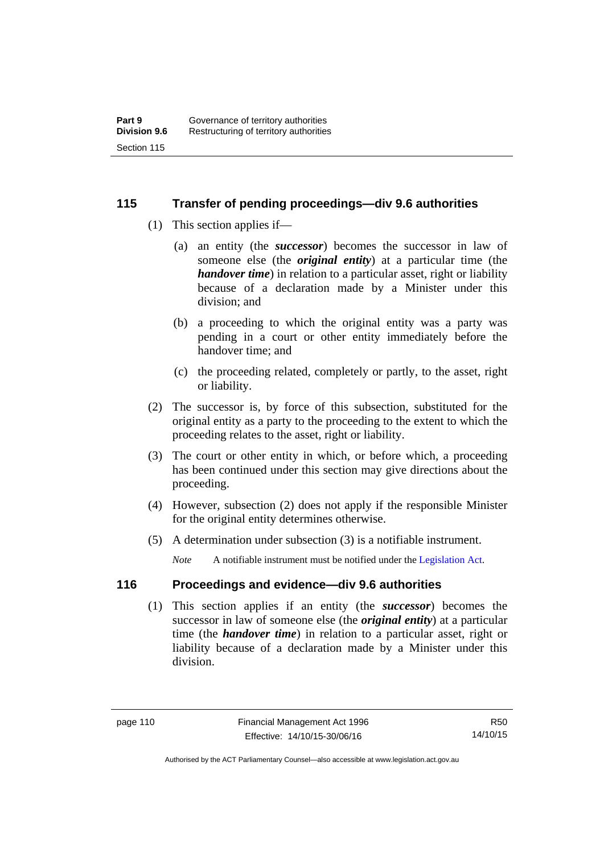## **115 Transfer of pending proceedings—div 9.6 authorities**

- (1) This section applies if—
	- (a) an entity (the *successor*) becomes the successor in law of someone else (the *original entity*) at a particular time (the *handover time*) in relation to a particular asset, right or liability because of a declaration made by a Minister under this division; and
	- (b) a proceeding to which the original entity was a party was pending in a court or other entity immediately before the handover time; and
	- (c) the proceeding related, completely or partly, to the asset, right or liability.
- (2) The successor is, by force of this subsection, substituted for the original entity as a party to the proceeding to the extent to which the proceeding relates to the asset, right or liability.
- (3) The court or other entity in which, or before which, a proceeding has been continued under this section may give directions about the proceeding.
- (4) However, subsection (2) does not apply if the responsible Minister for the original entity determines otherwise.
- (5) A determination under subsection (3) is a notifiable instrument.

*Note* A notifiable instrument must be notified under the [Legislation Act](http://www.legislation.act.gov.au/a/2001-14).

# **116 Proceedings and evidence—div 9.6 authorities**

 (1) This section applies if an entity (the *successor*) becomes the successor in law of someone else (the *original entity*) at a particular time (the *handover time*) in relation to a particular asset, right or liability because of a declaration made by a Minister under this division.

Authorised by the ACT Parliamentary Counsel—also accessible at www.legislation.act.gov.au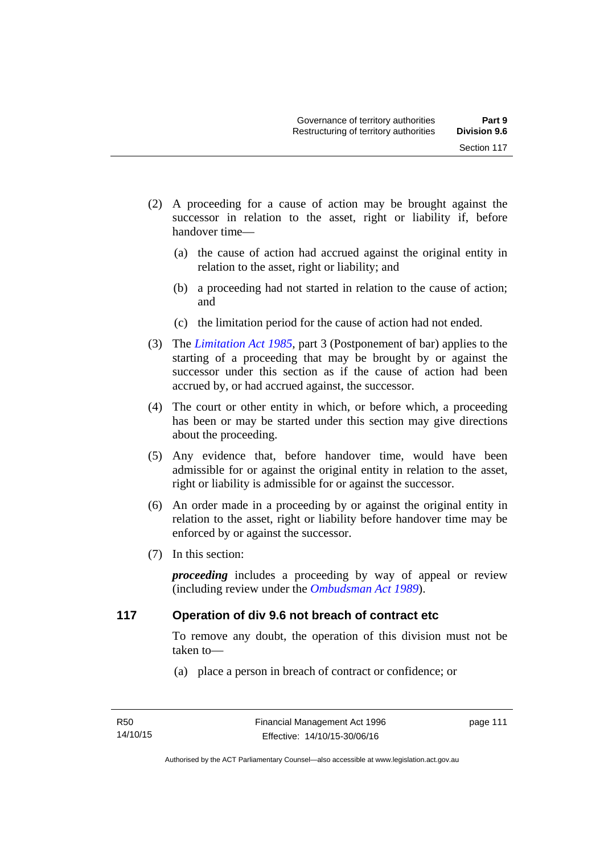- (2) A proceeding for a cause of action may be brought against the successor in relation to the asset, right or liability if, before handover time—
	- (a) the cause of action had accrued against the original entity in relation to the asset, right or liability; and
	- (b) a proceeding had not started in relation to the cause of action; and
	- (c) the limitation period for the cause of action had not ended.
- (3) The *[Limitation Act 1985](http://www.legislation.act.gov.au/a/1985-66),* part 3 (Postponement of bar) applies to the starting of a proceeding that may be brought by or against the successor under this section as if the cause of action had been accrued by, or had accrued against, the successor.
- (4) The court or other entity in which, or before which, a proceeding has been or may be started under this section may give directions about the proceeding.
- (5) Any evidence that, before handover time, would have been admissible for or against the original entity in relation to the asset, right or liability is admissible for or against the successor.
- (6) An order made in a proceeding by or against the original entity in relation to the asset, right or liability before handover time may be enforced by or against the successor.
- (7) In this section:

*proceeding* includes a proceeding by way of appeal or review (including review under the *[Ombudsman Act 1989](http://www.legislation.act.gov.au/a/alt_a1989-45co)*).

#### **117 Operation of div 9.6 not breach of contract etc**

To remove any doubt, the operation of this division must not be taken to—

(a) place a person in breach of contract or confidence; or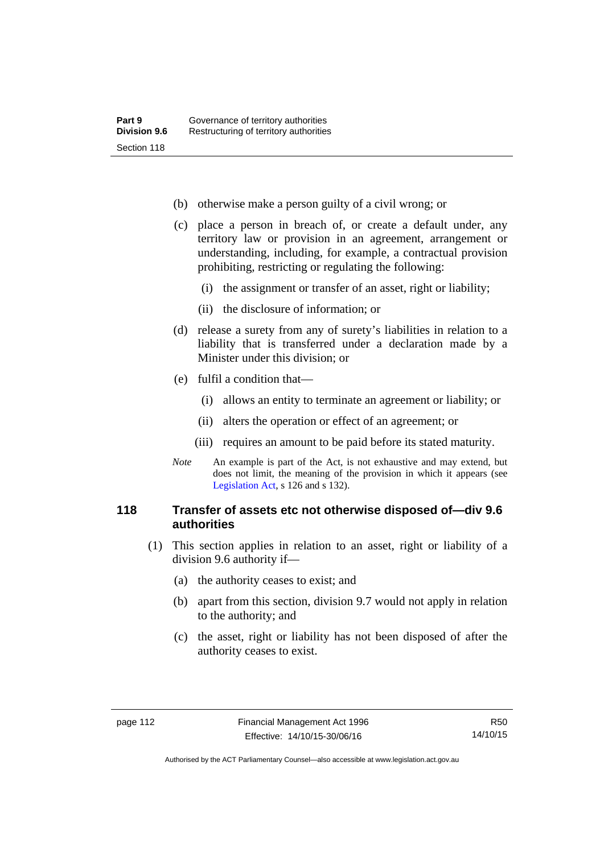- (b) otherwise make a person guilty of a civil wrong; or
- (c) place a person in breach of, or create a default under, any territory law or provision in an agreement, arrangement or understanding, including, for example, a contractual provision prohibiting, restricting or regulating the following:
	- (i) the assignment or transfer of an asset, right or liability;
	- (ii) the disclosure of information; or
- (d) release a surety from any of surety's liabilities in relation to a liability that is transferred under a declaration made by a Minister under this division; or
- (e) fulfil a condition that—
	- (i) allows an entity to terminate an agreement or liability; or
	- (ii) alters the operation or effect of an agreement; or
	- (iii) requires an amount to be paid before its stated maturity.
- *Note* An example is part of the Act, is not exhaustive and may extend, but does not limit, the meaning of the provision in which it appears (see [Legislation Act,](http://www.legislation.act.gov.au/a/2001-14) s 126 and s 132).

#### **118 Transfer of assets etc not otherwise disposed of—div 9.6 authorities**

- (1) This section applies in relation to an asset, right or liability of a division 9.6 authority if—
	- (a) the authority ceases to exist; and
	- (b) apart from this section, division 9.7 would not apply in relation to the authority; and
	- (c) the asset, right or liability has not been disposed of after the authority ceases to exist.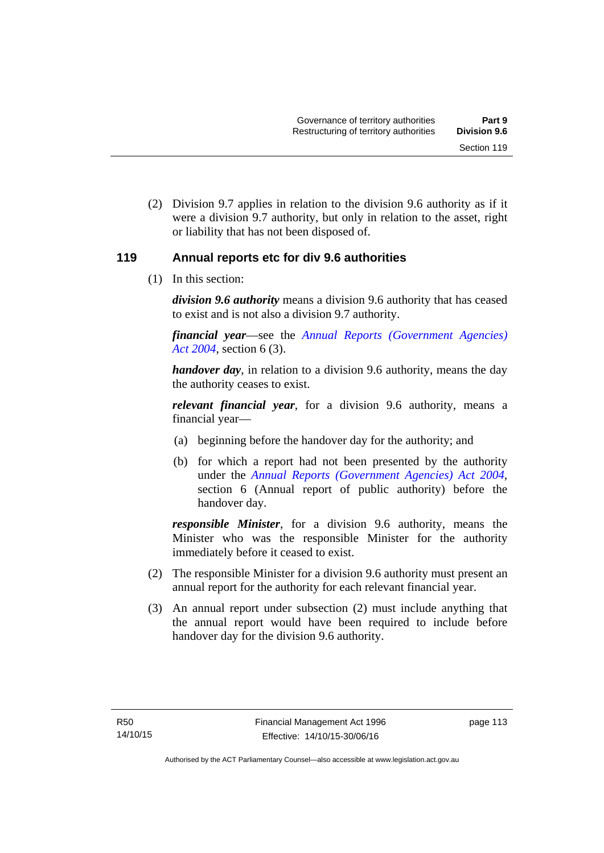(2) Division 9.7 applies in relation to the division 9.6 authority as if it were a division 9.7 authority, but only in relation to the asset, right or liability that has not been disposed of.

## **119 Annual reports etc for div 9.6 authorities**

(1) In this section:

*division 9.6 authority* means a division 9.6 authority that has ceased to exist and is not also a division 9.7 authority.

*financial year*––see the *[Annual Reports \(Government Agencies\)](http://www.legislation.act.gov.au/a/2004-8)  [Act 2004](http://www.legislation.act.gov.au/a/2004-8)*, section 6 (3).

*handover day*, in relation to a division 9.6 authority, means the day the authority ceases to exist.

*relevant financial year*, for a division 9.6 authority, means a financial year—

- (a) beginning before the handover day for the authority; and
- (b) for which a report had not been presented by the authority under the *[Annual Reports \(Government Agencies\) Act 2004](http://www.legislation.act.gov.au/a/2004-8)*, section 6 (Annual report of public authority) before the handover day.

*responsible Minister*, for a division 9.6 authority, means the Minister who was the responsible Minister for the authority immediately before it ceased to exist.

- (2) The responsible Minister for a division 9.6 authority must present an annual report for the authority for each relevant financial year.
- (3) An annual report under subsection (2) must include anything that the annual report would have been required to include before handover day for the division 9.6 authority.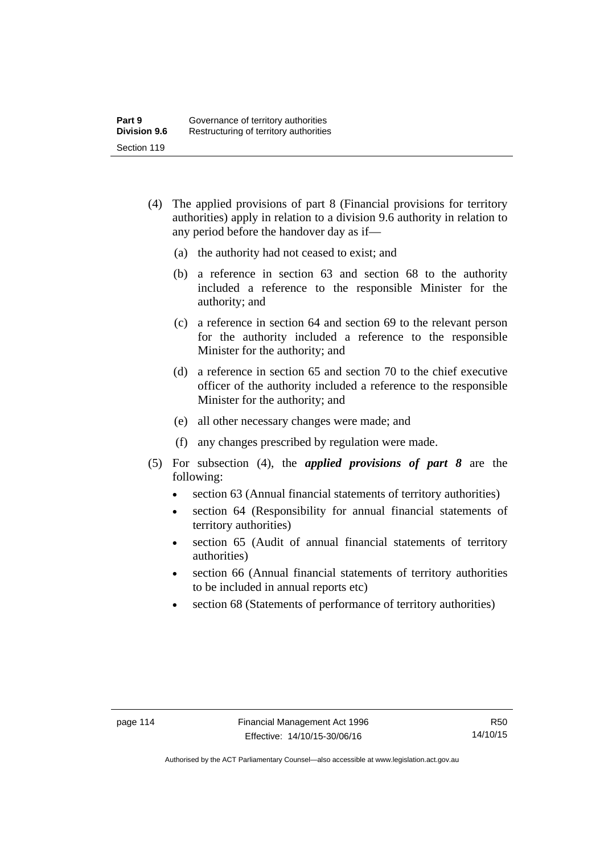- (4) The applied provisions of part 8 (Financial provisions for territory authorities) apply in relation to a division 9.6 authority in relation to any period before the handover day as if—
	- (a) the authority had not ceased to exist; and
	- (b) a reference in section 63 and section 68 to the authority included a reference to the responsible Minister for the authority; and
	- (c) a reference in section 64 and section 69 to the relevant person for the authority included a reference to the responsible Minister for the authority; and
	- (d) a reference in section 65 and section 70 to the chief executive officer of the authority included a reference to the responsible Minister for the authority; and
	- (e) all other necessary changes were made; and
	- (f) any changes prescribed by regulation were made.
- (5) For subsection (4), the *applied provisions of part 8* are the following:
	- section 63 (Annual financial statements of territory authorities)
	- section 64 (Responsibility for annual financial statements of territory authorities)
	- section 65 (Audit of annual financial statements of territory authorities)
	- section 66 (Annual financial statements of territory authorities to be included in annual reports etc)
	- section 68 (Statements of performance of territory authorities)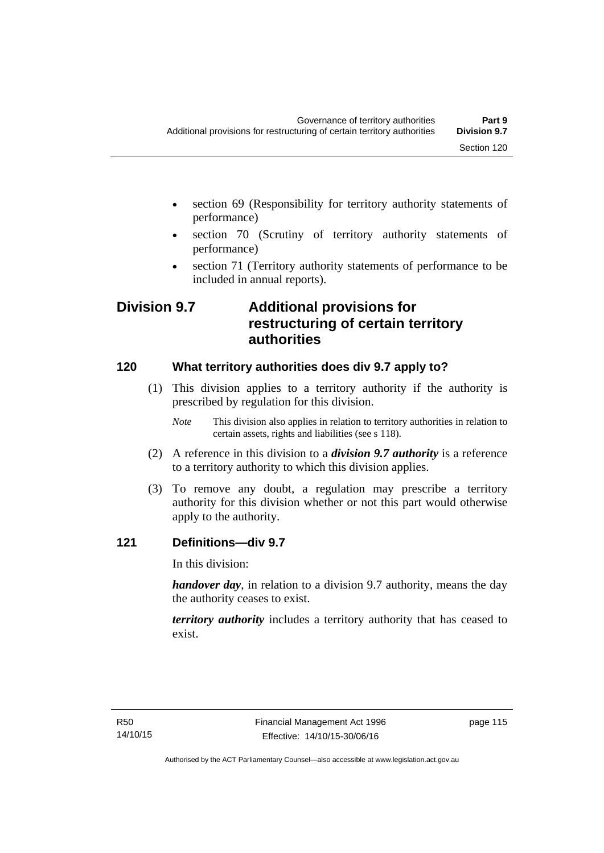- section 69 (Responsibility for territory authority statements of performance)
- section 70 (Scrutiny of territory authority statements of performance)
- section 71 (Territory authority statements of performance to be included in annual reports).

# **Division 9.7 Additional provisions for restructuring of certain territory authorities**

# **120 What territory authorities does div 9.7 apply to?**

- (1) This division applies to a territory authority if the authority is prescribed by regulation for this division.
	- *Note* This division also applies in relation to territory authorities in relation to certain assets, rights and liabilities (see s 118).
- (2) A reference in this division to a *division 9.7 authority* is a reference to a territory authority to which this division applies.
- (3) To remove any doubt, a regulation may prescribe a territory authority for this division whether or not this part would otherwise apply to the authority.

# **121 Definitions—div 9.7**

In this division:

*handover day*, in relation to a division 9.7 authority, means the day the authority ceases to exist.

*territory authority* includes a territory authority that has ceased to exist.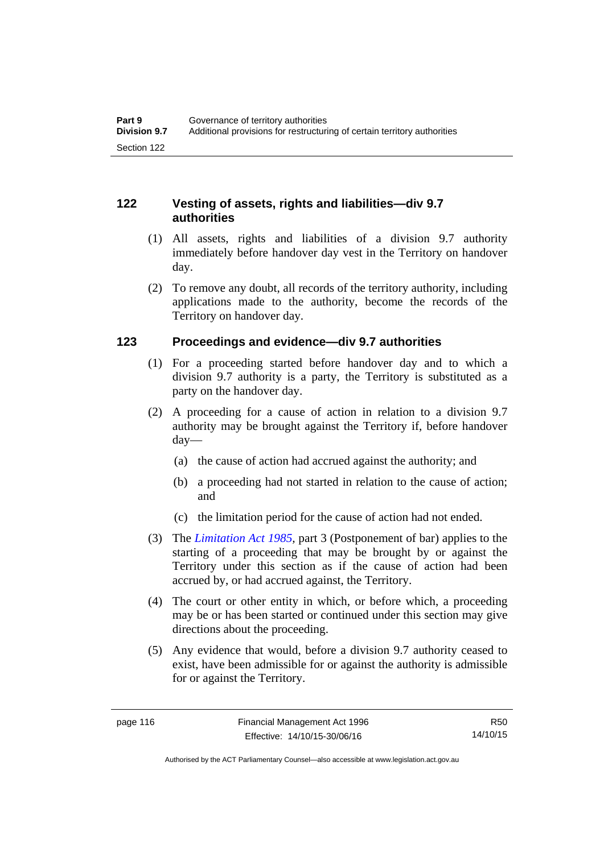# **122 Vesting of assets, rights and liabilities—div 9.7 authorities**

- (1) All assets, rights and liabilities of a division 9.7 authority immediately before handover day vest in the Territory on handover day.
- (2) To remove any doubt, all records of the territory authority, including applications made to the authority, become the records of the Territory on handover day.

# **123 Proceedings and evidence—div 9.7 authorities**

- (1) For a proceeding started before handover day and to which a division 9.7 authority is a party, the Territory is substituted as a party on the handover day.
- (2) A proceeding for a cause of action in relation to a division 9.7 authority may be brought against the Territory if, before handover day—
	- (a) the cause of action had accrued against the authority; and
	- (b) a proceeding had not started in relation to the cause of action; and
	- (c) the limitation period for the cause of action had not ended.
- (3) The *[Limitation Act 1985](http://www.legislation.act.gov.au/a/1985-66),* part 3 (Postponement of bar) applies to the starting of a proceeding that may be brought by or against the Territory under this section as if the cause of action had been accrued by, or had accrued against, the Territory.
- (4) The court or other entity in which, or before which, a proceeding may be or has been started or continued under this section may give directions about the proceeding.
- (5) Any evidence that would, before a division 9.7 authority ceased to exist, have been admissible for or against the authority is admissible for or against the Territory.

R50 14/10/15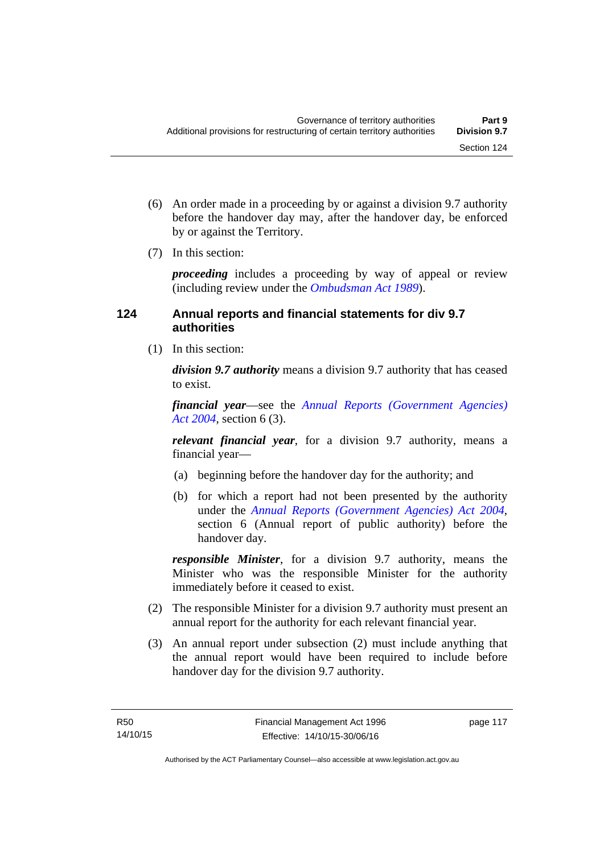- (6) An order made in a proceeding by or against a division 9.7 authority before the handover day may, after the handover day, be enforced by or against the Territory.
- (7) In this section:

*proceeding* includes a proceeding by way of appeal or review (including review under the *[Ombudsman Act 1989](http://www.legislation.act.gov.au/a/alt_a1989-45co)*).

# **124 Annual reports and financial statements for div 9.7 authorities**

(1) In this section:

*division 9.7 authority* means a division 9.7 authority that has ceased to exist.

*financial year*––see the *[Annual Reports \(Government Agencies\)](http://www.legislation.act.gov.au/a/2004-8)  [Act 2004](http://www.legislation.act.gov.au/a/2004-8)*, section 6 (3).

*relevant financial year*, for a division 9.7 authority, means a financial year—

- (a) beginning before the handover day for the authority; and
- (b) for which a report had not been presented by the authority under the *[Annual Reports \(Government Agencies\) Act 2004](http://www.legislation.act.gov.au/a/2004-8)*, section 6 (Annual report of public authority) before the handover day.

*responsible Minister*, for a division 9.7 authority, means the Minister who was the responsible Minister for the authority immediately before it ceased to exist.

- (2) The responsible Minister for a division 9.7 authority must present an annual report for the authority for each relevant financial year.
- (3) An annual report under subsection (2) must include anything that the annual report would have been required to include before handover day for the division 9.7 authority.

page 117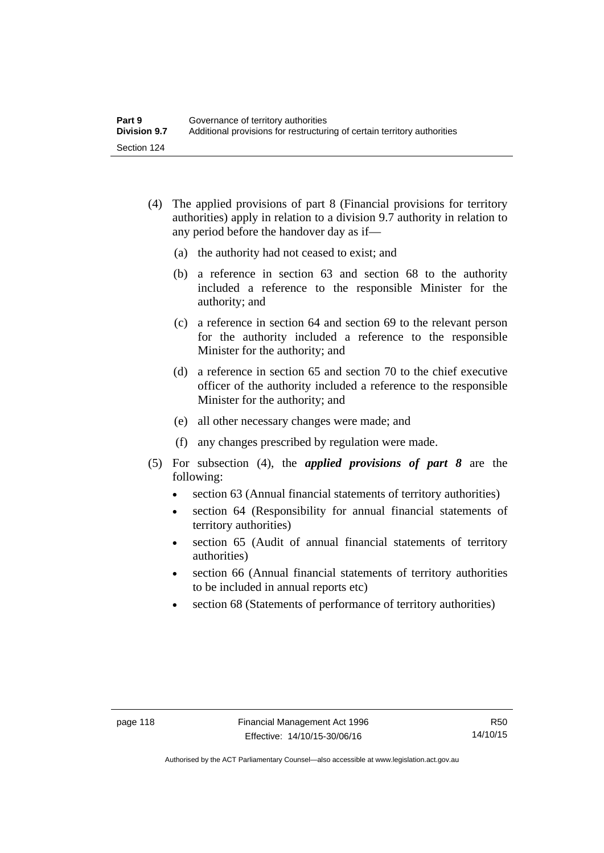- (4) The applied provisions of part 8 (Financial provisions for territory authorities) apply in relation to a division 9.7 authority in relation to any period before the handover day as if—
	- (a) the authority had not ceased to exist; and
	- (b) a reference in section 63 and section 68 to the authority included a reference to the responsible Minister for the authority; and
	- (c) a reference in section 64 and section 69 to the relevant person for the authority included a reference to the responsible Minister for the authority; and
	- (d) a reference in section 65 and section 70 to the chief executive officer of the authority included a reference to the responsible Minister for the authority; and
	- (e) all other necessary changes were made; and
	- (f) any changes prescribed by regulation were made.
- (5) For subsection (4), the *applied provisions of part 8* are the following:
	- section 63 (Annual financial statements of territory authorities)
	- section 64 (Responsibility for annual financial statements of territory authorities)
	- section 65 (Audit of annual financial statements of territory authorities)
	- section 66 (Annual financial statements of territory authorities to be included in annual reports etc)
	- section 68 (Statements of performance of territory authorities)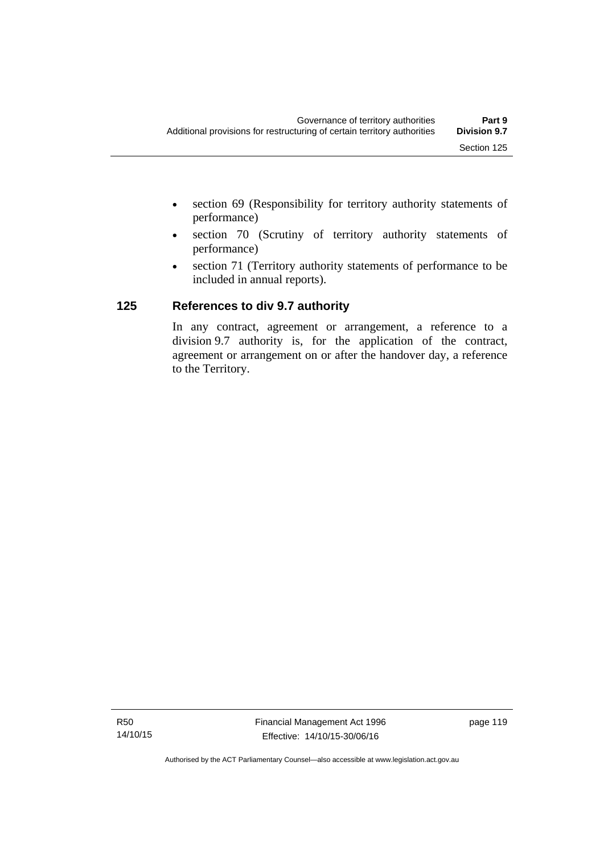- section 69 (Responsibility for territory authority statements of performance)
- section 70 (Scrutiny of territory authority statements of performance)
- section 71 (Territory authority statements of performance to be included in annual reports).

# **125 References to div 9.7 authority**

In any contract, agreement or arrangement, a reference to a division 9.7 authority is, for the application of the contract, agreement or arrangement on or after the handover day, a reference to the Territory.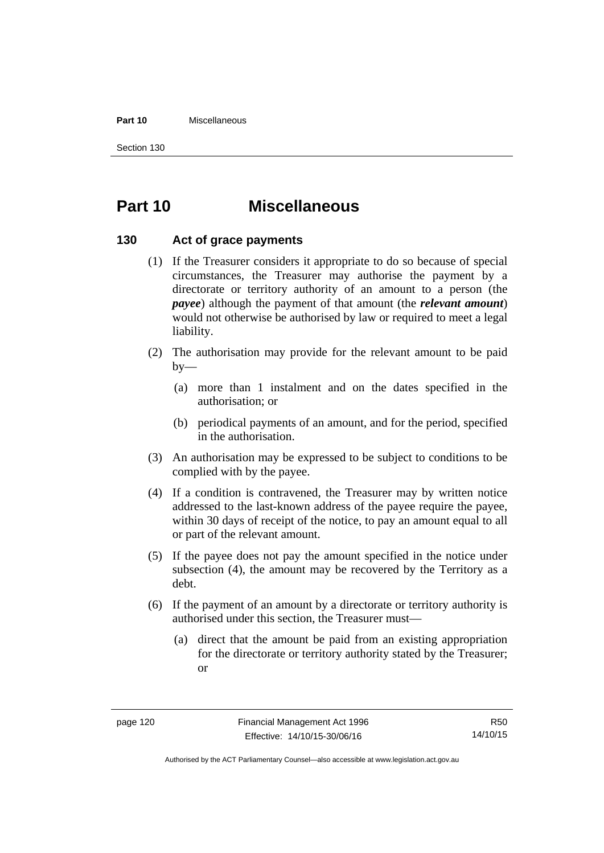#### **Part 10** Miscellaneous

Section 130

# **Part 10 Miscellaneous**

#### **130 Act of grace payments**

- (1) If the Treasurer considers it appropriate to do so because of special circumstances, the Treasurer may authorise the payment by a directorate or territory authority of an amount to a person (the *payee*) although the payment of that amount (the *relevant amount*) would not otherwise be authorised by law or required to meet a legal liability.
- (2) The authorisation may provide for the relevant amount to be paid  $by-$ 
	- (a) more than 1 instalment and on the dates specified in the authorisation; or
	- (b) periodical payments of an amount, and for the period, specified in the authorisation.
- (3) An authorisation may be expressed to be subject to conditions to be complied with by the payee.
- (4) If a condition is contravened, the Treasurer may by written notice addressed to the last-known address of the payee require the payee, within 30 days of receipt of the notice, to pay an amount equal to all or part of the relevant amount.
- (5) If the payee does not pay the amount specified in the notice under subsection (4), the amount may be recovered by the Territory as a debt.
- (6) If the payment of an amount by a directorate or territory authority is authorised under this section, the Treasurer must—
	- (a) direct that the amount be paid from an existing appropriation for the directorate or territory authority stated by the Treasurer; or

R50 14/10/15

Authorised by the ACT Parliamentary Counsel—also accessible at www.legislation.act.gov.au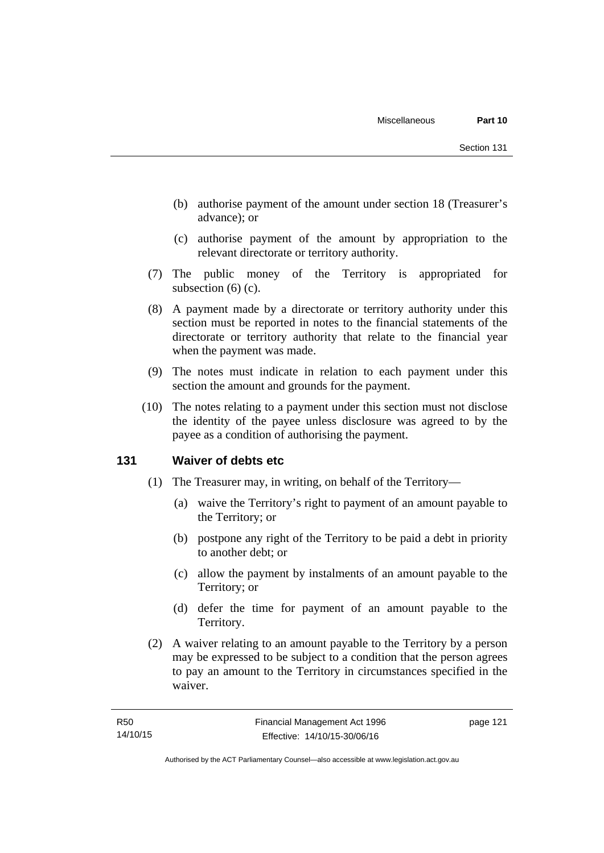- (b) authorise payment of the amount under section 18 (Treasurer's advance); or
- (c) authorise payment of the amount by appropriation to the relevant directorate or territory authority.
- (7) The public money of the Territory is appropriated for subsection (6) (c).
- (8) A payment made by a directorate or territory authority under this section must be reported in notes to the financial statements of the directorate or territory authority that relate to the financial year when the payment was made.
- (9) The notes must indicate in relation to each payment under this section the amount and grounds for the payment.
- (10) The notes relating to a payment under this section must not disclose the identity of the payee unless disclosure was agreed to by the payee as a condition of authorising the payment.

#### **131 Waiver of debts etc**

- (1) The Treasurer may, in writing, on behalf of the Territory—
	- (a) waive the Territory's right to payment of an amount payable to the Territory; or
	- (b) postpone any right of the Territory to be paid a debt in priority to another debt; or
	- (c) allow the payment by instalments of an amount payable to the Territory; or
	- (d) defer the time for payment of an amount payable to the Territory.
- (2) A waiver relating to an amount payable to the Territory by a person may be expressed to be subject to a condition that the person agrees to pay an amount to the Territory in circumstances specified in the waiver.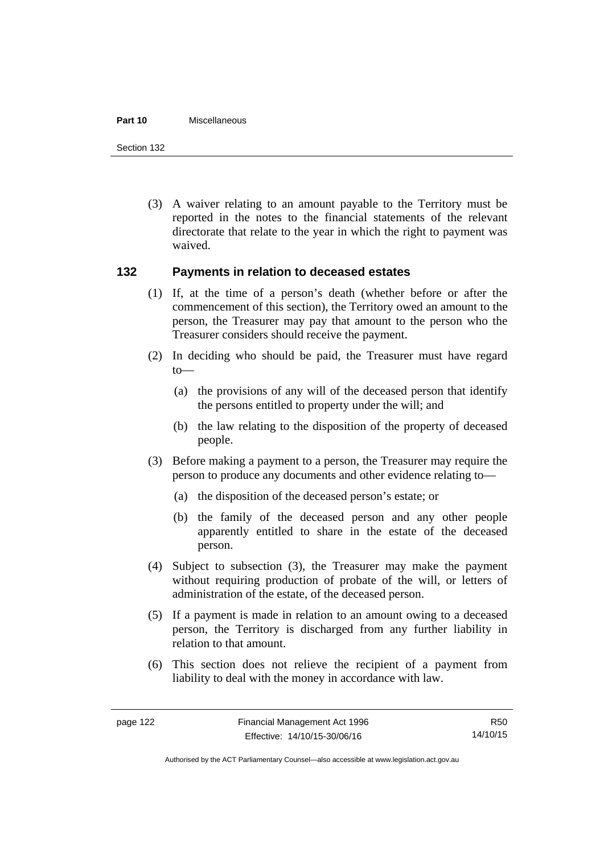#### **Part 10** Miscellaneous

Section 132

 (3) A waiver relating to an amount payable to the Territory must be reported in the notes to the financial statements of the relevant directorate that relate to the year in which the right to payment was waived.

#### **132 Payments in relation to deceased estates**

- (1) If, at the time of a person's death (whether before or after the commencement of this section), the Territory owed an amount to the person, the Treasurer may pay that amount to the person who the Treasurer considers should receive the payment.
- (2) In deciding who should be paid, the Treasurer must have regard to—
	- (a) the provisions of any will of the deceased person that identify the persons entitled to property under the will; and
	- (b) the law relating to the disposition of the property of deceased people.
- (3) Before making a payment to a person, the Treasurer may require the person to produce any documents and other evidence relating to—
	- (a) the disposition of the deceased person's estate; or
	- (b) the family of the deceased person and any other people apparently entitled to share in the estate of the deceased person.
- (4) Subject to subsection (3), the Treasurer may make the payment without requiring production of probate of the will, or letters of administration of the estate, of the deceased person.
- (5) If a payment is made in relation to an amount owing to a deceased person, the Territory is discharged from any further liability in relation to that amount.
- (6) This section does not relieve the recipient of a payment from liability to deal with the money in accordance with law.

R50 14/10/15

Authorised by the ACT Parliamentary Counsel—also accessible at www.legislation.act.gov.au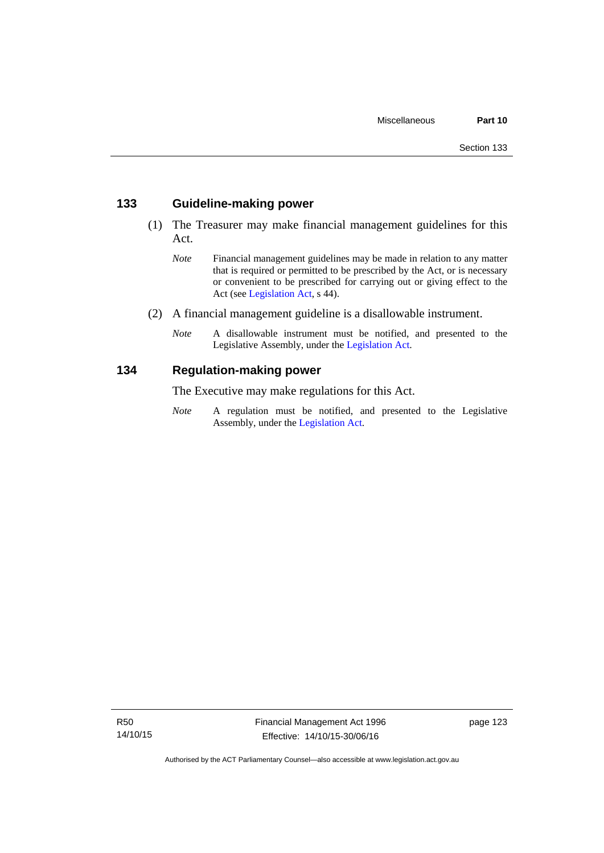#### **133 Guideline-making power**

- (1) The Treasurer may make financial management guidelines for this Act.
	- *Note* Financial management guidelines may be made in relation to any matter that is required or permitted to be prescribed by the Act, or is necessary or convenient to be prescribed for carrying out or giving effect to the Act (see [Legislation Act,](http://www.legislation.act.gov.au/a/2001-14) s 44).
- (2) A financial management guideline is a disallowable instrument.
	- *Note* A disallowable instrument must be notified, and presented to the Legislative Assembly, under the [Legislation Act.](http://www.legislation.act.gov.au/a/2001-14)

#### **134 Regulation-making power**

The Executive may make regulations for this Act.

*Note* A regulation must be notified, and presented to the Legislative Assembly, under the [Legislation Act](http://www.legislation.act.gov.au/a/2001-14).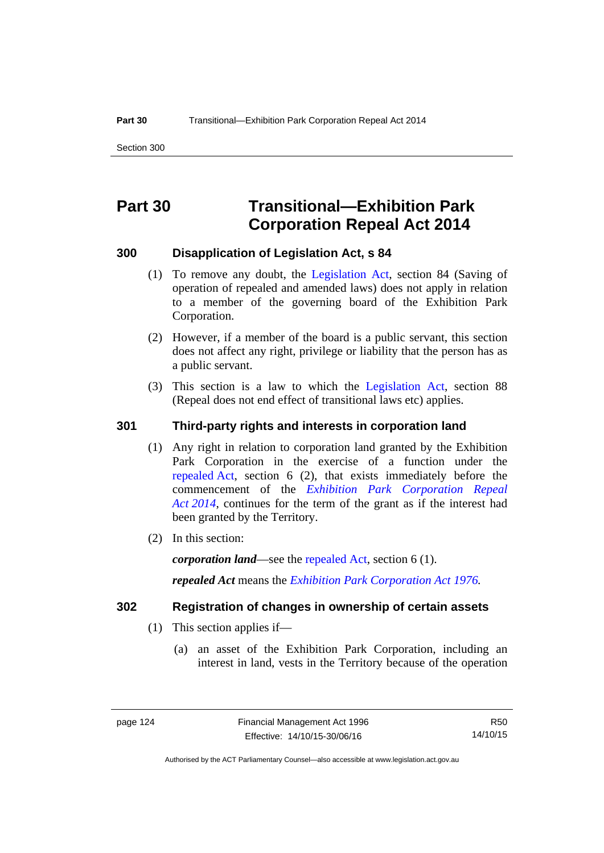# **Part 30 Transitional—Exhibition Park Corporation Repeal Act 2014**

#### **300 Disapplication of Legislation Act, s 84**

- (1) To remove any doubt, the [Legislation Act,](http://www.legislation.act.gov.au/a/2001-14) section 84 (Saving of operation of repealed and amended laws) does not apply in relation to a member of the governing board of the Exhibition Park Corporation.
- (2) However, if a member of the board is a public servant, this section does not affect any right, privilege or liability that the person has as a public servant.
- (3) This section is a law to which the [Legislation Act](http://www.legislation.act.gov.au/a/2001-14), section 88 (Repeal does not end effect of transitional laws etc) applies.

#### **301 Third-party rights and interests in corporation land**

- (1) Any right in relation to corporation land granted by the Exhibition Park Corporation in the exercise of a function under the [repealed Act,](http://www.legislation.act.gov.au/a/1976-1/default.asp) section 6 (2), that exists immediately before the commencement of the *[Exhibition Park Corporation Repeal](http://www.legislation.act.gov.au/a/2014-54/default.asp)  [Act 2014](http://www.legislation.act.gov.au/a/2014-54/default.asp)*, continues for the term of the grant as if the interest had been granted by the Territory.
- (2) In this section:

*corporation land*—see the [repealed Act](http://www.legislation.act.gov.au/a/1976-1/default.asp), section 6 (1).

*repealed Act* means the *[Exhibition Park Corporation Act 1976](http://www.legislation.act.gov.au/a/1976-1).*

#### **302 Registration of changes in ownership of certain assets**

- (1) This section applies if—
	- (a) an asset of the Exhibition Park Corporation, including an interest in land, vests in the Territory because of the operation

R50 14/10/15

Authorised by the ACT Parliamentary Counsel—also accessible at www.legislation.act.gov.au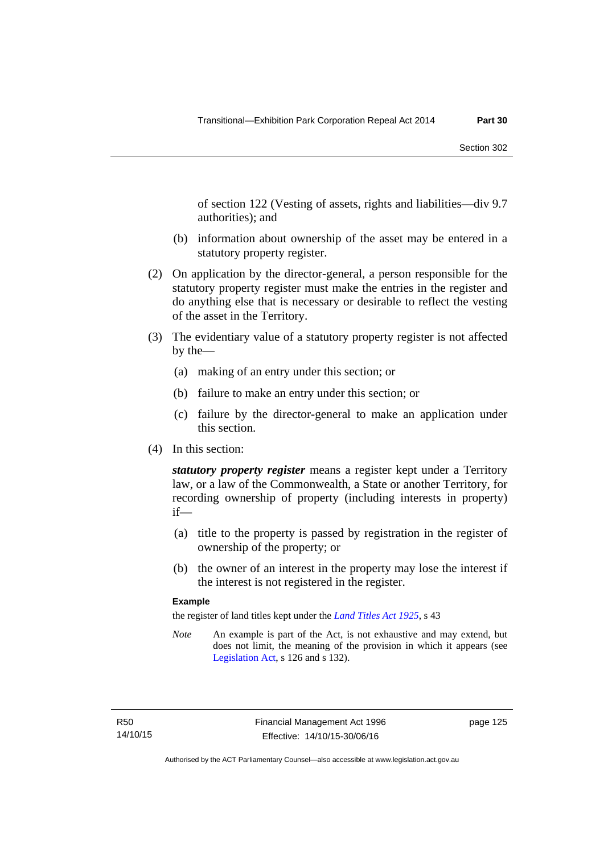of section 122 (Vesting of assets, rights and liabilities—div 9.7 authorities); and

- (b) information about ownership of the asset may be entered in a statutory property register.
- (2) On application by the director-general, a person responsible for the statutory property register must make the entries in the register and do anything else that is necessary or desirable to reflect the vesting of the asset in the Territory.
- (3) The evidentiary value of a statutory property register is not affected by the—
	- (a) making of an entry under this section; or
	- (b) failure to make an entry under this section; or
	- (c) failure by the director-general to make an application under this section.
- (4) In this section:

*statutory property register* means a register kept under a Territory law, or a law of the Commonwealth, a State or another Territory, for recording ownership of property (including interests in property) if—

- (a) title to the property is passed by registration in the register of ownership of the property; or
- (b) the owner of an interest in the property may lose the interest if the interest is not registered in the register.

#### **Example**

the register of land titles kept under the *[Land Titles Act 1925](http://www.legislation.act.gov.au/a/1925-1)*, s 43

*Note* An example is part of the Act, is not exhaustive and may extend, but does not limit, the meaning of the provision in which it appears (see [Legislation Act,](http://www.legislation.act.gov.au/a/2001-14) s 126 and s 132).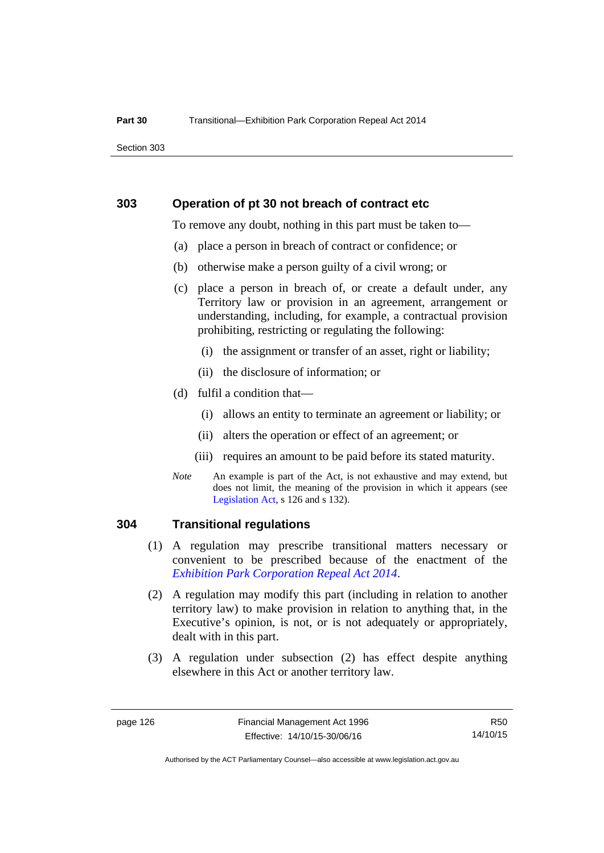Section 303

#### **303 Operation of pt 30 not breach of contract etc**

To remove any doubt, nothing in this part must be taken to—

- (a) place a person in breach of contract or confidence; or
- (b) otherwise make a person guilty of a civil wrong; or
- (c) place a person in breach of, or create a default under, any Territory law or provision in an agreement, arrangement or understanding, including, for example, a contractual provision prohibiting, restricting or regulating the following:
	- (i) the assignment or transfer of an asset, right or liability;
	- (ii) the disclosure of information; or
- (d) fulfil a condition that—
	- (i) allows an entity to terminate an agreement or liability; or
	- (ii) alters the operation or effect of an agreement; or
	- (iii) requires an amount to be paid before its stated maturity.
- *Note* An example is part of the Act, is not exhaustive and may extend, but does not limit, the meaning of the provision in which it appears (see [Legislation Act,](http://www.legislation.act.gov.au/a/2001-14) s 126 and s 132).

#### **304 Transitional regulations**

- (1) A regulation may prescribe transitional matters necessary or convenient to be prescribed because of the enactment of the *[Exhibition Park Corporation Repeal Act 2014](http://www.legislation.act.gov.au/a/2014-54/default.asp)*.
- (2) A regulation may modify this part (including in relation to another territory law) to make provision in relation to anything that, in the Executive's opinion, is not, or is not adequately or appropriately, dealt with in this part.
- (3) A regulation under subsection (2) has effect despite anything elsewhere in this Act or another territory law.

R50 14/10/15

Authorised by the ACT Parliamentary Counsel—also accessible at www.legislation.act.gov.au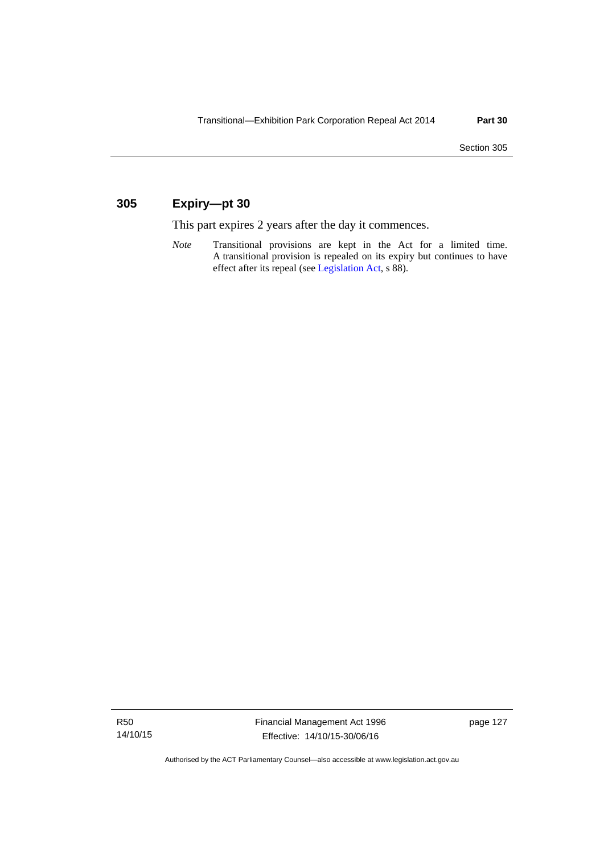## **305 Expiry—pt 30**

This part expires 2 years after the day it commences.

*Note* Transitional provisions are kept in the Act for a limited time. A transitional provision is repealed on its expiry but continues to have effect after its repeal (see [Legislation Act,](http://www.legislation.act.gov.au/a/2001-14) s 88).

R50 14/10/15

Authorised by the ACT Parliamentary Counsel—also accessible at www.legislation.act.gov.au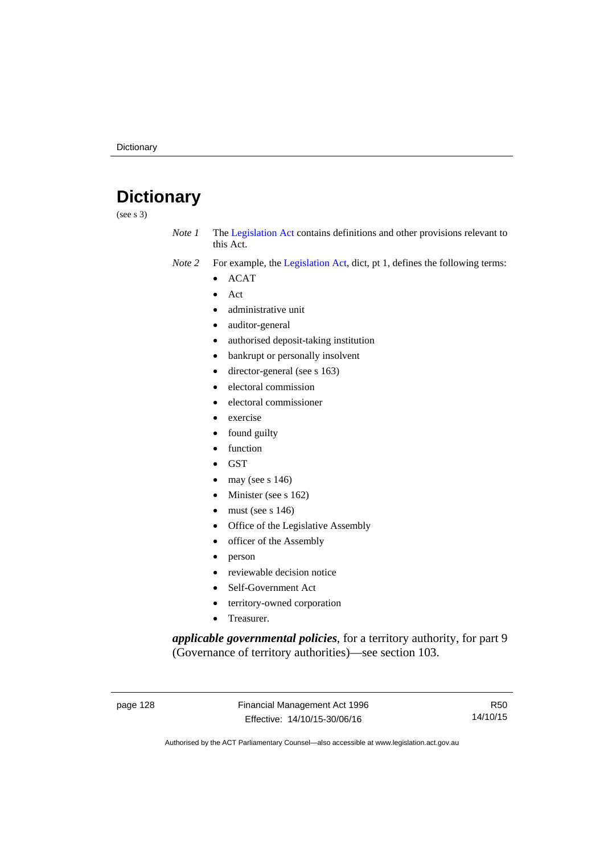# **Dictionary**

(see s 3)

- *Note 1* The [Legislation Act](http://www.legislation.act.gov.au/a/2001-14) contains definitions and other provisions relevant to this Act.
- *Note 2* For example, the [Legislation Act,](http://www.legislation.act.gov.au/a/2001-14) dict, pt 1, defines the following terms:
	- ACAT
	- Act
	- administrative unit
	- auditor-general
	- authorised deposit-taking institution
	- bankrupt or personally insolvent
	- director-general (see s 163)
	- electoral commission
	- electoral commissioner
	- exercise
	- found guilty
	- function
	- **GST**
	- may (see s 146)
	- Minister (see s 162)
	- must (see s 146)
	- Office of the Legislative Assembly
	- officer of the Assembly
	- person
	- reviewable decision notice
	- Self-Government Act
	- territory-owned corporation
	- Treasurer.

*applicable governmental policies*, for a territory authority, for part 9 (Governance of territory authorities)—see section 103.

page 128 Financial Management Act 1996 Effective: 14/10/15-30/06/16

R50 14/10/15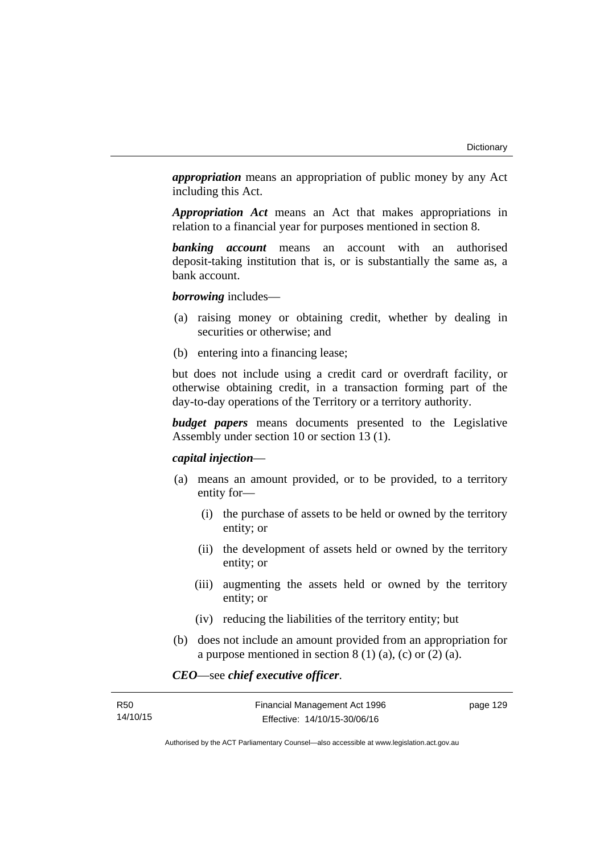*appropriation* means an appropriation of public money by any Act including this Act.

*Appropriation Act* means an Act that makes appropriations in relation to a financial year for purposes mentioned in section 8.

*banking account* means an account with an authorised deposit-taking institution that is, or is substantially the same as, a bank account.

*borrowing* includes—

- (a) raising money or obtaining credit, whether by dealing in securities or otherwise; and
- (b) entering into a financing lease;

but does not include using a credit card or overdraft facility, or otherwise obtaining credit, in a transaction forming part of the day-to-day operations of the Territory or a territory authority.

*budget papers* means documents presented to the Legislative Assembly under section 10 or section 13 (1).

#### *capital injection*—

- (a) means an amount provided, or to be provided, to a territory entity for—
	- (i) the purchase of assets to be held or owned by the territory entity; or
	- (ii) the development of assets held or owned by the territory entity; or
	- (iii) augmenting the assets held or owned by the territory entity; or
	- (iv) reducing the liabilities of the territory entity; but
- (b) does not include an amount provided from an appropriation for a purpose mentioned in section  $8(1)(a)$ , (c) or  $(2)(a)$ .

*CEO*—see *chief executive officer*.

| <b>R50</b> | Financial Management Act 1996 | page 129 |
|------------|-------------------------------|----------|
| 14/10/15   | Effective: 14/10/15-30/06/16  |          |

Authorised by the ACT Parliamentary Counsel—also accessible at www.legislation.act.gov.au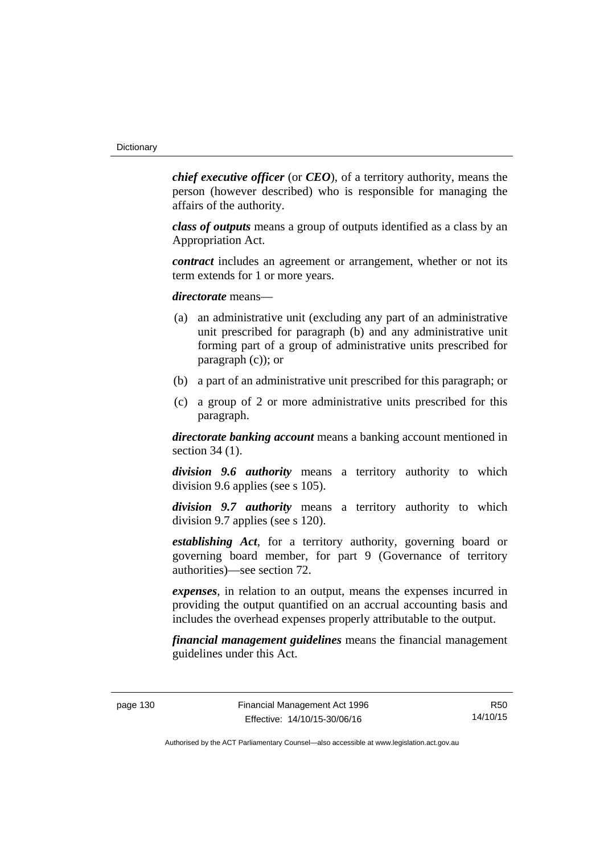*chief executive officer* (or *CEO*), of a territory authority, means the person (however described) who is responsible for managing the affairs of the authority.

*class of outputs* means a group of outputs identified as a class by an Appropriation Act.

*contract* includes an agreement or arrangement, whether or not its term extends for 1 or more years.

*directorate* means––

- (a) an administrative unit (excluding any part of an administrative unit prescribed for paragraph (b) and any administrative unit forming part of a group of administrative units prescribed for paragraph (c)); or
- (b) a part of an administrative unit prescribed for this paragraph; or
- (c) a group of 2 or more administrative units prescribed for this paragraph.

*directorate banking account* means a banking account mentioned in section 34 (1).

*division 9.6 authority* means a territory authority to which division 9.6 applies (see s 105).

*division 9.7 authority* means a territory authority to which division 9.7 applies (see s 120).

*establishing Act*, for a territory authority, governing board or governing board member, for part 9 (Governance of territory authorities)—see section 72.

*expenses*, in relation to an output, means the expenses incurred in providing the output quantified on an accrual accounting basis and includes the overhead expenses properly attributable to the output.

*financial management guidelines* means the financial management guidelines under this Act.

page 130 Financial Management Act 1996 Effective: 14/10/15-30/06/16

R50 14/10/15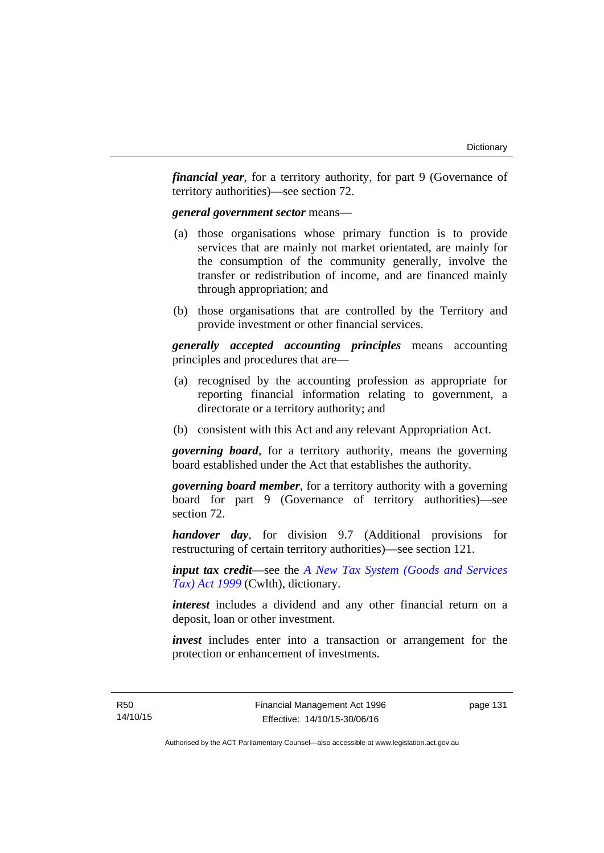*financial year*, for a territory authority, for part 9 (Governance of territory authorities)—see section 72.

#### *general government sector* means—

- (a) those organisations whose primary function is to provide services that are mainly not market orientated, are mainly for the consumption of the community generally, involve the transfer or redistribution of income, and are financed mainly through appropriation; and
- (b) those organisations that are controlled by the Territory and provide investment or other financial services.

*generally accepted accounting principles* means accounting principles and procedures that are—

- (a) recognised by the accounting profession as appropriate for reporting financial information relating to government, a directorate or a territory authority; and
- (b) consistent with this Act and any relevant Appropriation Act.

*governing board*, for a territory authority, means the governing board established under the Act that establishes the authority.

*governing board member*, for a territory authority with a governing board for part 9 (Governance of territory authorities)—see section 72.

*handover day*, for division 9.7 (Additional provisions for restructuring of certain territory authorities)—see section 121.

*input tax credit*—see the *[A New Tax System \(Goods and Services](http://www.comlaw.gov.au/Series/C2004A00446)  [Tax\) Act 1999](http://www.comlaw.gov.au/Series/C2004A00446)* (Cwlth), dictionary.

*interest* includes a dividend and any other financial return on a deposit, loan or other investment.

*invest* includes enter into a transaction or arrangement for the protection or enhancement of investments.

page 131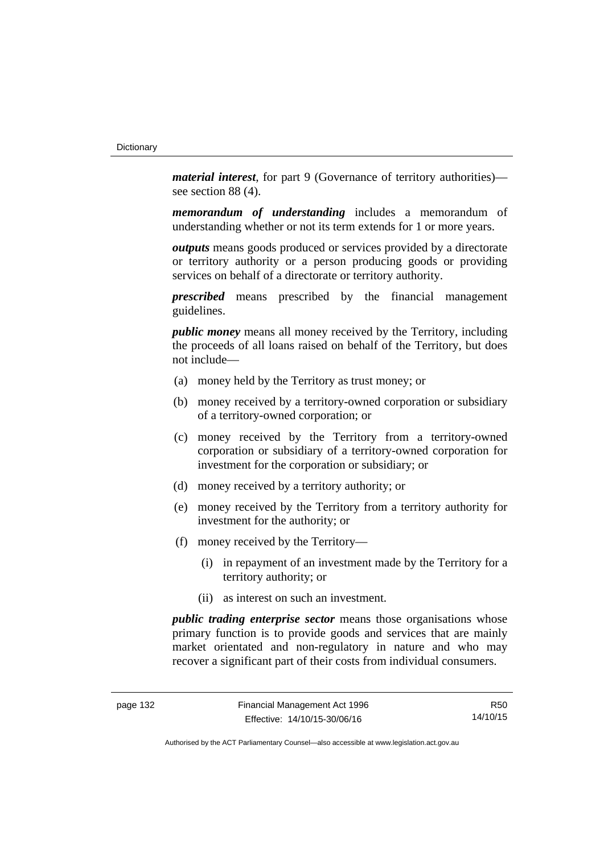*material interest*, for part 9 (Governance of territory authorities) see section 88 (4).

*memorandum of understanding* includes a memorandum of understanding whether or not its term extends for 1 or more years.

*outputs* means goods produced or services provided by a directorate or territory authority or a person producing goods or providing services on behalf of a directorate or territory authority.

*prescribed* means prescribed by the financial management guidelines.

*public money* means all money received by the Territory, including the proceeds of all loans raised on behalf of the Territory, but does not include—

- (a) money held by the Territory as trust money; or
- (b) money received by a territory-owned corporation or subsidiary of a territory-owned corporation; or
- (c) money received by the Territory from a territory-owned corporation or subsidiary of a territory-owned corporation for investment for the corporation or subsidiary; or
- (d) money received by a territory authority; or
- (e) money received by the Territory from a territory authority for investment for the authority; or
- (f) money received by the Territory—
	- (i) in repayment of an investment made by the Territory for a territory authority; or
	- (ii) as interest on such an investment.

*public trading enterprise sector* means those organisations whose primary function is to provide goods and services that are mainly market orientated and non-regulatory in nature and who may recover a significant part of their costs from individual consumers.

R50 14/10/15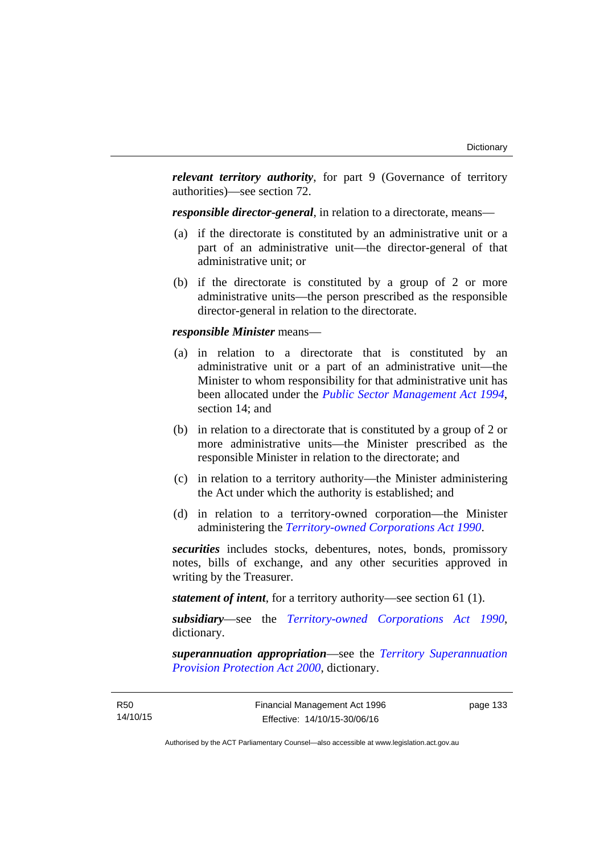*relevant territory authority*, for part 9 (Governance of territory authorities)—see section 72.

*responsible director-general*, in relation to a directorate, means—

- (a) if the directorate is constituted by an administrative unit or a part of an administrative unit—the director-general of that administrative unit; or
- (b) if the directorate is constituted by a group of 2 or more administrative units—the person prescribed as the responsible director-general in relation to the directorate.

#### *responsible Minister* means—

- (a) in relation to a directorate that is constituted by an administrative unit or a part of an administrative unit—the Minister to whom responsibility for that administrative unit has been allocated under the *[Public Sector Management Act 1994](http://www.legislation.act.gov.au/a/1994-37)*, section 14; and
- (b) in relation to a directorate that is constituted by a group of 2 or more administrative units—the Minister prescribed as the responsible Minister in relation to the directorate; and
- (c) in relation to a territory authority—the Minister administering the Act under which the authority is established; and
- (d) in relation to a territory-owned corporation—the Minister administering the *[Territory-owned Corporations Act 1990](http://www.legislation.act.gov.au/a/1990-53)*.

*securities* includes stocks, debentures, notes, bonds, promissory notes, bills of exchange, and any other securities approved in writing by the Treasurer.

*statement of intent*, for a territory authority—see section 61 (1).

*subsidiary*—see the *[Territory-owned Corporations Act 1990](http://www.legislation.act.gov.au/a/1990-53)*, dictionary.

*superannuation appropriation*—see the *[Territory Superannuation](http://www.legislation.act.gov.au/a/2000-21)  [Provision Protection Act 2000](http://www.legislation.act.gov.au/a/2000-21)*, dictionary.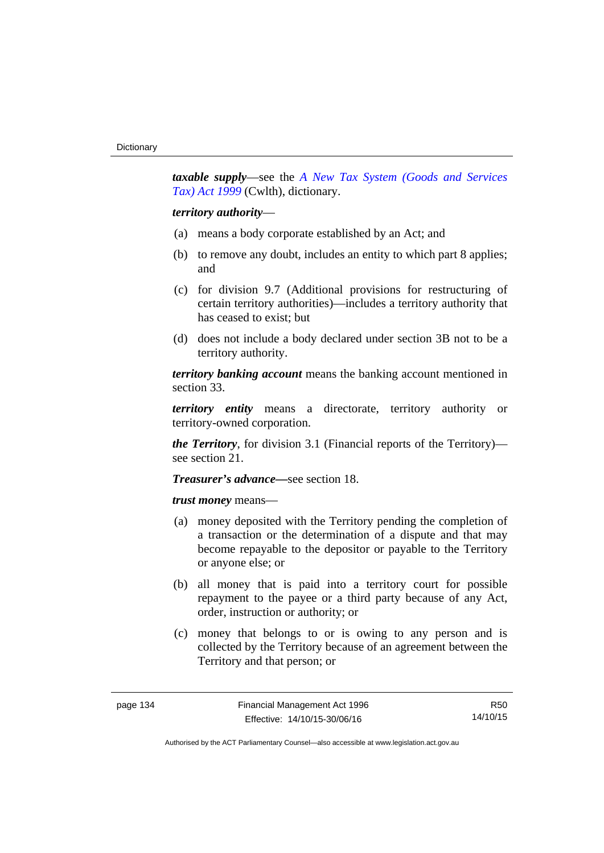*taxable supply*—see the *[A New Tax System \(Goods and Services](http://www.comlaw.gov.au/Series/C2004A00446)  [Tax\) Act 1999](http://www.comlaw.gov.au/Series/C2004A00446)* (Cwlth), dictionary.

#### *territory authority*—

- (a) means a body corporate established by an Act; and
- (b) to remove any doubt, includes an entity to which part 8 applies; and
- (c) for division 9.7 (Additional provisions for restructuring of certain territory authorities)—includes a territory authority that has ceased to exist; but
- (d) does not include a body declared under section 3B not to be a territory authority.

*territory banking account* means the banking account mentioned in section 33.

*territory entity* means a directorate, territory authority or territory-owned corporation.

*the Territory*, for division 3.1 (Financial reports of the Territory) see section 21.

#### *Treasurer's advance—*see section 18.

*trust money* means—

- (a) money deposited with the Territory pending the completion of a transaction or the determination of a dispute and that may become repayable to the depositor or payable to the Territory or anyone else; or
- (b) all money that is paid into a territory court for possible repayment to the payee or a third party because of any Act, order, instruction or authority; or
- (c) money that belongs to or is owing to any person and is collected by the Territory because of an agreement between the Territory and that person; or

R50 14/10/15

Authorised by the ACT Parliamentary Counsel—also accessible at www.legislation.act.gov.au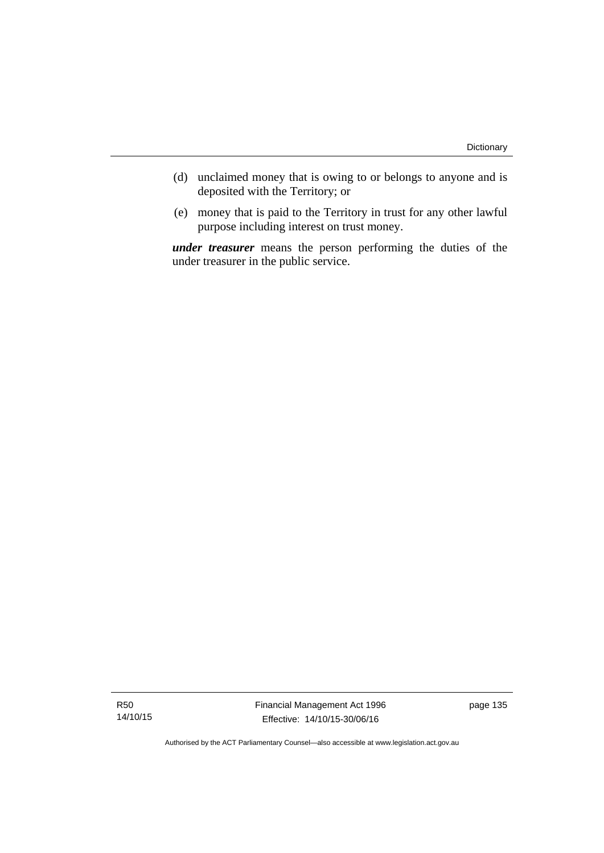- (d) unclaimed money that is owing to or belongs to anyone and is deposited with the Territory; or
- (e) money that is paid to the Territory in trust for any other lawful purpose including interest on trust money.

*under treasurer* means the person performing the duties of the under treasurer in the public service.

R50 14/10/15 Financial Management Act 1996 Effective: 14/10/15-30/06/16

page 135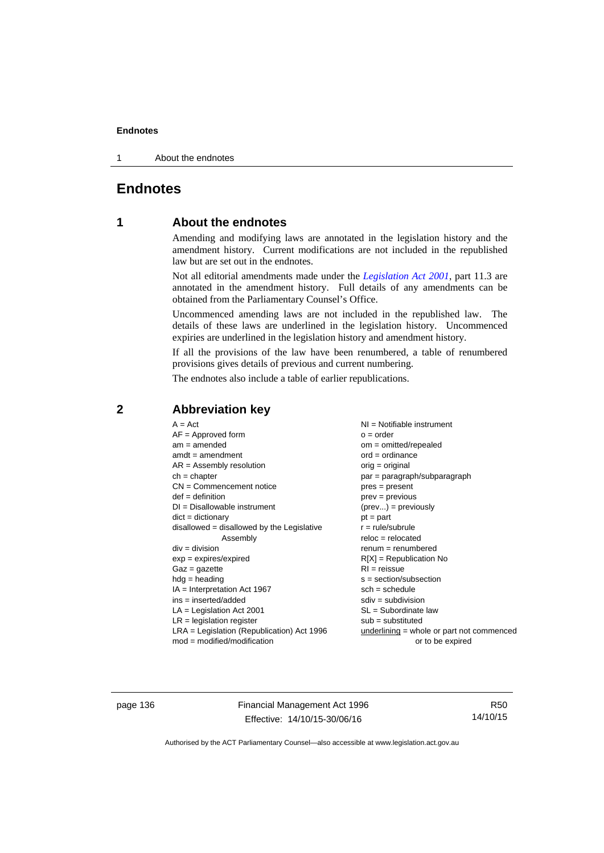1 About the endnotes

# **Endnotes**

# **1 About the endnotes**

Amending and modifying laws are annotated in the legislation history and the amendment history. Current modifications are not included in the republished law but are set out in the endnotes.

Not all editorial amendments made under the *[Legislation Act 2001](http://www.legislation.act.gov.au/a/2001-14)*, part 11.3 are annotated in the amendment history. Full details of any amendments can be obtained from the Parliamentary Counsel's Office.

Uncommenced amending laws are not included in the republished law. The details of these laws are underlined in the legislation history. Uncommenced expiries are underlined in the legislation history and amendment history.

If all the provisions of the law have been renumbered, a table of renumbered provisions gives details of previous and current numbering.

The endnotes also include a table of earlier republications.

|                                                   | $A = Act$<br>$AF =$ Approved form<br>$am = amended$<br>$amdt = amendment$<br>$AR = Assembly resolution$<br>$ch = chapter$<br>$CN =$ Commencement notice<br>$def = definition$<br>$DI = Disallowable instrument$<br>$dict = dictionary$<br>$disallowed = disallowed by the Legislative$<br>Assembly<br>$div = division$<br>$exp = expires/expired$<br>$Gaz = gazette$<br>$hdg = heading$<br>$IA = Interpretation Act 1967$<br>$ins = inserted/added$<br>$LA =$ Legislation Act 2001<br>$LR =$ legislation register | NI = Notifiable instrument<br>$o = order$<br>$om = omitted/repealed$<br>$ord = ordinance$<br>$orig = original$<br>par = paragraph/subparagraph<br>$pres = present$<br>$prev = previous$<br>$(\text{prev}) = \text{previously}$<br>$pt = part$<br>$r = rule/subrule$<br>$reloc = relocated$<br>$remum = renumbered$<br>$R[X]$ = Republication No<br>$RI = reissue$<br>$s = section/subsection$<br>$sch = schedule$<br>$sdiv = subdivision$<br>$SL = Subordinate$ law<br>$sub =$ substituted |
|---------------------------------------------------|-------------------------------------------------------------------------------------------------------------------------------------------------------------------------------------------------------------------------------------------------------------------------------------------------------------------------------------------------------------------------------------------------------------------------------------------------------------------------------------------------------------------|--------------------------------------------------------------------------------------------------------------------------------------------------------------------------------------------------------------------------------------------------------------------------------------------------------------------------------------------------------------------------------------------------------------------------------------------------------------------------------------------|
| $mod = modified/modification$<br>or to be expired | $LRA =$ Legislation (Republication) Act 1996                                                                                                                                                                                                                                                                                                                                                                                                                                                                      | $underlining = whole or part not commenced$                                                                                                                                                                                                                                                                                                                                                                                                                                                |

# **2 Abbreviation key**

page 136 Financial Management Act 1996 Effective: 14/10/15-30/06/16

R50 14/10/15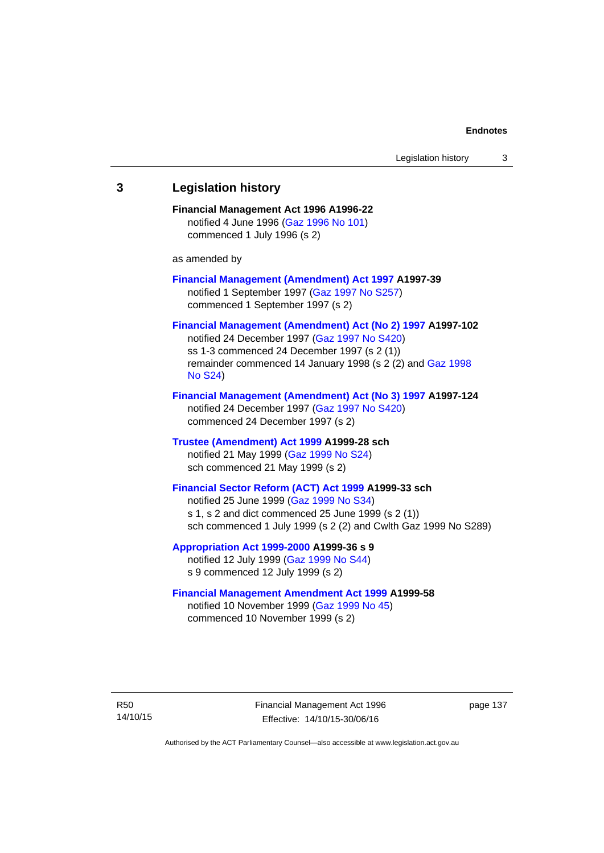# **3 Legislation history Financial Management Act 1996 A1996-22**  notified 4 June 1996 [\(Gaz 1996 No 101\)](http://www.legislation.act.gov.au/gaz/1996-101/default.asp) commenced 1 July 1996 (s 2) as amended by **[Financial Management \(Amendment\) Act 1997](http://www.legislation.act.gov.au/a/1997-39) A1997-39**  notified 1 September 1997 [\(Gaz 1997 No S257\)](http://www.legislation.act.gov.au/gaz/1997-S257/default.asp) commenced 1 September 1997 (s 2) **[Financial Management \(Amendment\) Act \(No 2\) 1997](http://www.legislation.act.gov.au/a/1997-102) A1997-102**  notified 24 December 1997 [\(Gaz 1997 No S420](http://www.legislation.act.gov.au/gaz/1997-S420/default.asp)) ss 1-3 commenced 24 December 1997 (s 2 (1)) remainder commenced 14 January 1998 (s 2 (2) and [Gaz 1998](http://www.legislation.act.gov.au/gaz/1998-S24/default.asp)  [No S24](http://www.legislation.act.gov.au/gaz/1998-S24/default.asp)) **[Financial Management \(Amendment\) Act \(No 3\) 1997](http://www.legislation.act.gov.au/a/1997-124) A1997-124**  notified 24 December 1997 [\(Gaz 1997 No S420](http://www.legislation.act.gov.au/gaz/1997-S420/default.asp)) commenced 24 December 1997 (s 2) **[Trustee \(Amendment\) Act 1999](http://www.legislation.act.gov.au/a/1999-28) A1999-28 sch**  notified 21 May 1999 ([Gaz 1999 No S24](http://www.legislation.act.gov.au/gaz/1999-S24/default.asp)) sch commenced 21 May 1999 (s 2) **[Financial Sector Reform \(ACT\) Act 1999](http://www.legislation.act.gov.au/a/1999-33) A1999-33 sch**  notified 25 June 1999 ([Gaz 1999 No S34](http://www.legislation.act.gov.au/gaz/1999-S34/default.asp)) s 1, s 2 and dict commenced 25 June 1999 (s 2 (1)) sch commenced 1 July 1999 (s 2 (2) and Cwlth Gaz 1999 No S289) **[Appropriation Act 1999-2000](http://www.legislation.act.gov.au/a/1999-36/default.asp) A1999-36 s 9**  notified 12 July 1999 ([Gaz 1999 No S44](http://www.legislation.act.gov.au/gaz/1999-S44/default.asp)) s 9 commenced 12 July 1999 (s 2) **[Financial Management Amendment Act 1999](http://www.legislation.act.gov.au/a/1999-58) A1999-58**  notified 10 November 1999 [\(Gaz 1999 No 45](http://www.legislation.act.gov.au/gaz/1999-45/default.asp))

R50 14/10/15 Financial Management Act 1996 Effective: 14/10/15-30/06/16

page 137

Authorised by the ACT Parliamentary Counsel—also accessible at www.legislation.act.gov.au

commenced 10 November 1999 (s 2)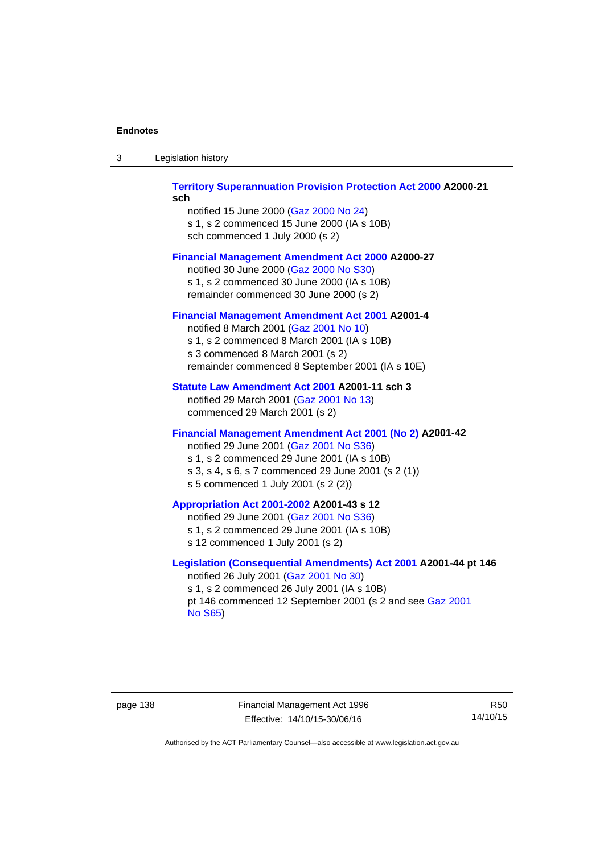| -3 | Legislation history |  |
|----|---------------------|--|
|----|---------------------|--|

## **[Territory Superannuation Provision Protection Act 2000](http://www.legislation.act.gov.au/a/2000-21) A2000-21 sch**

notified 15 June 2000 ([Gaz 2000 No 24\)](http://www.legislation.act.gov.au/gaz/2000-24/default.asp) s 1, s 2 commenced 15 June 2000 (IA s 10B) sch commenced 1 July 2000 (s 2)

## **[Financial Management Amendment Act 2000](http://www.legislation.act.gov.au/a/2000-27) A2000-27**

notified 30 June 2000 ([Gaz 2000 No S30](http://www.legislation.act.gov.au/gaz/2000-S30/default.asp)) s 1, s 2 commenced 30 June 2000 (IA s 10B) remainder commenced 30 June 2000 (s 2)

## **[Financial Management Amendment Act 2001](http://www.legislation.act.gov.au/a/2001-4) A2001-4**

notified 8 March 2001 [\(Gaz 2001 No 10](http://www.legislation.act.gov.au/gaz/2001-10/default.asp)) s 1, s 2 commenced 8 March 2001 (IA s 10B) s 3 commenced 8 March 2001 (s 2) remainder commenced 8 September 2001 (IA s 10E)

## **[Statute Law Amendment Act 2001](http://www.legislation.act.gov.au/a/2001-11) A2001-11 sch 3**

notified 29 March 2001 ([Gaz 2001 No 13\)](http://www.legislation.act.gov.au/gaz/2001-13/default.asp) commenced 29 March 2001 (s 2)

# **[Financial Management Amendment Act 2001 \(No 2\)](http://www.legislation.act.gov.au/a/2001-42) A2001-42**

notified 29 June 2001 ([Gaz 2001 No S36](http://www.legislation.act.gov.au/gaz/2001-S36/default.asp)) s 1, s 2 commenced 29 June 2001 (IA s 10B) s 3, s 4, s 6, s 7 commenced 29 June 2001 (s 2 (1)) s 5 commenced 1 July 2001 (s 2 (2))

# **[Appropriation Act 2001-2002](http://www.legislation.act.gov.au/a/2001-43/default.asp) A2001-43 s 12**

notified 29 June 2001 ([Gaz 2001 No S36](http://www.legislation.act.gov.au/gaz/2001-S36/default.asp)) s 1, s 2 commenced 29 June 2001 (IA s 10B) s 12 commenced 1 July 2001 (s 2)

# **[Legislation \(Consequential Amendments\) Act 2001](http://www.legislation.act.gov.au/a/2001-44) A2001-44 pt 146**  notified 26 July 2001 ([Gaz 2001 No 30\)](http://www.legislation.act.gov.au/gaz/2001-30/default.asp)

s 1, s 2 commenced 26 July 2001 (IA s 10B) pt 146 commenced 12 September 2001 (s 2 and see [Gaz 2001](http://www.legislation.act.gov.au/gaz/2001-S65/default.asp)  [No S65](http://www.legislation.act.gov.au/gaz/2001-S65/default.asp))

page 138 Financial Management Act 1996 Effective: 14/10/15-30/06/16

R50 14/10/15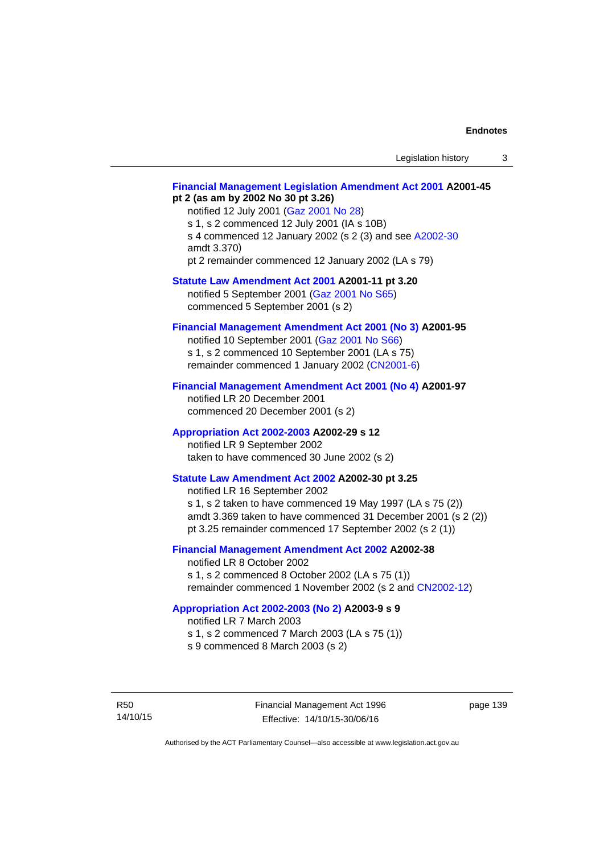# **[Financial Management Legislation Amendment Act 2001](http://www.legislation.act.gov.au/a/2001-45) A2001-45 pt 2 (as am by 2002 No 30 pt 3.26)**

notified 12 July 2001 ([Gaz 2001 No 28\)](http://www.legislation.act.gov.au/gaz/2001-28/default.asp) s 1, s 2 commenced 12 July 2001 (IA s 10B) s 4 commenced 12 January 2002 (s 2 (3) and see [A2002-30](http://www.legislation.act.gov.au/a/2002-30/default.asp) amdt 3.370) pt 2 remainder commenced 12 January 2002 (LA s 79)

**[Statute Law Amendment Act 2001](http://www.legislation.act.gov.au/a/2001-11) A2001-11 pt 3.20** 

notified 5 September 2001 [\(Gaz 2001 No S65\)](http://www.legislation.act.gov.au/gaz/2001-S65/default.asp) commenced 5 September 2001 (s 2)

# **[Financial Management Amendment Act 2001 \(No 3\)](http://www.legislation.act.gov.au/a/2001-95) A2001-95**

notified 10 September 2001 [\(Gaz 2001 No S66\)](http://www.legislation.act.gov.au/gaz/2001-S66/default.asp) s 1, s 2 commenced 10 September 2001 (LA s 75) remainder commenced 1 January 2002 [\(CN2001-6\)](http://www.legislation.act.gov.au/cn/2001-6/default.asp)

## **[Financial Management Amendment Act 2001 \(No 4\)](http://www.legislation.act.gov.au/a/2001-97) A2001-97**

notified LR 20 December 2001 commenced 20 December 2001 (s 2)

## **[Appropriation Act 2002-2003](http://www.legislation.act.gov.au/a/2002-29/default.asp) A2002-29 s 12**

notified LR 9 September 2002 taken to have commenced 30 June 2002 (s 2)

# **[Statute Law Amendment Act 2002](http://www.legislation.act.gov.au/a/2002-30) A2002-30 pt 3.25**

notified LR 16 September 2002 s 1, s 2 taken to have commenced 19 May 1997 (LA s 75 (2)) amdt 3.369 taken to have commenced 31 December 2001 (s 2 (2)) pt 3.25 remainder commenced 17 September 2002 (s 2 (1))

# **[Financial Management Amendment Act 2002](http://www.legislation.act.gov.au/a/2002-38) A2002-38**

notified LR 8 October 2002 s 1, s 2 commenced 8 October 2002 (LA s 75 (1)) remainder commenced 1 November 2002 (s 2 and [CN2002-12](http://www.legislation.act.gov.au/cn/2002-12/default.asp))

## **[Appropriation Act 2002-2003 \(No 2\)](http://www.legislation.act.gov.au/a/2003-9/default.asp) A2003-9 s 9**

notified LR 7 March 2003

s 1, s 2 commenced 7 March 2003 (LA s 75 (1))

s 9 commenced 8 March 2003 (s 2)

R50 14/10/15 Financial Management Act 1996 Effective: 14/10/15-30/06/16

page 139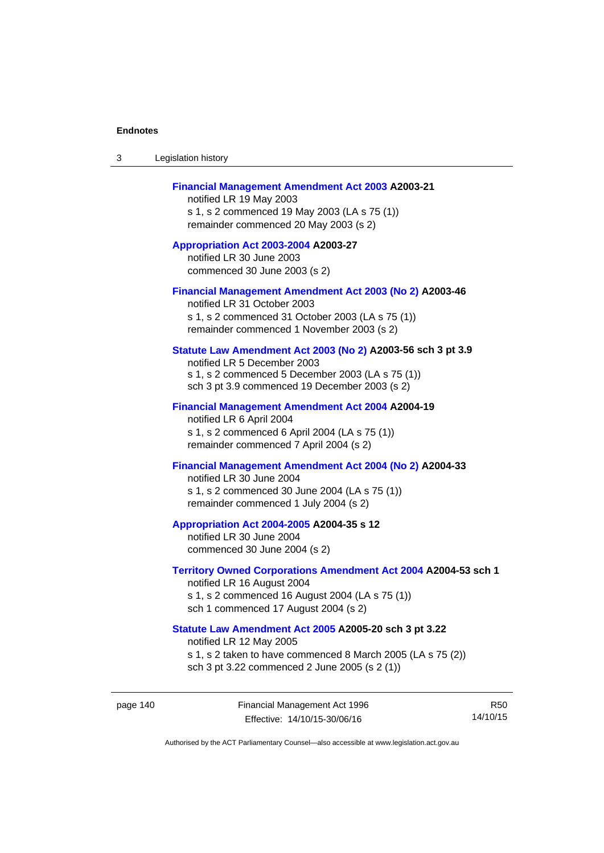| -3 | Legislation history |  |
|----|---------------------|--|
|----|---------------------|--|

## **[Financial Management Amendment Act 2003](http://www.legislation.act.gov.au/a/2003-21) A2003-21**

notified LR 19 May 2003 s 1, s 2 commenced 19 May 2003 (LA s 75 (1)) remainder commenced 20 May 2003 (s 2)

**[Appropriation Act 2003-2004](http://www.legislation.act.gov.au/a/2003-27/default.asp) A2003-27**  notified LR 30 June 2003 commenced 30 June 2003 (s 2)

#### **[Financial Management Amendment Act 2003 \(No 2\)](http://www.legislation.act.gov.au/a/2003-46) A2003-46**

notified LR 31 October 2003 s 1, s 2 commenced 31 October 2003 (LA s 75 (1)) remainder commenced 1 November 2003 (s 2)

## **[Statute Law Amendment Act 2003 \(No 2\)](http://www.legislation.act.gov.au/a/2003-56) A2003-56 sch 3 pt 3.9**

notified LR 5 December 2003 s 1, s 2 commenced 5 December 2003 (LA s 75 (1)) sch 3 pt 3.9 commenced 19 December 2003 (s 2)

#### **[Financial Management Amendment Act 2004](http://www.legislation.act.gov.au/a/2004-19) A2004-19**

notified LR 6 April 2004 s 1, s 2 commenced 6 April 2004 (LA s 75 (1)) remainder commenced 7 April 2004 (s 2)

# **[Financial Management Amendment Act 2004 \(No 2\)](http://www.legislation.act.gov.au/a/2004-33) A2004-33**

notified LR 30 June 2004 s 1, s 2 commenced 30 June 2004 (LA s 75 (1)) remainder commenced 1 July 2004 (s 2)

### **[Appropriation Act 2004-2005](http://www.legislation.act.gov.au/a/2004-35/default.asp) A2004-35 s 12**

notified LR 30 June 2004 commenced 30 June 2004 (s 2)

### **[Territory Owned Corporations Amendment Act 2004](http://www.legislation.act.gov.au/a/2004-53) A2004-53 sch 1**  notified LR 16 August 2004

s 1, s 2 commenced 16 August 2004 (LA s 75 (1)) sch 1 commenced 17 August 2004 (s 2)

# **[Statute Law Amendment Act 2005](http://www.legislation.act.gov.au/a/2005-20) A2005-20 sch 3 pt 3.22**

notified LR 12 May 2005

- s 1, s 2 taken to have commenced 8 March 2005 (LA s 75 (2))
- sch 3 pt 3.22 commenced 2 June 2005 (s 2 (1))

page 140 Financial Management Act 1996 Effective: 14/10/15-30/06/16

R50 14/10/15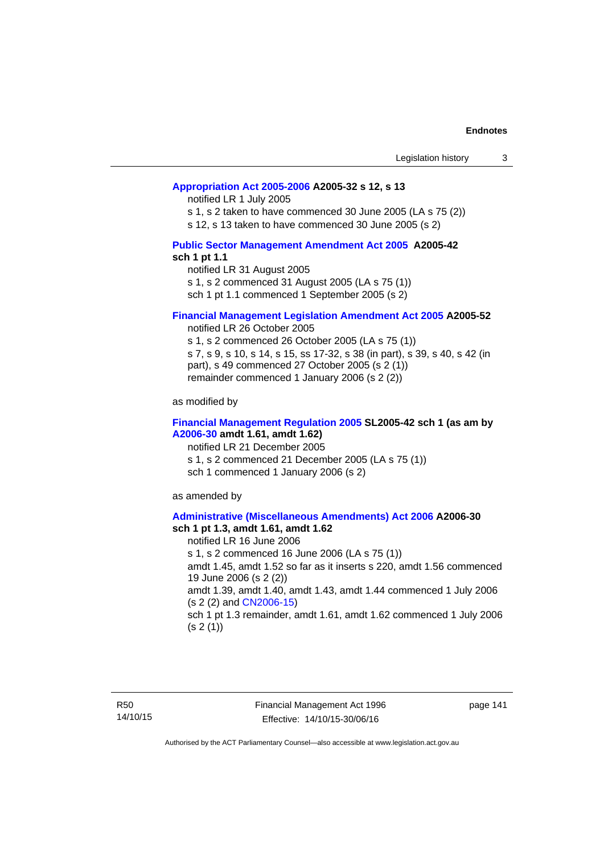## **[Appropriation Act 2005-2006](http://www.legislation.act.gov.au/a/2005-32/default.asp) A2005-32 s 12, s 13**

notified LR 1 July 2005

s 1, s 2 taken to have commenced 30 June 2005 (LA s 75 (2))

s 12, s 13 taken to have commenced 30 June 2005 (s 2)

# **[Public Sector Management Amendment Act 2005](http://www.legislation.act.gov.au/a/2005-42/default.asp) A2005-42 sch 1 pt 1.1**

notified LR 31 August 2005 s 1, s 2 commenced 31 August 2005 (LA s 75 (1)) sch 1 pt 1.1 commenced 1 September 2005 (s 2)

## **[Financial Management Legislation Amendment Act 2005](http://www.legislation.act.gov.au/a/2005-52) A2005-52**

notified LR 26 October 2005

s 1, s 2 commenced 26 October 2005 (LA s 75 (1)) s 7, s 9, s 10, s 14, s 15, ss 17-32, s 38 (in part), s 39, s 40, s 42 (in part), s 49 commenced 27 October 2005 (s 2 (1)) remainder commenced 1 January 2006 (s 2 (2))

as modified by

## **[Financial Management Regulation 2005](http://www.legislation.act.gov.au/sl/2005-42) SL2005-42 sch 1 (as am by [A2006-30](http://www.legislation.act.gov.au/a/2006-30) amdt 1.61, amdt 1.62)**

notified LR 21 December 2005 s 1, s 2 commenced 21 December 2005 (LA s 75 (1)) sch 1 commenced 1 January 2006 (s 2)

as amended by

#### **[Administrative \(Miscellaneous Amendments\) Act 2006](http://www.legislation.act.gov.au/a/2006-30) A2006-30 sch 1 pt 1.3, amdt 1.61, amdt 1.62**

notified LR 16 June 2006 s 1, s 2 commenced 16 June 2006 (LA s 75 (1)) amdt 1.45, amdt 1.52 so far as it inserts s 220, amdt 1.56 commenced 19 June 2006 (s 2 (2)) amdt 1.39, amdt 1.40, amdt 1.43, amdt 1.44 commenced 1 July 2006 (s 2 (2) and [CN2006-15](http://www.legislation.act.gov.au/cn/2006-15/default.asp)) sch 1 pt 1.3 remainder, amdt 1.61, amdt 1.62 commenced 1 July 2006  $(s 2(1))$ 

R50 14/10/15 Financial Management Act 1996 Effective: 14/10/15-30/06/16

page 141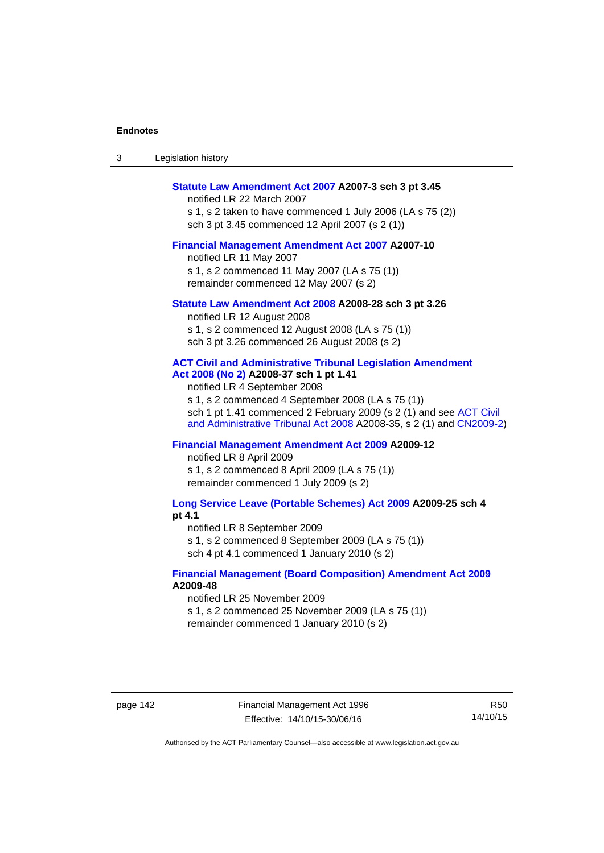| -3 | Legislation history |  |
|----|---------------------|--|
|----|---------------------|--|

## **[Statute Law Amendment Act 2007](http://www.legislation.act.gov.au/a/2007-3) A2007-3 sch 3 pt 3.45**

notified LR 22 March 2007 s 1, s 2 taken to have commenced 1 July 2006 (LA s 75 (2)) sch 3 pt 3.45 commenced 12 April 2007 (s 2 (1))

#### **[Financial Management Amendment Act 2007](http://www.legislation.act.gov.au/a/2007-10) A2007-10**

notified LR 11 May 2007 s 1, s 2 commenced 11 May 2007 (LA s 75 (1)) remainder commenced 12 May 2007 (s 2)

### **[Statute Law Amendment Act 2008](http://www.legislation.act.gov.au/a/2008-28) A2008-28 sch 3 pt 3.26**

notified LR 12 August 2008 s 1, s 2 commenced 12 August 2008 (LA s 75 (1)) sch 3 pt 3.26 commenced 26 August 2008 (s 2)

# **[ACT Civil and Administrative Tribunal Legislation Amendment](http://www.legislation.act.gov.au/a/2008-37)**

**[Act 2008 \(No 2\)](http://www.legislation.act.gov.au/a/2008-37) A2008-37 sch 1 pt 1.41** 

notified LR 4 September 2008

s 1, s 2 commenced 4 September 2008 (LA s 75 (1)) sch 1 pt 1.41 commenced 2 February 2009 (s 2 (1) and see [ACT Civil](http://www.legislation.act.gov.au/a/2008-35)  [and Administrative Tribunal Act 2008](http://www.legislation.act.gov.au/a/2008-35) A2008-35, s 2 (1) and [CN2009-2](http://www.legislation.act.gov.au/cn/2009-2/default.asp))

# **[Financial Management Amendment Act 2009](http://www.legislation.act.gov.au/a/2009-12) A2009-12**

notified LR 8 April 2009

s 1, s 2 commenced 8 April 2009 (LA s 75 (1)) remainder commenced 1 July 2009 (s 2)

**[Long Service Leave \(Portable Schemes\) Act 2009](http://www.legislation.act.gov.au/a/2009-25) A2009-25 sch 4 pt 4.1** 

notified LR 8 September 2009

s 1, s 2 commenced 8 September 2009 (LA s 75 (1))

sch 4 pt 4.1 commenced 1 January 2010 (s 2)

## **[Financial Management \(Board Composition\) Amendment Act 2009](http://www.legislation.act.gov.au/a/2009-48) A2009-48**

notified LR 25 November 2009

s 1, s 2 commenced 25 November 2009 (LA s 75 (1))

remainder commenced 1 January 2010 (s 2)

page 142 Financial Management Act 1996 Effective: 14/10/15-30/06/16

R50 14/10/15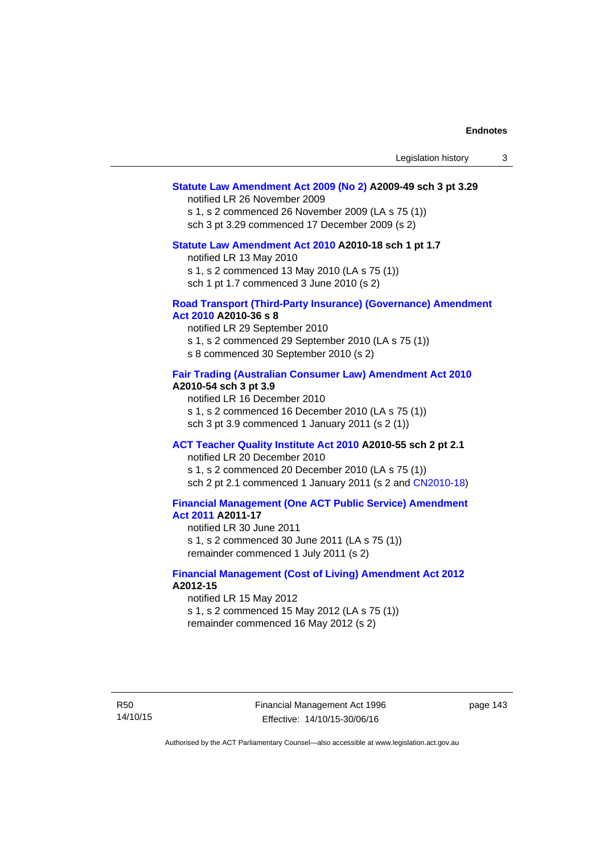## **[Statute Law Amendment Act 2009 \(No 2\)](http://www.legislation.act.gov.au/a/2009-49) A2009-49 sch 3 pt 3.29**

notified LR 26 November 2009

s 1, s 2 commenced 26 November 2009 (LA s 75 (1)) sch 3 pt 3.29 commenced 17 December 2009 (s 2)

#### **[Statute Law Amendment Act 2010](http://www.legislation.act.gov.au/a/2010-18) A2010-18 sch 1 pt 1.7**

notified LR 13 May 2010 s 1, s 2 commenced 13 May 2010 (LA s 75 (1))

sch 1 pt 1.7 commenced 3 June 2010 (s 2)

#### **[Road Transport \(Third-Party Insurance\) \(Governance\) Amendment](http://www.legislation.act.gov.au/a/2010-36)  [Act 2010](http://www.legislation.act.gov.au/a/2010-36) A2010-36 s 8**

notified LR 29 September 2010 s 1, s 2 commenced 29 September 2010 (LA s 75 (1)) s 8 commenced 30 September 2010 (s 2)

## **[Fair Trading \(Australian Consumer Law\) Amendment Act 2010](http://www.legislation.act.gov.au/a/2010-54) A2010-54 sch 3 pt 3.9**

notified LR 16 December 2010 s 1, s 2 commenced 16 December 2010 (LA s 75 (1)) sch 3 pt 3.9 commenced 1 January 2011 (s 2 (1))

# **[ACT Teacher Quality Institute Act 2010](http://www.legislation.act.gov.au/a/2010-55) A2010-55 sch 2 pt 2.1**

notified LR 20 December 2010

s 1, s 2 commenced 20 December 2010 (LA s 75 (1)) sch 2 pt 2.1 commenced 1 January 2011 (s 2 and [CN2010-18\)](http://www.legislation.act.gov.au/cn/2010-18/default.asp)

# **[Financial Management \(One ACT Public Service\) Amendment](http://www.legislation.act.gov.au/a/2011-17)  [Act 2011](http://www.legislation.act.gov.au/a/2011-17) A2011-17**

notified LR 30 June 2011 s 1, s 2 commenced 30 June 2011 (LA s 75 (1)) remainder commenced 1 July 2011 (s 2)

## **[Financial Management \(Cost of Living\) Amendment Act 2012](http://www.legislation.act.gov.au/a/2012-15) A2012-15**

notified LR 15 May 2012 s 1, s 2 commenced 15 May 2012 (LA s 75 (1)) remainder commenced 16 May 2012 (s 2)

page 143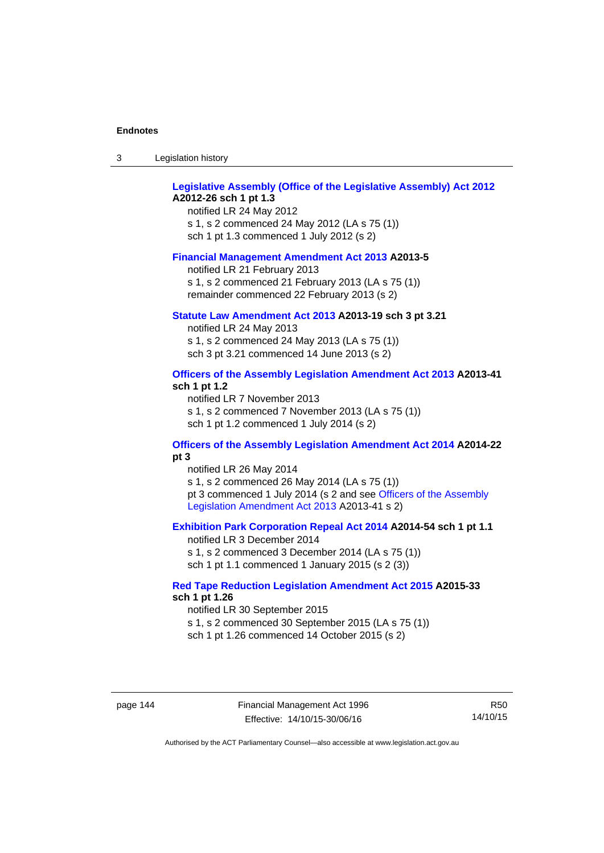| -3 | Legislation history |  |
|----|---------------------|--|
|----|---------------------|--|

# **[Legislative Assembly \(Office of the Legislative Assembly\) Act 2012](http://www.legislation.act.gov.au/a/2012-26) A2012-26 sch 1 pt 1.3**

notified LR 24 May 2012 s 1, s 2 commenced 24 May 2012 (LA s 75 (1)) sch 1 pt 1.3 commenced 1 July 2012 (s 2)

#### **[Financial Management Amendment Act 2013](http://www.legislation.act.gov.au/a/2013-5/default.asp) A2013-5**

notified LR 21 February 2013 s 1, s 2 commenced 21 February 2013 (LA s 75 (1)) remainder commenced 22 February 2013 (s 2)

## **[Statute Law Amendment Act 2013](http://www.legislation.act.gov.au/a/2013-19) A2013-19 sch 3 pt 3.21**

notified LR 24 May 2013 s 1, s 2 commenced 24 May 2013 (LA s 75 (1)) sch 3 pt 3.21 commenced 14 June 2013 (s 2)

## **[Officers of the Assembly Legislation Amendment Act 2013](http://www.legislation.act.gov.au/a/2013-41/default.asp) A2013-41 sch 1 pt 1.2**

notified LR 7 November 2013 s 1, s 2 commenced 7 November 2013 (LA s 75 (1)) sch 1 pt 1.2 commenced 1 July 2014 (s 2)

# **[Officers of the Assembly Legislation Amendment Act 2014](http://www.legislation.act.gov.au/a/2014-22/default.asp) A2014-22 pt 3**

notified LR 26 May 2014 s 1, s 2 commenced 26 May 2014 (LA s 75 (1)) pt 3 commenced 1 July 2014 (s 2 and see [Officers of the Assembly](http://www.legislation.act.gov.au/a/2013-41/default.asp)  [Legislation Amendment Act 2013](http://www.legislation.act.gov.au/a/2013-41/default.asp) A2013-41 s 2)

## **[Exhibition Park Corporation Repeal Act 2014](http://www.legislation.act.gov.au/a/2014-54/default.asp) A2014-54 sch 1 pt 1.1**

notified LR 3 December 2014 s 1, s 2 commenced 3 December 2014 (LA s 75 (1)) sch 1 pt 1.1 commenced 1 January 2015 (s 2 (3))

## **[Red Tape Reduction Legislation Amendment Act 2015](http://www.legislation.act.gov.au/a/2015-33/default.asp) A2015-33 sch 1 pt 1.26**

notified LR 30 September 2015 s 1, s 2 commenced 30 September 2015 (LA s 75 (1)) sch 1 pt 1.26 commenced 14 October 2015 (s 2)

page 144 Financial Management Act 1996 Effective: 14/10/15-30/06/16

R50 14/10/15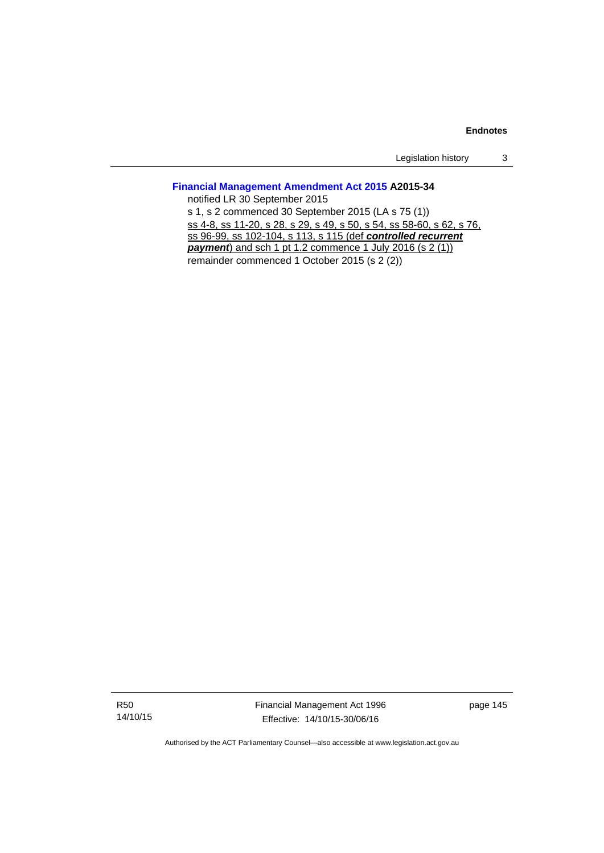Legislation history 3

# **[Financial Management Amendment Act 2015](http://www.legislation.act.gov.au/a/2015-34/default.asp) A2015-34**

notified LR 30 September 2015 s 1, s 2 commenced 30 September 2015 (LA s 75 (1)) ss 4-8, ss 11-20, s 28, s 29, s 49, s 50, s 54, ss 58-60, s 62, s 76, ss 96-99, ss 102-104, s 113, s 115 (def *controlled recurrent payment*) and sch 1 pt 1.2 commence 1 July 2016 (s 2 (1)) remainder commenced 1 October 2015 (s 2 (2))

R50 14/10/15 Financial Management Act 1996 Effective: 14/10/15-30/06/16

page 145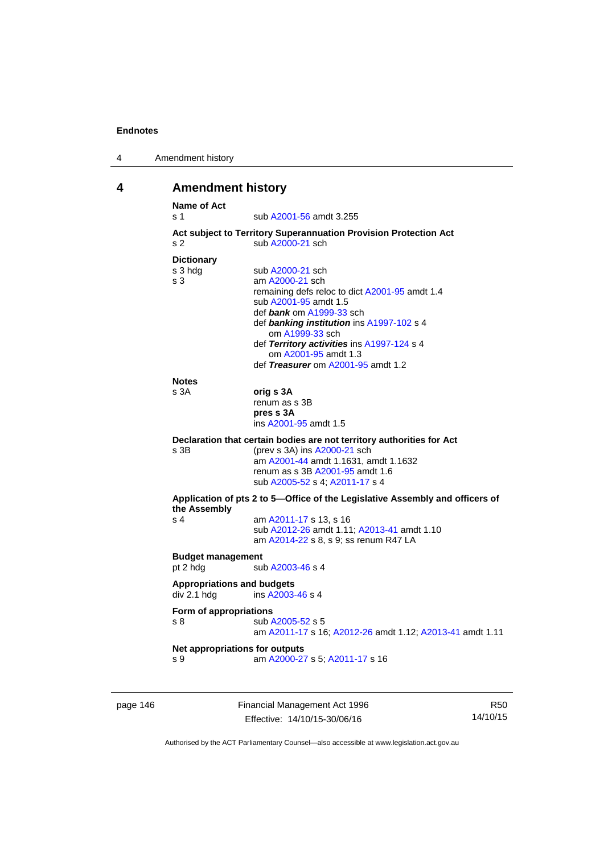| 4 | Amendment history |
|---|-------------------|
|---|-------------------|

# **4 Amendment history**

| <b>Name of Act</b><br>s <sub>1</sub> | sub A2001-56 amdt 3.255                                                      |
|--------------------------------------|------------------------------------------------------------------------------|
|                                      | Act subject to Territory Superannuation Provision Protection Act             |
| s <sub>2</sub>                       | sub A2000-21 sch                                                             |
| <b>Dictionary</b>                    |                                                                              |
| s 3 hdg                              | sub A2000-21 sch                                                             |
| s <sub>3</sub>                       | am A2000-21 sch                                                              |
|                                      | remaining defs reloc to dict A2001-95 amdt 1.4                               |
|                                      | sub A2001-95 amdt 1.5                                                        |
|                                      | def bank om A1999-33 sch                                                     |
|                                      | def banking institution ins A1997-102 s 4<br>om A1999-33 sch                 |
|                                      | def Territory activities ins A1997-124 s 4                                   |
|                                      | om A2001-95 amdt 1.3                                                         |
|                                      | def Treasurer om A2001-95 amdt 1.2                                           |
| <b>Notes</b>                         |                                                                              |
| s <sub>3A</sub>                      | orig s 3A                                                                    |
|                                      | renum as s 3B                                                                |
|                                      | pres s 3A                                                                    |
|                                      | ins A2001-95 amdt 1.5                                                        |
|                                      | Declaration that certain bodies are not territory authorities for Act        |
| s 3B                                 | (prev s 3A) ins A2000-21 sch                                                 |
|                                      | am A2001-44 amdt 1.1631, amdt 1.1632                                         |
|                                      | renum as s 3B A2001-95 amdt 1.6<br>sub A2005-52 s 4; A2011-17 s 4            |
|                                      | Application of pts 2 to 5-Office of the Legislative Assembly and officers of |
| the Assembly                         |                                                                              |
| s <sub>4</sub>                       | am A2011-17 s 13, s 16                                                       |
|                                      | sub A2012-26 amdt 1.11; A2013-41 amdt 1.10                                   |
|                                      | am A2014-22 s 8, s 9; ss renum R47 LA                                        |
| <b>Budget management</b>             |                                                                              |
| pt 2 hdg                             | sub A2003-46 s 4                                                             |
| <b>Appropriations and budgets</b>    |                                                                              |
| div 2.1 hdg                          | ins A2003-46 s 4                                                             |
| Form of appropriations               |                                                                              |
| s <sub>8</sub>                       | sub A2005-52 s 5                                                             |
|                                      | am A2011-17 s 16; A2012-26 amdt 1.12; A2013-41 amdt 1.11                     |
|                                      | Net appropriations for outputs                                               |
| s 9                                  | am A2000-27 s 5; A2011-17 s 16                                               |

page 146 Financial Management Act 1996 Effective: 14/10/15-30/06/16

R50 14/10/15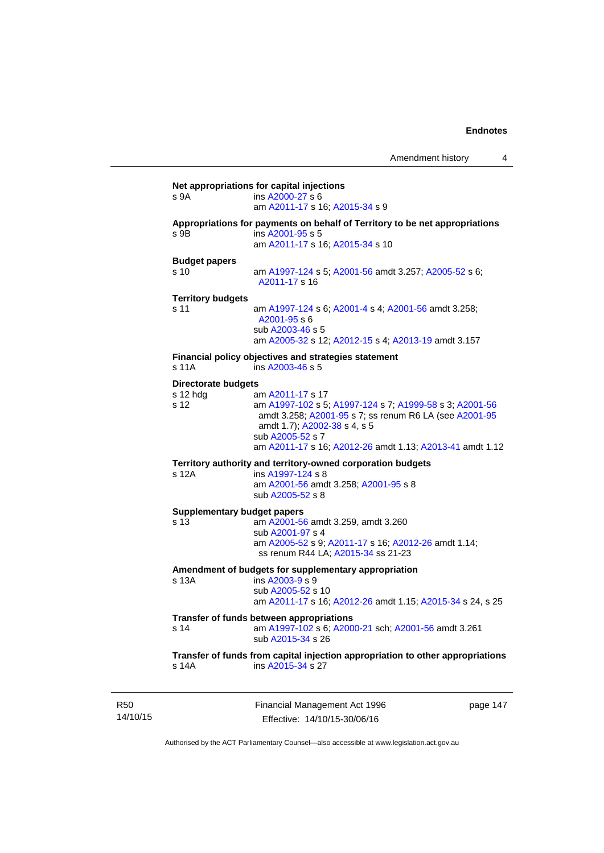| s 9A                       | ins A2000-27 s 6<br>am A2011-17 s 16; A2015-34 s 9                                                                                                                    |
|----------------------------|-----------------------------------------------------------------------------------------------------------------------------------------------------------------------|
| s 9B                       | Appropriations for payments on behalf of Territory to be net appropriations<br>ins A2001-95 s 5<br>am A2011-17 s 16; A2015-34 s 10                                    |
| <b>Budget papers</b>       |                                                                                                                                                                       |
| s 10                       | am A1997-124 s 5; A2001-56 amdt 3.257; A2005-52 s 6;<br>A2011-17 s 16                                                                                                 |
| <b>Territory budgets</b>   |                                                                                                                                                                       |
| s 11                       | am A1997-124 s 6; A2001-4 s 4; A2001-56 amdt 3.258;<br>A2001-95 s 6<br>sub A2003-46 s 5<br>am A2005-32 s 12; A2012-15 s 4; A2013-19 amdt 3.157                        |
|                            | Financial policy objectives and strategies statement                                                                                                                  |
| s 11A                      | ins A2003-46 s 5                                                                                                                                                      |
| <b>Directorate budgets</b> |                                                                                                                                                                       |
| s 12 hdg<br>s 12           | am A2011-17 s 17<br>am A1997-102 s 5; A1997-124 s 7; A1999-58 s 3; A2001-56<br>amdt 3.258; A2001-95 s 7; ss renum R6 LA (see A2001-95<br>amdt 1.7); A2002-38 s 4, s 5 |
|                            | sub A2005-52 s 7<br>am A2011-17 s 16; A2012-26 amdt 1.13; A2013-41 amdt 1.12                                                                                          |
|                            | Territory authority and territory-owned corporation budgets                                                                                                           |
| s 12A                      | ins A1997-124 s 8<br>am A2001-56 amdt 3.258; A2001-95 s 8<br>sub A2005-52 s 8                                                                                         |
|                            | <b>Supplementary budget papers</b>                                                                                                                                    |
| s 13                       | am A2001-56 amdt 3.259, amdt 3.260                                                                                                                                    |
|                            | sub A2001-97 s 4<br>am A2005-52 s 9; A2011-17 s 16; A2012-26 amdt 1.14;<br>ss renum R44 LA; A2015-34 ss 21-23                                                         |
|                            | Amendment of budgets for supplementary appropriation                                                                                                                  |
| s 13A                      | ins A2003-9 s 9<br>sub A2005-52 s 10<br>am A2011-17 s 16; A2012-26 amdt 1.15; A2015-34 s 24, s 25                                                                     |
|                            | Transfer of funds between appropriations                                                                                                                              |
| s 14                       | am A1997-102 s 6; A2000-21 sch; A2001-56 amdt 3.261<br>sub A2015-34 s 26                                                                                              |
|                            | Transfer of funds from capital injection appropriation to other appropriations<br>ins A2015-34 s 27                                                                   |

14/10/15

R50

Financial Management Act 1996 Effective: 14/10/15-30/06/16

page 147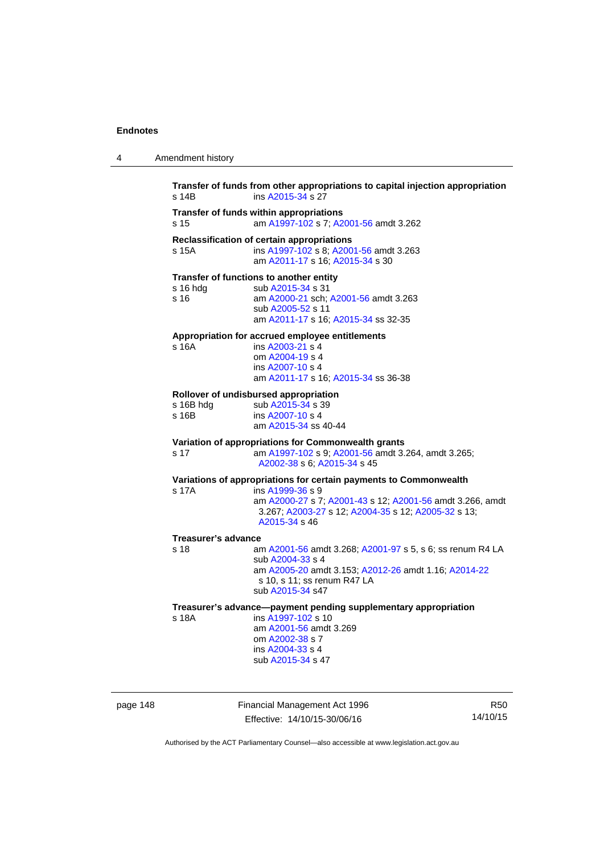4 Amendment history

| s 14B                      | ins A2015-34 s 27                                                                                                                 |
|----------------------------|-----------------------------------------------------------------------------------------------------------------------------------|
| s 15                       | Transfer of funds within appropriations<br>am A1997-102 s 7; A2001-56 amdt 3.262                                                  |
| s 15A                      | Reclassification of certain appropriations<br>ins A1997-102 s 8; A2001-56 amdt 3.263<br>am A2011-17 s 16; A2015-34 s 30           |
|                            | Transfer of functions to another entity                                                                                           |
| s 16 hdg<br>s 16           | sub A2015-34 s 31<br>am A2000-21 sch; A2001-56 amdt 3.263<br>sub A2005-52 s 11                                                    |
|                            | am A2011-17 s 16; A2015-34 ss 32-35                                                                                               |
|                            | Appropriation for accrued employee entitlements                                                                                   |
| s 16A                      | ins A2003-21 s 4                                                                                                                  |
|                            | om A2004-19 s 4                                                                                                                   |
|                            | ins A2007-10 s 4                                                                                                                  |
|                            | am A2011-17 s 16; A2015-34 ss 36-38                                                                                               |
|                            | Rollover of undisbursed appropriation                                                                                             |
| s 16B hdg                  | sub A2015-34 s 39                                                                                                                 |
| s 16B                      | ins A2007-10 s 4                                                                                                                  |
|                            | am A2015-34 ss 40-44                                                                                                              |
|                            | Variation of appropriations for Commonwealth grants                                                                               |
| s 17                       | am A1997-102 s 9; A2001-56 amdt 3.264, amdt 3.265;                                                                                |
|                            | A2002-38 s 6; A2015-34 s 45                                                                                                       |
|                            | Variations of appropriations for certain payments to Commonwealth                                                                 |
| s 17A                      | ins A1999-36 s 9                                                                                                                  |
|                            | am A2000-27 s 7; A2001-43 s 12; A2001-56 amdt 3.266, amdt<br>3.267; A2003-27 s 12; A2004-35 s 12; A2005-32 s 13;<br>A2015-34 s 46 |
| <b>Treasurer's advance</b> |                                                                                                                                   |
| s 18                       | am A2001-56 amdt 3.268; A2001-97 s 5, s 6; ss renum R4 LA                                                                         |
|                            | sub A2004-33 s 4                                                                                                                  |
|                            | am A2005-20 amdt 3.153; A2012-26 amdt 1.16; A2014-22                                                                              |
|                            | s 10, s 11; ss renum R47 LA                                                                                                       |
|                            | sub A2015-34 s47                                                                                                                  |
|                            | Treasurer's advance-payment pending supplementary appropriation                                                                   |
| s 18A                      | ins A1997-102 s 10                                                                                                                |
|                            | am A2001-56 amdt 3.269                                                                                                            |
|                            | om A2002-38 s 7                                                                                                                   |
|                            | ins A2004-33 s 4                                                                                                                  |
|                            | sub A2015-34 s 47                                                                                                                 |

page 148 Financial Management Act 1996 Effective: 14/10/15-30/06/16

R50 14/10/15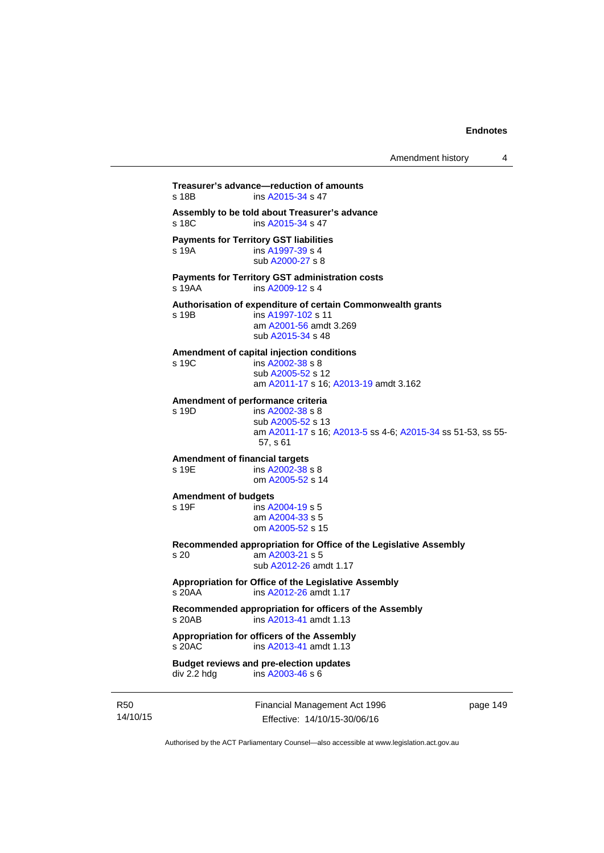```
Treasurer's advance—reduction of amounts 
A2015-34 s 47
Assembly to be told about Treasurer's advance 
A2015-34 s 47
Payments for Territory GST liabilities
s 19A ins A1997-39 s 4
                 sub A2000-27 s 8 
Payments for Territory GST administration costs 
s 19AA ins A2009-12 s 4
Authorisation of expenditure of certain Commonwealth grants 
s 19B ins A1997-102 s 11 
                 am A2001-56 amdt 3.269
                 sub A2015-34 s 48 
Amendment of capital injection conditions 
s 19C ins A2002-38 s 8
                 sub A2005-52 s 12 
                 am A2011-17 s 16; A2013-19 amdt 3.162 
Amendment of performance criteria 
s 19D ins A2002-38 s 8
                 sub A2005-52 s 13 
                 am A2011-17 s 16; A2013-5 ss 4-6; A2015-34 ss 51-53, ss 55-
                 57, s 61
Amendment of financial targets 
A2002-38 s 8
                 om A2005-52 s 14 
Amendment of budgets 
                insA2004-19 s 5
                 am A2004-33 s 5 
                 om A2005-52 s 15 
Recommended appropriation for Office of the Legislative Assembly 
s 20 am A2003-21 s 5 
                 sub A2012-26 amdt 1.17 
Appropriation for Office of the Legislative Assembly 
s 20AA ins A2012-26 amdt 1.17 
Recommended appropriation for officers of the Assembly 
s 20AB ins A2013-41 amdt 1.13 
Appropriation for officers of the Assembly 
s 20AC ins A2013-41 amdt 1.13 
Budget reviews and pre-election updates 
div 2.2 hdg ins A2003-46 s 6
```
R50 14/10/15 Financial Management Act 1996 Effective: 14/10/15-30/06/16

page 149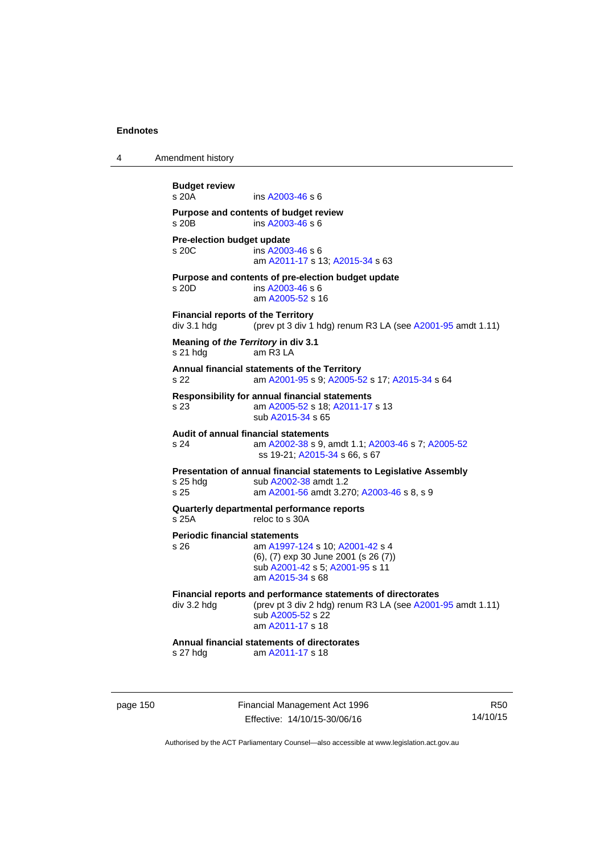| 4        | Amendment history                                        |                                                                                                                                                                                          |                        |
|----------|----------------------------------------------------------|------------------------------------------------------------------------------------------------------------------------------------------------------------------------------------------|------------------------|
|          | <b>Budget review</b><br>s 20A                            | ins A2003-46 s 6                                                                                                                                                                         |                        |
|          | $s$ 20 $B$                                               | Purpose and contents of budget review<br>ins A2003-46 s 6                                                                                                                                |                        |
|          | Pre-election budget update<br>s 20C                      | ins A2003-46 s 6<br>am A2011-17 s 13; A2015-34 s 63                                                                                                                                      |                        |
|          | s 20D                                                    | Purpose and contents of pre-election budget update<br>ins A2003-46 s 6<br>am A2005-52 s 16                                                                                               |                        |
|          | <b>Financial reports of the Territory</b><br>div 3.1 hdg | (prev pt 3 div 1 hdg) renum R3 LA (see A2001-95 amdt 1.11)                                                                                                                               |                        |
|          | Meaning of the Territory in div 3.1<br>s 21 hda          | am R3 LA                                                                                                                                                                                 |                        |
|          | s 22                                                     | Annual financial statements of the Territory<br>am A2001-95 s 9; A2005-52 s 17; A2015-34 s 64                                                                                            |                        |
|          | s 23                                                     | <b>Responsibility for annual financial statements</b><br>am A2005-52 s 18; A2011-17 s 13<br>sub A2015-34 s 65                                                                            |                        |
|          | s 24                                                     | Audit of annual financial statements<br>am A2002-38 s 9, amdt 1.1, A2003-46 s 7, A2005-52<br>ss 19-21; A2015-34 s 66, s 67                                                               |                        |
|          | $s$ 25 hdg<br>s 25                                       | Presentation of annual financial statements to Legislative Assembly<br>sub A2002-38 amdt 1.2<br>am A2001-56 amdt 3.270; A2003-46 s 8, s 9                                                |                        |
|          | s 25A                                                    | Quarterly departmental performance reports<br>reloc to s 30A                                                                                                                             |                        |
|          | <b>Periodic financial statements</b><br>s 26             | am A1997-124 s 10; A2001-42 s 4<br>(6), (7) exp 30 June 2001 (s 26 (7))<br>sub A2001-42 s 5; A2001-95 s 11<br>am A2015-34 s 68                                                           |                        |
|          |                                                          | Financial reports and performance statements of directorates<br>div 3.2 hdg $(\text{prev pt 3 div 2 hdg})$ renum R3 LA (see A2001-95 amdt 1.11)<br>sub A2005-52 s 22<br>am A2011-17 s 18 |                        |
|          | s 27 hdg                                                 | Annual financial statements of directorates<br>am A2011-17 s 18                                                                                                                          |                        |
| page 150 |                                                          | Financial Management Act 1996<br>Effective: 14/10/15-30/06/16                                                                                                                            | <b>R50</b><br>14/10/15 |

Authorised by the ACT Parliamentary Counsel—also accessible at www.legislation.act.gov.au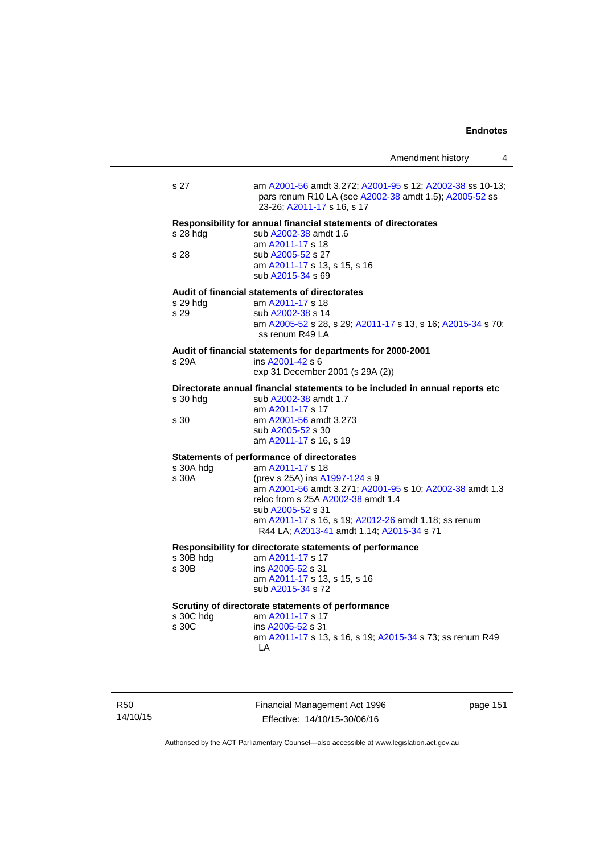|                    |                                                                                                                                                                                                                                                                                                                                    | Amendment history | 4 |
|--------------------|------------------------------------------------------------------------------------------------------------------------------------------------------------------------------------------------------------------------------------------------------------------------------------------------------------------------------------|-------------------|---|
| s 27               | am A2001-56 amdt 3.272; A2001-95 s 12; A2002-38 ss 10-13;<br>pars renum R10 LA (see A2002-38 amdt 1.5); A2005-52 ss<br>23-26; A2011-17 s 16, s 17                                                                                                                                                                                  |                   |   |
| s 28 hda<br>s 28   | Responsibility for annual financial statements of directorates<br>sub A2002-38 amdt 1.6<br>am A2011-17 s 18<br>sub A2005-52 s 27<br>am A2011-17 s 13, s 15, s 16<br>sub A2015-34 s 69                                                                                                                                              |                   |   |
| s 29 hdg<br>s 29   | Audit of financial statements of directorates<br>am A2011-17 s 18<br>sub A2002-38 s 14<br>am A2005-52 s 28, s 29; A2011-17 s 13, s 16; A2015-34 s 70;<br>ss renum R49 LA                                                                                                                                                           |                   |   |
| s 29A              | Audit of financial statements for departments for 2000-2001<br>ins A2001-42 s 6<br>exp 31 December 2001 (s 29A (2))                                                                                                                                                                                                                |                   |   |
| s 30 hdg<br>s 30   | Directorate annual financial statements to be included in annual reports etc<br>sub A2002-38 amdt 1.7<br>am A2011-17 s 17<br>am A2001-56 amdt 3.273<br>sub A2005-52 s 30<br>am A2011-17 s 16, s 19                                                                                                                                 |                   |   |
| s 30A hdg<br>s 30A | <b>Statements of performance of directorates</b><br>am A2011-17 s 18<br>(prev s 25A) ins A1997-124 s 9<br>am A2001-56 amdt 3.271; A2001-95 s 10; A2002-38 amdt 1.3<br>reloc from s 25A A2002-38 amdt 1.4<br>sub A2005-52 s 31<br>am A2011-17 s 16, s 19; A2012-26 amdt 1.18; ss renum<br>R44 LA; A2013-41 amdt 1.14; A2015-34 s 71 |                   |   |
| s 30B hdg<br>s 30B | Responsibility for directorate statements of performance<br>am A2011-17 s 17<br>ins A2005-52 s 31<br>am A2011-17 s 13, s 15, s 16<br>sub A2015-34 s 72                                                                                                                                                                             |                   |   |
| s 30C hdg<br>s 30C | Scrutiny of directorate statements of performance<br>am A2011-17 s 17<br>ins A2005-52 s 31<br>am A2011-17 s 13, s 16, s 19; A2015-34 s 73; ss renum R49<br>LA                                                                                                                                                                      |                   |   |

R50 14/10/15 Financial Management Act 1996 Effective: 14/10/15-30/06/16

page 151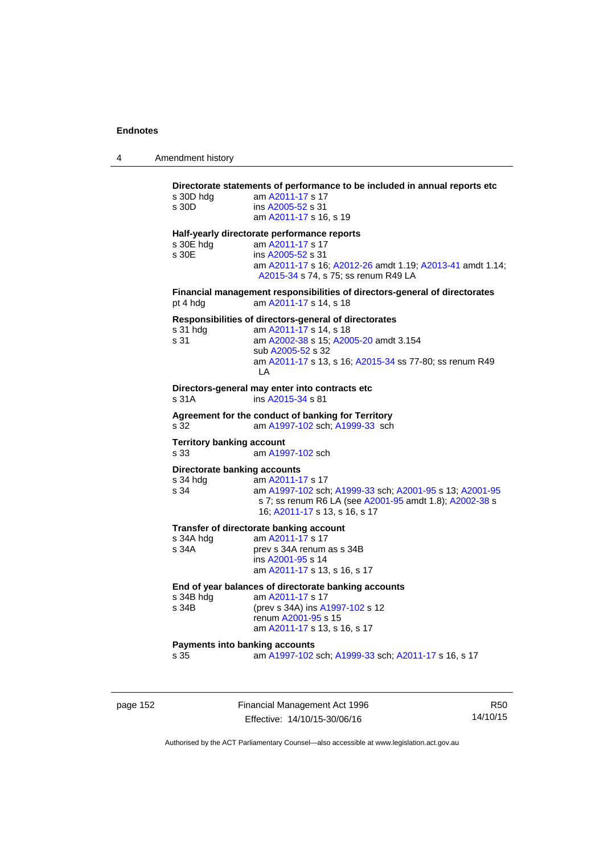| Amendment history |
|-------------------|
|                   |

# **Directorate statements of performance to be included in annual reports etc**  s 30D hdg am [A2011-17](http://www.legislation.act.gov.au/a/2011-17) s 17 s 30D ins [A2005-52](http://www.legislation.act.gov.au/a/2005-52) s 31 am [A2011-17](http://www.legislation.act.gov.au/a/2011-17) s 16, s 19 **Half-yearly directorate performance reports**  s 30E hdg am [A2011-17](http://www.legislation.act.gov.au/a/2011-17) s 17 s 30E ins [A2005-52](http://www.legislation.act.gov.au/a/2005-52) s 31 am [A2011-17](http://www.legislation.act.gov.au/a/2011-17) s 16; [A2012-26](http://www.legislation.act.gov.au/a/2012-26) amdt 1.19; [A2013-41](http://www.legislation.act.gov.au/a/2013-41/default.asp) amdt 1.14; [A2015-34](http://www.legislation.act.gov.au/a/2015-34/default.asp) s 74, s 75; ss renum R49 LA **Financial management responsibilities of directors-general of directorates**  pt 4 hdg am [A2011-17](http://www.legislation.act.gov.au/a/2011-17) s 14, s 18 **Responsibilities of directors-general of directorates**  s 31 hdg am [A2011-17](http://www.legislation.act.gov.au/a/2011-17) s 14, s 18 s 31 am [A2002-38](http://www.legislation.act.gov.au/a/2002-38) s 15; [A2005-20](http://www.legislation.act.gov.au/a/2005-20) amdt 3.154 sub [A2005-52](http://www.legislation.act.gov.au/a/2005-52) s 32 am [A2011-17](http://www.legislation.act.gov.au/a/2011-17) s 13, s 16; [A2015-34](http://www.legislation.act.gov.au/a/2015-34/default.asp) ss 77-80; ss renum R49 LA **Directors-general may enter into contracts etc**  s 31A ins [A2015-34](http://www.legislation.act.gov.au/a/2015-34/default.asp) s 81 **Agreement for the conduct of banking for Territory** s 32 am [A1997-102](http://www.legislation.act.gov.au/a/1997-102) sch; [A1999-33](http://www.legislation.act.gov.au/a/1999-33) sch **Territory banking account** s 33 am [A1997-102](http://www.legislation.act.gov.au/a/1997-102) sch **Directorate banking accounts**  s 34 hdg am [A2011-17](http://www.legislation.act.gov.au/a/2011-17) s 17 s 34 am [A1997-102](http://www.legislation.act.gov.au/a/1997-102) sch; [A1999-33](http://www.legislation.act.gov.au/a/1999-33) sch; [A2001-95](http://www.legislation.act.gov.au/a/2001-95) s 13; [A2001-95](http://www.legislation.act.gov.au/a/2001-95) s 7; ss renum R6 LA (see [A2001-95](http://www.legislation.act.gov.au/a/2001-95) amdt 1.8); [A2002-38](http://www.legislation.act.gov.au/a/2002-38) s 16; [A2011-17](http://www.legislation.act.gov.au/a/2011-17) s 13, s 16, s 17 **Transfer of directorate banking account**<br>s 34A hdq am A2011-17 s 17 s 34A hdg am  $A2011-17$  s 17<br>s 34A prev s 34A renum prev s 34A renum as s 34B ins [A2001-95](http://www.legislation.act.gov.au/a/2001-95) s 14 am [A2011-17](http://www.legislation.act.gov.au/a/2011-17) s 13, s 16, s 17 **End of year balances of directorate banking accounts** s 34B hdg am [A2011-17](http://www.legislation.act.gov.au/a/2011-17) s 17<br>s 34B (prev s 34A) ins A (prev s 34A) ins [A1997-102](http://www.legislation.act.gov.au/a/1997-102) s 12 renum [A2001-95](http://www.legislation.act.gov.au/a/2001-95) s 15 am [A2011-17](http://www.legislation.act.gov.au/a/2011-17) s 13, s 16, s 17 **Payments into banking accounts** s 35 am [A1997-102](http://www.legislation.act.gov.au/a/1997-102) sch; [A1999-33](http://www.legislation.act.gov.au/a/1999-33) sch; [A2011-17](http://www.legislation.act.gov.au/a/2011-17) s 16, s 17

page 152 Financial Management Act 1996 Effective: 14/10/15-30/06/16

R50 14/10/15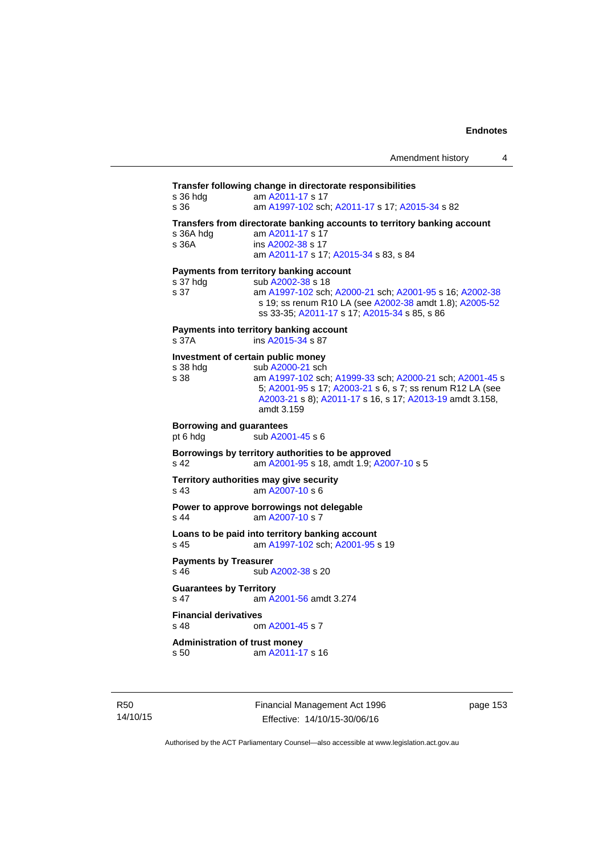# **Transfer following change in directorate responsibilities** s 36 hdg am [A2011-17](http://www.legislation.act.gov.au/a/2011-17) s 17 s 36 am [A1997-102](http://www.legislation.act.gov.au/a/1997-102) sch; [A2011-17](http://www.legislation.act.gov.au/a/2011-17) s 17; [A2015-34](http://www.legislation.act.gov.au/a/2015-34/default.asp) s 82 **Transfers from directorate banking accounts to territory banking account**  s 36A hdg am [A2011-17](http://www.legislation.act.gov.au/a/2011-17) s 17 s 36A ins [A2002-38](http://www.legislation.act.gov.au/a/2002-38) s 17 am [A2011-17](http://www.legislation.act.gov.au/a/2011-17) s 17; [A2015-34](http://www.legislation.act.gov.au/a/2015-34/default.asp) s 83, s 84 **Payments from territory banking account**  s 37 hdg sub [A2002-38](http://www.legislation.act.gov.au/a/2002-38) s 18 s 37 am [A1997-102](http://www.legislation.act.gov.au/a/1997-102) sch; [A2000-21](http://www.legislation.act.gov.au/a/2000-21) sch; [A2001-95](http://www.legislation.act.gov.au/a/2001-95) s 16; [A2002-38](http://www.legislation.act.gov.au/a/2002-38) s 19; ss renum R10 LA (see [A2002-38](http://www.legislation.act.gov.au/a/2002-38) amdt 1.8); [A2005-52](http://www.legislation.act.gov.au/a/2005-52) ss 33-35; [A2011-17](http://www.legislation.act.gov.au/a/2011-17) s 17; [A2015-34](http://www.legislation.act.gov.au/a/2015-34/default.asp) s 85, s 86 **Payments into territory banking account**  s 37A ins [A2015-34](http://www.legislation.act.gov.au/a/2015-34/default.asp) s 87 **Investment of certain public money**  s 38 hdg sub [A2000-21](http://www.legislation.act.gov.au/a/2000-21) sch s 38 am [A1997-102](http://www.legislation.act.gov.au/a/1997-102) sch; [A1999-33](http://www.legislation.act.gov.au/a/1999-33) sch; [A2000-21](http://www.legislation.act.gov.au/a/2000-21) sch; [A2001-45](http://www.legislation.act.gov.au/a/2001-45) s 5; [A2001-95](http://www.legislation.act.gov.au/a/2001-95) s 17; [A2003-21](http://www.legislation.act.gov.au/a/2003-21) s 6, s 7; ss renum R12 LA (see [A2003-21](http://www.legislation.act.gov.au/a/2003-21) s 8); [A2011-17](http://www.legislation.act.gov.au/a/2011-17) s 16, s 17; [A2013-19](http://www.legislation.act.gov.au/a/2013-19) amdt 3.158, amdt 3.159 **Borrowing and guarantees**  pt 6 hdg sub [A2001-45](http://www.legislation.act.gov.au/a/2001-45) s 6 **Borrowings by territory authorities to be approved**  s 42 am [A2001-95](http://www.legislation.act.gov.au/a/2001-95) s 18, amdt 1.9; [A2007-10](http://www.legislation.act.gov.au/a/2007-10) s 5 **Territory authorities may give security**  s 43 am [A2007-10](http://www.legislation.act.gov.au/a/2007-10) s 6 **Power to approve borrowings not delegable**  s 44 am [A2007-10](http://www.legislation.act.gov.au/a/2007-10) s 7 **Loans to be paid into territory banking account** s 45 am [A1997-102](http://www.legislation.act.gov.au/a/1997-102) sch; [A2001-95](http://www.legislation.act.gov.au/a/2001-95) s 19 **Payments by Treasurer**<br>**s** 46 **by** Treasurer sub [A2002-38](http://www.legislation.act.gov.au/a/2002-38) s 20 **Guarantees by Territory**  s 47 am [A2001-56](http://www.legislation.act.gov.au/a/2001-56) amdt 3.274 **Financial derivatives**<br>s 48 on om [A2001-45](http://www.legislation.act.gov.au/a/2001-45) s 7 **Administration of trust money**  s 50 am [A2011-17](http://www.legislation.act.gov.au/a/2011-17) s 16

R50 14/10/15 Financial Management Act 1996 Effective: 14/10/15-30/06/16

page 153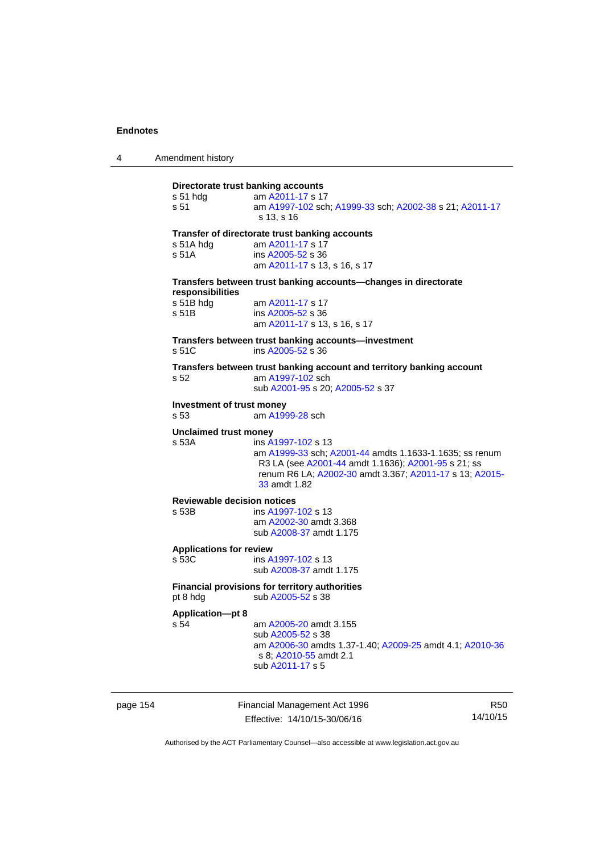| Amendment history |  |
|-------------------|--|
|-------------------|--|

# **Directorate trust banking accounts** s 51 hdg am [A2011-17](http://www.legislation.act.gov.au/a/2011-17) s 17 s 51 am [A1997-102](http://www.legislation.act.gov.au/a/1997-102) sch; [A1999-33](http://www.legislation.act.gov.au/a/1999-33) sch; [A2002-38](http://www.legislation.act.gov.au/a/2002-38) s 21; [A2011-17](http://www.legislation.act.gov.au/a/2011-17) s 13, s 16 **Transfer of directorate trust banking accounts**  s 51A hdg am [A2011-17](http://www.legislation.act.gov.au/a/2011-17) s 17 s 51A ins [A2005-52](http://www.legislation.act.gov.au/a/2005-52) s 36 am [A2011-17](http://www.legislation.act.gov.au/a/2011-17) s 13, s 16, s 17 **Transfers between trust banking accounts—changes in directorate responsibilities**  s 51B hdg am [A2011-17](http://www.legislation.act.gov.au/a/2011-17) s 17 s 51B ins [A2005-52](http://www.legislation.act.gov.au/a/2005-52) s 36 am [A2011-17](http://www.legislation.act.gov.au/a/2011-17) s 13, s 16, s 17 **Transfers between trust banking accounts—investment**  s 51C ins [A2005-52](http://www.legislation.act.gov.au/a/2005-52) s 36 **Transfers between trust banking account and territory banking account**  s 52 am [A1997-102](http://www.legislation.act.gov.au/a/1997-102) sch sub [A2001-95](http://www.legislation.act.gov.au/a/2001-95) s 20; [A2005-52](http://www.legislation.act.gov.au/a/2005-52) s 37 **Investment of trust money**  s 53 am [A1999-28](http://www.legislation.act.gov.au/a/1999-28) sch **Unclaimed trust money**  s 53A ins [A1997-102](http://www.legislation.act.gov.au/a/1997-102) s 13 am [A1999-33](http://www.legislation.act.gov.au/a/1999-33) sch; [A2001-44](http://www.legislation.act.gov.au/a/2001-44) amdts 1.1633-1.1635; ss renum R3 LA (see [A2001-44](http://www.legislation.act.gov.au/a/2001-44) amdt 1.1636); [A2001-95](http://www.legislation.act.gov.au/a/2001-95) s 21; ss renum R6 LA; [A2002-30](http://www.legislation.act.gov.au/a/2002-30) amdt 3.367; [A2011-17](http://www.legislation.act.gov.au/a/2011-17) s 13; [A2015-](http://www.legislation.act.gov.au/a/2015-33/default.asp) [33](http://www.legislation.act.gov.au/a/2015-33/default.asp) amdt 1.82 **Reviewable decision notices**  s 53B ins [A1997-102](http://www.legislation.act.gov.au/a/1997-102) s 13 am [A2002-30](http://www.legislation.act.gov.au/a/2002-30) amdt 3.368 sub [A2008-37](http://www.legislation.act.gov.au/a/2008-37) amdt 1.175 **Applications for review**  s 53C ins [A1997-102](http://www.legislation.act.gov.au/a/1997-102) s 13 sub [A2008-37](http://www.legislation.act.gov.au/a/2008-37) amdt 1.175 **Financial provisions for territory authorities**  pt 8 hdg sub [A2005-52](http://www.legislation.act.gov.au/a/2005-52) s 38 **Application—pt 8**  s 54 am [A2005-20](http://www.legislation.act.gov.au/a/2005-20) amdt 3.155 sub [A2005-52](http://www.legislation.act.gov.au/a/2005-52) s 38 am [A2006-30](http://www.legislation.act.gov.au/a/2006-30) amdts 1.37-1.40; [A2009-25](http://www.legislation.act.gov.au/a/2009-25) amdt 4.1; [A2010-36](http://www.legislation.act.gov.au/a/2010-36) s 8; [A2010-55](http://www.legislation.act.gov.au/a/2010-55) amdt 2.1 sub [A2011-17](http://www.legislation.act.gov.au/a/2011-17) s 5

page 154 Financial Management Act 1996 Effective: 14/10/15-30/06/16

R50 14/10/15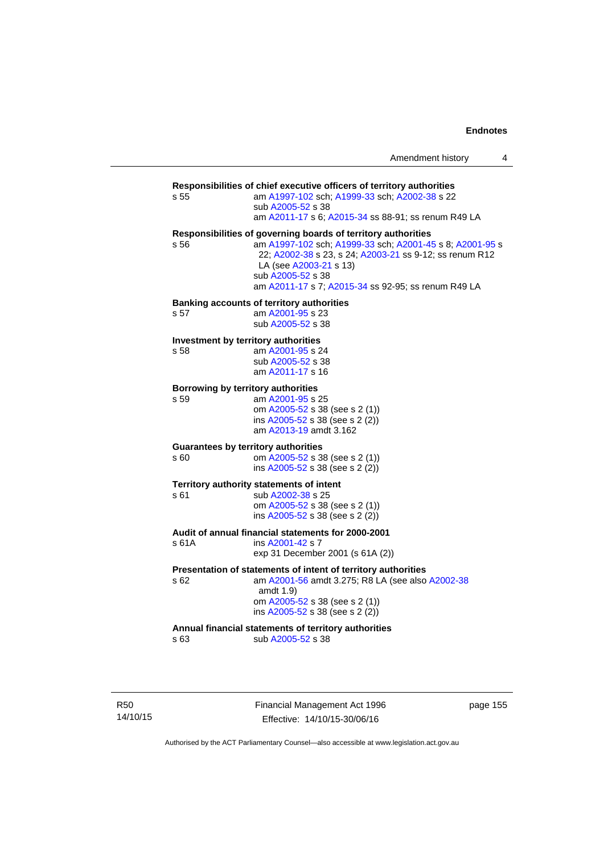| Amendment history |  |  |
|-------------------|--|--|
|-------------------|--|--|

#### **Responsibilities of chief executive officers of territory authorities**

s 55 am [A1997-102](http://www.legislation.act.gov.au/a/1997-102) sch; [A1999-33](http://www.legislation.act.gov.au/a/1999-33) sch; [A2002-38](http://www.legislation.act.gov.au/a/2002-38) s 22 sub [A2005-52](http://www.legislation.act.gov.au/a/2005-52) s 38

am [A2011-17](http://www.legislation.act.gov.au/a/2011-17) s 6; [A2015-34](http://www.legislation.act.gov.au/a/2015-34/default.asp) ss 88-91; ss renum R49 LA

#### **Responsibilities of governing boards of territory authorities**

s 56 am [A1997-102](http://www.legislation.act.gov.au/a/1997-102) sch; [A1999-33](http://www.legislation.act.gov.au/a/1999-33) sch; [A2001-45](http://www.legislation.act.gov.au/a/2001-45) s 8; [A2001-95](http://www.legislation.act.gov.au/a/2001-95) s 22; [A2002-38](http://www.legislation.act.gov.au/a/2002-38) s 23, s 24; [A2003-21](http://www.legislation.act.gov.au/a/2003-21) ss 9-12; ss renum R12 LA (see [A2003-21](http://www.legislation.act.gov.au/a/2003-21) s 13) sub [A2005-52](http://www.legislation.act.gov.au/a/2005-52) s 38 am [A2011-17](http://www.legislation.act.gov.au/a/2011-17) s 7; [A2015-34](http://www.legislation.act.gov.au/a/2015-34/default.asp) ss 92-95; ss renum R49 LA

#### **Banking accounts of territory authorities**

s 57 am [A2001-95](http://www.legislation.act.gov.au/a/2001-95) s 23 sub [A2005-52](http://www.legislation.act.gov.au/a/2005-52) s 38

#### **Investment by territory authorities**

s 58 am [A2001-95](http://www.legislation.act.gov.au/a/2001-95) s 24 sub [A2005-52](http://www.legislation.act.gov.au/a/2005-52) s 38 am [A2011-17](http://www.legislation.act.gov.au/a/2011-17) s 16

#### **Borrowing by territory authorities**  s 59 am [A2001-95](http://www.legislation.act.gov.au/a/2001-95) s 25

 om [A2005-52](http://www.legislation.act.gov.au/a/2005-52) s 38 (see s 2 (1)) ins [A2005-52](http://www.legislation.act.gov.au/a/2005-52) s 38 (see s 2 (2)) am [A2013-19](http://www.legislation.act.gov.au/a/2013-19) amdt 3.162

#### **Guarantees by territory authorities**

s 60 om [A2005-52](http://www.legislation.act.gov.au/a/2005-52) s 38 (see s 2 (1)) ins [A2005-52](http://www.legislation.act.gov.au/a/2005-52) s 38 (see s 2 (2))

# **Territory authority statements of intent**<br>s 61 sub A2002-38 s 25

sub [A2002-38](http://www.legislation.act.gov.au/a/2002-38) s 25 om [A2005-52](http://www.legislation.act.gov.au/a/2005-52) s 38 (see s 2 (1))

ins [A2005-52](http://www.legislation.act.gov.au/a/2005-52) s 38 (see s 2 (2))

# **Audit of annual financial statements for 2000-2001**

s 61A ins [A2001-42](http://www.legislation.act.gov.au/a/2001-42) s 7 exp 31 December 2001 (s 61A (2))

#### **Presentation of statements of intent of territory authorities**

s 62 am [A2001-56](http://www.legislation.act.gov.au/a/2001-56) amdt 3.275; R8 LA (see also [A2002-38](http://www.legislation.act.gov.au/a/2002-38) amdt 1.9)

> om [A2005-52](http://www.legislation.act.gov.au/a/2005-52) s 38 (see s 2 (1)) ins [A2005-52](http://www.legislation.act.gov.au/a/2005-52) s 38 (see s 2 (2))

#### **Annual financial statements of territory authorities**

s 63 sub [A2005-52](http://www.legislation.act.gov.au/a/2005-52) s 38

R50 14/10/15 Financial Management Act 1996 Effective: 14/10/15-30/06/16

page 155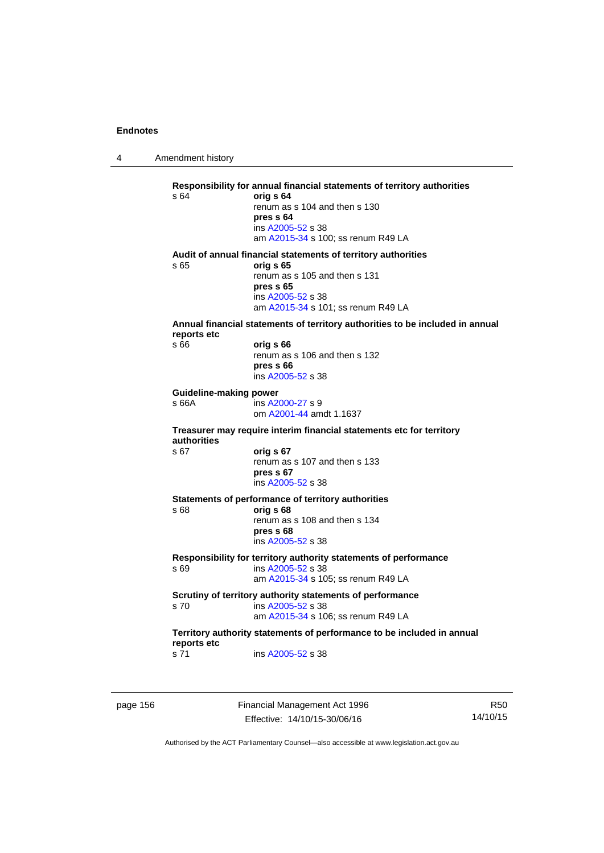4 Amendment history

**Responsibility for annual financial statements of territory authorities**  s 64 **orig s 64** renum as s 104 and then s 130 **pres s 64**  ins [A2005-52](http://www.legislation.act.gov.au/a/2005-52) s 38 am [A2015-34](http://www.legislation.act.gov.au/a/2015-34/default.asp) s 100; ss renum R49 LA **Audit of annual financial statements of territory authorities**  s 65 **orig s 65**  renum as s 105 and then s 131 **pres s 65**  ins [A2005-52](http://www.legislation.act.gov.au/a/2005-52) s 38 am [A2015-34](http://www.legislation.act.gov.au/a/2015-34/default.asp) s 101; ss renum R49 LA **Annual financial statements of territory authorities to be included in annual reports etc**  s 66 **orig s 66**  renum as s 106 and then s 132 **pres s 66**  ins [A2005-52](http://www.legislation.act.gov.au/a/2005-52) s 38 **Guideline-making power**  s 66A ins [A2000-27](http://www.legislation.act.gov.au/a/2000-27) s 9 om [A2001-44](http://www.legislation.act.gov.au/a/2001-44) amdt 1.1637 **Treasurer may require interim financial statements etc for territory authorities** s 67 **orig s 67**  renum as s 107 and then s 133 **pres s 67**  ins [A2005-52](http://www.legislation.act.gov.au/a/2005-52) s 38 **Statements of performance of territory authorities**  s 68 **orig s 68**  renum as s 108 and then s 134 **pres s 68**  ins [A2005-52](http://www.legislation.act.gov.au/a/2005-52) s 38 **Responsibility for territory authority statements of performance**  s 69 ins [A2005-52](http://www.legislation.act.gov.au/a/2005-52) s 38 am [A2015-34](http://www.legislation.act.gov.au/a/2015-34/default.asp) s 105; ss renum R49 LA **Scrutiny of territory authority statements of performance**  s 70 ins [A2005-52](http://www.legislation.act.gov.au/a/2005-52) s 38 am [A2015-34](http://www.legislation.act.gov.au/a/2015-34/default.asp) s 106; ss renum R49 LA **Territory authority statements of performance to be included in annual reports etc**  s 71 ins [A2005-52](http://www.legislation.act.gov.au/a/2005-52) s 38

page 156 Financial Management Act 1996 Effective: 14/10/15-30/06/16

R50 14/10/15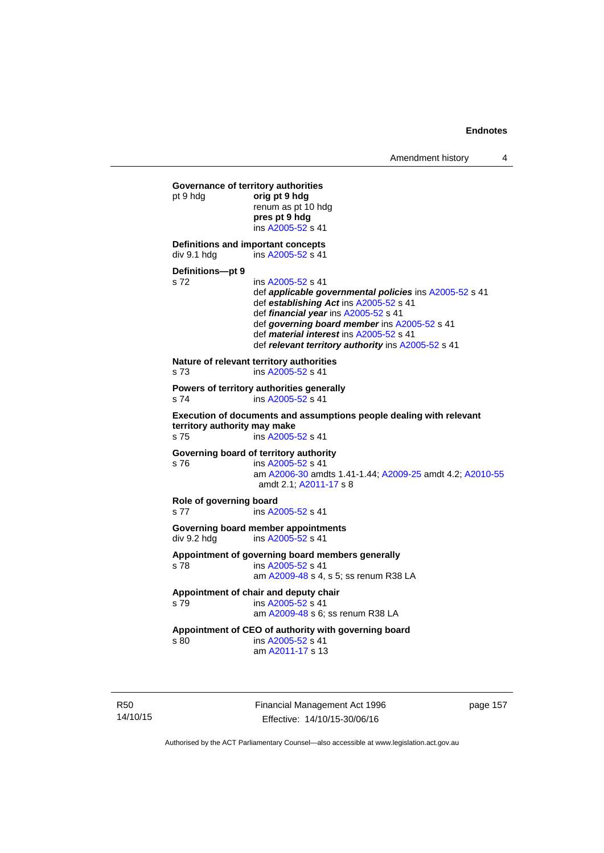```
Governance of territory authorities 
pt 9 hdg orig pt 9 hdg 
                 renum as pt 10 hdg 
                 pres pt 9 hdg 
                  ins A2005-52 s 41 
Definitions and important concepts 
A2005-52 s 41
Definitions—pt 9 
s 72 ins A2005-52 s 41 
                  def applicable governmental policies ins A2005-52 s 41 
                  def establishing Act ins A2005-52 s 41 
                  def financial year ins A2005-52 s 41 
                  def governing board member ins A2005-52 s 41 
                  def material interest ins A2005-52 s 41 
                  def relevant territory authority ins A2005-52 s 41 
Nature of relevant territory authorities 
s 73 ins A2005-52 s 41 
Powers of territory authorities generally 
s 74 ins A2005-52 s 41 
Execution of documents and assumptions people dealing with relevant 
territory authority may make 
s 75 ins A2005-52 s 41 
Governing board of territory authority 
s 76 ins A2005-52 s 41 
                  am A2006-30 amdts 1.41-1.44; A2009-25 amdt 4.2; A2010-55
                  amdt 2.1; A2011-17 s 8 
Role of governing board 
s 77 ins A2005-52 s 41 
Governing board member appointments<br>
div 9.2 hdq ins A2005-52 s 41
                 A2005-52 s 41
Appointment of governing board members generally 
s 78 ins A2005-52 s 41 
                  am A2009-48 s 4, s 5; ss renum R38 LA 
Appointment of chair and deputy chair 
s 79 ins A2005-52 s 41 
                  am A2009-48 s 6; ss renum R38 LA
Appointment of CEO of authority with governing board 
s 80 ins A2005-52 s 41 
                  am A2011-17 s 13
```
R50 14/10/15 Financial Management Act 1996 Effective: 14/10/15-30/06/16

page 157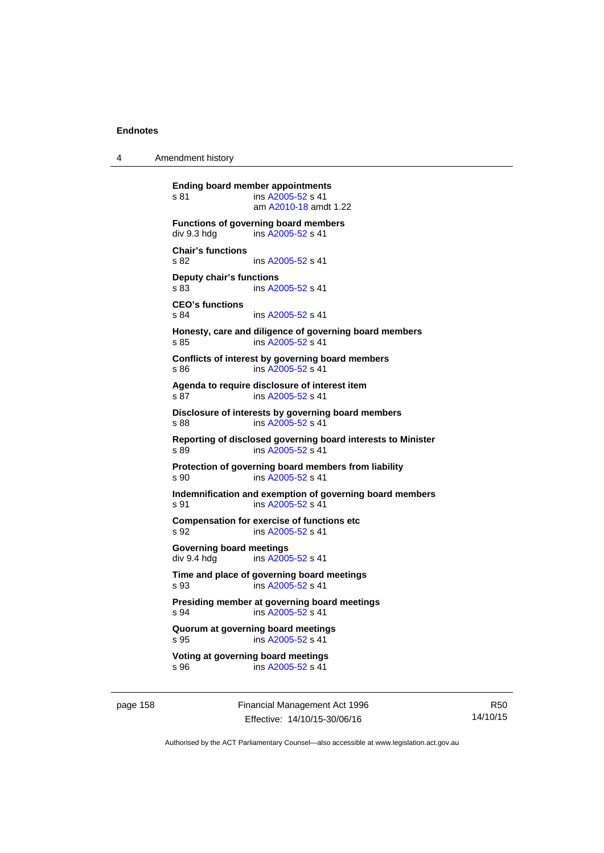4 Amendment history

**Ending board member appointments**  s 81 ins [A2005-52](http://www.legislation.act.gov.au/a/2005-52) s 41 am [A2010-18](http://www.legislation.act.gov.au/a/2010-18) amdt 1.22 **Functions of governing board members**<br>div 9.3 hdg ins A2005-52 s 41 ins  $A2005 - 52$  s 41 **Chair's functions**  s 82 ins [A2005-52](http://www.legislation.act.gov.au/a/2005-52) s 41 **Deputy chair's functions**  s 83 ins [A2005-52](http://www.legislation.act.gov.au/a/2005-52) s 41 **CEO's functions**  s 84 ins [A2005-52](http://www.legislation.act.gov.au/a/2005-52) s 41 **Honesty, care and diligence of governing board members**  s 85 ins [A2005-52](http://www.legislation.act.gov.au/a/2005-52) s 41 **Conflicts of interest by governing board members**  s 86 ins [A2005-52](http://www.legislation.act.gov.au/a/2005-52) s 41 **Agenda to require disclosure of interest item**  s 87 ins [A2005-52](http://www.legislation.act.gov.au/a/2005-52) s 41 **Disclosure of interests by governing board members**  s 88 ins [A2005-52](http://www.legislation.act.gov.au/a/2005-52) s 41 **Reporting of disclosed governing board interests to Minister**  s 89 ins [A2005-52](http://www.legislation.act.gov.au/a/2005-52) s 41 **Protection of governing board members from liability**  s 90 ins [A2005-52](http://www.legislation.act.gov.au/a/2005-52) s 41 **Indemnification and exemption of governing board members**  s 91 ins [A2005-52](http://www.legislation.act.gov.au/a/2005-52) s 41 **Compensation for exercise of functions etc**  s 92 ins [A2005-52](http://www.legislation.act.gov.au/a/2005-52) s 41 **Governing board meetings**  div 9.4 hdg ins [A2005-52](http://www.legislation.act.gov.au/a/2005-52) s 41 **Time and place of governing board meetings**  s 93 ins [A2005-52](http://www.legislation.act.gov.au/a/2005-52) s 41 **Presiding member at governing board meetings**  s 94 **ins [A2005-52](http://www.legislation.act.gov.au/a/2005-52) s 41 Quorum at governing board meetings**  s 95 ins [A2005-52](http://www.legislation.act.gov.au/a/2005-52) s 41 **Voting at governing board meetings**  s 96 ins [A2005-52](http://www.legislation.act.gov.au/a/2005-52) s 41

page 158 Financial Management Act 1996 Effective: 14/10/15-30/06/16

R50 14/10/15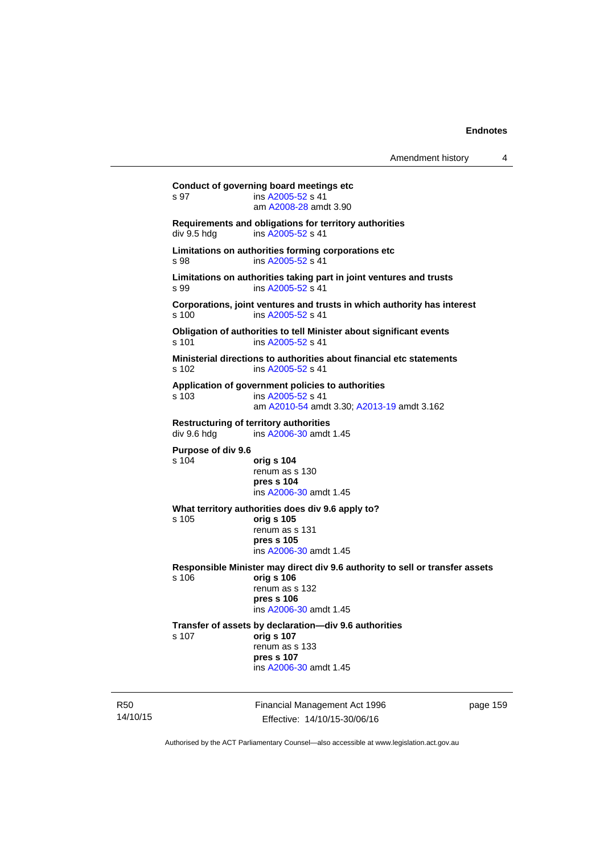**Conduct of governing board meetings etc**  s 97 ins [A2005-52](http://www.legislation.act.gov.au/a/2005-52) s 41 am [A2008-28](http://www.legislation.act.gov.au/a/2008-28) amdt 3.90 **Requirements and obligations for territory authorities**  div 9.5 hdg ins [A2005-52](http://www.legislation.act.gov.au/a/2005-52) s 41 **Limitations on authorities forming corporations etc**  s 98 ins [A2005-52](http://www.legislation.act.gov.au/a/2005-52) s 41 **Limitations on authorities taking part in joint ventures and trusts**  s 99 ins [A2005-52](http://www.legislation.act.gov.au/a/2005-52) s 41 **Corporations, joint ventures and trusts in which authority has interest**  s 100 ins [A2005-52](http://www.legislation.act.gov.au/a/2005-52) s 41 **Obligation of authorities to tell Minister about significant events**  s 101 ins [A2005-52](http://www.legislation.act.gov.au/a/2005-52) s 41 **Ministerial directions to authorities about financial etc statements**  s 102 ins [A2005-52](http://www.legislation.act.gov.au/a/2005-52) s 41 **Application of government policies to authorities**  s 103 ins [A2005-52](http://www.legislation.act.gov.au/a/2005-52) s 41 am [A2010-54](http://www.legislation.act.gov.au/a/2010-54) amdt 3.30; [A2013-19](http://www.legislation.act.gov.au/a/2013-19) amdt 3.162 **Restructuring of territory authorities**  div 9.6 hdg ins [A2006-30](http://www.legislation.act.gov.au/a/2006-30) amdt 1.45 **Purpose of div 9.6**  s 104 **orig s 104** renum as s 130 **pres s 104**  ins [A2006-30](http://www.legislation.act.gov.au/a/2006-30) amdt 1.45 **What territory authorities does div 9.6 apply to?**  s 105 **orig s 105** renum as s 131 **pres s 105**  ins [A2006-30](http://www.legislation.act.gov.au/a/2006-30) amdt 1.45 **Responsible Minister may direct div 9.6 authority to sell or transfer assets**  s 106 **orig s 106** renum as s 132 **pres s 106**  ins [A2006-30](http://www.legislation.act.gov.au/a/2006-30) amdt 1.45 **Transfer of assets by declaration—div 9.6 authorities**  s 107 **orig s 107** renum as s 133 **pres s 107**  ins [A2006-30](http://www.legislation.act.gov.au/a/2006-30) amdt 1.45

R50 14/10/15 Financial Management Act 1996 Effective: 14/10/15-30/06/16

page 159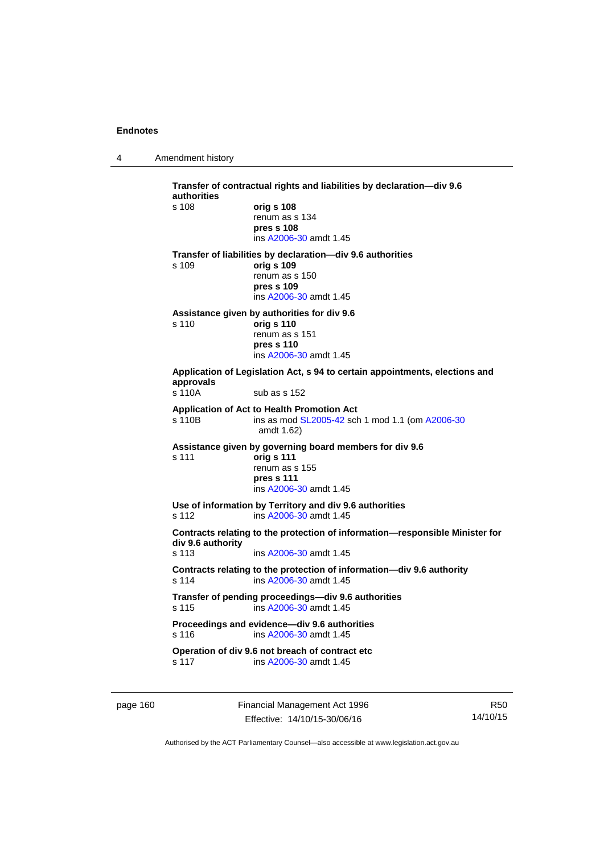4 Amendment history

**Transfer of contractual rights and liabilities by declaration—div 9.6 authorities**  s 108 **orig s 108** renum as s 134 **pres s 108**  ins [A2006-30](http://www.legislation.act.gov.au/a/2006-30) amdt 1.45 **Transfer of liabilities by declaration—div 9.6 authorities**  s 109 **orig s 109** renum as s 150 **pres s 109**  ins [A2006-30](http://www.legislation.act.gov.au/a/2006-30) amdt 1.45 **Assistance given by authorities for div 9.6**  s 110 **orig s 110** renum as s 151 **pres s 110**  ins [A2006-30](http://www.legislation.act.gov.au/a/2006-30) amdt 1.45 **Application of Legislation Act, s 94 to certain appointments, elections and approvals**  sub as s 152 **Application of Act to Health Promotion Act**  s 110B ins as mod [SL2005-42](http://www.legislation.act.gov.au/sl/2005-42) sch 1 mod 1.1 (om [A2006-30](http://www.legislation.act.gov.au/a/2006-30) amdt 1.62) **Assistance given by governing board members for div 9.6**  s 111 **orig s 111** renum as s 155 **pres s 111**  ins [A2006-30](http://www.legislation.act.gov.au/a/2006-30) amdt 1.45 **Use of information by Territory and div 9.6 authorities**  s 112 ins [A2006-30](http://www.legislation.act.gov.au/a/2006-30) amdt 1.45 **Contracts relating to the protection of information—responsible Minister for div 9.6 authority**  s 113 ins [A2006-30](http://www.legislation.act.gov.au/a/2006-30) amdt 1.45 **Contracts relating to the protection of information—div 9.6 authority**  s 114 ins [A2006-30](http://www.legislation.act.gov.au/a/2006-30) amdt 1.45 **Transfer of pending proceedings—div 9.6 authorities**  s 115 ins [A2006-30](http://www.legislation.act.gov.au/a/2006-30) amdt 1.45 **Proceedings and evidence—div 9.6 authorities**  s 116 ins [A2006-30](http://www.legislation.act.gov.au/a/2006-30) amdt 1.45 **Operation of div 9.6 not breach of contract etc**  s 117 ins [A2006-30](http://www.legislation.act.gov.au/a/2006-30) amdt 1.45

page 160 Financial Management Act 1996 Effective: 14/10/15-30/06/16

R50 14/10/15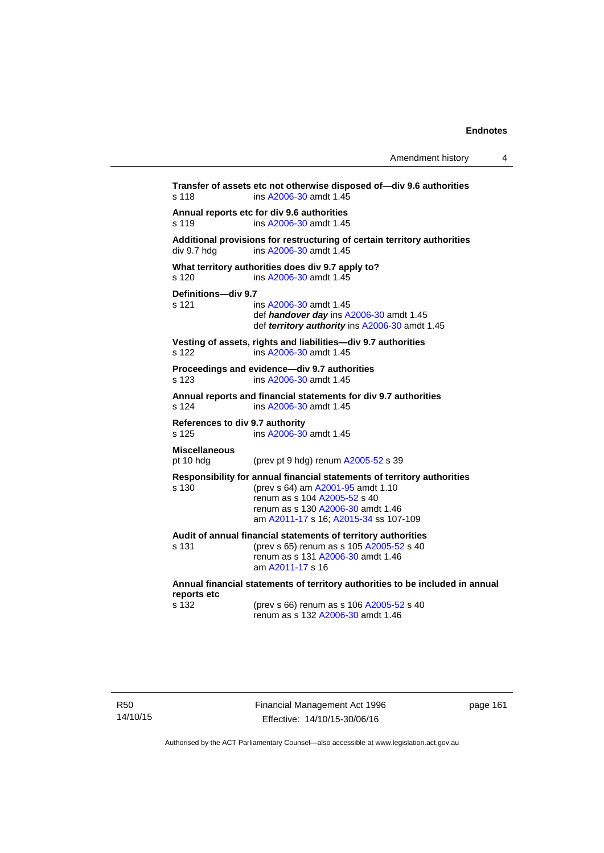| Amendment history |  |
|-------------------|--|
|-------------------|--|

**Transfer of assets etc not otherwise disposed of—div 9.6 authorities**  s 118 ins [A2006-30](http://www.legislation.act.gov.au/a/2006-30) amdt 1.45 **Annual reports etc for div 9.6 authorities**  s 119 ins [A2006-30](http://www.legislation.act.gov.au/a/2006-30) amdt 1.45 **Additional provisions for restructuring of certain territory authorities**   $div 9.7 hdg$  ins  $A2006-30$  amdt 1.45 **What territory authorities does div 9.7 apply to?**  s 120 ins [A2006-30](http://www.legislation.act.gov.au/a/2006-30) amdt 1.45 **Definitions—div 9.7**  ins [A2006-30](http://www.legislation.act.gov.au/a/2006-30) amdt 1.45 def *handover day* ins [A2006-30](http://www.legislation.act.gov.au/a/2006-30) amdt 1.45 def *territory authority* ins [A2006-30](http://www.legislation.act.gov.au/a/2006-30) amdt 1.45 **Vesting of assets, rights and liabilities—div 9.7 authorities**  s 122 ins [A2006-30](http://www.legislation.act.gov.au/a/2006-30) amdt 1.45 **Proceedings and evidence—div 9.7 authorities**  s 123 ins [A2006-30](http://www.legislation.act.gov.au/a/2006-30) amdt 1.45 **Annual reports and financial statements for div 9.7 authorities**  s 124 ins [A2006-30](http://www.legislation.act.gov.au/a/2006-30) amdt 1.45 **References to div 9.7 authority**  s 125 ins [A2006-30](http://www.legislation.act.gov.au/a/2006-30) amdt 1.45 **Miscellaneous**  (prev pt 9 hdg) renum  $A2005-52$  s 39 **Responsibility for annual financial statements of territory authorities**  s 130 (prev s 64) am [A2001-95](http://www.legislation.act.gov.au/a/2001-95) amdt 1.10 renum as s 104 [A2005-52](http://www.legislation.act.gov.au/a/2005-52) s 40 renum as s 130 [A2006-30](http://www.legislation.act.gov.au/a/2006-30) amdt 1.46 am [A2011-17](http://www.legislation.act.gov.au/a/2011-17) s 16; [A2015-34](http://www.legislation.act.gov.au/a/2015-34/default.asp) ss 107-109 **Audit of annual financial statements of territory authorities**  s 131 (prev s 65) renum as s 105 [A2005-52](http://www.legislation.act.gov.au/a/2005-52) s 40 renum as s 131 [A2006-30](http://www.legislation.act.gov.au/a/2006-30) amdt 1.46 am [A2011-17](http://www.legislation.act.gov.au/a/2011-17) s 16 **Annual financial statements of territory authorities to be included in annual reports etc**  s 132 (prev s 66) renum as s 106 [A2005-52](http://www.legislation.act.gov.au/a/2005-52) s 40  $r$ enum as s 132 [A2006-30](http://www.legislation.act.gov.au/a/2006-30) amdt 1.46

R50 14/10/15 Financial Management Act 1996 Effective: 14/10/15-30/06/16

page 161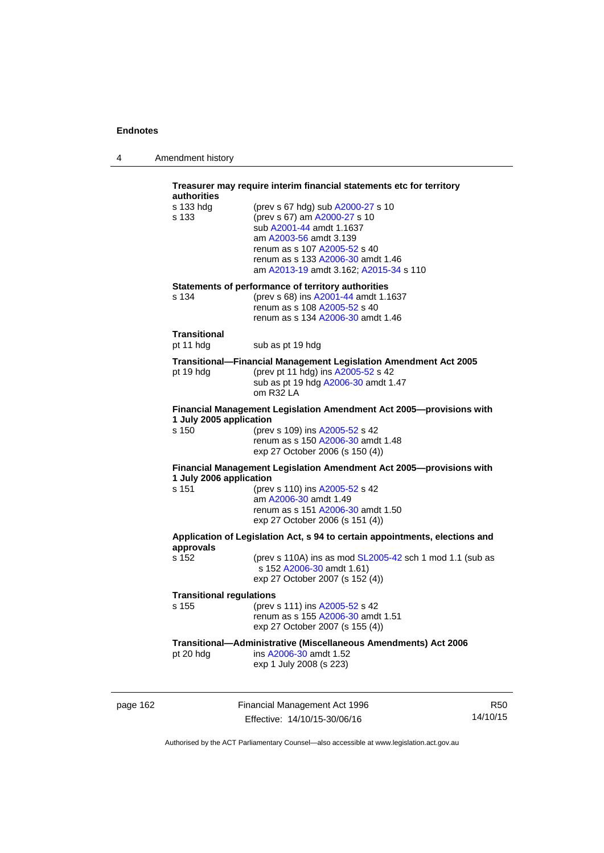| 4 | Amendment history |
|---|-------------------|
|---|-------------------|

|          | authorities                              | Treasurer may require interim financial statements etc for territory                                                                                                                                                                   |                  |
|----------|------------------------------------------|----------------------------------------------------------------------------------------------------------------------------------------------------------------------------------------------------------------------------------------|------------------|
|          | s 133 hdg<br>s 133                       | (prev s 67 hdg) sub A2000-27 s 10<br>(prev s 67) am A2000-27 s 10<br>sub A2001-44 amdt 1.1637<br>am A2003-56 amdt 3.139<br>renum as s 107 A2005-52 s 40<br>renum as s 133 A2006-30 amdt 1.46<br>am A2013-19 amdt 3.162; A2015-34 s 110 |                  |
|          | s 134                                    | Statements of performance of territory authorities<br>(prev s 68) ins A2001-44 amdt 1.1637<br>renum as s 108 A2005-52 s 40<br>renum as s 134 A2006-30 amdt 1.46                                                                        |                  |
|          | Transitional<br>pt 11 hdg                | sub as pt 19 hdg                                                                                                                                                                                                                       |                  |
|          | pt 19 hdg                                | <b>Transitional--Financial Management Legislation Amendment Act 2005</b><br>(prev pt 11 hdg) ins A2005-52 s 42<br>sub as pt 19 hdg A2006-30 amdt 1.47<br>om R32 LA                                                                     |                  |
|          | 1 July 2005 application<br>s 150         | Financial Management Legislation Amendment Act 2005-provisions with<br>(prev s 109) ins A2005-52 s 42<br>renum as s 150 A2006-30 amdt 1.48<br>exp 27 October 2006 (s 150 (4))                                                          |                  |
|          | 1 July 2006 application<br>s 151         | Financial Management Legislation Amendment Act 2005-provisions with<br>(prev s 110) ins A2005-52 s 42<br>am A2006-30 amdt 1.49<br>renum as s 151 A2006-30 amdt 1.50<br>exp 27 October 2006 (s 151 (4))                                 |                  |
|          | approvals                                | Application of Legislation Act, s 94 to certain appointments, elections and                                                                                                                                                            |                  |
|          | s 152                                    | (prev s 110A) ins as mod SL2005-42 sch 1 mod 1.1 (sub as<br>s 152 A2006-30 amdt 1.61)<br>exp 27 October 2007 (s 152 (4))                                                                                                               |                  |
|          | <b>Transitional regulations</b><br>s 155 | (prev s 111) ins A2005-52 s 42<br>renum as s 155 A2006-30 amdt 1.51<br>exp 27 October 2007 (s 155 (4))                                                                                                                                 |                  |
|          | pt 20 hdg                                | Transitional-Administrative (Miscellaneous Amendments) Act 2006<br>ins A2006-30 amdt 1.52<br>exp 1 July 2008 (s 223)                                                                                                                   |                  |
| page 162 |                                          | Financial Management Act 1996                                                                                                                                                                                                          | R <sub>5</sub> C |

Effective: 14/10/15-30/06/16

 $50^{\circ}$ 14/10/15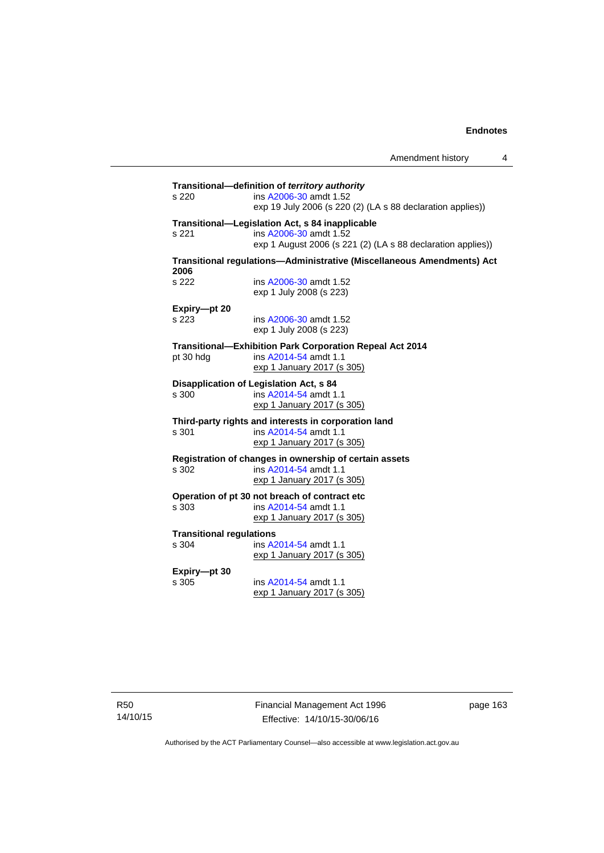| s 220                                    | Transitional-definition of territory authority<br>ins A2006-30 amdt 1.52<br>exp 19 July 2006 (s 220 (2) (LA s 88 declaration applies))   |
|------------------------------------------|------------------------------------------------------------------------------------------------------------------------------------------|
| s 221                                    | Transitional-Legislation Act, s 84 inapplicable<br>ins A2006-30 amdt 1.52<br>exp 1 August 2006 (s 221 (2) (LA s 88 declaration applies)) |
|                                          | Transitional regulations-Administrative (Miscellaneous Amendments) Act                                                                   |
| 2006<br>s 222                            | ins A2006-30 amdt 1.52<br>exp 1 July 2008 (s 223)                                                                                        |
| Expiry-pt 20<br>s 223                    | ins A2006-30 amdt 1.52<br>exp 1 July 2008 (s 223)                                                                                        |
| pt 30 hdg                                | <b>Transitional-Exhibition Park Corporation Repeal Act 2014</b><br>ins A2014-54 amdt 1.1<br>exp 1 January 2017 (s 305)                   |
| s 300                                    | Disapplication of Legislation Act, s 84<br>ins A2014-54 amdt 1.1<br>exp 1 January 2017 (s 305)                                           |
| s 301                                    | Third-party rights and interests in corporation land<br>ins A2014-54 amdt 1.1<br>exp 1 January 2017 (s 305)                              |
| s 302                                    | Registration of changes in ownership of certain assets<br>ins A2014-54 amdt 1.1<br>exp 1 January 2017 (s 305)                            |
| s 303                                    | Operation of pt 30 not breach of contract etc<br>ins A2014-54 amdt 1.1<br>exp 1 January 2017 (s 305)                                     |
| <b>Transitional regulations</b><br>s 304 | ins A2014-54 amdt 1.1<br>exp 1 January 2017 (s 305)                                                                                      |
| Expiry-pt 30<br>s 305                    | ins A2014-54 amdt 1.1<br>exp 1 January 2017 (s 305)                                                                                      |

Financial Management Act 1996 Effective: 14/10/15-30/06/16

page 163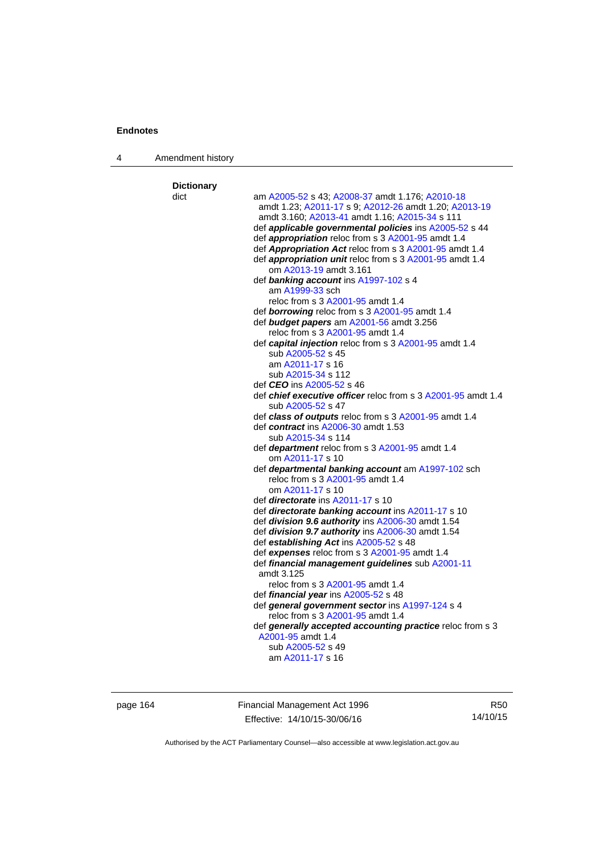4 Amendment history

| <b>Dictionary</b> |                                                                                             |
|-------------------|---------------------------------------------------------------------------------------------|
| dict              | am A2005-52 s 43; A2008-37 amdt 1.176; A2010-18                                             |
|                   | amdt 1.23; A2011-17 s 9; A2012-26 amdt 1.20; A2013-19                                       |
|                   | amdt 3.160; A2013-41 amdt 1.16; A2015-34 s 111                                              |
|                   | def applicable governmental policies ins A2005-52 s 44                                      |
|                   | def <i>appropriation</i> reloc from s 3 A2001-95 amdt 1.4                                   |
|                   | def Appropriation Act reloc from s 3 A2001-95 amdt 1.4                                      |
|                   | def appropriation unit reloc from s 3 A2001-95 amdt 1.4                                     |
|                   | om A2013-19 amdt 3.161                                                                      |
|                   | def banking account ins A1997-102 s 4                                                       |
|                   | am A1999-33 sch                                                                             |
|                   | reloc from s 3 A2001-95 amdt 1.4                                                            |
|                   | def <b>borrowing</b> reloc from s 3 A2001-95 amdt 1.4                                       |
|                   | def budget papers am A2001-56 amdt 3.256                                                    |
|                   | reloc from s 3 A2001-95 amdt 1.4                                                            |
|                   | def capital injection reloc from s 3 A2001-95 amdt 1.4                                      |
|                   | sub A2005-52 s 45                                                                           |
|                   | am A2011-17 s 16                                                                            |
|                   | sub A2015-34 s 112                                                                          |
|                   | def <i>CEO</i> ins A2005-52 s 46                                                            |
|                   | def <i>chief executive officer</i> reloc from s 3 A2001-95 amdt 1.4                         |
|                   | sub A2005-52 s 47                                                                           |
|                   | def class of outputs reloc from s 3 A2001-95 amdt 1.4                                       |
|                   | def contract ins A2006-30 amdt 1.53                                                         |
|                   | sub A2015-34 s 114                                                                          |
|                   | def <i>department</i> reloc from s 3 A2001-95 amdt 1.4                                      |
|                   | om A2011-17 s 10                                                                            |
|                   | def departmental banking account am A1997-102 sch                                           |
|                   | reloc from s 3 A2001-95 amdt 1.4                                                            |
|                   | om A2011-17 s 10                                                                            |
|                   | def <i>directorate</i> ins A2011-17 s 10                                                    |
|                   | def directorate banking account ins A2011-17 s 10                                           |
|                   | def division 9.6 authority ins A2006-30 amdt 1.54                                           |
|                   | def division 9.7 authority ins A2006-30 amdt 1.54<br>def establishing Act ins A2005-52 s 48 |
|                   | def expenses reloc from s 3 A2001-95 amdt 1.4                                               |
|                   | def financial management guidelines sub A2001-11                                            |
|                   | amdt 3.125                                                                                  |
|                   | reloc from s 3 A2001-95 amdt 1.4                                                            |
|                   | def financial year ins A2005-52 s 48                                                        |
|                   | def general government sector ins A1997-124 s 4                                             |
|                   | reloc from s 3 A2001-95 amdt 1.4                                                            |
|                   | def generally accepted accounting practice reloc from s 3                                   |
|                   | A2001-95 amdt 1.4                                                                           |
|                   | sub A2005-52 s 49                                                                           |
|                   | am A2011-17 s 16                                                                            |
|                   |                                                                                             |

page 164 Financial Management Act 1996 Effective: 14/10/15-30/06/16

R50 14/10/15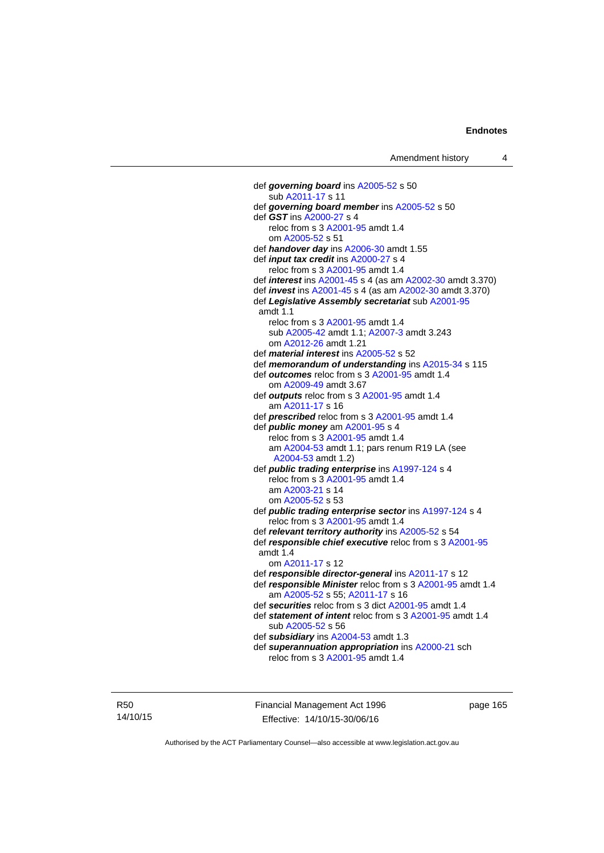def *governing board* ins [A2005-52](http://www.legislation.act.gov.au/a/2005-52) s 50 sub [A2011-17](http://www.legislation.act.gov.au/a/2011-17) s 11 def *governing board member* ins [A2005-52](http://www.legislation.act.gov.au/a/2005-52) s 50 def *GST* ins [A2000-27](http://www.legislation.act.gov.au/a/2000-27) s 4 reloc from s 3 [A2001-95](http://www.legislation.act.gov.au/a/2001-95) amdt 1.4 om [A2005-52](http://www.legislation.act.gov.au/a/2005-52) s 51 def *handover day* ins [A2006-30](http://www.legislation.act.gov.au/a/2006-30) amdt 1.55 def *input tax credit* ins [A2000-27](http://www.legislation.act.gov.au/a/2000-27) s 4 reloc from s 3 [A2001-95](http://www.legislation.act.gov.au/a/2001-95) amdt 1.4 def *interest* ins [A2001-45](http://www.legislation.act.gov.au/a/2001-45) s 4 (as am [A2002-30](http://www.legislation.act.gov.au/a/2002-30) amdt 3.370) def *invest* ins [A2001-45](http://www.legislation.act.gov.au/a/2001-45) s 4 (as am [A2002-30](http://www.legislation.act.gov.au/a/2002-30) amdt 3.370) def *Legislative Assembly secretariat* sub [A2001-95](http://www.legislation.act.gov.au/a/2001-95) amdt 1.1 reloc from s 3 [A2001-95](http://www.legislation.act.gov.au/a/2001-95) amdt 1.4 sub [A2005-42](http://www.legislation.act.gov.au/a/2005-42) amdt 1.1; [A2007-3](http://www.legislation.act.gov.au/a/2007-3) amdt 3.243 om [A2012-26](http://www.legislation.act.gov.au/a/2012-26) amdt 1.21 def *material interest* ins [A2005-52](http://www.legislation.act.gov.au/a/2005-52) s 52 def *memorandum of understanding* ins [A2015-34](http://www.legislation.act.gov.au/a/2015-34/default.asp) s 115 def *outcomes* reloc from s 3 [A2001-95](http://www.legislation.act.gov.au/a/2001-95) amdt 1.4 om [A2009-49](http://www.legislation.act.gov.au/a/2009-49) amdt 3.67 def *outputs* reloc from s 3 [A2001-95](http://www.legislation.act.gov.au/a/2001-95) amdt 1.4 am [A2011-17](http://www.legislation.act.gov.au/a/2011-17) s 16 def *prescribed* reloc from s 3 [A2001-95](http://www.legislation.act.gov.au/a/2001-95) amdt 1.4 def *public money* am [A2001-95](http://www.legislation.act.gov.au/a/2001-95) s 4 reloc from s 3 [A2001-95](http://www.legislation.act.gov.au/a/2001-95) amdt 1.4 am [A2004-53](http://www.legislation.act.gov.au/a/2004-53) amdt 1.1; pars renum R19 LA (see [A2004-53](http://www.legislation.act.gov.au/a/2004-53) amdt 1.2) def *public trading enterprise* ins [A1997-124](http://www.legislation.act.gov.au/a/1997-124) s 4 reloc from s 3 [A2001-95](http://www.legislation.act.gov.au/a/2001-95) amdt 1.4 am [A2003-21](http://www.legislation.act.gov.au/a/2003-21) s 14 om [A2005-52](http://www.legislation.act.gov.au/a/2005-52) s 53 def *public trading enterprise sector* ins [A1997-124](http://www.legislation.act.gov.au/a/1997-124) s 4 reloc from s 3 [A2001-95](http://www.legislation.act.gov.au/a/2001-95) amdt 1.4 def *relevant territory authority* ins [A2005-52](http://www.legislation.act.gov.au/a/2005-52) s 54 def *responsible chief executive* reloc from s 3 [A2001-95](http://www.legislation.act.gov.au/a/2001-95) amdt 1.4 om [A2011-17](http://www.legislation.act.gov.au/a/2011-17) s 12 def *responsible director-general* ins [A2011-17](http://www.legislation.act.gov.au/a/2011-17) s 12 def *responsible Minister* reloc from s 3 [A2001-95](http://www.legislation.act.gov.au/a/2001-95) amdt 1.4 am [A2005-52](http://www.legislation.act.gov.au/a/2005-52) s 55; [A2011-17](http://www.legislation.act.gov.au/a/2011-17) s 16 def *securities* reloc from s 3 dict [A2001-95](http://www.legislation.act.gov.au/a/2001-95) amdt 1.4 def *statement of intent* reloc from s 3 [A2001-95](http://www.legislation.act.gov.au/a/2001-95) amdt 1.4 sub [A2005-52](http://www.legislation.act.gov.au/a/2005-52) s 56 def *subsidiary* ins [A2004-53](http://www.legislation.act.gov.au/a/2004-53) amdt 1.3 def *superannuation appropriation* ins [A2000-21](http://www.legislation.act.gov.au/a/2000-21) sch reloc from s 3 [A2001-95](http://www.legislation.act.gov.au/a/2001-95) amdt 1.4

R50 14/10/15 Financial Management Act 1996 Effective: 14/10/15-30/06/16

page 165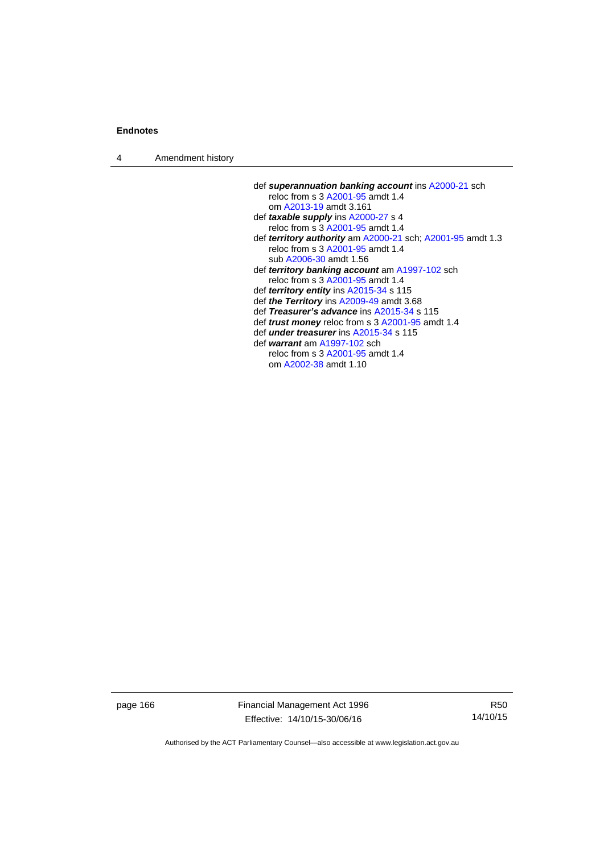4 Amendment history

| def superannuation banking account ins A2000-21 sch                   |  |
|-----------------------------------------------------------------------|--|
| reloc from s 3 A2001-95 amdt 1.4                                      |  |
| om A2013-19 amdt 3.161                                                |  |
| def taxable supply ins A2000-27 s 4                                   |  |
| reloc from s 3 A2001-95 amdt 1.4                                      |  |
| def <i>territory authority</i> am $A2000-21$ sch; $A2001-95$ amdt 1.3 |  |
| reloc from s 3 A2001-95 amdt 1.4                                      |  |
| sub A2006-30 amdt 1.56                                                |  |
| def <i>territory banking account</i> am A1997-102 sch                 |  |
| reloc from s 3 A2001-95 amdt 1.4                                      |  |
| def territory entity ins A2015-34 s 115                               |  |
| def the Territory ins A2009-49 amdt 3.68                              |  |
| def Treasurer's advance ins A2015-34 s 115                            |  |
| def <i>trust money</i> reloc from s 3 A2001-95 amdt 1.4               |  |
| def <i>under treasurer</i> ins A2015-34 s 115                         |  |
| def warrant am A1997-102 sch                                          |  |
| reloc from s 3 A2001-95 amdt 1.4                                      |  |

om [A2002-38](http://www.legislation.act.gov.au/a/2002-38) amdt 1.10

page 166 Financial Management Act 1996 Effective: 14/10/15-30/06/16

R50 14/10/15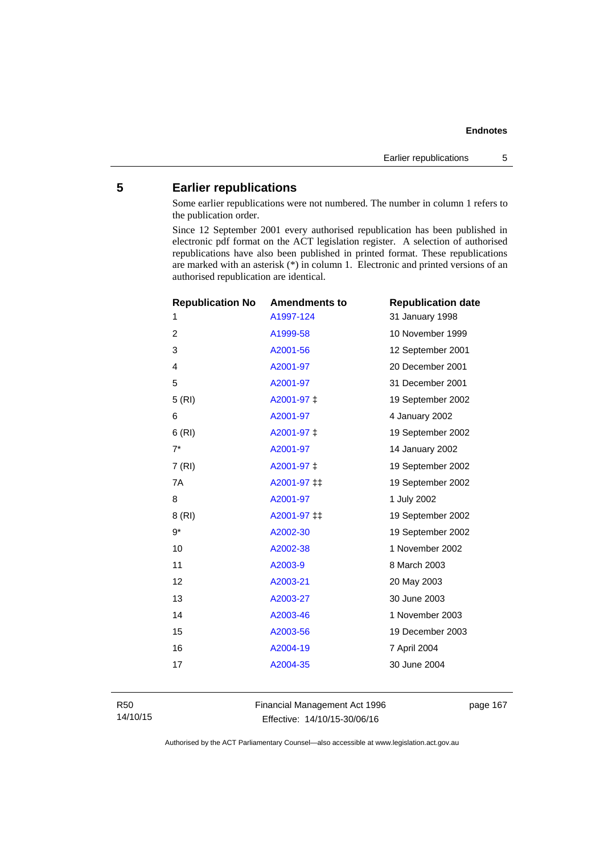# **5 Earlier republications**

Some earlier republications were not numbered. The number in column 1 refers to the publication order.

Since 12 September 2001 every authorised republication has been published in electronic pdf format on the ACT legislation register. A selection of authorised republications have also been published in printed format. These republications are marked with an asterisk (\*) in column 1. Electronic and printed versions of an authorised republication are identical.

| <b>Republication No</b> | <b>Amendments to</b> | <b>Republication date</b> |
|-------------------------|----------------------|---------------------------|
| 1                       | A1997-124            | 31 January 1998           |
| $\overline{2}$          | A1999-58             | 10 November 1999          |
| 3                       | A2001-56             | 12 September 2001         |
| 4                       | A2001-97             | 20 December 2001          |
| 5                       | A2001-97             | 31 December 2001          |
| 5(RI)                   | A2001-97 ‡           | 19 September 2002         |
| 6                       | A2001-97             | 4 January 2002            |
| 6(RI)                   | A2001-97 ‡           | 19 September 2002         |
| $7^*$                   | A2001-97             | 14 January 2002           |
| 7(RI)                   | A2001-97 ‡           | 19 September 2002         |
| 7A                      | A2001-97 ‡‡          | 19 September 2002         |
| 8                       | A2001-97             | 1 July 2002               |
| 8(RI)                   | A2001-97 ‡‡          | 19 September 2002         |
| $9*$                    | A2002-30             | 19 September 2002         |
| 10                      | A2002-38             | 1 November 2002           |
| 11                      | A2003-9              | 8 March 2003              |
| 12                      | A2003-21             | 20 May 2003               |
| 13                      | A2003-27             | 30 June 2003              |
| 14                      | A2003-46             | 1 November 2003           |
| 15                      | A2003-56             | 19 December 2003          |
| 16                      | A2004-19             | 7 April 2004              |
| 17                      | A2004-35             | 30 June 2004              |
|                         |                      |                           |

R50 14/10/15 Financial Management Act 1996 Effective: 14/10/15-30/06/16

page 167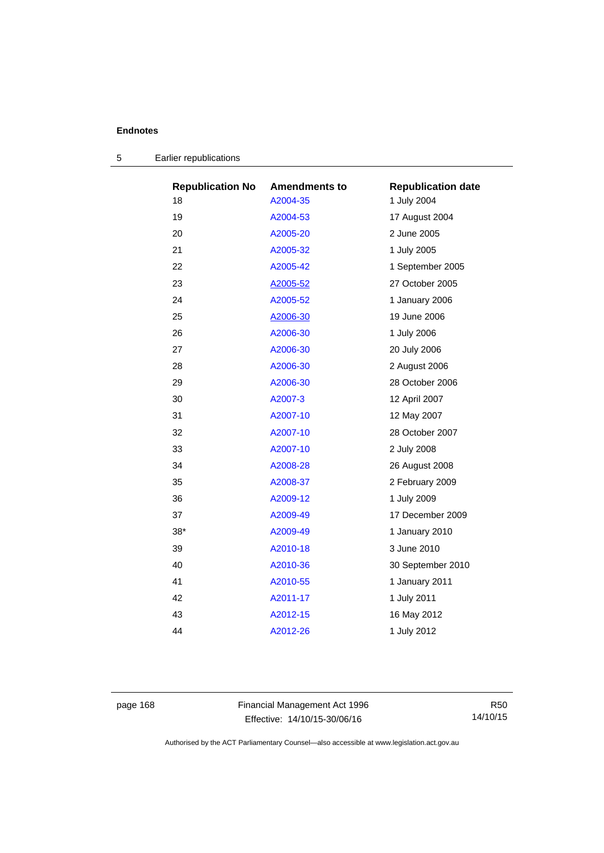| <b>Republication No</b> | <b>Amendments to</b> | <b>Republication date</b> |
|-------------------------|----------------------|---------------------------|
| 18                      | A2004-35             | 1 July 2004               |
| 19                      | A2004-53             | 17 August 2004            |
| 20                      | A2005-20             | 2 June 2005               |
| 21                      | A2005-32             | 1 July 2005               |
| 22                      | A2005-42             | 1 September 2005          |
| 23                      | A2005-52             | 27 October 2005           |
| 24                      | A2005-52             | 1 January 2006            |
| 25                      | A2006-30             | 19 June 2006              |
| 26                      | A2006-30             | 1 July 2006               |
| 27                      | A2006-30             | 20 July 2006              |
| 28                      | A2006-30             | 2 August 2006             |
| 29                      | A2006-30             | 28 October 2006           |
| 30                      | A2007-3              | 12 April 2007             |
| 31                      | A2007-10             | 12 May 2007               |
| 32                      | A2007-10             | 28 October 2007           |
| 33                      | A2007-10             | 2 July 2008               |
| 34                      | A2008-28             | 26 August 2008            |
| 35                      | A2008-37             | 2 February 2009           |
| 36                      | A2009-12             | 1 July 2009               |
| 37                      | A2009-49             | 17 December 2009          |
| $38*$                   | A2009-49             | 1 January 2010            |
| 39                      | A2010-18             | 3 June 2010               |
| 40                      | A2010-36             | 30 September 2010         |
| 41                      | A2010-55             | 1 January 2011            |
| 42                      | A2011-17             | 1 July 2011               |
| 43                      | A2012-15             | 16 May 2012               |
| 44                      | A2012-26             | 1 July 2012               |
|                         |                      |                           |

| Earlier republications |
|------------------------|
|                        |

page 168 Financial Management Act 1996 Effective: 14/10/15-30/06/16

R50 14/10/15